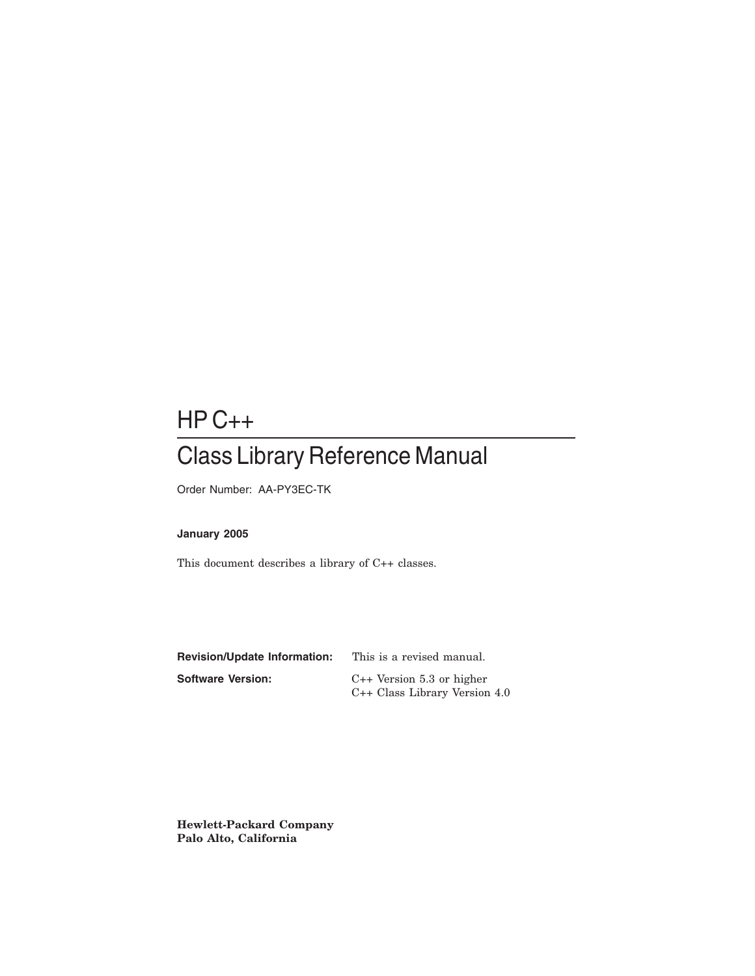## HP C++

## Class Library Reference Manual

Order Number: AA-PY3EC-TK

#### **January 2005**

This document describes a library of C++ classes.

| <b>Revision/Update Information:</b> | This is a revised manual.       |
|-------------------------------------|---------------------------------|
| Software Version:                   | $C++$ Version 5.3 or higher     |
|                                     | $C++$ Class Library Version 4.0 |

**Hewlett-Packard Company Palo Alto, California**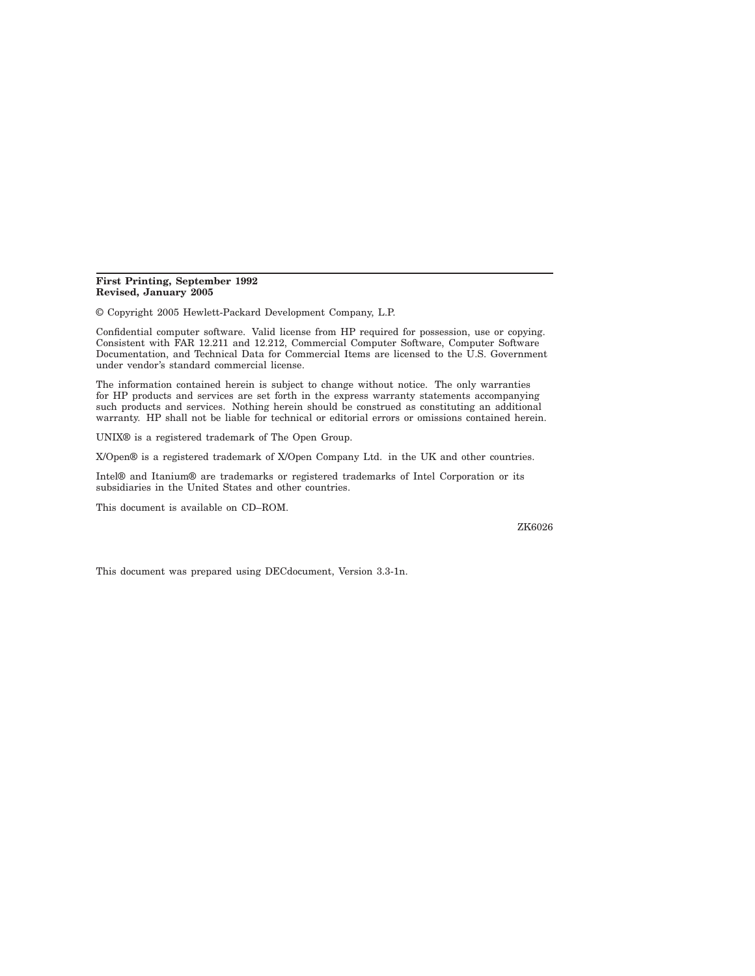#### **First Printing, September 1992 Revised, January 2005**

© Copyright 2005 Hewlett-Packard Development Company, L.P.

Confidential computer software. Valid license from HP required for possession, use or copying. Consistent with FAR 12.211 and 12.212, Commercial Computer Software, Computer Software Documentation, and Technical Data for Commercial Items are licensed to the U.S. Government under vendor's standard commercial license.

The information contained herein is subject to change without notice. The only warranties for HP products and services are set forth in the express warranty statements accompanying such products and services. Nothing herein should be construed as constituting an additional warranty. HP shall not be liable for technical or editorial errors or omissions contained herein.

UNIX® is a registered trademark of The Open Group.

X/Open® is a registered trademark of X/Open Company Ltd. in the UK and other countries.

Intel® and Itanium® are trademarks or registered trademarks of Intel Corporation or its subsidiaries in the United States and other countries.

This document is available on CD–ROM.

ZK6026

This document was prepared using DECdocument, Version 3.3-1n.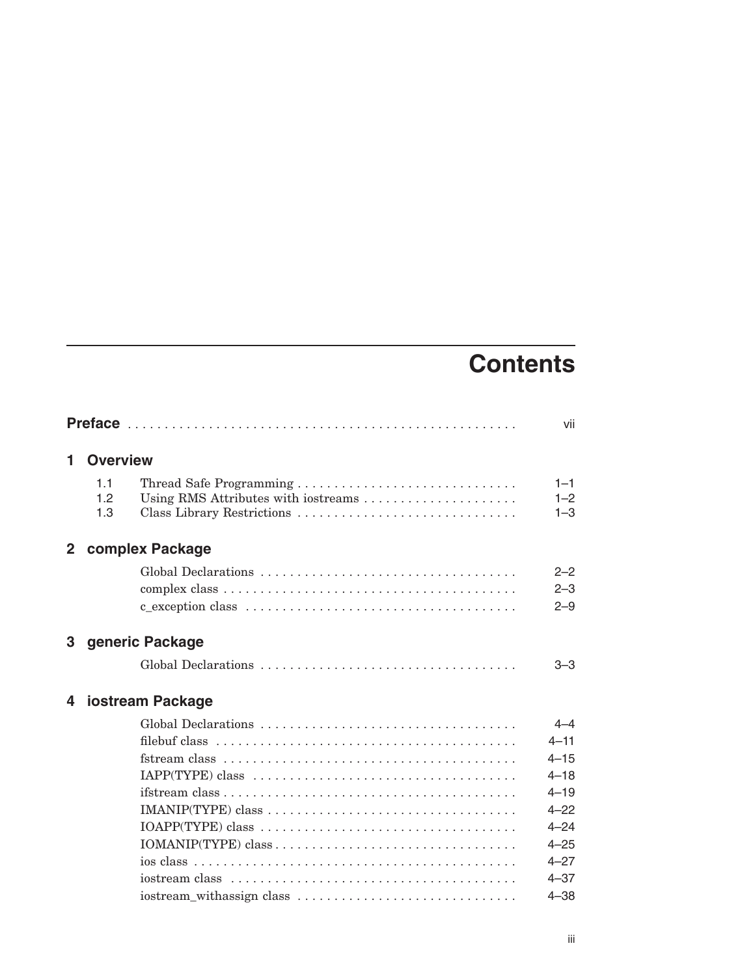# **Contents**

|                                                             | vii                                                                                                                             |
|-------------------------------------------------------------|---------------------------------------------------------------------------------------------------------------------------------|
| <b>Overview</b>                                             |                                                                                                                                 |
| 11<br>1.2<br>Using RMS Attributes with iostreams<br>1.3     | $1 - 1$<br>$1 - 2$<br>$1 - 3$                                                                                                   |
| complex Package<br>$2^{\circ}$                              |                                                                                                                                 |
|                                                             | $2 - 2$<br>$2 - 3$<br>$2 - 9$                                                                                                   |
| 3 generic Package                                           |                                                                                                                                 |
|                                                             | $3 - 3$                                                                                                                         |
| iostream Package<br>4                                       |                                                                                                                                 |
| $IAPP(TYPE) class  \ldots  \ldots  \ldots  \ldots  \ldots $ | $4 - 4$<br>$4 - 11$<br>$4 - 15$<br>$4 - 18$<br>$4 - 19$<br>$4 - 22$<br>$4 - 24$<br>$4 - 25$<br>$4 - 27$<br>$4 - 37$<br>$4 - 38$ |
|                                                             | iostream_withassign class                                                                                                       |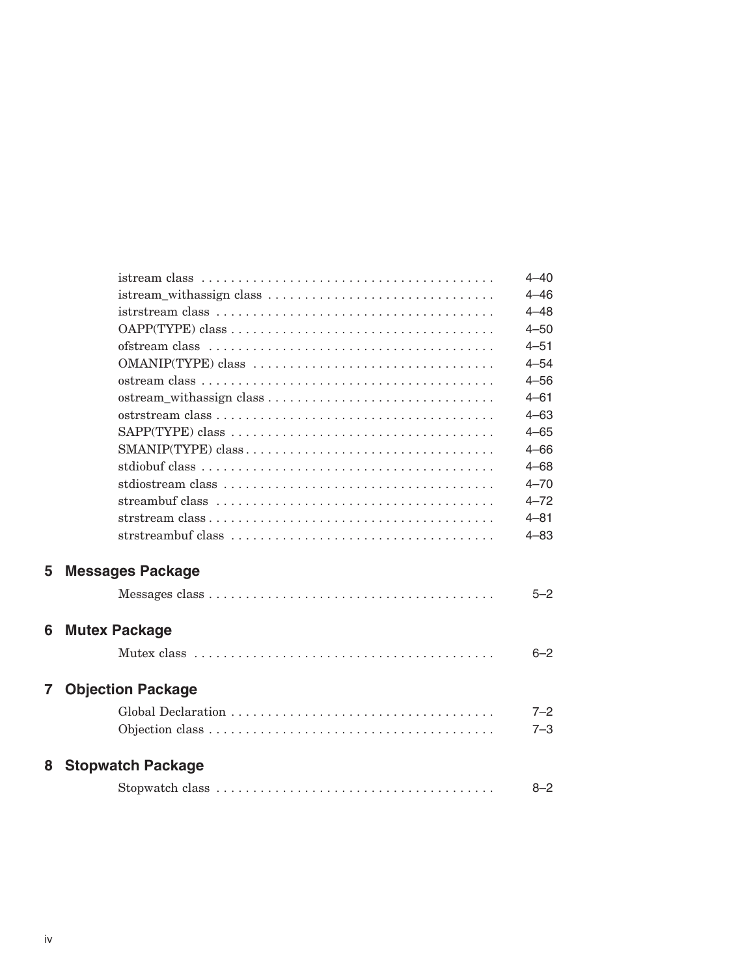|                |                                                                                                 | $4 - 40$ |
|----------------|-------------------------------------------------------------------------------------------------|----------|
|                |                                                                                                 | $4 - 46$ |
|                |                                                                                                 | $4 - 48$ |
|                |                                                                                                 | $4 - 50$ |
|                |                                                                                                 | $4 - 51$ |
|                | OMANIP(TYPE) class                                                                              | $4 - 54$ |
|                |                                                                                                 | $4 - 56$ |
|                |                                                                                                 | $4 - 61$ |
|                |                                                                                                 | $4 - 63$ |
|                |                                                                                                 | $4 - 65$ |
|                |                                                                                                 | $4 - 66$ |
|                |                                                                                                 | $4 - 68$ |
|                |                                                                                                 | $4 - 70$ |
|                |                                                                                                 | $4 - 72$ |
|                | strstream $class \dots \dots \dots \dots \dots \dots \dots \dots \dots \dots \dots \dots \dots$ | $4 - 81$ |
|                |                                                                                                 | $4 - 83$ |
| 5              | <b>Messages Package</b>                                                                         |          |
|                |                                                                                                 | $5 - 2$  |
| 6              | <b>Mutex Package</b>                                                                            |          |
|                |                                                                                                 | $6 - 2$  |
| $\overline{7}$ | <b>Objection Package</b>                                                                        |          |
|                |                                                                                                 | $7 - 2$  |
|                |                                                                                                 | $7 - 3$  |
| 8              | <b>Stopwatch Package</b>                                                                        |          |
|                |                                                                                                 | $8 - 2$  |
|                |                                                                                                 |          |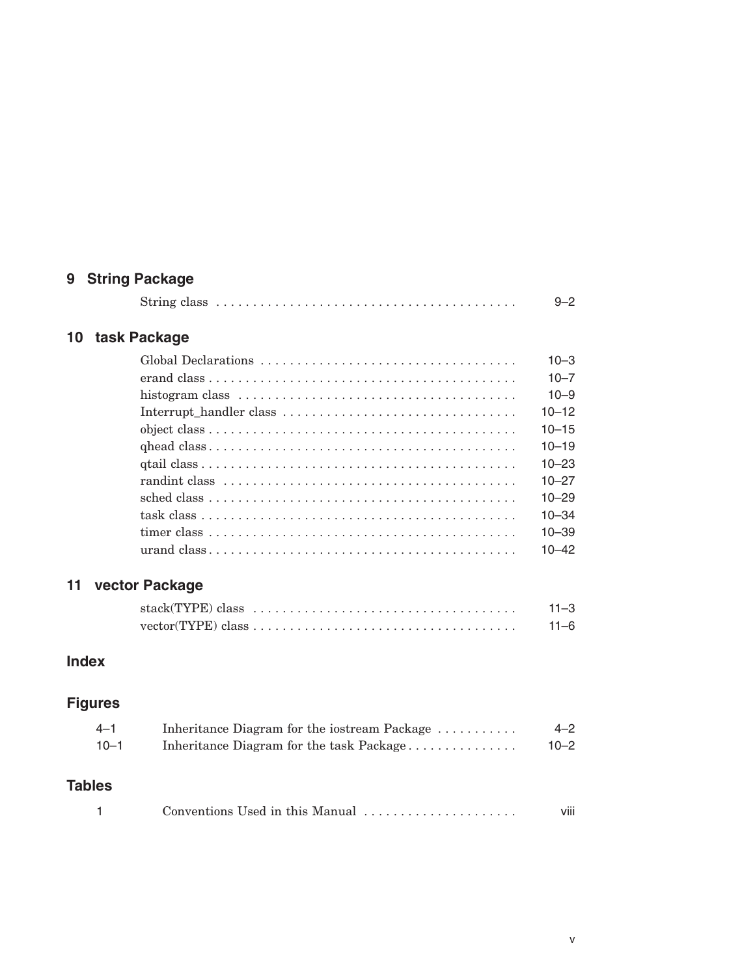## **9 String Package**

|  |  | $9 - 2$ |
|--|--|---------|
|--|--|---------|

## **10 task Package**

| $10 - 3$  |
|-----------|
| $10 - 7$  |
| $10 - 9$  |
| $10 - 12$ |
| $10 - 15$ |
| $10 - 19$ |
| $10 - 23$ |
| $10 - 27$ |
| $10 - 29$ |
| $10 - 34$ |
| $10 - 39$ |
| $10 - 42$ |

## **11 vector Package**

| $stack(TYPE) class \dots \dots \dots \dots \dots \dots \dots \dots \dots \dots \dots \dots \dots$ | $11 - 3$ |
|---------------------------------------------------------------------------------------------------|----------|
| $vector(TYPE) class \dots \dots \dots \dots \dots \dots \dots \dots \dots \dots \dots \dots$      | 11–6     |

## **Index**

## **Figures**

| $-4 - 1$ | Inheritance Diagram for the iostream Package | $4 - 2$  |
|----------|----------------------------------------------|----------|
| $10 - 1$ | Inheritance Diagram for the task Package     | $10 - 2$ |

## **Tables**

| Conventions Used in this Manual |  |
|---------------------------------|--|
|---------------------------------|--|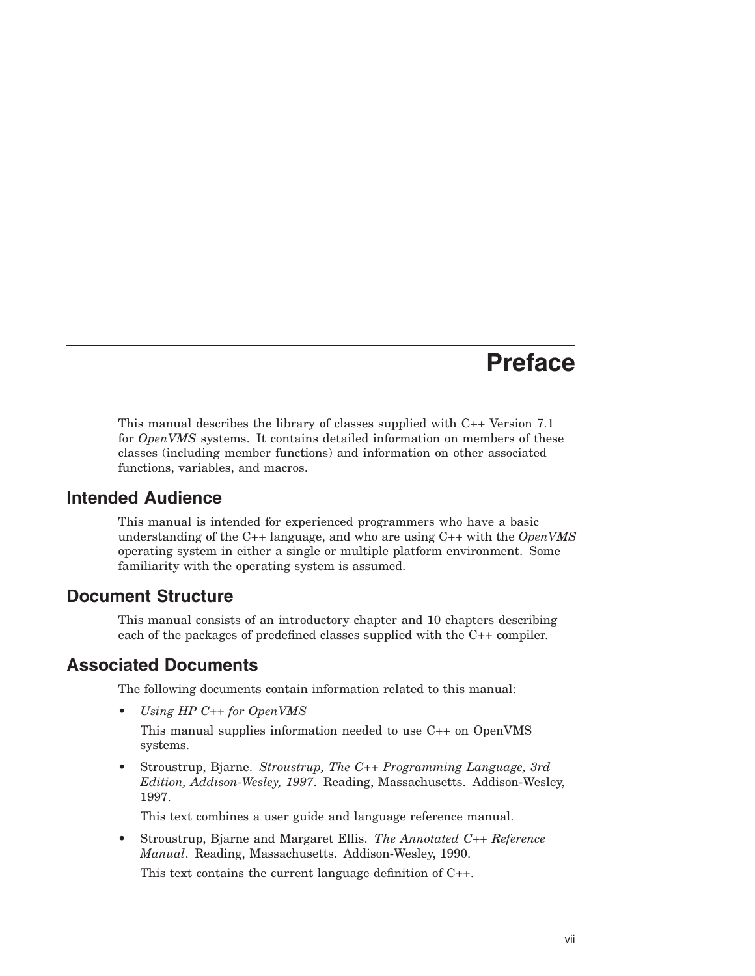## **Preface**

This manual describes the library of classes supplied with C++ Version 7.1 for *OpenVMS* systems. It contains detailed information on members of these classes (including member functions) and information on other associated functions, variables, and macros.

## **Intended Audience**

This manual is intended for experienced programmers who have a basic understanding of the C++ language, and who are using C++ with the *OpenVMS* operating system in either a single or multiple platform environment. Some familiarity with the operating system is assumed.

## **Document Structure**

This manual consists of an introductory chapter and 10 chapters describing each of the packages of predefined classes supplied with the C++ compiler.

## **Associated Documents**

The following documents contain information related to this manual:

• *Using HP C++ for OpenVMS*

This manual supplies information needed to use C++ on OpenVMS systems.

• Stroustrup, Bjarne. *Stroustrup, The C++ Programming Language, 3rd Edition, Addison-Wesley, 1997*. Reading, Massachusetts. Addison-Wesley, 1997.

This text combines a user guide and language reference manual.

• Stroustrup, Bjarne and Margaret Ellis. *The Annotated C++ Reference Manual*. Reading, Massachusetts. Addison-Wesley, 1990.

This text contains the current language definition of C++.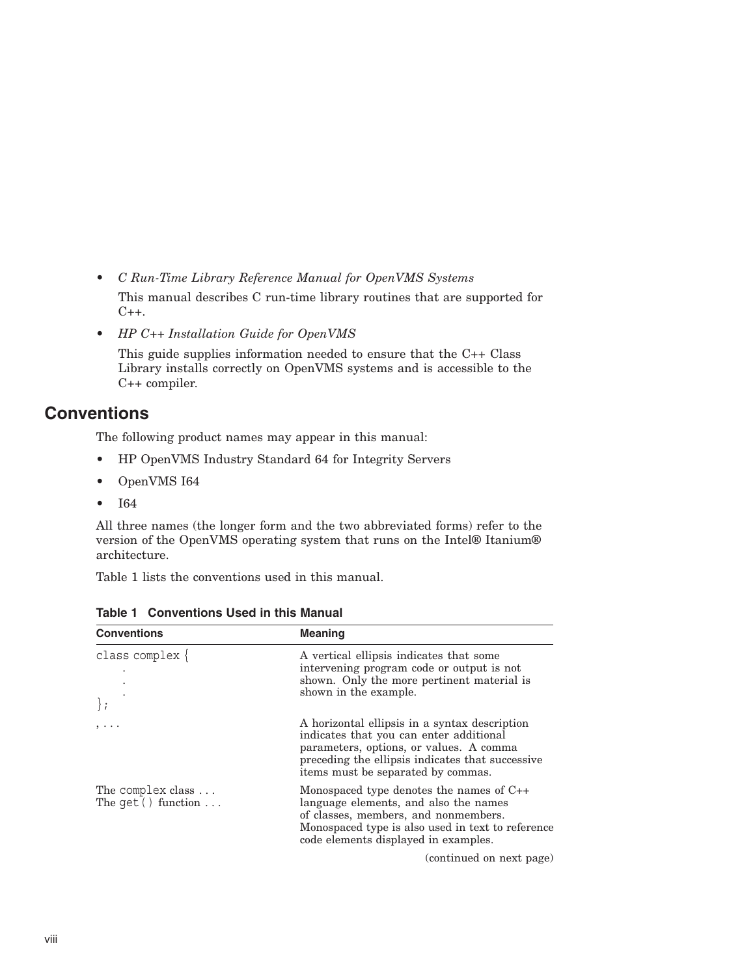- *C Run-Time Library Reference Manual for OpenVMS Systems* This manual describes C run-time library routines that are supported for  $C++$ .
- *HP C++ Installation Guide for OpenVMS*

This guide supplies information needed to ensure that the C++ Class Library installs correctly on OpenVMS systems and is accessible to the C++ compiler.

## **Conventions**

The following product names may appear in this manual:

- HP OpenVMS Industry Standard 64 for Integrity Servers
- OpenVMS I64
- I64

All three names (the longer form and the two abbreviated forms) refer to the version of the OpenVMS operating system that runs on the Intel® Itanium® architecture.

Table 1 lists the conventions used in this manual.

| <b>Conventions</b>                        | <b>Meaning</b>                                                                                                                                                                                                                |
|-------------------------------------------|-------------------------------------------------------------------------------------------------------------------------------------------------------------------------------------------------------------------------------|
| class complex $\{$                        | A vertical ellipsis indicates that some<br>intervening program code or output is not<br>shown. Only the more pertinent material is<br>shown in the example.                                                                   |
| ,                                         | A horizontal ellipsis in a syntax description<br>indicates that you can enter additional<br>parameters, options, or values. A comma<br>preceding the ellipsis indicates that successive<br>items must be separated by commas. |
| The complex class<br>The $qet()$ function | Monospaced type denotes the names of $C_{++}$<br>language elements, and also the names<br>of classes, members, and nonmembers.<br>Monospaced type is also used in text to reference<br>code elements displayed in examples.   |
|                                           | (continued on next page)                                                                                                                                                                                                      |

**Table 1 Conventions Used in this Manual**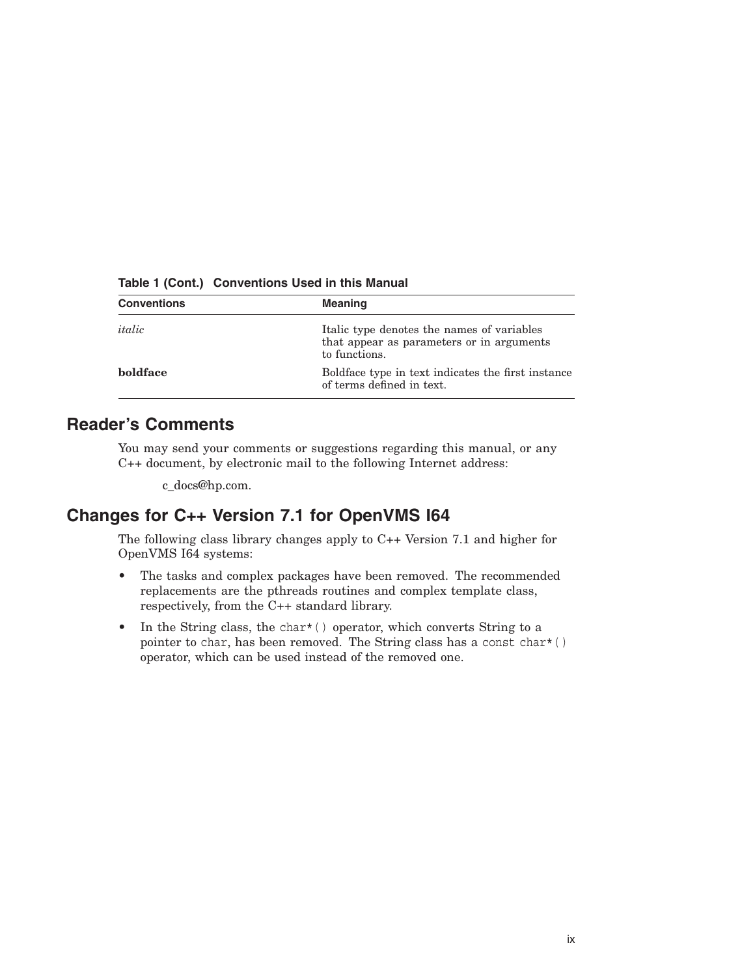| <b>Conventions</b> | <b>Meaning</b>                                                                                           |
|--------------------|----------------------------------------------------------------------------------------------------------|
| italic             | Italic type denotes the names of variables<br>that appear as parameters or in arguments<br>to functions. |
| <b>holdface</b>    | Boldface type in text indicates the first instance<br>of terms defined in text.                          |

**Table 1 (Cont.) Conventions Used in this Manual**

## **Reader's Comments**

You may send your comments or suggestions regarding this manual, or any C++ document, by electronic mail to the following Internet address:

c\_docs@hp.com.

## **Changes for C++ Version 7.1 for OpenVMS I64**

The following class library changes apply to C++ Version 7.1 and higher for OpenVMS I64 systems:

- The tasks and complex packages have been removed. The recommended replacements are the pthreads routines and complex template class, respectively, from the C++ standard library.
- In the String class, the char $*($  ) operator, which converts String to a pointer to char, has been removed. The String class has a const char\*( ) operator, which can be used instead of the removed one.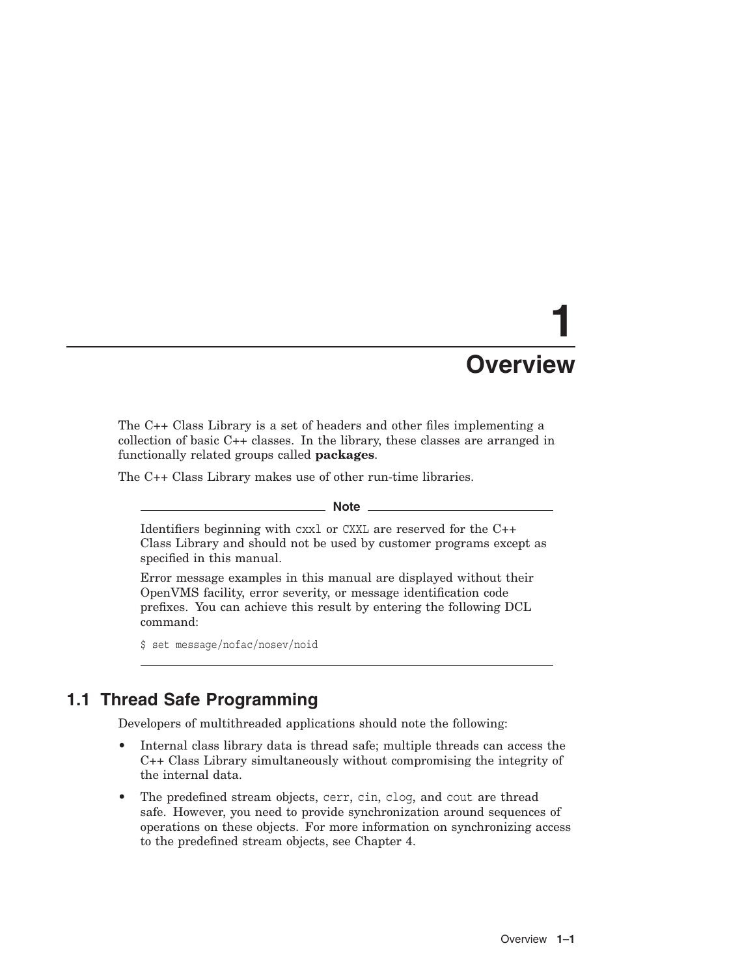# **1 Overview**

The C++ Class Library is a set of headers and other files implementing a collection of basic C++ classes. In the library, these classes are arranged in functionally related groups called **packages**.

The C++ Class Library makes use of other run-time libraries.

**Note** \_\_\_\_

Identifiers beginning with cxxl or CXXL are reserved for the C++ Class Library and should not be used by customer programs except as specified in this manual.

Error message examples in this manual are displayed without their OpenVMS facility, error severity, or message identification code prefixes. You can achieve this result by entering the following DCL command:

\$ set message/nofac/nosev/noid

## **1.1 Thread Safe Programming**

Developers of multithreaded applications should note the following:

- Internal class library data is thread safe; multiple threads can access the C++ Class Library simultaneously without compromising the integrity of the internal data.
- The predefined stream objects, cerr, cin, clog, and cout are thread safe. However, you need to provide synchronization around sequences of operations on these objects. For more information on synchronizing access to the predefined stream objects, see Chapter 4.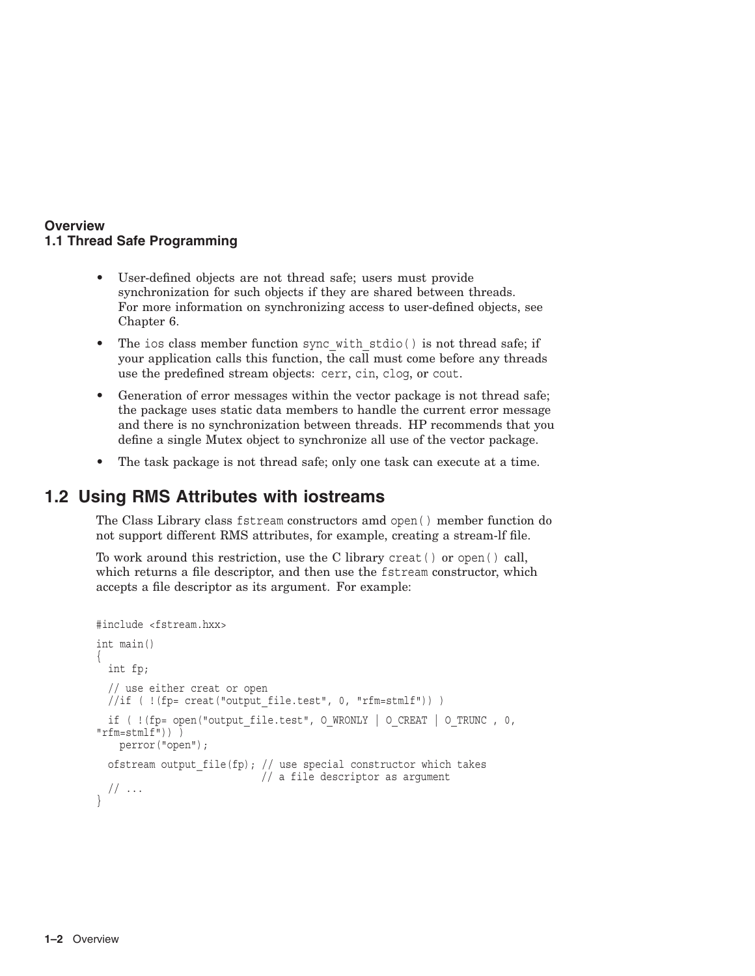#### **Overview 1.1 Thread Safe Programming**

- User-defined objects are not thread safe; users must provide synchronization for such objects if they are shared between threads. For more information on synchronizing access to user-defined objects, see Chapter 6.
- The ios class member function sync with stdio() is not thread safe; if your application calls this function, the call must come before any threads use the predefined stream objects: cerr, cin, clog, or cout.
- Generation of error messages within the vector package is not thread safe; the package uses static data members to handle the current error message and there is no synchronization between threads. HP recommends that you define a single Mutex object to synchronize all use of the vector package.
- The task package is not thread safe; only one task can execute at a time.

## **1.2 Using RMS Attributes with iostreams**

The Class Library class fstream constructors amd open( ) member function do not support different RMS attributes, for example, creating a stream-lf file.

To work around this restriction, use the C library creat( ) or open( ) call, which returns a file descriptor, and then use the fstream constructor, which accepts a file descriptor as its argument. For example:

```
#include <fstream.hxx>
int main()
{
 int fp;
  // use either creat or open
 1/if ( !(fp= creat("output file.test", 0, "rfm=stmlf")) )
 if ( !(fp= open("output_file.test", O_WRONLY | O_CREAT | O_TRUNC , 0,
"rfm=stmlf")) )
    perror("open");
  ofstream output_file(fp); // use special constructor which takes
                            // a file descriptor as argument
  // \dots}
```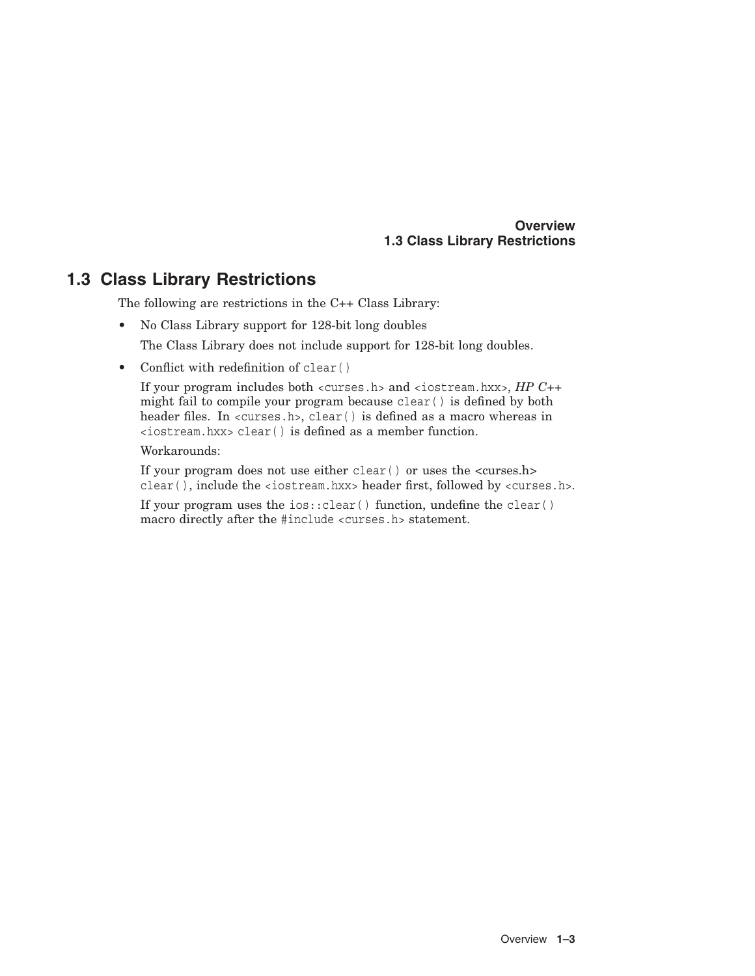#### **Overview 1.3 Class Library Restrictions**

## **1.3 Class Library Restrictions**

The following are restrictions in the C++ Class Library:

• No Class Library support for 128-bit long doubles

The Class Library does not include support for 128-bit long doubles.

• Conflict with redefinition of clear ()

If your program includes both <curses.h> and <iostream.hxx>, *HP C++* might fail to compile your program because clear( ) is defined by both header files. In <curses.h>, clear( ) is defined as a macro whereas in <iostream.hxx> clear( ) is defined as a member function.

Workarounds:

If your program does not use either clear( ) or uses the <curses.h> clear( ), include the <iostream.hxx> header first, followed by <curses.h>.

If your program uses the  $ios::clear()$  function, undefine the clear() macro directly after the #include <curses.h> statement.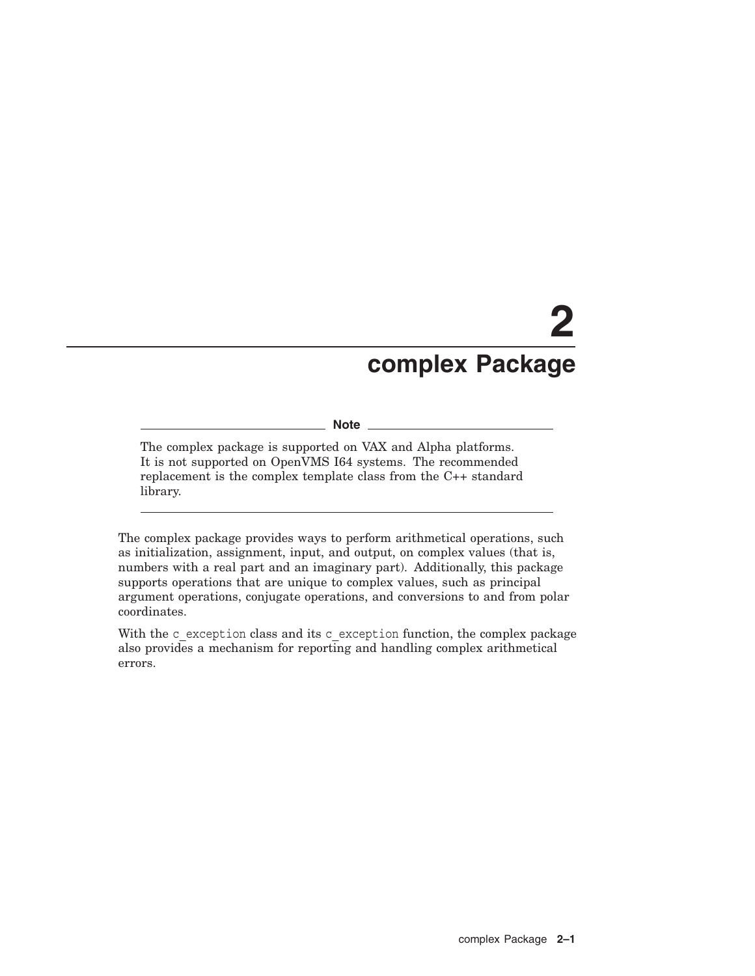# **2 complex Package**

#### **Note**

The complex package is supported on VAX and Alpha platforms. It is not supported on OpenVMS I64 systems. The recommended replacement is the complex template class from the C++ standard library.

The complex package provides ways to perform arithmetical operations, such as initialization, assignment, input, and output, on complex values (that is, numbers with a real part and an imaginary part). Additionally, this package supports operations that are unique to complex values, such as principal argument operations, conjugate operations, and conversions to and from polar coordinates.

With the c\_exception class and its c\_exception function, the complex package also provides a mechanism for reporting and handling complex arithmetical errors.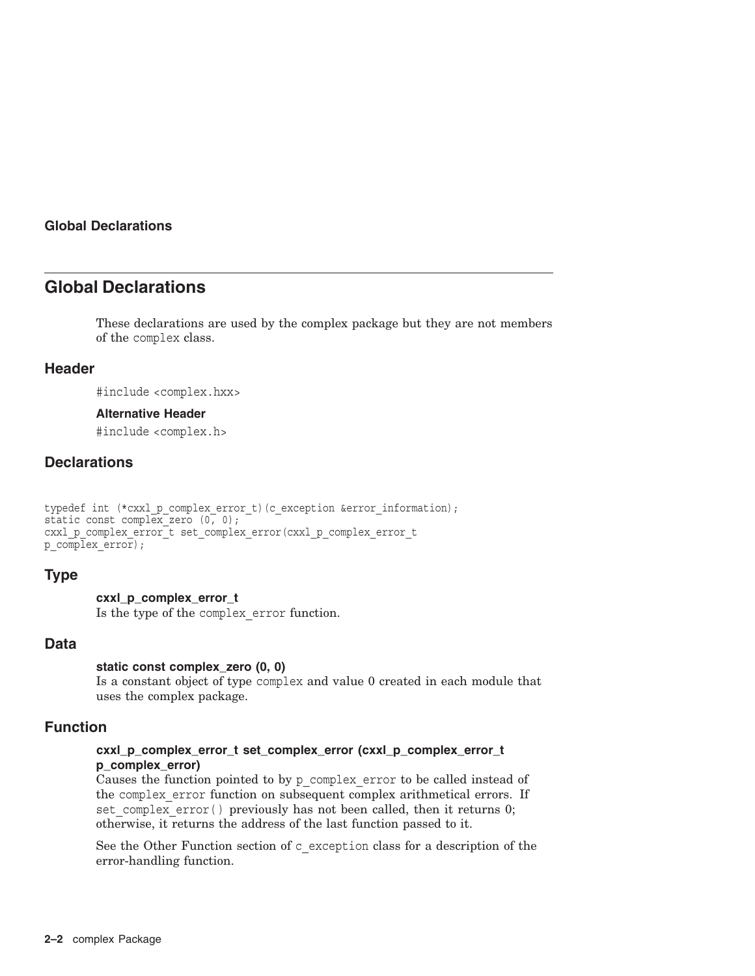## **Global Declarations**

These declarations are used by the complex package but they are not members of the complex class.

#### **Header**

#include <complex.hxx>

#### **Alternative Header**

#include <complex.h>

### **Declarations**

```
typedef int (*cxxl p_complex_error_t)(c_exception &error_information);
static const complex zero (0, 0);
cxxl p_complex_error_t set_complex_error(cxxl_p_complex_error_t
p \overline{\text{complex error}};
```
#### **Type**

#### **cxxl\_p\_complex\_error\_t**

Is the type of the complex\_error function.

#### **Data**

#### **static const complex\_zero (0, 0)**

Is a constant object of type complex and value 0 created in each module that uses the complex package.

#### **Function**

#### **cxxl\_p\_complex\_error\_t set\_complex\_error (cxxl\_p\_complex\_error\_t p\_complex\_error)**

Causes the function pointed to by p\_complex\_error to be called instead of the complex error function on subsequent complex arithmetical errors. If set complex error() previously has not been called, then it returns 0; otherwise, it returns the address of the last function passed to it.

See the Other Function section of c\_exception class for a description of the error-handling function.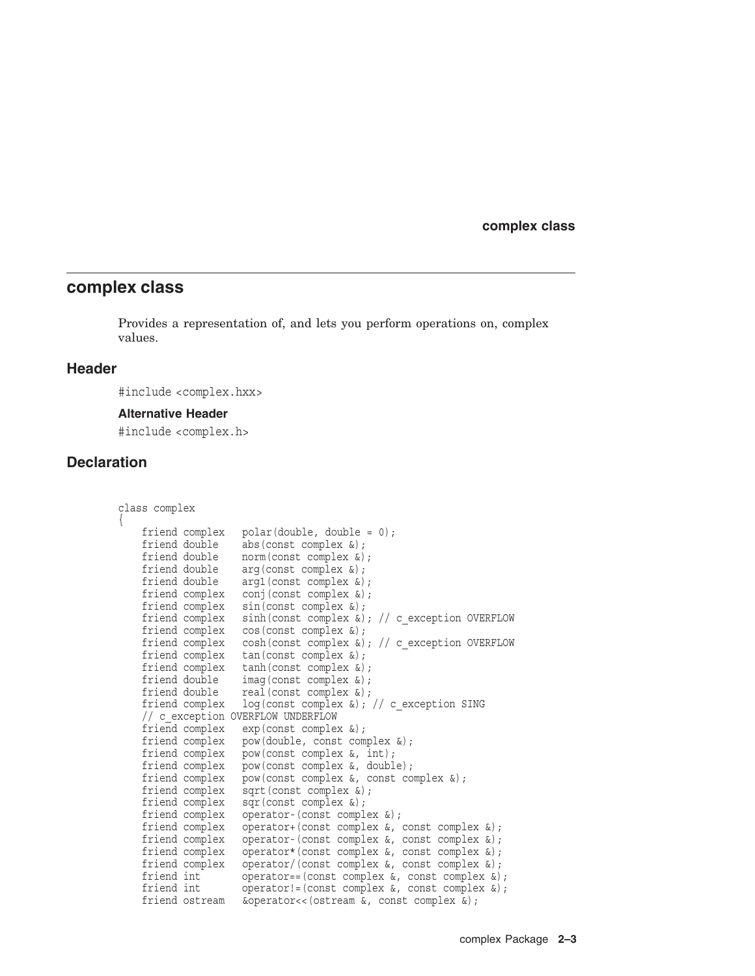#### **complex class**

Provides a representation of, and lets you perform operations on, complex values.

#### **Header**

#include <complex.hxx>

#### **Alternative Header**

#include <complex.h>

#### **Declaration**

{

```
class complex
    friend complex polar(double, double = 0);
    friend double abs(const complex &);
   friend double norm(const complex &);
   friend double arg(const complex &);
   friend double arg1(const complex &);
   friend complex conj(const complex &);
    friend complex sin(const complex &);
    friend complex sinh(const complex \&); // c exception OVERFLOW
    friend complex cos(const complex &);
    friend complex cosh(const complex \&); // c exception OVERFLOW
   friend complex tan(const complex &);
   friend complex tanh(const complex &);
   friend double imag(const complex &);
    friend double real(const complex &);
    friend complex log(const complex &); // c_exception SING
    // c_exception OVERFLOW UNDERFLOW
    friend complex exp(const complex &);
    friend complex pow(double, const complex &);
    friend complex pow(const complex &, int);
    friend complex pow(const complex &, double);
   friend complex pow(const complex &, const complex &);
   friend complex sqrt(const complex &);
   friend complex sqr(const complex &);
   friend complex operator-(const complex &);
    friend complex operator+(const complex &, const complex &);
    friend complex operator-(const complex &, const complex &);
    friend complex operator*(const complex &, const complex &);
    friend complex operator/(const complex &, const complex &);
   friend int openator = (const \ complex \&, const \ complex \&);<br>friend int operator!=(const complex &, const \ complex \&);operator!=(const complex \&, const complex \&);
   friend ostream &operator<<(ostream &, const complex &);
```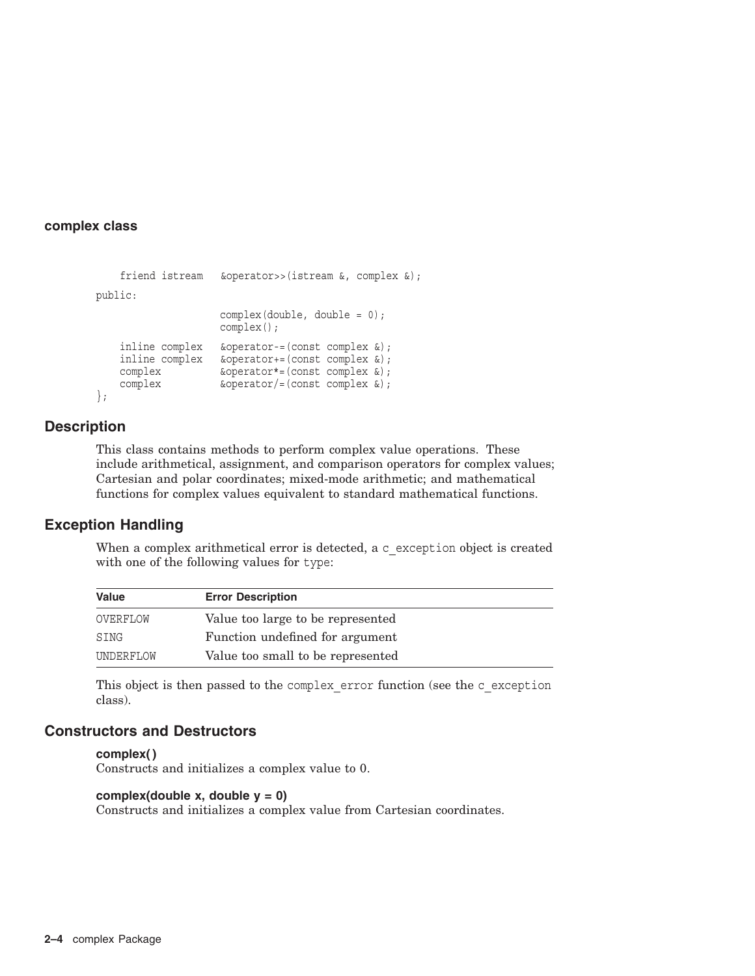```
friend istream &operator>>(istream &, complex &);
public:
                                                          complex(double, double = 0);
                                                          complex();
           inline complex &operator-=(const complex &);
          \begin{minipage}[c]{0.9\linewidth} \begin{minipage}[c]{0.9\linewidth} \begin{minipage}[c]{0.9\linewidth} \begin{minipage}[c]{0.9\linewidth} \end{minipage}[c]{0.9\linewidth} \begin{minipage}[c]{0.9\linewidth} \end{minipage}[c]{\text{topplex}} & \begin{minipage}[c]{0.9\linewidth} \end{minipage}[c]{0.9\linewidth} \end{minipage}[c]{0.9\linewidth} \end{minipage}[c]{\text{toplex}} & \begin{minipage}[c]{0.9\linewidth} \end{minipage}[c]{0.9\linewidth} \end{minipage}[c]{0.9\linewidth} \end{minipage}[c\&operator*{operator}=(\text{const} \text{ complex } \&);
           complex \&\text{operator}/=(\text{const} \text{ complex } \&);
};
```
#### **Description**

This class contains methods to perform complex value operations. These include arithmetical, assignment, and comparison operators for complex values; Cartesian and polar coordinates; mixed-mode arithmetic; and mathematical functions for complex values equivalent to standard mathematical functions.

#### **Exception Handling**

When a complex arithmetical error is detected, a c exception object is created with one of the following values for type:

| Value     | <b>Error Description</b>          |  |
|-----------|-----------------------------------|--|
| OVERFLOW  | Value too large to be represented |  |
| SING      | Function undefined for argument   |  |
| UNDERFLOW | Value too small to be represented |  |

This object is then passed to the complex error function (see the c\_exception class).

#### **Constructors and Destructors**

#### **complex( )**

Constructs and initializes a complex value to 0.

#### **complex(double x, double y = 0)**

Constructs and initializes a complex value from Cartesian coordinates.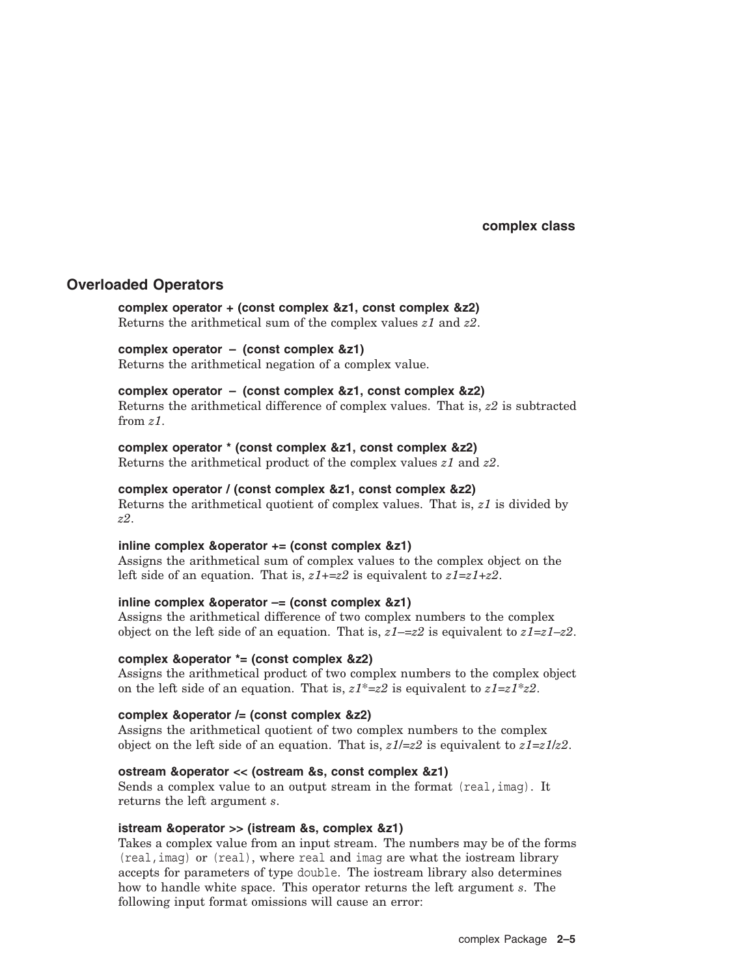#### **Overloaded Operators**

**complex operator + (const complex &z1, const complex &z2)** Returns the arithmetical sum of the complex values *z1* and *z2*.

#### **complex operator – (const complex &z1)**

Returns the arithmetical negation of a complex value.

#### **complex operator – (const complex &z1, const complex &z2)**

Returns the arithmetical difference of complex values. That is, *z2* is subtracted from *z1*.

#### **complex operator \* (const complex &z1, const complex &z2)**

Returns the arithmetical product of the complex values *z1* and *z2*.

#### **complex operator / (const complex &z1, const complex &z2)**

Returns the arithmetical quotient of complex values. That is, *z1* is divided by *z2*.

#### **inline complex &operator += (const complex &z1)**

Assigns the arithmetical sum of complex values to the complex object on the left side of an equation. That is, *z1*+=*z2* is equivalent to *z1*=*z1*+*z2*.

#### **inline complex &operator –= (const complex &z1)**

Assigns the arithmetical difference of two complex numbers to the complex object on the left side of an equation. That is,  $z1-z2$  is equivalent to  $z1=z1-z2$ .

#### **complex &operator \*= (const complex &z2)**

Assigns the arithmetical product of two complex numbers to the complex object on the left side of an equation. That is,  $z1^* = z2$  is equivalent to  $z1 = z1^*z2$ .

#### **complex &operator /= (const complex &z2)**

Assigns the arithmetical quotient of two complex numbers to the complex object on the left side of an equation. That is,  $z1/z2$  is equivalent to  $z1=z1/z2$ .

#### **ostream &operator << (ostream &s, const complex &z1)**

Sends a complex value to an output stream in the format (real, imag). It returns the left argument *s*.

#### **istream &operator >> (istream &s, complex &z1)**

Takes a complex value from an input stream. The numbers may be of the forms (real,imag) or (real), where real and imag are what the iostream library accepts for parameters of type double. The iostream library also determines how to handle white space. This operator returns the left argument *s*. The following input format omissions will cause an error: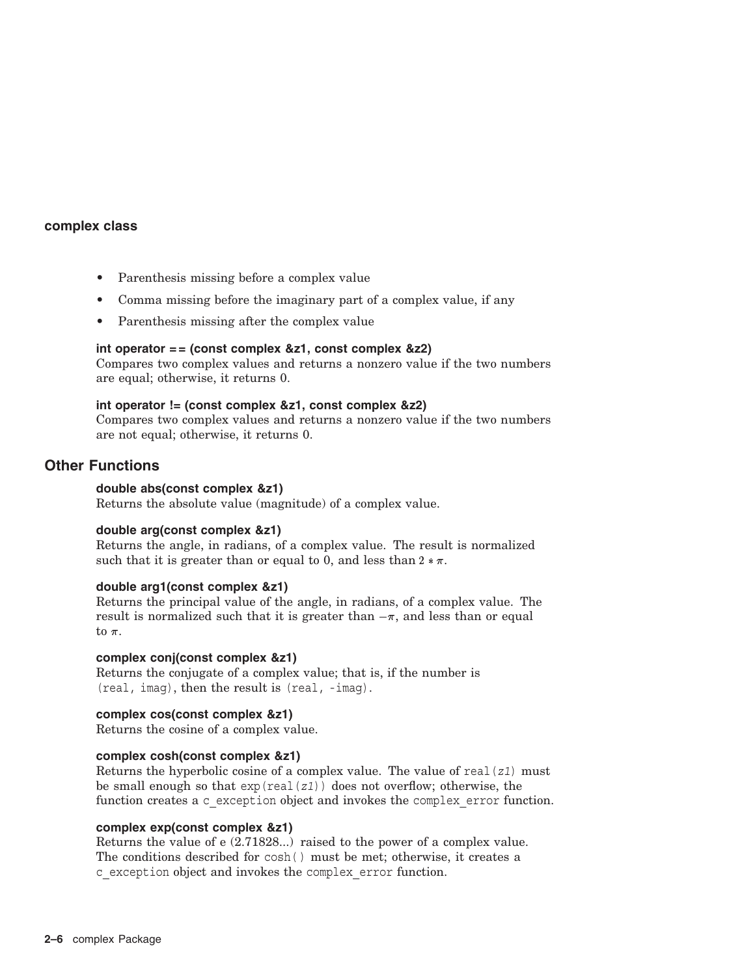- Parenthesis missing before a complex value
- Comma missing before the imaginary part of a complex value, if any
- Parenthesis missing after the complex value

#### **int operator = = (const complex &z1, const complex &z2)**

Compares two complex values and returns a nonzero value if the two numbers are equal; otherwise, it returns 0.

#### **int operator != (const complex &z1, const complex &z2)**

Compares two complex values and returns a nonzero value if the two numbers are not equal; otherwise, it returns 0.

#### **Other Functions**

#### **double abs(const complex &z1)**

Returns the absolute value (magnitude) of a complex value.

#### **double arg(const complex &z1)**

Returns the angle, in radians, of a complex value. The result is normalized such that it is greater than or equal to 0, and less than  $2 * \pi$ .

#### **double arg1(const complex &z1)**

Returns the principal value of the angle, in radians, of a complex value. The result is normalized such that it is greater than  $-\pi$ , and less than or equal to  $\pi$ .

#### **complex conj(const complex &z1)**

Returns the conjugate of a complex value; that is, if the number is (real, imag), then the result is (real, -imag).

#### **complex cos(const complex &z1)**

Returns the cosine of a complex value.

#### **complex cosh(const complex &z1)**

Returns the hyperbolic cosine of a complex value. The value of real(*z1*) must be small enough so that exp(real(*z1*)) does not overflow; otherwise, the function creates a c\_exception object and invokes the complex error function.

#### **complex exp(const complex &z1)**

Returns the value of e (2.71828...) raised to the power of a complex value. The conditions described for cosh( ) must be met; otherwise, it creates a c\_exception object and invokes the complex\_error function.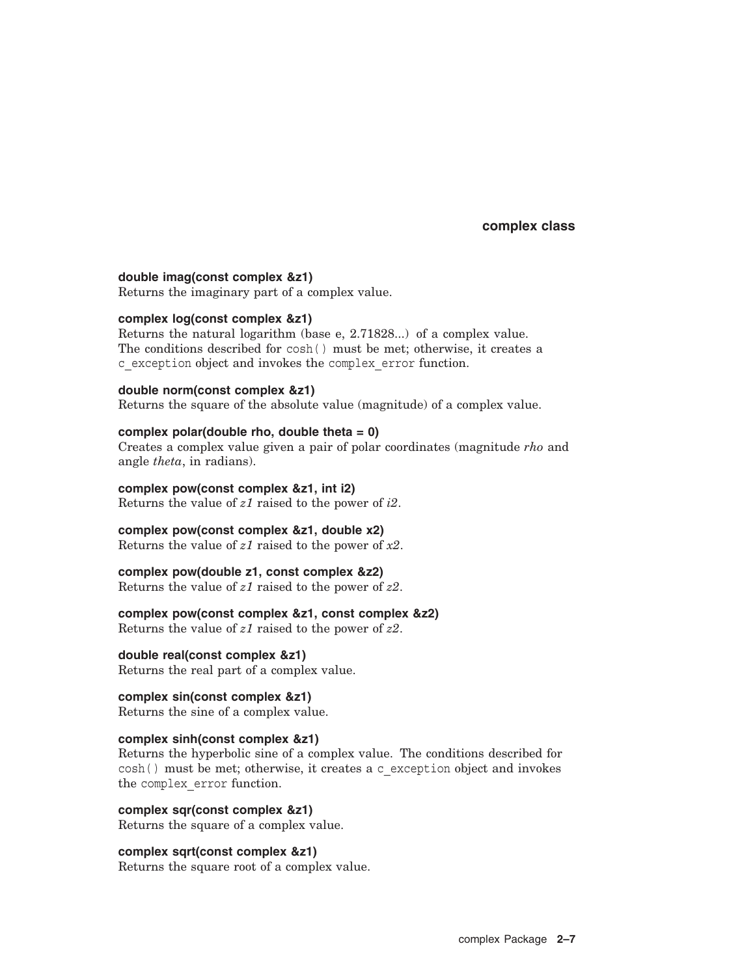#### **double imag(const complex &z1)**

Returns the imaginary part of a complex value.

#### **complex log(const complex &z1)**

Returns the natural logarithm (base e, 2.71828...) of a complex value. The conditions described for cosh( ) must be met; otherwise, it creates a c\_exception object and invokes the complex\_error function.

**double norm(const complex &z1)**

Returns the square of the absolute value (magnitude) of a complex value.

#### **complex polar(double rho, double theta = 0)**

Creates a complex value given a pair of polar coordinates (magnitude *rho* and angle *theta*, in radians).

**complex pow(const complex &z1, int i2)** Returns the value of *z1* raised to the power of *i2*.

**complex pow(const complex &z1, double x2)**

Returns the value of *z1* raised to the power of *x2*.

#### **complex pow(double z1, const complex &z2)**

Returns the value of *z1* raised to the power of *z2*.

#### **complex pow(const complex &z1, const complex &z2)**

Returns the value of *z1* raised to the power of *z2*.

### **double real(const complex &z1)**

Returns the real part of a complex value.

#### **complex sin(const complex &z1)**

Returns the sine of a complex value.

#### **complex sinh(const complex &z1)**

Returns the hyperbolic sine of a complex value. The conditions described for cosh( ) must be met; otherwise, it creates a c\_exception object and invokes the complex\_error function.

**complex sqr(const complex &z1)** Returns the square of a complex value.

#### **complex sqrt(const complex &z1)**

Returns the square root of a complex value.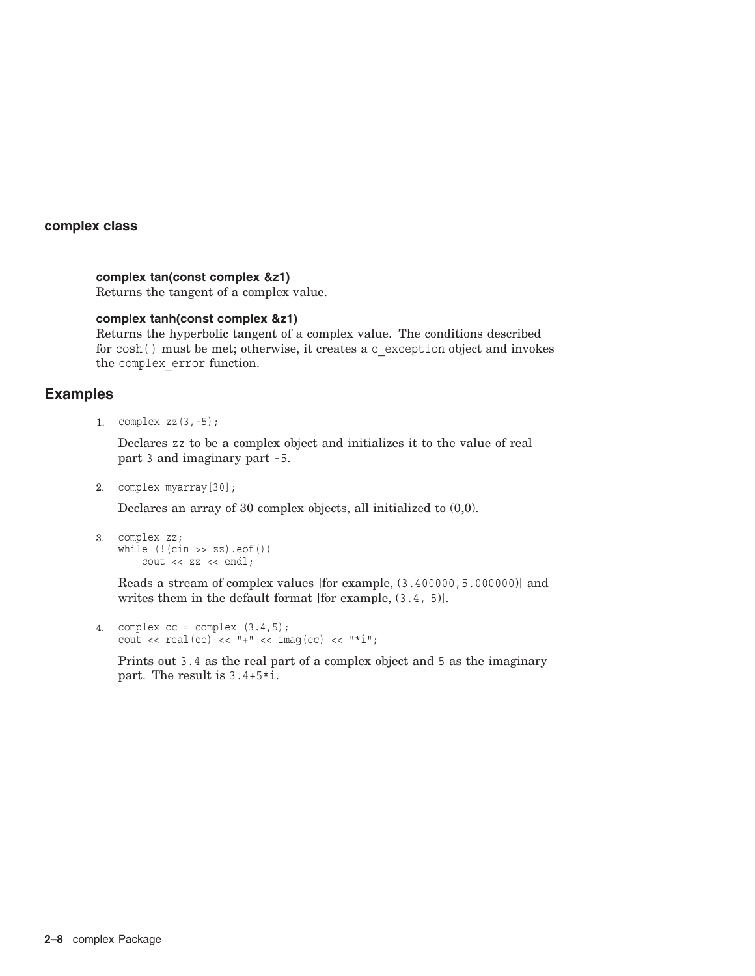#### **complex tan(const complex &z1)**

Returns the tangent of a complex value.

#### **complex tanh(const complex &z1)**

Returns the hyperbolic tangent of a complex value. The conditions described for cosh( ) must be met; otherwise, it creates a c\_exception object and invokes the complex\_error function.

#### **Examples**

1. complex zz(3,-5);

Declares zz to be a complex object and initializes it to the value of real part 3 and imaginary part -5.

2. complex myarray[30];

Declares an array of 30 complex objects, all initialized to (0,0).

```
3. complex zz;
   while (! (cin >> zz) . eof())cout << zz << endl;
```
Reads a stream of complex values [for example, (3.400000,5.000000)] and writes them in the default format [for example, (3.4, 5)].

```
4. complex cc = complex (3.4,5);cout << real(cc) << ""+" << imag(cc) << ""+";
```
Prints out 3.4 as the real part of a complex object and 5 as the imaginary part. The result is 3.4+5\*i.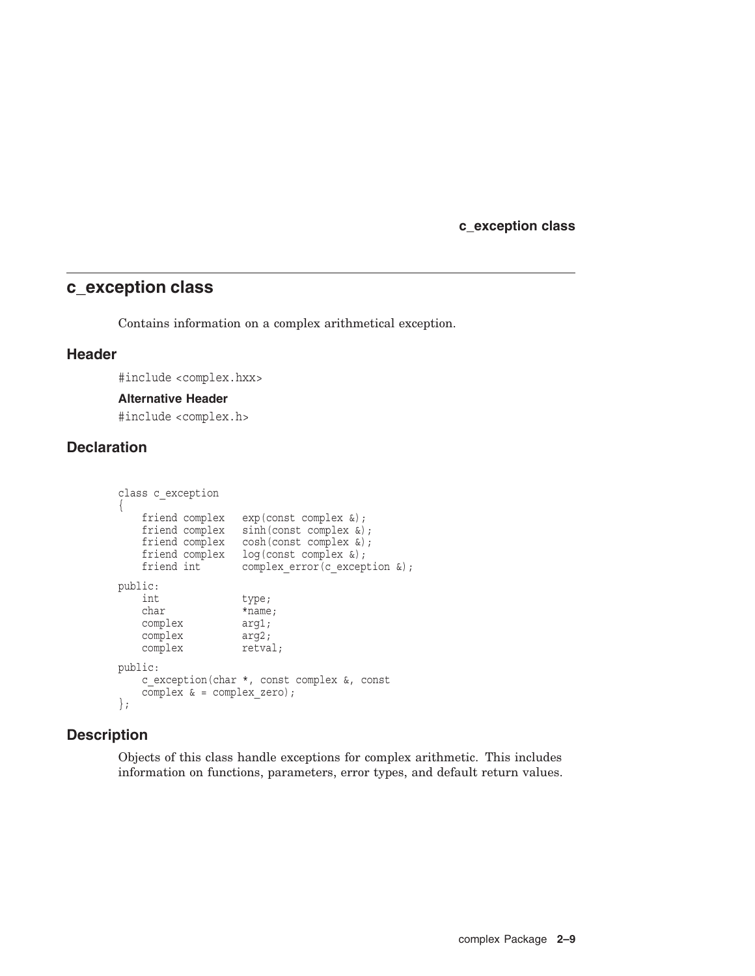**c\_exception class**

## **c\_exception class**

Contains information on a complex arithmetical exception.

#### **Header**

#include <complex.hxx>

#### **Alternative Header**

#include <complex.h>

## **Declaration**

```
class c_exception
{
   friend complex exp(const complex &);
  friend complex sinh(const complex &);
   friend complex cosh(const complex &);
   friend complex log(const complex &);
   friend int complex_error(c_exception &);
public:
   int type;
   char *name;
   complex arg1;
   complex arg2;
   complex retval;
public:
   c_exception(char *, const complex &, const
   complex \& = complex zero);
};
```
### **Description**

Objects of this class handle exceptions for complex arithmetic. This includes information on functions, parameters, error types, and default return values.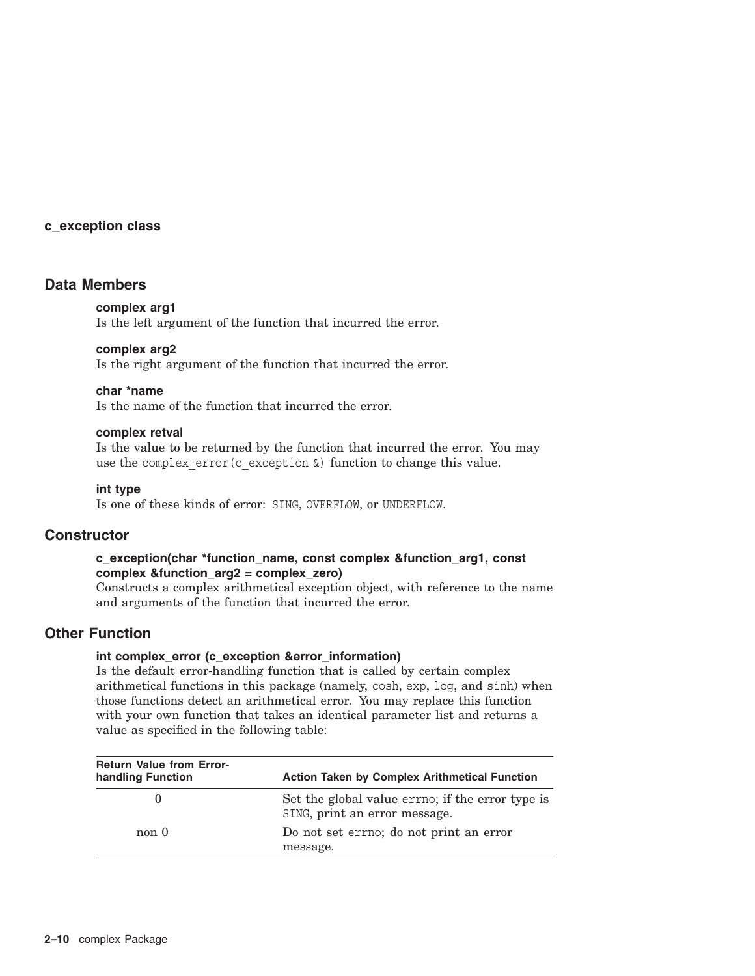#### **c\_exception class**

#### **Data Members**

#### **complex arg1**

Is the left argument of the function that incurred the error.

#### **complex arg2**

Is the right argument of the function that incurred the error.

#### **char \*name**

Is the name of the function that incurred the error.

#### **complex retval**

Is the value to be returned by the function that incurred the error. You may use the complex error(c exception  $\&$ ) function to change this value.

#### **int type**

Is one of these kinds of error: SING, OVERFLOW, or UNDERFLOW.

### **Constructor**

#### **c\_exception(char \*function\_name, const complex &function\_arg1, const complex &function\_arg2 = complex\_zero)**

Constructs a complex arithmetical exception object, with reference to the name and arguments of the function that incurred the error.

### **Other Function**

#### **int complex\_error (c\_exception &error\_information)**

Is the default error-handling function that is called by certain complex arithmetical functions in this package (namely, cosh, exp, log, and sinh) when those functions detect an arithmetical error. You may replace this function with your own function that takes an identical parameter list and returns a value as specified in the following table:

| <b>Return Value from Error-</b><br>handling Function | <b>Action Taken by Complex Arithmetical Function</b>                              |
|------------------------------------------------------|-----------------------------------------------------------------------------------|
|                                                      | Set the global value errno; if the error type is<br>SING, print an error message. |
| non 0                                                | Do not set errno; do not print an error<br>message.                               |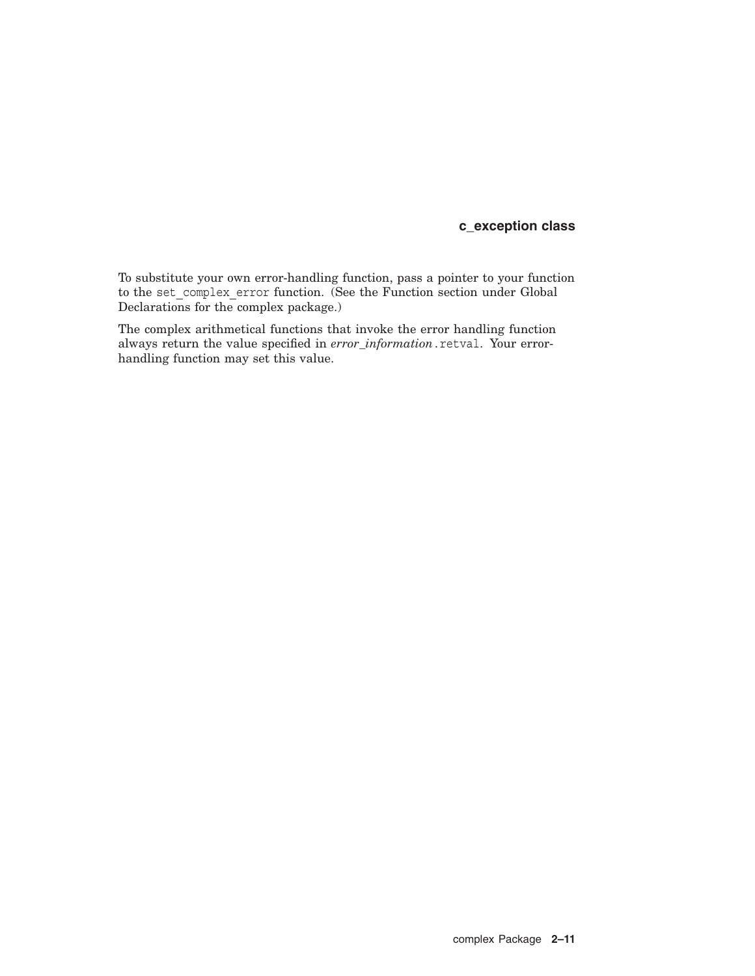### **c\_exception class**

To substitute your own error-handling function, pass a pointer to your function to the set\_complex\_error function. (See the Function section under Global Declarations for the complex package.)

The complex arithmetical functions that invoke the error handling function always return the value specified in *error\_information*.retval. Your errorhandling function may set this value.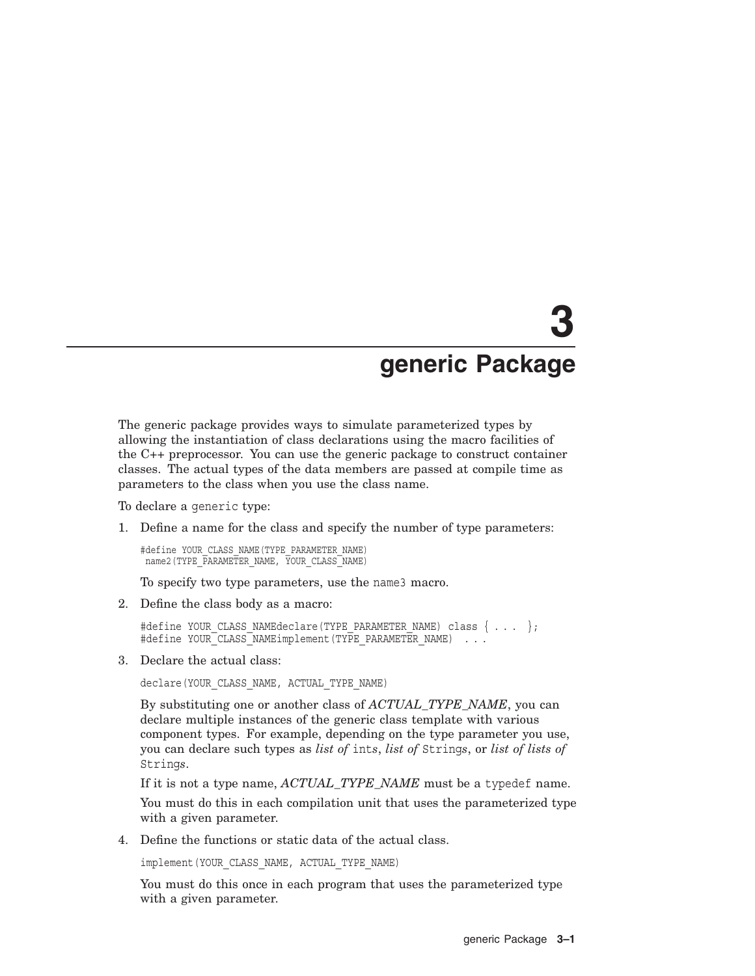# **3 generic Package**

The generic package provides ways to simulate parameterized types by allowing the instantiation of class declarations using the macro facilities of the C++ preprocessor. You can use the generic package to construct container classes. The actual types of the data members are passed at compile time as parameters to the class when you use the class name.

To declare a generic type:

1. Define a name for the class and specify the number of type parameters:

#define YOUR\_CLASS\_NAME(TYPE\_PARAMETER\_NAME) name2(TYPE\_PARAMETER\_NAME, YOUR\_CLASS\_NAME)

To specify two type parameters, use the name3 macro.

2. Define the class body as a macro:

#define YOUR CLASS NAMEdeclare(TYPE PARAMETER NAME) class  $\{ \ldots \}$ ; #define YOUR CLASS NAMEimplement (TYPE PARAMETER NAME) . . .

3. Declare the actual class:

declare(YOUR\_CLASS\_NAME, ACTUAL\_TYPE\_NAME)

By substituting one or another class of *ACTUAL\_TYPE\_NAME*, you can declare multiple instances of the generic class template with various component types. For example, depending on the type parameter you use, you can declare such types as *list of* int*s*, *list of* String*s*, or *list of lists of* String*s*.

If it is not a type name, *ACTUAL\_TYPE\_NAME* must be a typedef name.

You must do this in each compilation unit that uses the parameterized type with a given parameter.

4. Define the functions or static data of the actual class.

implement(YOUR\_CLASS\_NAME, ACTUAL\_TYPE\_NAME)

You must do this once in each program that uses the parameterized type with a given parameter.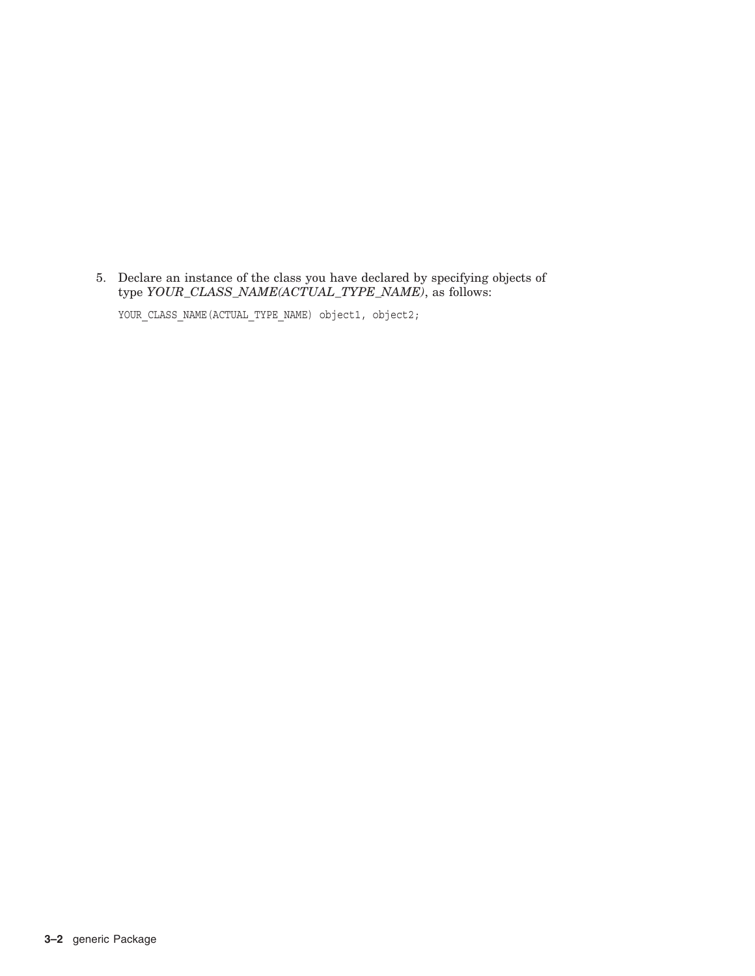5. Declare an instance of the class you have declared by specifying objects of type *YOUR\_CLASS\_NAME(ACTUAL\_TYPE\_NAME)*, as follows:

YOUR\_CLASS\_NAME(ACTUAL\_TYPE\_NAME) object1, object2;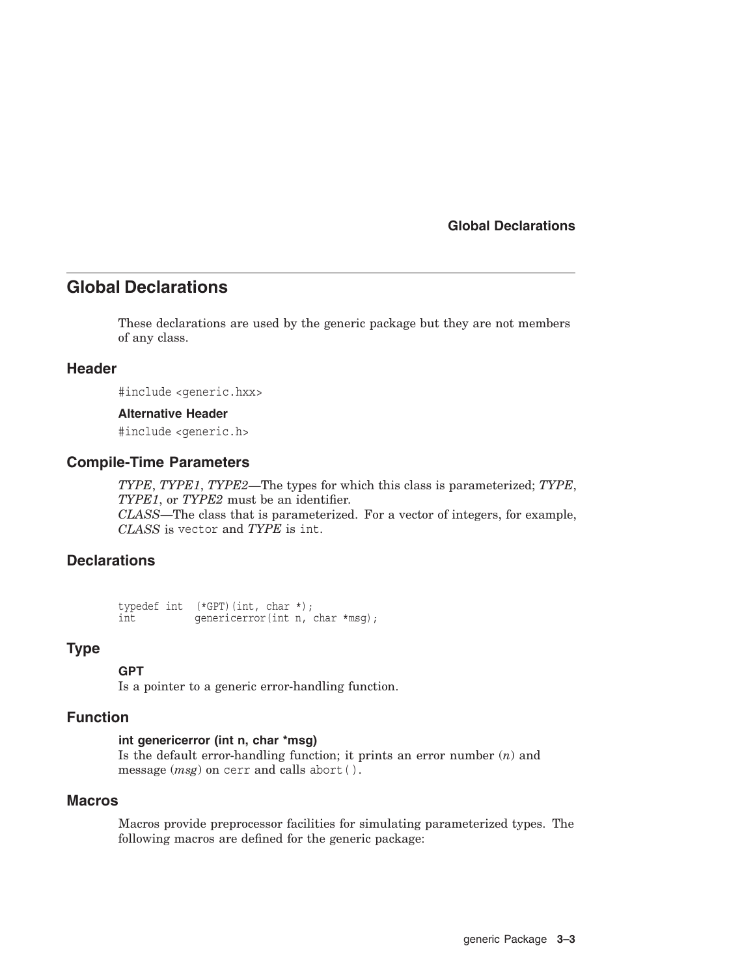## **Global Declarations**

These declarations are used by the generic package but they are not members of any class.

#### **Header**

#include <generic.hxx>

#### **Alternative Header**

#include <generic.h>

#### **Compile-Time Parameters**

*TYPE*, *TYPE1*, *TYPE2*—The types for which this class is parameterized; *TYPE*, *TYPE1*, or *TYPE2* must be an identifier. *CLASS*—The class that is parameterized. For a vector of integers, for example, *CLASS* is vector and *TYPE* is int.

#### **Declarations**

typedef int (\*GPT)(int, char \*); int qenericerror(int n, char \*msq);

#### **Type**

#### **GPT**

Is a pointer to a generic error-handling function.

#### **Function**

#### **int genericerror (int n, char \*msg)**

Is the default error-handling function; it prints an error number (*n*) and message (*msg*) on cerr and calls abort( ).

#### **Macros**

Macros provide preprocessor facilities for simulating parameterized types. The following macros are defined for the generic package: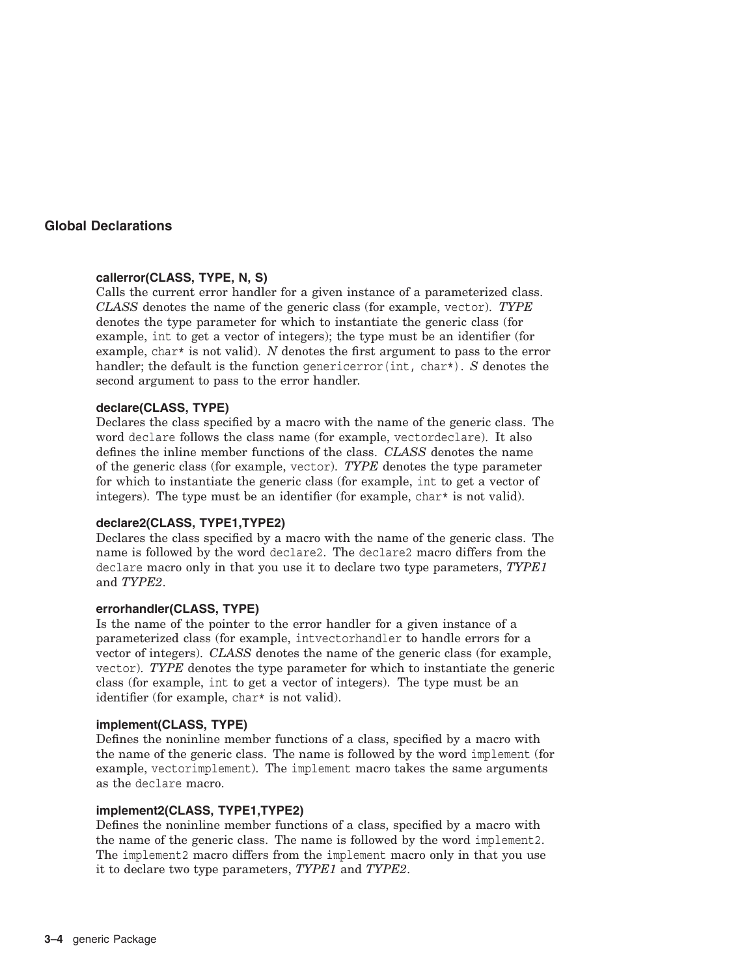#### **callerror(CLASS, TYPE, N, S)**

Calls the current error handler for a given instance of a parameterized class. *CLASS* denotes the name of the generic class (for example, vector). *TYPE* denotes the type parameter for which to instantiate the generic class (for example, int to get a vector of integers); the type must be an identifier (for example, char\* is not valid). *N* denotes the first argument to pass to the error handler; the default is the function genericerror(int, char\*). *S* denotes the second argument to pass to the error handler.

#### **declare(CLASS, TYPE)**

Declares the class specified by a macro with the name of the generic class. The word declare follows the class name (for example, vectordeclare). It also defines the inline member functions of the class. *CLASS* denotes the name of the generic class (for example, vector). *TYPE* denotes the type parameter for which to instantiate the generic class (for example, int to get a vector of integers). The type must be an identifier (for example, char\* is not valid).

#### **declare2(CLASS, TYPE1,TYPE2)**

Declares the class specified by a macro with the name of the generic class. The name is followed by the word declare2. The declare2 macro differs from the declare macro only in that you use it to declare two type parameters, *TYPE1* and *TYPE2*.

#### **errorhandler(CLASS, TYPE)**

Is the name of the pointer to the error handler for a given instance of a parameterized class (for example, intvectorhandler to handle errors for a vector of integers). *CLASS* denotes the name of the generic class (for example, vector). *TYPE* denotes the type parameter for which to instantiate the generic class (for example, int to get a vector of integers). The type must be an identifier (for example, char\* is not valid).

#### **implement(CLASS, TYPE)**

Defines the noninline member functions of a class, specified by a macro with the name of the generic class. The name is followed by the word implement (for example, vectorimplement). The implement macro takes the same arguments as the declare macro.

#### **implement2(CLASS, TYPE1,TYPE2)**

Defines the noninline member functions of a class, specified by a macro with the name of the generic class. The name is followed by the word implement2. The implement2 macro differs from the implement macro only in that you use it to declare two type parameters, *TYPE1* and *TYPE2*.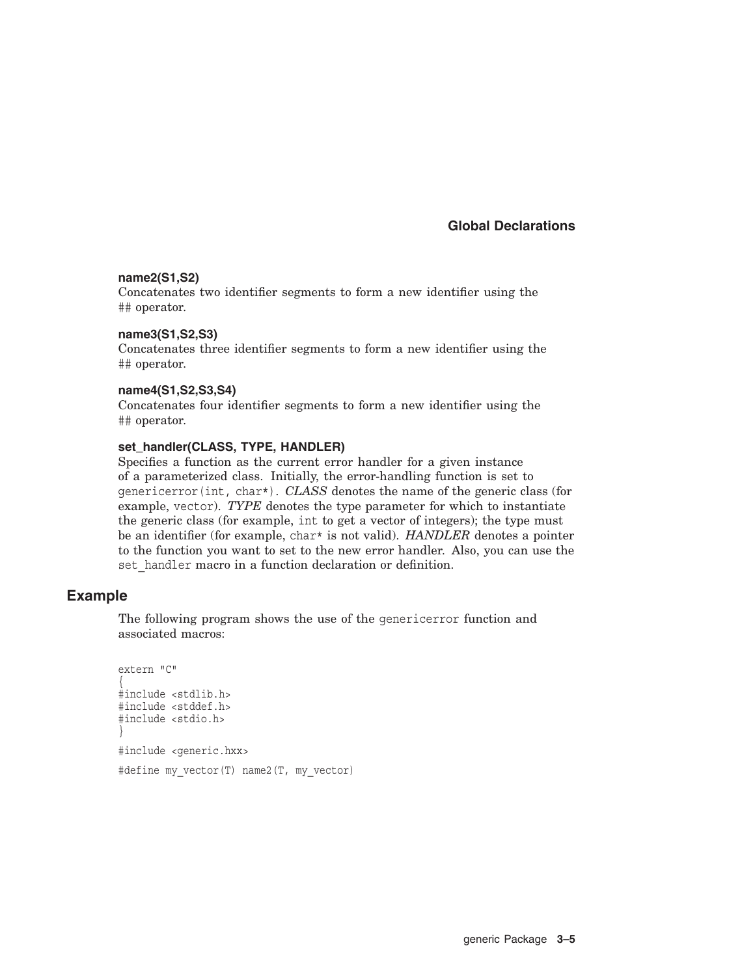#### **name2(S1,S2)**

Concatenates two identifier segments to form a new identifier using the ## operator.

#### **name3(S1,S2,S3)**

Concatenates three identifier segments to form a new identifier using the ## operator.

#### **name4(S1,S2,S3,S4)**

Concatenates four identifier segments to form a new identifier using the ## operator.

#### **set\_handler(CLASS, TYPE, HANDLER)**

Specifies a function as the current error handler for a given instance of a parameterized class. Initially, the error-handling function is set to genericerror(int, char\*). *CLASS* denotes the name of the generic class (for example, vector). *TYPE* denotes the type parameter for which to instantiate the generic class (for example, int to get a vector of integers); the type must be an identifier (for example, char\* is not valid). *HANDLER* denotes a pointer to the function you want to set to the new error handler. Also, you can use the set handler macro in a function declaration or definition.

#### **Example**

The following program shows the use of the genericerror function and associated macros:

```
extern "C"
{
#include <stdlib.h>
#include <stddef.h>
#include <stdio.h>
}
#include <generic.hxx>
#define my vector(T) name2(T, my vector)
```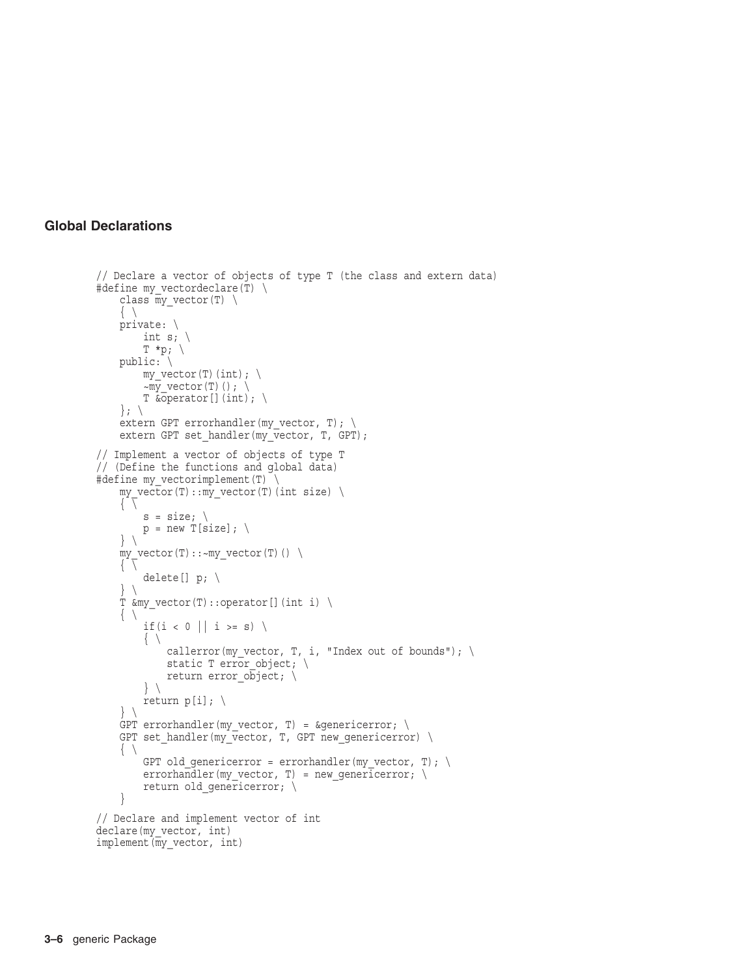```
// Declare a vector of objects of type T (the class and extern data)
#define my vectordeclare(T) \setminusclass my_vector(T) \
     \{\ \ \}private: \
         int s; \setminusT * p; \ \ \ \backslashpublic: \ \ \ \ \ \my vector(T)(int); \setminus~\simmy vector(T)(); \
         T & Operator [] (int); \setminus\}; \
    extern GPT errorhandler(my_vector, T); \
    extern GPT set handler(my_vector, T, GPT);
// Implement a vector of objects of type T
// (Define the functions and global data)
#define my_vectorimplement(T) \
    my\_vector(T):my\_vector(T) (int size) \
     \left\{ \begin{array}{c} \overline{ \end{array} \right\}s = size; \setminusp = new T[size]; \
    } \
    my\_vector(T)::-my\_vector(T)() \ \ \ \ \ \ \\{ \ \ \}delete[] p; \
    } \
    T &my_vector(T)::operator[](int i) \
     \{ \ \ \backslashif(i < 0 || i >= s) \setminus\{ \ \ \}callerror(my vector, T, i, "Index out of bounds"); \setminusstatic T error object; \setminusreturn error \overline{obj}ect; \
         } \
         return p[i]; \
    } \
    GPT errorhandler(my vector, T) = &genericerror; \
    GPT set_handler(my_vector, T, GPT new_genericerror) \
     \{ \ \ \setGPT old_genericerror = errorhandler(my_vector, T); \
         errorhandler(my_vector, T) = new qenericerror; \
         return old_genericerror; \ }
// Declare and implement vector of int
declare(my_vector, int)
implement(my_vector, int)
```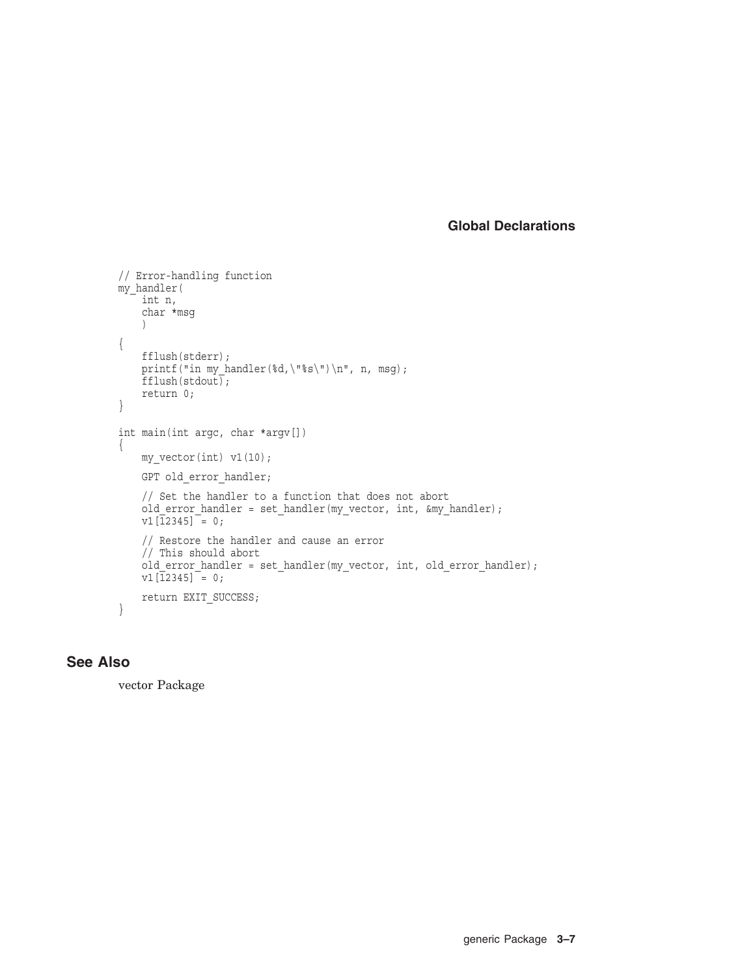```
// Error-handling function
my_handler(
   int n,
    char *msg
    )
{
    fflush(stderr);
    printf("in my handler(%d,\"%s\")\n", n, msg);
    fflush(stdout);
   return 0;
}
int main(int argc, char *argv[])
{
    my vector(int) v1(10);
    GPT old error handler;
    // Set the handler to a function that does not abort
    old_error_handler = set_handler(my_vector, int, &my_handler);
    v1[\overline{1}2345] = 0;
    // Restore the handler and cause an error
    // This should abort
    old error handler = set handler(my vector, int, old error handler);
    v1[12345] = 0;
    return EXIT_SUCCESS; }
```
## **See Also**

vector Package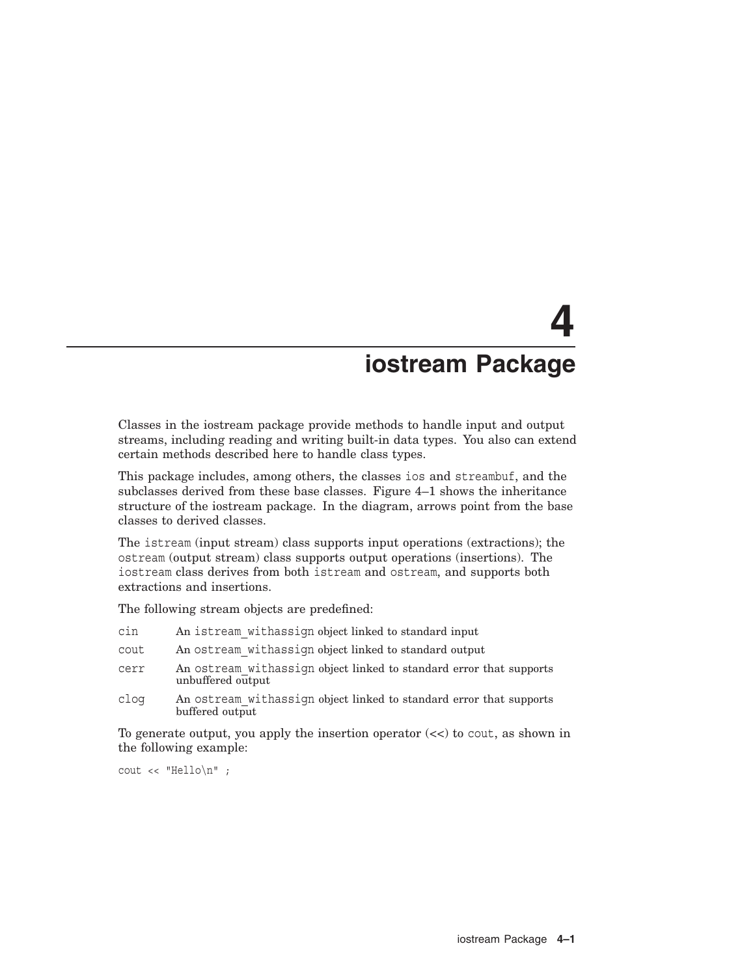# **4 iostream Package**

Classes in the iostream package provide methods to handle input and output streams, including reading and writing built-in data types. You also can extend certain methods described here to handle class types.

This package includes, among others, the classes ios and streambuf, and the subclasses derived from these base classes. Figure 4–1 shows the inheritance structure of the iostream package. In the diagram, arrows point from the base classes to derived classes.

The istream (input stream) class supports input operations (extractions); the ostream (output stream) class supports output operations (insertions). The iostream class derives from both istream and ostream, and supports both extractions and insertions.

The following stream objects are predefined:

- cin An istream\_withassign object linked to standard input
- cout An ostream\_withassign object linked to standard output
- cerr An ostream\_withassign object linked to standard error that supports unbuffered output
- clog An ostream\_withassign object linked to standard error that supports buffered output

To generate output, you apply the insertion operator  $\left(\langle \cdot \rangle\right)$  to cout, as shown in the following example:

cout << "Hello\n" ;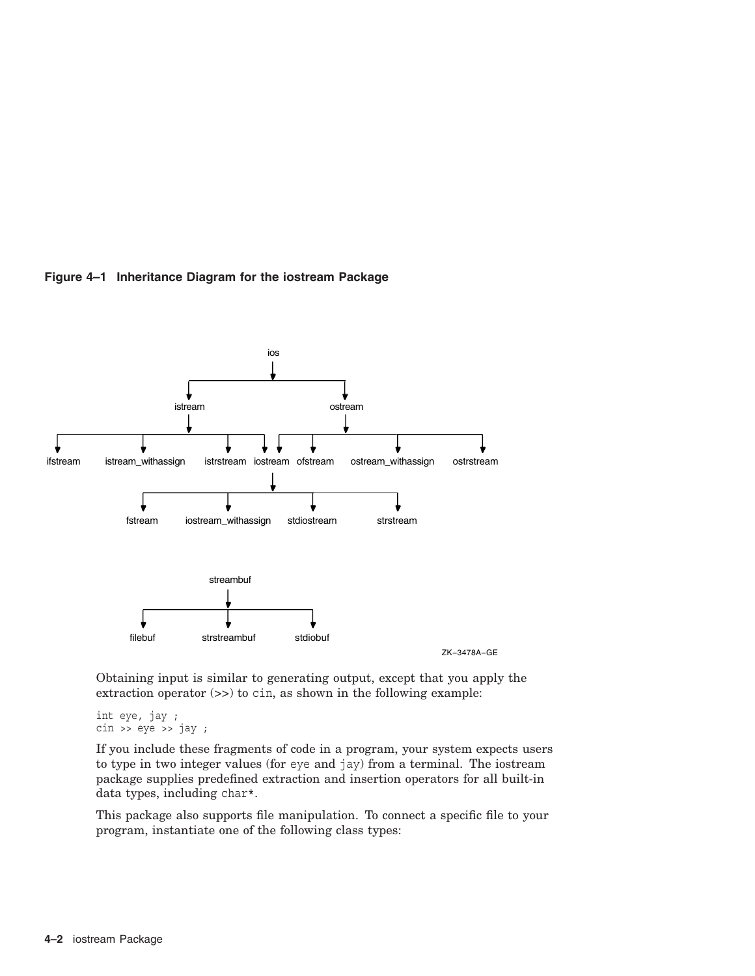

#### **Figure 4–1 Inheritance Diagram for the iostream Package**

Obtaining input is similar to generating output, except that you apply the extraction operator  $(\gg)$  to cin, as shown in the following example:

int eye, jay ;  $\sin$  >> eye >> jay ;

If you include these fragments of code in a program, your system expects users to type in two integer values (for eye and jay) from a terminal. The iostream package supplies predefined extraction and insertion operators for all built-in data types, including char\*.

This package also supports file manipulation. To connect a specific file to your program, instantiate one of the following class types: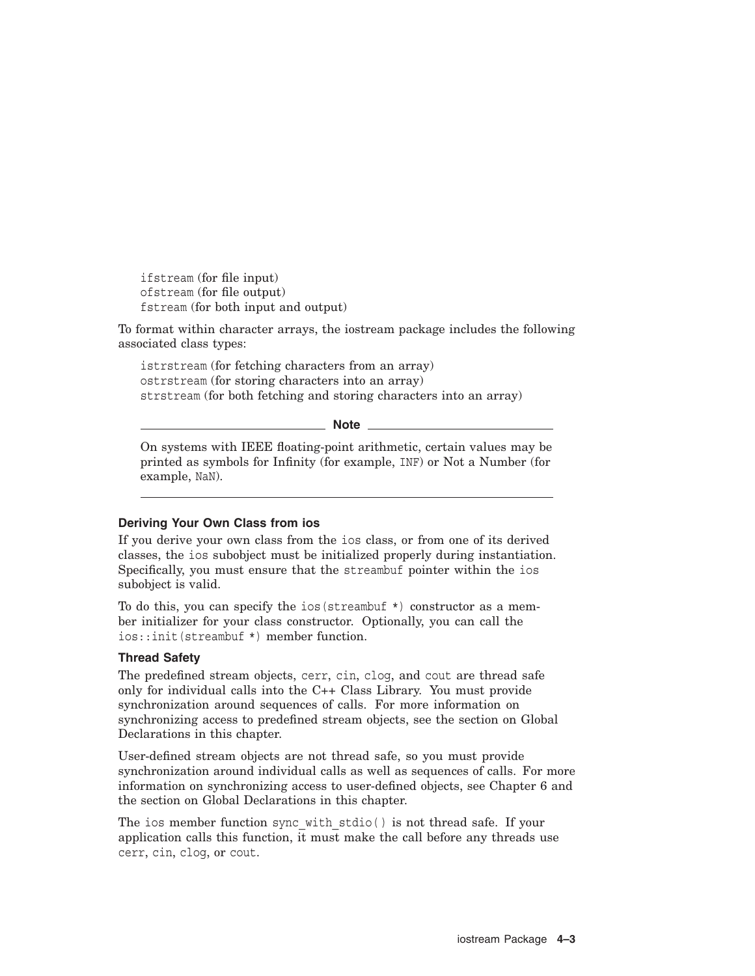ifstream (for file input) ofstream (for file output) fstream (for both input and output)

To format within character arrays, the iostream package includes the following associated class types:

istrstream (for fetching characters from an array) ostrstream (for storing characters into an array) strstream (for both fetching and storing characters into an array)

**Note**

On systems with IEEE floating-point arithmetic, certain values may be printed as symbols for Infinity (for example, INF) or Not a Number (for example, NaN).

### **Deriving Your Own Class from ios**

If you derive your own class from the ios class, or from one of its derived classes, the ios subobject must be initialized properly during instantiation. Specifically, you must ensure that the streambuf pointer within the ios subobject is valid.

To do this, you can specify the ios (streambuf  $\star$ ) constructor as a member initializer for your class constructor. Optionally, you can call the ios::init(streambuf \*) member function.

### **Thread Safety**

The predefined stream objects, cerr, cin, clog, and cout are thread safe only for individual calls into the C++ Class Library. You must provide synchronization around sequences of calls. For more information on synchronizing access to predefined stream objects, see the section on Global Declarations in this chapter.

User-defined stream objects are not thread safe, so you must provide synchronization around individual calls as well as sequences of calls. For more information on synchronizing access to user-defined objects, see Chapter 6 and the section on Global Declarations in this chapter.

The ios member function sync with stdio() is not thread safe. If your application calls this function, it must make the call before any threads use cerr, cin, clog, or cout.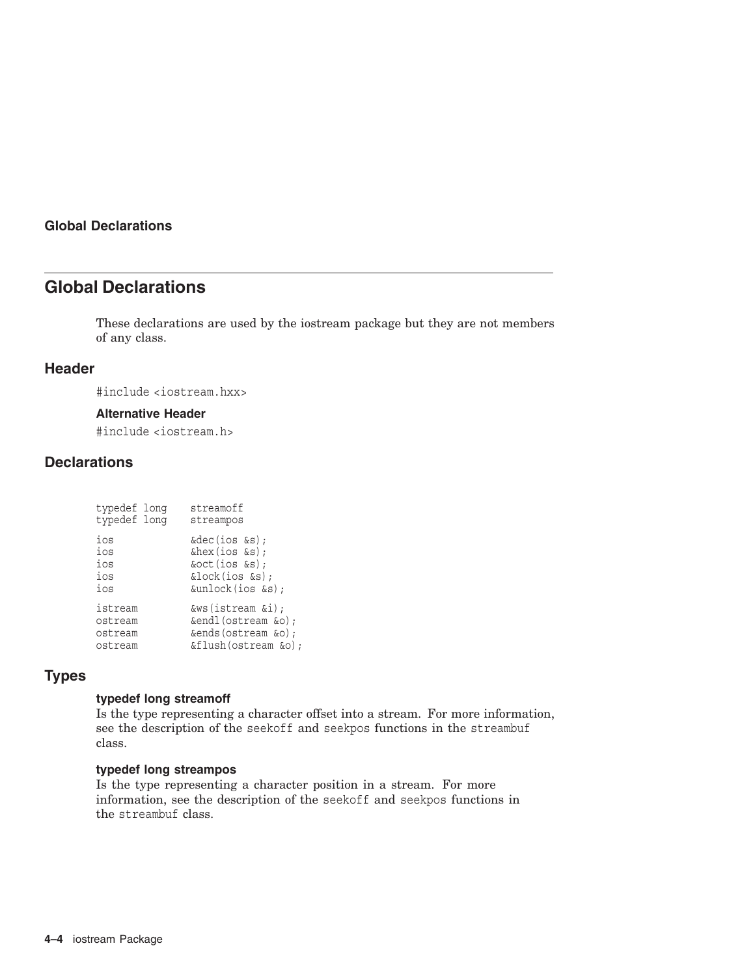# **Global Declarations**

These declarations are used by the iostream package but they are not members of any class.

## **Header**

#include <iostream.hxx>

## **Alternative Header**

#include <iostream.h>

## **Declarations**

| typedef long | streamoff             |
|--------------|-----------------------|
| typedef long | streampos             |
| ios          | &dec(ios &s);         |
| ios          | $\&$ hex(ios $\&$ s); |
| ios          | &oct(ios &s);         |
| ios          | &lock(ios &s);        |
| ios          | &unlock(ios &s);      |
| istream      | &ws(istream &i);      |
| ostream      | &endl(ostream &o);    |
| ostream      | &ends(ostream &o);    |
| ostream      | &flush(ostream &o);   |

# **Types**

### **typedef long streamoff**

Is the type representing a character offset into a stream. For more information, see the description of the seekoff and seekpos functions in the streambuf class.

### **typedef long streampos**

Is the type representing a character position in a stream. For more information, see the description of the seekoff and seekpos functions in the streambuf class.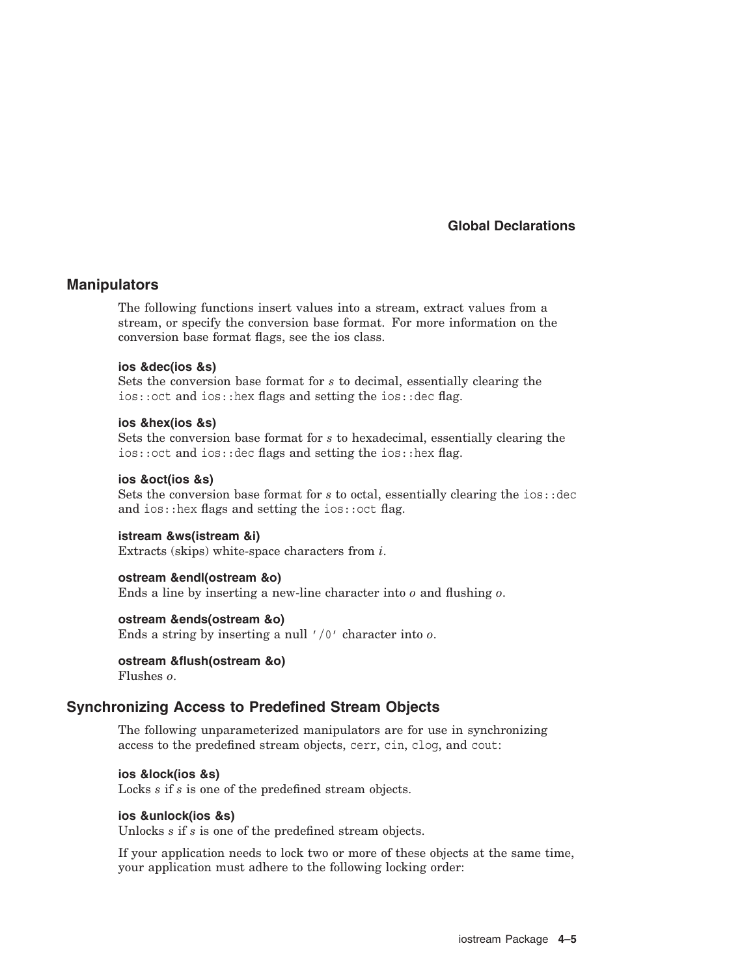## **Manipulators**

The following functions insert values into a stream, extract values from a stream, or specify the conversion base format. For more information on the conversion base format flags, see the ios class.

### **ios &dec(ios &s)**

Sets the conversion base format for *s* to decimal, essentially clearing the ios::oct and ios::hex flags and setting the ios::dec flag.

### **ios &hex(ios &s)**

Sets the conversion base format for *s* to hexadecimal, essentially clearing the ios::oct and ios::dec flags and setting the ios::hex flag.

### **ios &oct(ios &s)**

Sets the conversion base format for *s* to octal, essentially clearing the ios: : dec and ios::hex flags and setting the ios::oct flag.

#### **istream &ws(istream &i)**

Extracts (skips) white-space characters from *i*.

### **ostream &endl(ostream &o)**

Ends a line by inserting a new-line character into *o* and flushing *o*.

### **ostream &ends(ostream &o)**

Ends a string by inserting a null '/0' character into *o*.

#### **ostream &flush(ostream &o)**

Flushes *o*.

## **Synchronizing Access to Predefined Stream Objects**

The following unparameterized manipulators are for use in synchronizing access to the predefined stream objects, cerr, cin, clog, and cout:

#### **ios &lock(ios &s)**

Locks *s* if *s* is one of the predefined stream objects.

#### **ios &unlock(ios &s)**

Unlocks *s* if *s* is one of the predefined stream objects.

If your application needs to lock two or more of these objects at the same time, your application must adhere to the following locking order: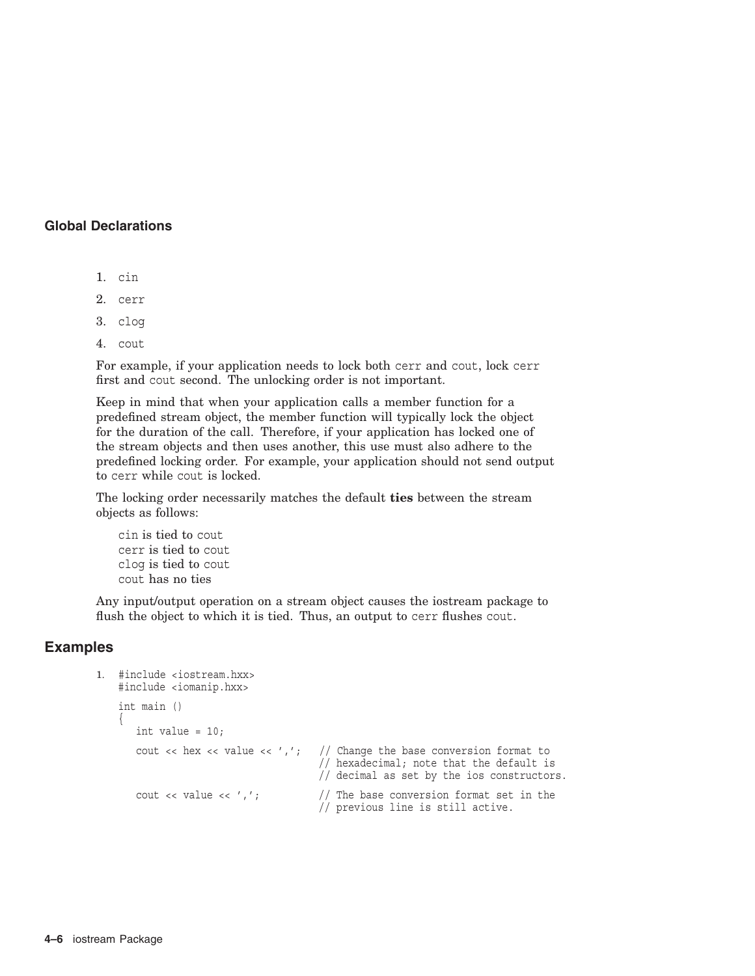- 1. cin
- 2. cerr
- 3. clog
- 4. cout

For example, if your application needs to lock both cerr and cout, lock cerr first and cout second. The unlocking order is not important.

Keep in mind that when your application calls a member function for a predefined stream object, the member function will typically lock the object for the duration of the call. Therefore, if your application has locked one of the stream objects and then uses another, this use must also adhere to the predefined locking order. For example, your application should not send output to cerr while cout is locked.

The locking order necessarily matches the default **ties** between the stream objects as follows:

cin is tied to cout cerr is tied to cout clog is tied to cout cout has no ties

Any input/output operation on a stream object causes the iostream package to flush the object to which it is tied. Thus, an output to cerr flushes cout.

## **Examples**

```
1. #include <iostream.hxx>
    #include <iomanip.hxx>
    int main ()
    {
       int value = 10;
       cout \langle hex \langle value \langle /\rangle'; // Change the base conversion format to
                                        // hexadecimal; note that the default is
                                        // decimal as set by the ios constructors.
       cout << value << ','; \frac{1}{\sqrt{2}} The base conversion format set in the
                                        // previous line is still active.
```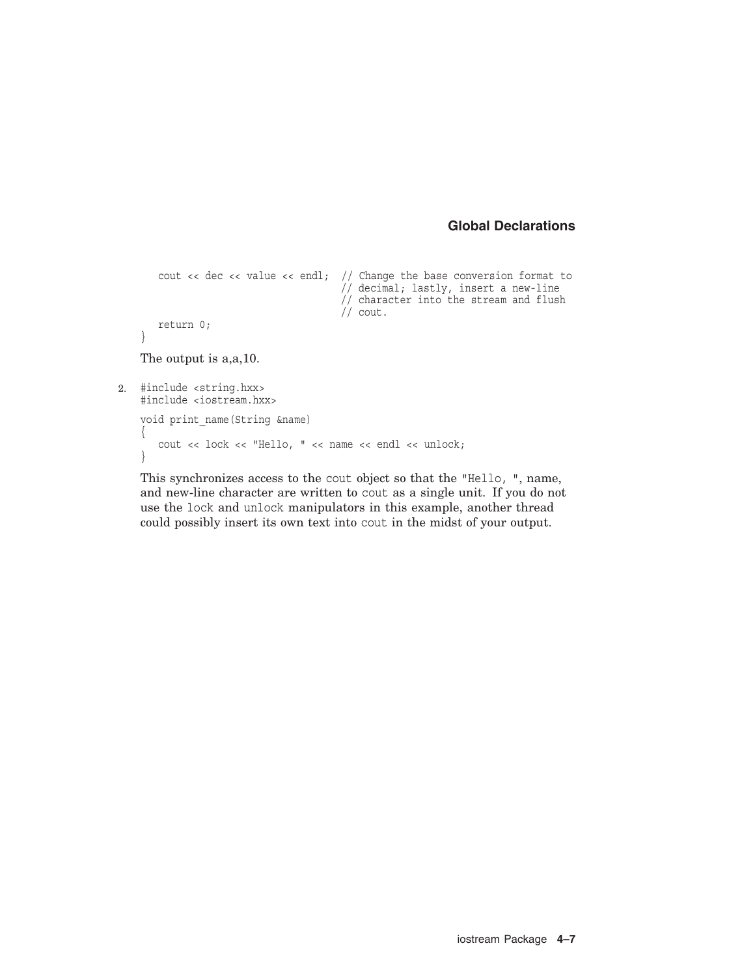```
cout << dec << value << endl; // Change the base conversion format to
                                      // decimal; lastly, insert a new-line
                                      // character into the stream and flush
                                      // cout.
      return 0;
   }
   The output is a,a,10.
2. #include <string.hxx>
   #include <iostream.hxx>
   void print_name(String &name)
    {
      cout << lock << "Hello, " << name << endl << unlock;
    }
```
This synchronizes access to the cout object so that the "Hello, ", name, and new-line character are written to cout as a single unit. If you do not use the lock and unlock manipulators in this example, another thread could possibly insert its own text into cout in the midst of your output.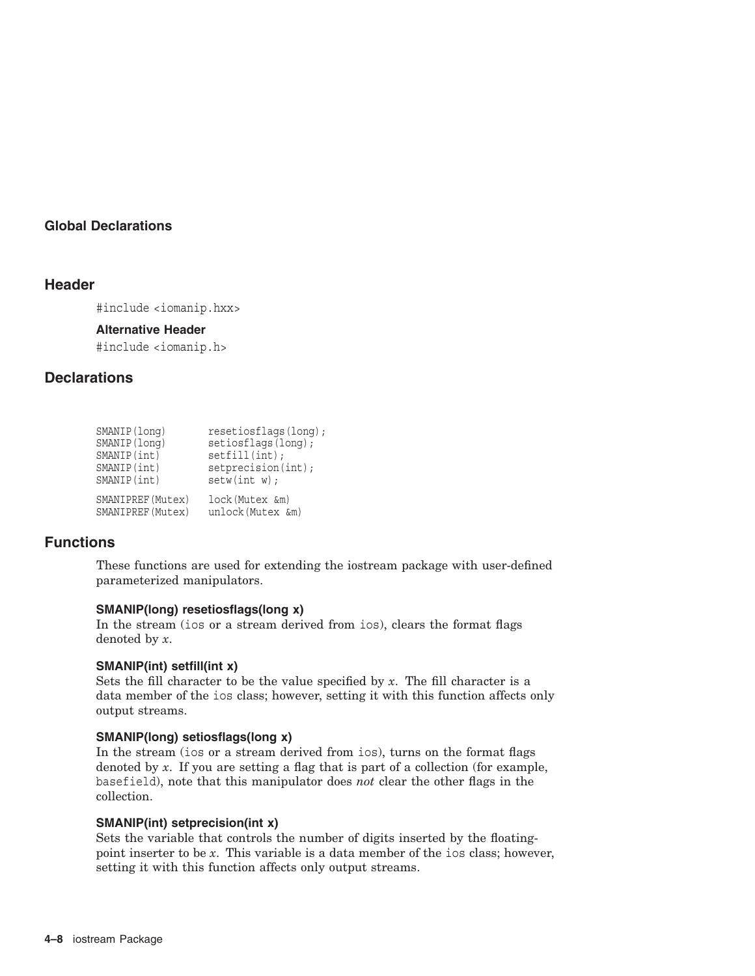## **Header**

#include <iomanip.hxx>

### **Alternative Header**

#include <iomanip.h>

## **Declarations**

| SMANIP(long)      | resetiosflags(long); |
|-------------------|----------------------|
| SMANIP (long)     | setiosflags(long);   |
| SMANIP(int)       | setfill(int);        |
| SMANIP(int)       | setprecision(int);   |
| SMANIP(int)       | setw(int w);         |
| SMANIPREF (Mutex) | lock (Mutex &m)      |
| SMANIPREF (Mutex) | unlock (Mutex &m)    |

## **Functions**

These functions are used for extending the iostream package with user-defined parameterized manipulators.

## **SMANIP(long) resetiosflags(long x)**

In the stream (ios or a stream derived from ios), clears the format flags denoted by *x*.

### **SMANIP(int) setfill(int x)**

Sets the fill character to be the value specified by  $x$ . The fill character is a data member of the ios class; however, setting it with this function affects only output streams.

### **SMANIP(long) setiosflags(long x)**

In the stream (ios or a stream derived from ios), turns on the format flags denoted by *x*. If you are setting a flag that is part of a collection (for example, basefield), note that this manipulator does *not* clear the other flags in the collection.

### **SMANIP(int) setprecision(int x)**

Sets the variable that controls the number of digits inserted by the floatingpoint inserter to be *x*. This variable is a data member of the ios class; however, setting it with this function affects only output streams.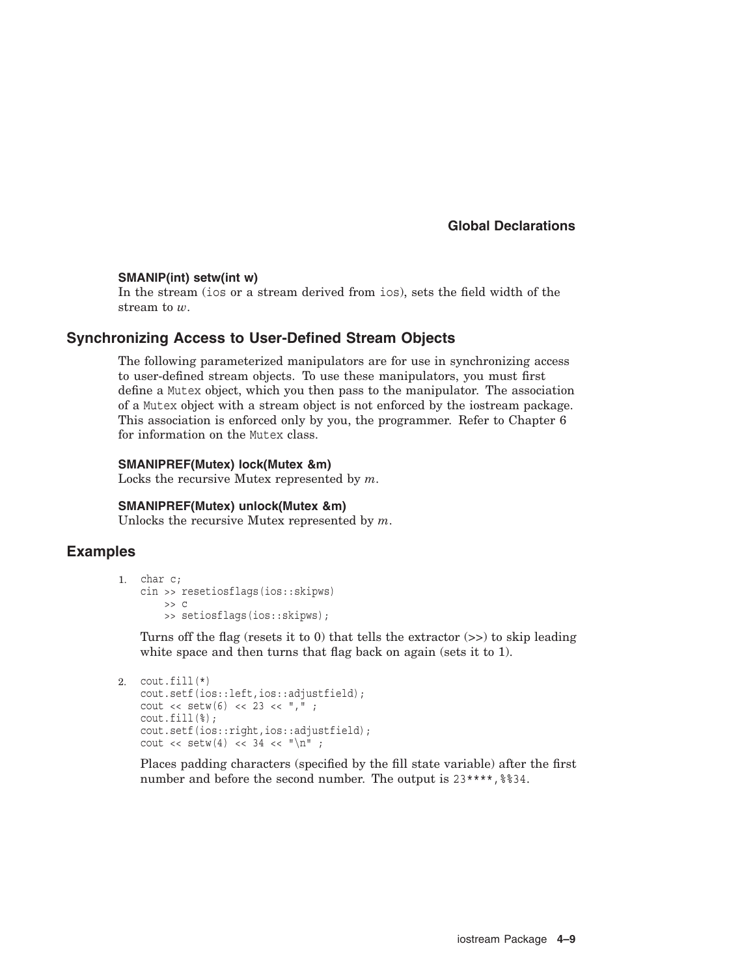### **SMANIP(int) setw(int w)**

In the stream (ios or a stream derived from ios), sets the field width of the stream to *w*.

## **Synchronizing Access to User-Defined Stream Objects**

The following parameterized manipulators are for use in synchronizing access to user-defined stream objects. To use these manipulators, you must first define a Mutex object, which you then pass to the manipulator. The association of a Mutex object with a stream object is not enforced by the iostream package. This association is enforced only by you, the programmer. Refer to Chapter 6 for information on the Mutex class.

### **SMANIPREF(Mutex) lock(Mutex &m)**

Locks the recursive Mutex represented by *m*.

#### **SMANIPREF(Mutex) unlock(Mutex &m)**

Unlocks the recursive Mutex represented by *m*.

## **Examples**

```
1. char c;
   cin >> resetiosflags(ios::skipws)
       >> C>> setiosflags(ios::skipws);
```
Turns off the flag (resets it to 0) that tells the extractor  $(>)$  to skip leading white space and then turns that flag back on again (sets it to 1).

```
2. \text{cout.fill} (*)
          cout.setf(ios::left,ios::adjustfield);
          cout << setw(6) << 23 << ",";
          cout.fill(%);
           cout.setf(ios::right,ios::adjustfield);
           cout \langle setw(4) \langle 34 \langle \rangle \langle \langle \rangle \langle \rangle \langle \rangle \langle \rangle \langle \rangle \langle \rangle \langle \rangle \langle \rangle \langle \rangle \langle \rangle \langle \rangle \langle \rangle \langle \rangle \langle \rangle \langle \rangle \langle \rangle \langle \rangle \langle \rangle
```
Places padding characters (specified by the fill state variable) after the first number and before the second number. The output is  $23***$ ,  $8834$ .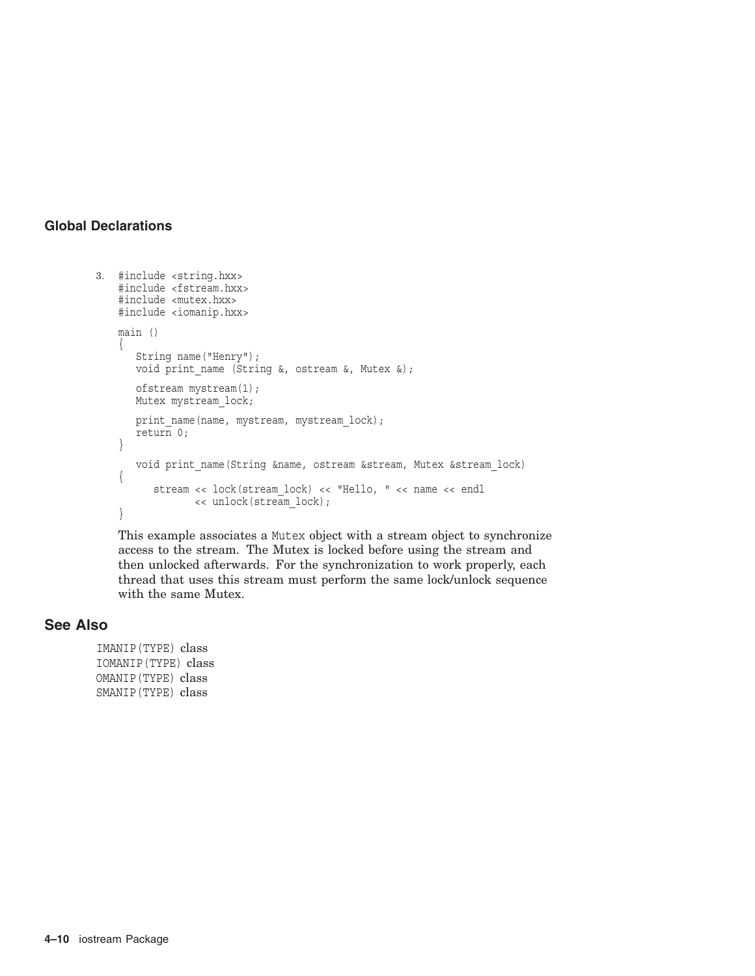```
3. #include <string.hxx>
   #include <fstream.hxx>
   #include <mutex.hxx>
   #include <iomanip.hxx>
   main ()
    {
      String name("Henry");
      void print name (String &, ostream &, Mutex &);
      ofstream mystream(1);
      Mutex mystream lock;
      print_name(name, mystream, mystream_lock);
      return 0;}
      void print name(String &name, ostream &stream, Mutex &stream lock)
    {
          stream << lock(stream_lock) << "Hello, " << name << endl
                << unlock(stream_lock); }
```
This example associates a Mutex object with a stream object to synchronize access to the stream. The Mutex is locked before using the stream and then unlocked afterwards. For the synchronization to work properly, each thread that uses this stream must perform the same lock/unlock sequence with the same Mutex.

## **See Also**

IMANIP(TYPE) class IOMANIP(TYPE) class OMANIP(TYPE) class SMANIP(TYPE) class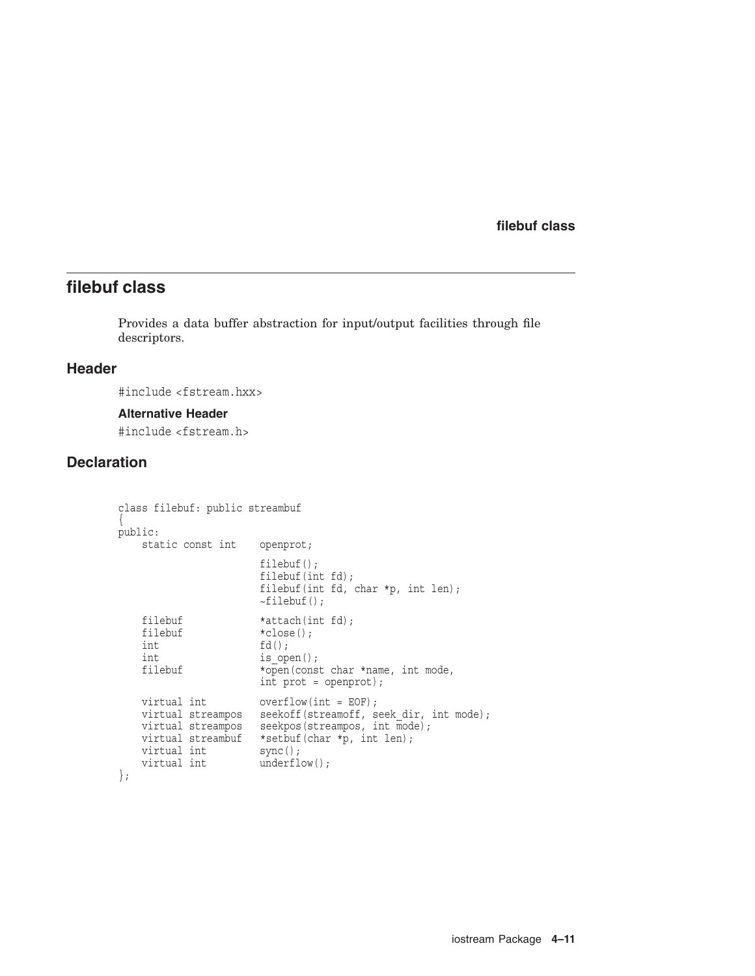# **filebuf class**

Provides a data buffer abstraction for input/output facilities through file descriptors.

## **Header**

#include <fstream.hxx>

#### **Alternative Header**

#include <fstream.h>

## **Declaration**

```
class filebuf: public streambuf
\{public:
    static const int openprot;
                                  filebuf();
                                  filebuf(int fd);
                                  filebuf(int fd, char *p, int len);
                                  ~-filebuf();
     filebuf *attach(int fd);<br>filebuf *close();
     filebuf \starclose();<br>int \begin{array}{c} \text{if } d(); \end{array}int fd();<br>int is ope
     int<br>
filebuf \begin{array}{c} \text{is\_open}(); \\ \text{filebuf} \end{array}*open(const char *name, int mode,
                                  int prot = openprot);
     virtual int overflow(int = EOF);<br>virtual streampos seekoff(streamoff, seekor
     virtual streampos seekoff(streamoff, seek_dir, int mode);<br>virtual streampos seekpos(streampos, int mode);
                                  seekpos(streampos, int mode);
     virtual streambuf *setbuf(char *p, int len);<br>virtual int sync();
     virtual int<br>virtual int
                                  underflow();
};
```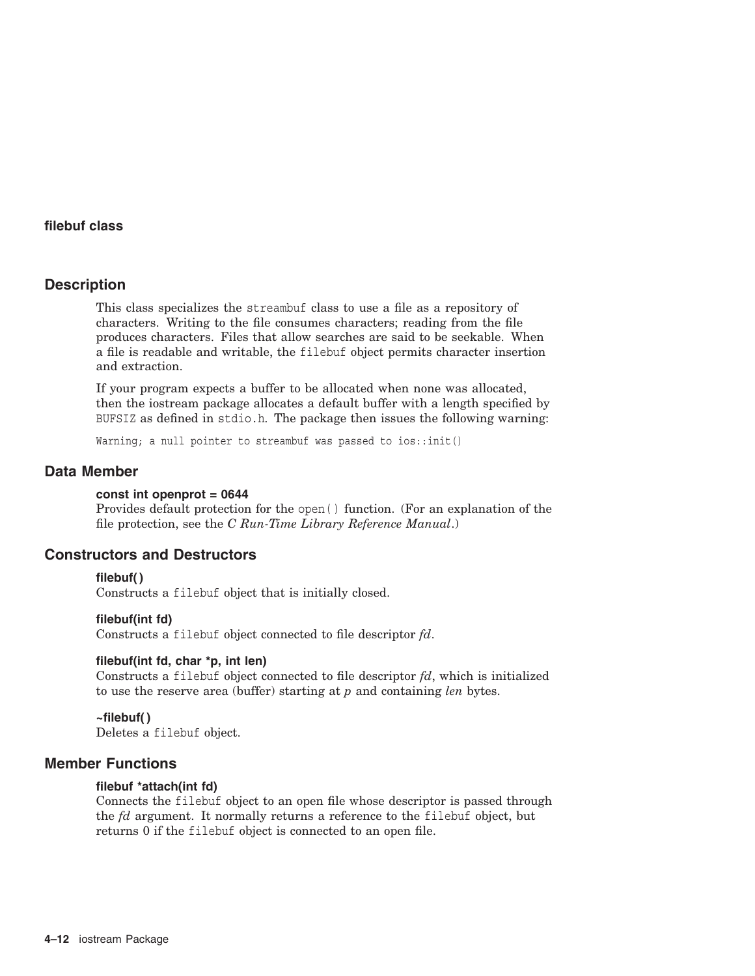## **Description**

This class specializes the streambuf class to use a file as a repository of characters. Writing to the file consumes characters; reading from the file produces characters. Files that allow searches are said to be seekable. When a file is readable and writable, the filebuf object permits character insertion and extraction.

If your program expects a buffer to be allocated when none was allocated, then the iostream package allocates a default buffer with a length specified by BUFSIZ as defined in stdio.h. The package then issues the following warning:

Warning; a null pointer to streambuf was passed to ios::init()

## **Data Member**

#### **const int openprot = 0644**

Provides default protection for the open( ) function. (For an explanation of the file protection, see the *C Run-Time Library Reference Manual*.)

## **Constructors and Destructors**

### **filebuf( )**

Constructs a filebuf object that is initially closed.

#### **filebuf(int fd)**

Constructs a filebuf object connected to file descriptor *fd*.

#### **filebuf(int fd, char \*p, int len)**

Constructs a filebuf object connected to file descriptor *fd*, which is initialized to use the reserve area (buffer) starting at *p* and containing *len* bytes.

### **~filebuf( )**

Deletes a filebuf object.

## **Member Functions**

#### **filebuf \*attach(int fd)**

Connects the filebuf object to an open file whose descriptor is passed through the *fd* argument. It normally returns a reference to the filebuf object, but returns 0 if the filebuf object is connected to an open file.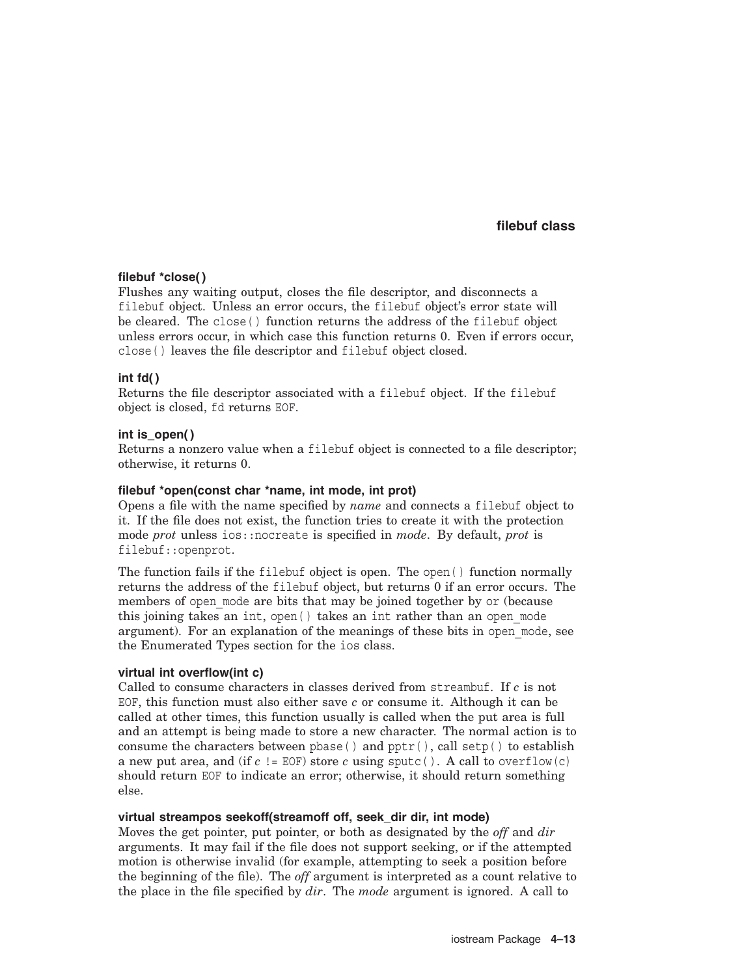### **filebuf \*close( )**

Flushes any waiting output, closes the file descriptor, and disconnects a filebuf object. Unless an error occurs, the filebuf object's error state will be cleared. The close( ) function returns the address of the filebuf object unless errors occur, in which case this function returns 0. Even if errors occur, close( ) leaves the file descriptor and filebuf object closed.

### **int fd( )**

Returns the file descriptor associated with a filebuf object. If the filebuf object is closed, fd returns EOF.

### **int is\_open( )**

Returns a nonzero value when a filebuf object is connected to a file descriptor; otherwise, it returns 0.

#### **filebuf \*open(const char \*name, int mode, int prot)**

Opens a file with the name specified by *name* and connects a filebuf object to it. If the file does not exist, the function tries to create it with the protection mode *prot* unless ios::nocreate is specified in *mode*. By default, *prot* is filebuf::openprot.

The function fails if the filebuf object is open. The open( ) function normally returns the address of the filebuf object, but returns 0 if an error occurs. The members of open mode are bits that may be joined together by or (because this joining takes an int, open( ) takes an int rather than an open\_mode argument). For an explanation of the meanings of these bits in open\_mode, see the Enumerated Types section for the ios class.

#### **virtual int overflow(int c)**

Called to consume characters in classes derived from streambuf. If *c* is not EOF, this function must also either save *c* or consume it. Although it can be called at other times, this function usually is called when the put area is full and an attempt is being made to store a new character. The normal action is to consume the characters between pbase() and  $pptr()$ , call setp() to establish a new put area, and (if  $c$  != EOF) store  $c$  using sputc(). A call to overflow(c) should return EOF to indicate an error; otherwise, it should return something else.

#### **virtual streampos seekoff(streamoff off, seek\_dir dir, int mode)**

Moves the get pointer, put pointer, or both as designated by the *off* and *dir* arguments. It may fail if the file does not support seeking, or if the attempted motion is otherwise invalid (for example, attempting to seek a position before the beginning of the file). The *off* argument is interpreted as a count relative to the place in the file specified by *dir*. The *mode* argument is ignored. A call to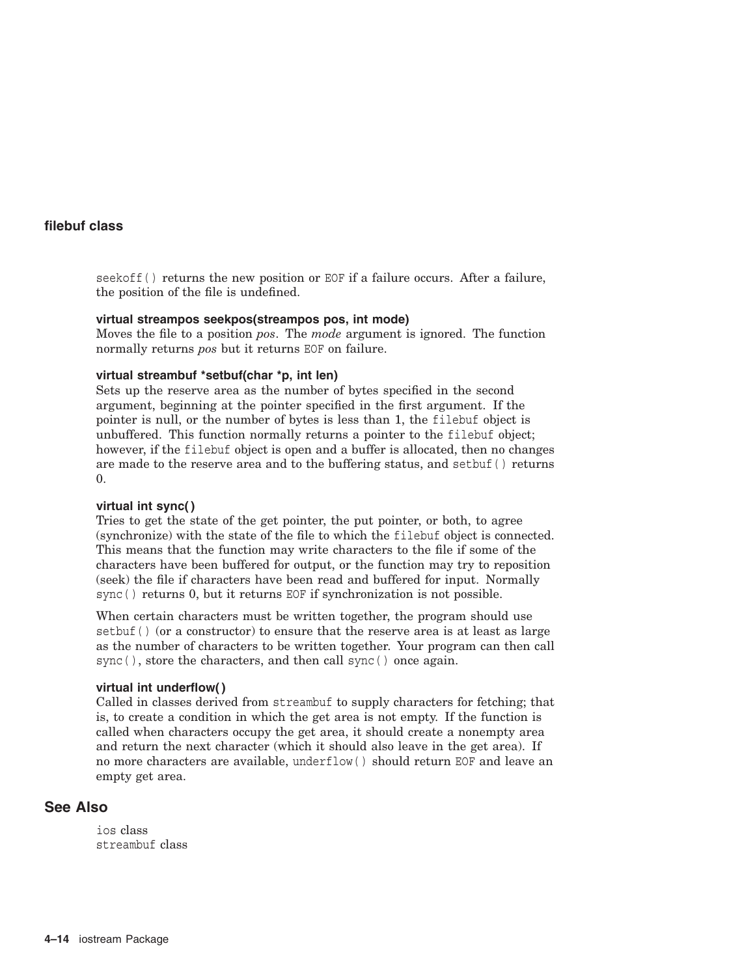seekoff() returns the new position or EOF if a failure occurs. After a failure, the position of the file is undefined.

### **virtual streampos seekpos(streampos pos, int mode)**

Moves the file to a position *pos*. The *mode* argument is ignored. The function normally returns *pos* but it returns EOF on failure.

### **virtual streambuf \*setbuf(char \*p, int len)**

Sets up the reserve area as the number of bytes specified in the second argument, beginning at the pointer specified in the first argument. If the pointer is null, or the number of bytes is less than 1, the filebuf object is unbuffered. This function normally returns a pointer to the filebuf object; however, if the filebuf object is open and a buffer is allocated, then no changes are made to the reserve area and to the buffering status, and setbuf( ) returns 0.

#### **virtual int sync( )**

Tries to get the state of the get pointer, the put pointer, or both, to agree (synchronize) with the state of the file to which the filebuf object is connected. This means that the function may write characters to the file if some of the characters have been buffered for output, or the function may try to reposition (seek) the file if characters have been read and buffered for input. Normally sync( ) returns 0, but it returns EOF if synchronization is not possible.

When certain characters must be written together, the program should use setbuf( $)$  (or a constructor) to ensure that the reserve area is at least as large as the number of characters to be written together. Your program can then call sync(), store the characters, and then call sync() once again.

#### **virtual int underflow( )**

Called in classes derived from streambuf to supply characters for fetching; that is, to create a condition in which the get area is not empty. If the function is called when characters occupy the get area, it should create a nonempty area and return the next character (which it should also leave in the get area). If no more characters are available, underflow( ) should return EOF and leave an empty get area.

## **See Also**

ios class streambuf class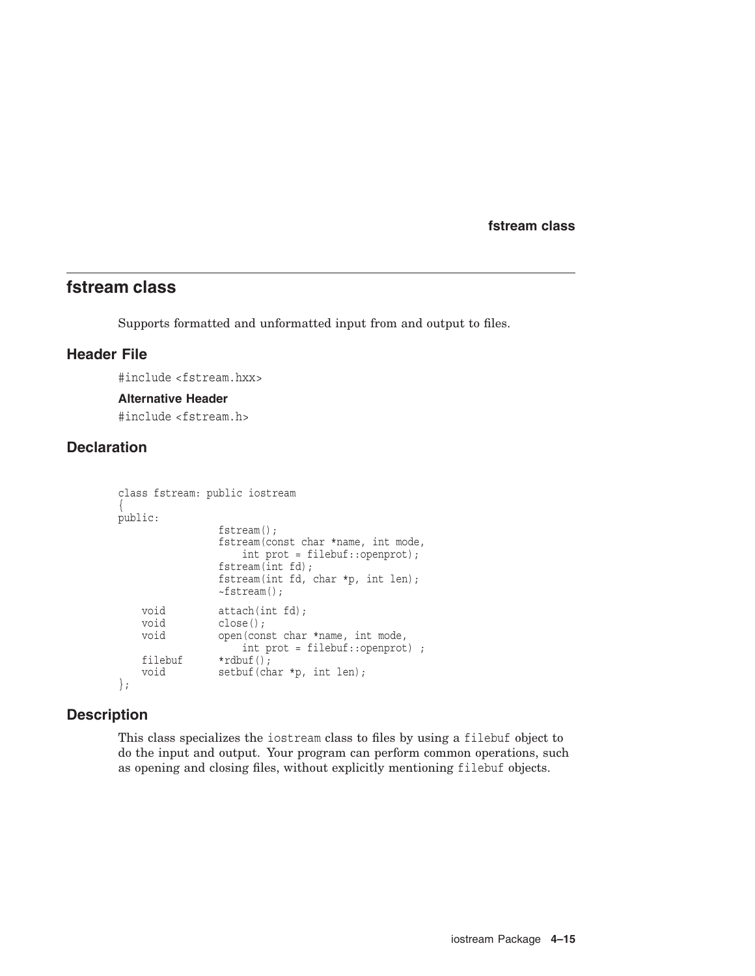**fstream class**

## **fstream class**

Supports formatted and unformatted input from and output to files.

## **Header File**

#include <fstream.hxx>

#### **Alternative Header**

#include <fstream.h>

# **Declaration**

```
class fstream: public iostream
\{public:
                  fstream();
                  fstream(const char *name, int mode,
                       int prot = filebuf::openprot);
                  fstream(int fd);
                  fstream(int fd, char *p, int len);
                  ~\simfstream();
    void attach(int fd);<br>void close();
                  close();
    void open(const char *name, int mode,
                      int prot = filebuf::openprot) ;
    filebuf *rdbuf();<br>void setbuf(ch
                  setbuf(char *p, int len);
};
```
## **Description**

This class specializes the iostream class to files by using a filebuf object to do the input and output. Your program can perform common operations, such as opening and closing files, without explicitly mentioning filebuf objects.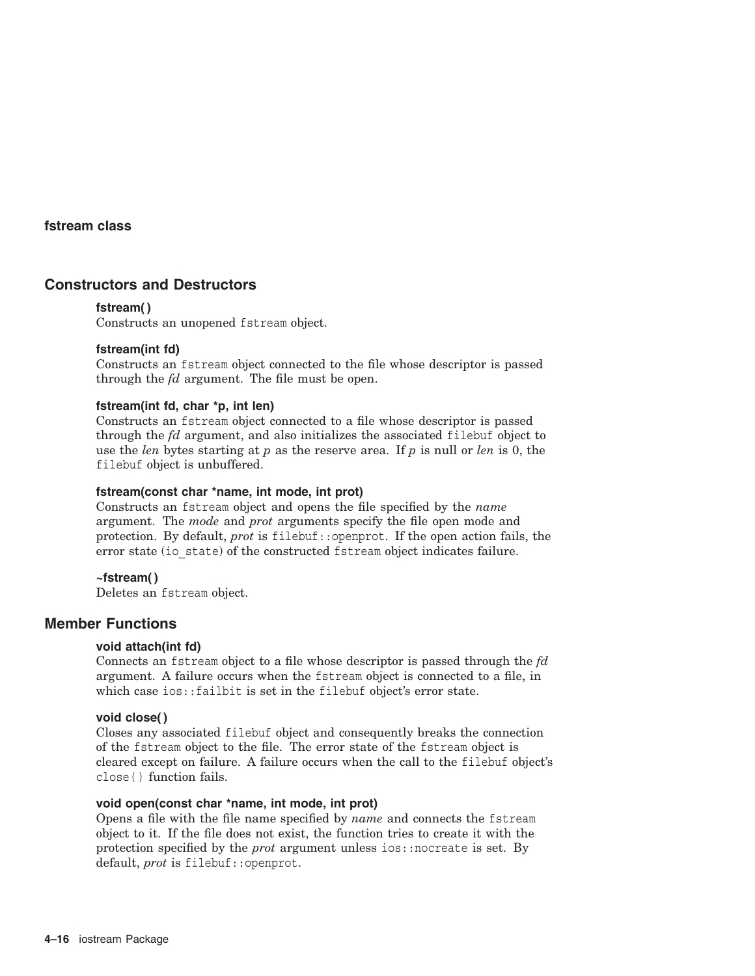### **fstream class**

## **Constructors and Destructors**

### **fstream( )**

Constructs an unopened fstream object.

### **fstream(int fd)**

Constructs an fstream object connected to the file whose descriptor is passed through the *fd* argument. The file must be open.

### **fstream(int fd, char \*p, int len)**

Constructs an fstream object connected to a file whose descriptor is passed through the *fd* argument, and also initializes the associated filebuf object to use the *len* bytes starting at *p* as the reserve area. If *p* is null or *len* is 0, the filebuf object is unbuffered.

#### **fstream(const char \*name, int mode, int prot)**

Constructs an fstream object and opens the file specified by the *name* argument. The *mode* and *prot* arguments specify the file open mode and protection. By default, *prot* is filebuf::openprot. If the open action fails, the error state (io state) of the constructed fstream object indicates failure.

#### **~fstream( )**

Deletes an fstream object.

## **Member Functions**

#### **void attach(int fd)**

Connects an fstream object to a file whose descriptor is passed through the *fd* argument. A failure occurs when the fstream object is connected to a file, in which case ios::failbit is set in the filebuf object's error state.

#### **void close( )**

Closes any associated filebuf object and consequently breaks the connection of the fstream object to the file. The error state of the fstream object is cleared except on failure. A failure occurs when the call to the filebuf object's close( ) function fails.

#### **void open(const char \*name, int mode, int prot)**

Opens a file with the file name specified by *name* and connects the fstream object to it. If the file does not exist, the function tries to create it with the protection specified by the *prot* argument unless ios::nocreate is set. By default, *prot* is filebuf::openprot.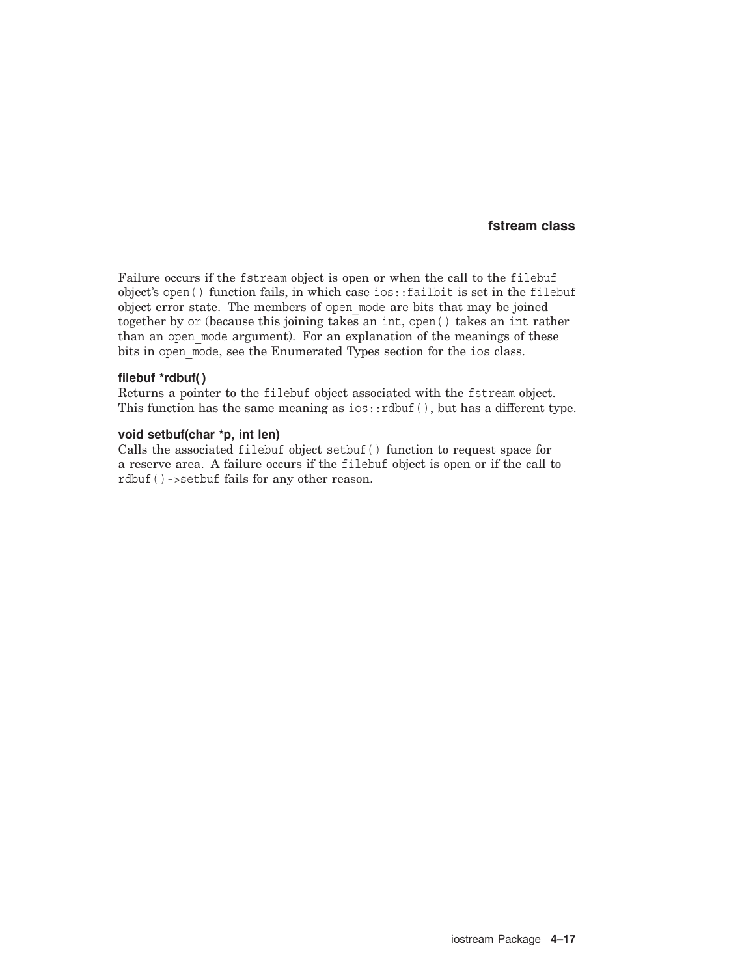## **fstream class**

Failure occurs if the fstream object is open or when the call to the filebuf object's open( ) function fails, in which case ios::failbit is set in the filebuf object error state. The members of open\_mode are bits that may be joined together by or (because this joining takes an int, open( ) takes an int rather than an open mode argument). For an explanation of the meanings of these bits in open\_mode, see the Enumerated Types section for the ios class.

#### **filebuf \*rdbuf( )**

Returns a pointer to the filebuf object associated with the fstream object. This function has the same meaning as  $ios::rdbuf()$ , but has a different type.

### **void setbuf(char \*p, int len)**

Calls the associated filebuf object setbuf( ) function to request space for a reserve area. A failure occurs if the filebuf object is open or if the call to rdbuf( )->setbuf fails for any other reason.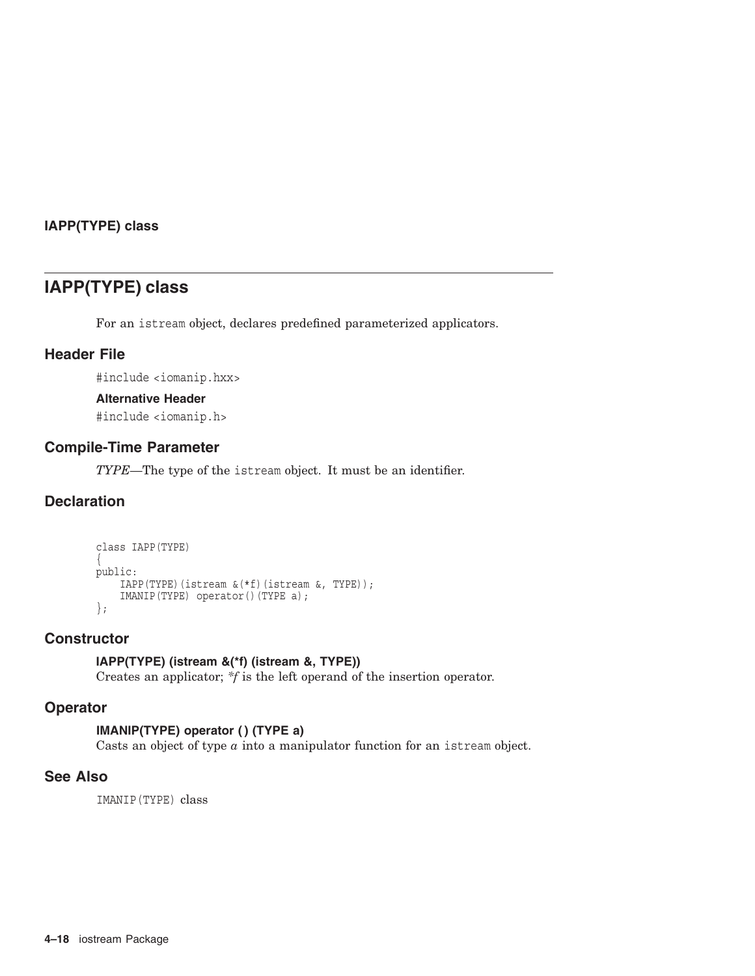## **IAPP(TYPE) class**

# **IAPP(TYPE) class**

For an istream object, declares predefined parameterized applicators.

## **Header File**

#include <iomanip.hxx>

### **Alternative Header**

#include <iomanip.h>

## **Compile-Time Parameter**

*TYPE*—The type of the istream object. It must be an identifier.

## **Declaration**

```
class IAPP(TYPE)
\{public:
   IAPP(TYPE)(istream &(*f)(istream &, TYPE));
    IMANIP(TYPE) operator()(TYPE a);
};
```
## **Constructor**

## **IAPP(TYPE) (istream &(\*f) (istream &, TYPE))**

Creates an applicator; *\*f* is the left operand of the insertion operator.

## **Operator**

## **IMANIP(TYPE) operator ( ) (TYPE a)**

Casts an object of type *a* into a manipulator function for an istream object.

## **See Also**

IMANIP(TYPE) class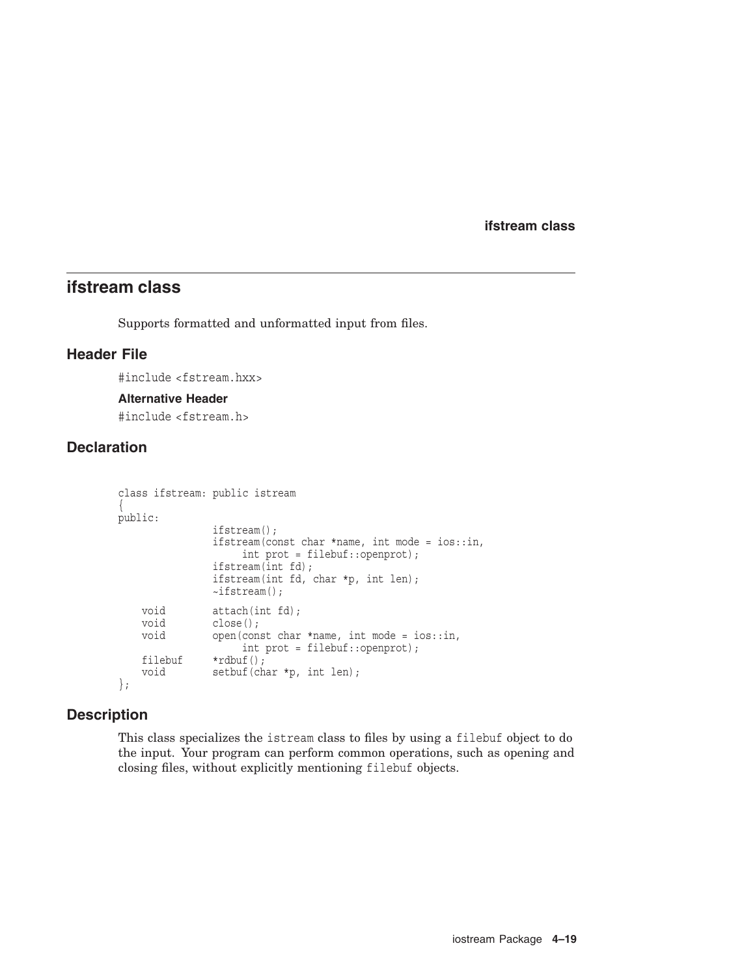**ifstream class**

# **ifstream class**

Supports formatted and unformatted input from files.

## **Header File**

#include <fstream.hxx>

### **Alternative Header**

#include <fstream.h>

# **Declaration**

```
class ifstream: public istream
\{public:
                 ifstream();
                 ifstream(const char *name, int mode = ios::in,
                       int prot = filebuf::openprot);
                 ifstream(int fd);
                 ifstream(int fd, char *p, int len);
                 \simifstream();
    void attach(int fd);<br>void close();
                 close();
    void open(const char *name, int mode = ios::in,
                      int prot = filebuf::openprot);
    filebuf *rdbuf();<br>void setbuf(cha
                 setbuf(char *p, int len);
};
```
## **Description**

This class specializes the istream class to files by using a filebuf object to do the input. Your program can perform common operations, such as opening and closing files, without explicitly mentioning filebuf objects.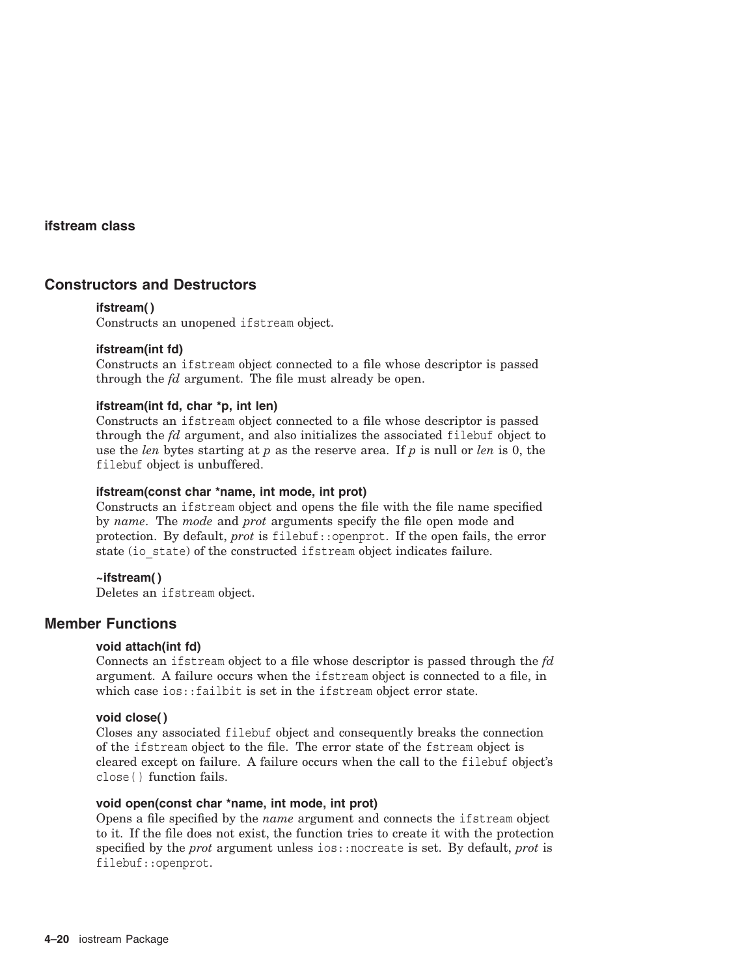## **ifstream class**

## **Constructors and Destructors**

### **ifstream( )**

Constructs an unopened ifstream object.

### **ifstream(int fd)**

Constructs an ifstream object connected to a file whose descriptor is passed through the *fd* argument. The file must already be open.

### **ifstream(int fd, char \*p, int len)**

Constructs an ifstream object connected to a file whose descriptor is passed through the *fd* argument, and also initializes the associated filebuf object to use the *len* bytes starting at *p* as the reserve area. If *p* is null or *len* is 0, the filebuf object is unbuffered.

## **ifstream(const char \*name, int mode, int prot)**

Constructs an ifstream object and opens the file with the file name specified by *name*. The *mode* and *prot* arguments specify the file open mode and protection. By default, *prot* is filebuf::openprot. If the open fails, the error state (io state) of the constructed ifstream object indicates failure.

### **~ifstream( )**

Deletes an ifstream object.

## **Member Functions**

#### **void attach(int fd)**

Connects an ifstream object to a file whose descriptor is passed through the *fd* argument. A failure occurs when the ifstream object is connected to a file, in which case ios::failbit is set in the ifstream object error state.

#### **void close( )**

Closes any associated filebuf object and consequently breaks the connection of the ifstream object to the file. The error state of the fstream object is cleared except on failure. A failure occurs when the call to the filebuf object's close( ) function fails.

#### **void open(const char \*name, int mode, int prot)**

Opens a file specified by the *name* argument and connects the ifstream object to it. If the file does not exist, the function tries to create it with the protection specified by the *prot* argument unless ios::nocreate is set. By default, *prot* is filebuf::openprot.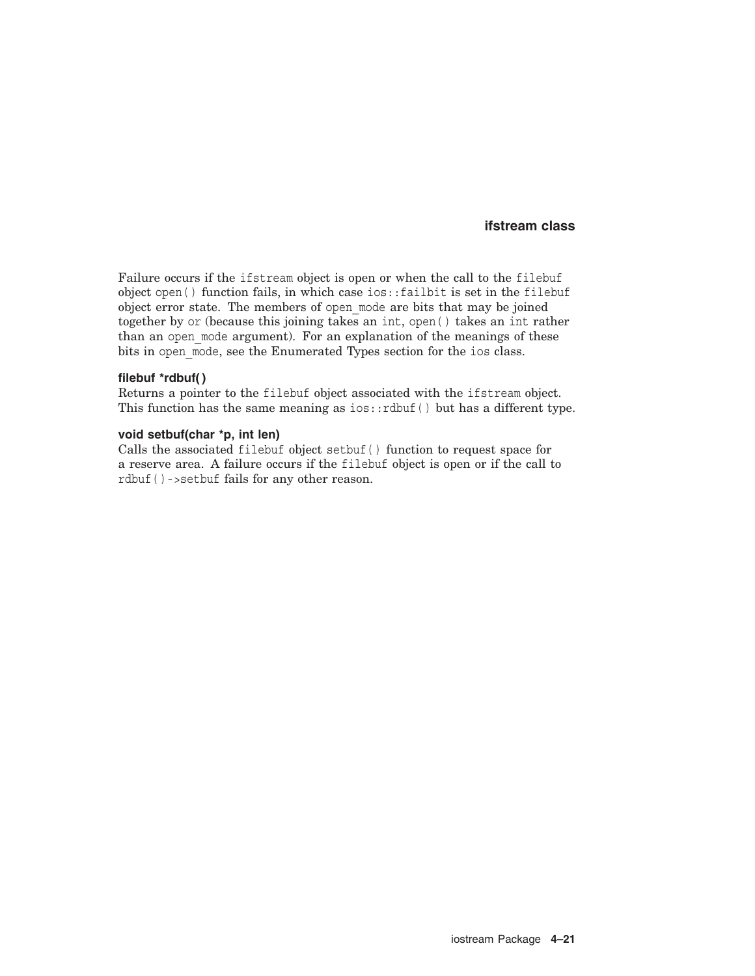### **ifstream class**

Failure occurs if the ifstream object is open or when the call to the filebuf object open( ) function fails, in which case ios::failbit is set in the filebuf object error state. The members of open\_mode are bits that may be joined together by or (because this joining takes an int, open( ) takes an int rather than an open mode argument). For an explanation of the meanings of these bits in open\_mode, see the Enumerated Types section for the ios class.

#### **filebuf \*rdbuf( )**

Returns a pointer to the filebuf object associated with the ifstream object. This function has the same meaning as  $ios::rdbuf()$  but has a different type.

#### **void setbuf(char \*p, int len)**

Calls the associated filebuf object setbuf( ) function to request space for a reserve area. A failure occurs if the filebuf object is open or if the call to rdbuf( )->setbuf fails for any other reason.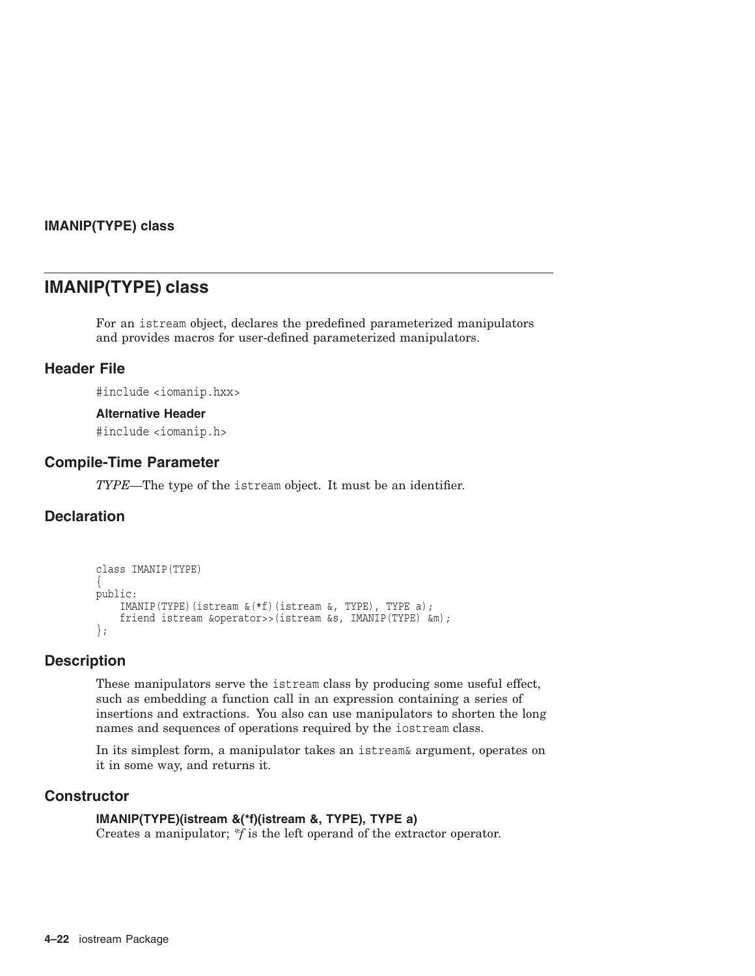## **IMANIP(TYPE) class**

# **IMANIP(TYPE) class**

For an istream object, declares the predefined parameterized manipulators and provides macros for user-defined parameterized manipulators.

## **Header File**

#include <iomanip.hxx>

### **Alternative Header**

#include <iomanip.h>

## **Compile-Time Parameter**

*TYPE*—The type of the istream object. It must be an identifier.

## **Declaration**

```
class IMANIP(TYPE)
\{public:
    IMANIP(TYPE)(istream &(*f)(istream &, TYPE), TYPE a);
    friend istream &operator>>(istream &s, IMANIP(TYPE) &m);
};
```
## **Description**

These manipulators serve the istream class by producing some useful effect, such as embedding a function call in an expression containing a series of insertions and extractions. You also can use manipulators to shorten the long names and sequences of operations required by the iostream class.

In its simplest form, a manipulator takes an istream& argument, operates on it in some way, and returns it.

## **Constructor**

### **IMANIP(TYPE)(istream &(\*f)(istream &, TYPE), TYPE a)**

Creates a manipulator; *\*f* is the left operand of the extractor operator.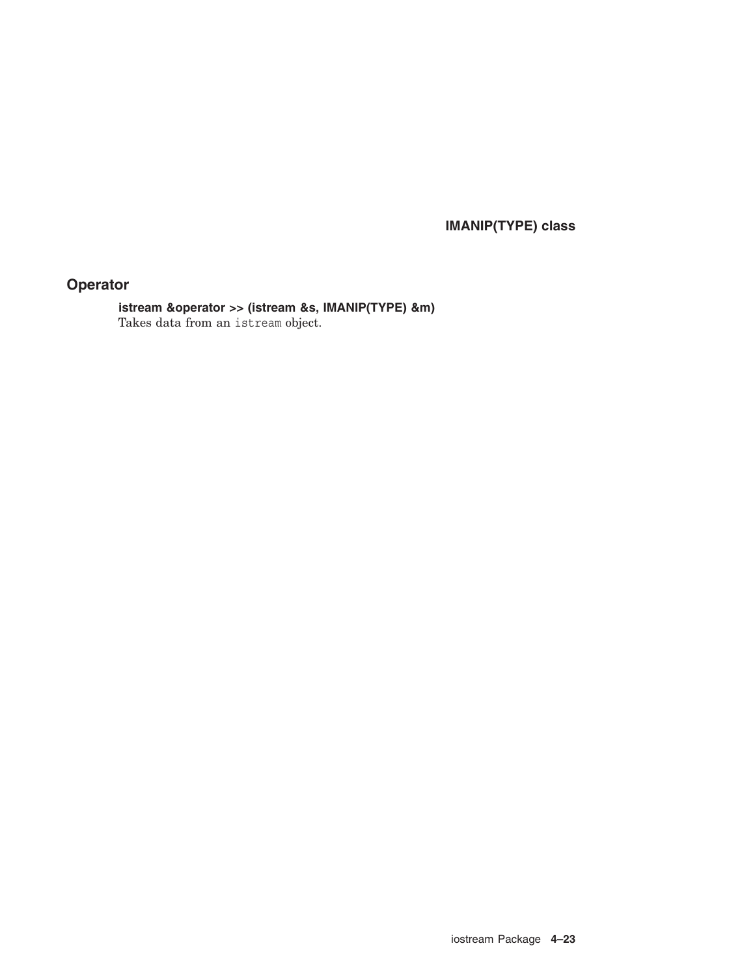**IMANIP(TYPE) class**

# **Operator**

**istream &operator >> (istream &s, IMANIP(TYPE) &m)** Takes data from an istream object.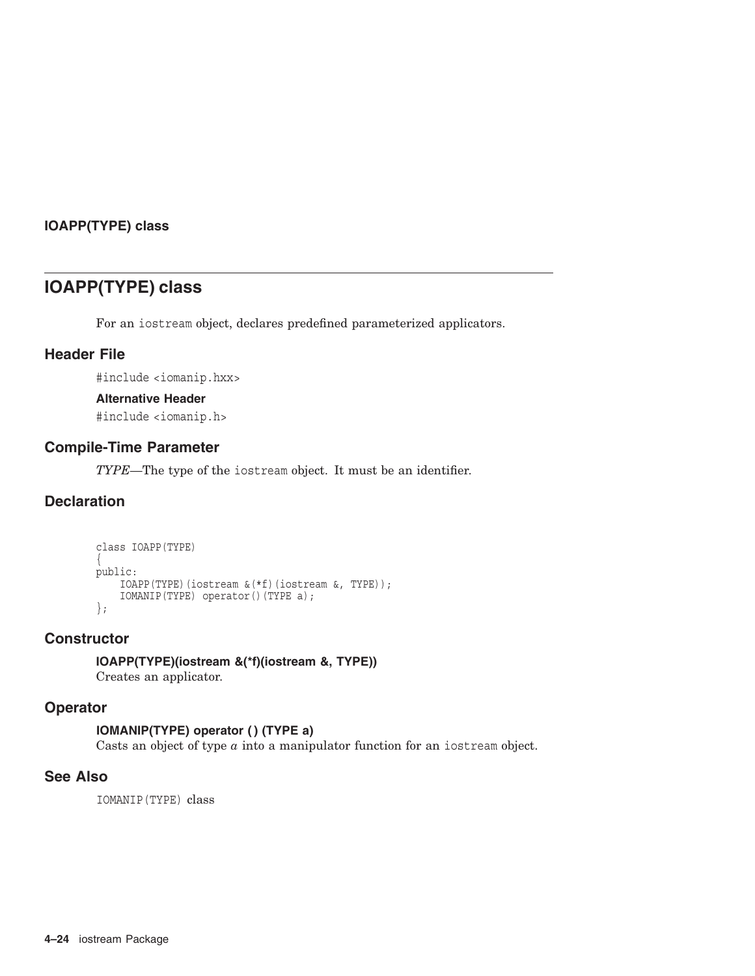## **IOAPP(TYPE) class**

# **IOAPP(TYPE) class**

For an iostream object, declares predefined parameterized applicators.

## **Header File**

#include <iomanip.hxx>

## **Alternative Header**

#include <iomanip.h>

## **Compile-Time Parameter**

*TYPE*—The type of the iostream object. It must be an identifier.

# **Declaration**

```
class IOAPP(TYPE)
\{public:
   IOAPP(TYPE)(iostream &(*f)(iostream &, TYPE));
    IOMANIP(TYPE) operator()(TYPE a);
};
```
## **Constructor**

**IOAPP(TYPE)(iostream &(\*f)(iostream &, TYPE))** Creates an applicator.

## **Operator**

## **IOMANIP(TYPE) operator ( ) (TYPE a)**

Casts an object of type *a* into a manipulator function for an iostream object.

## **See Also**

IOMANIP(TYPE) class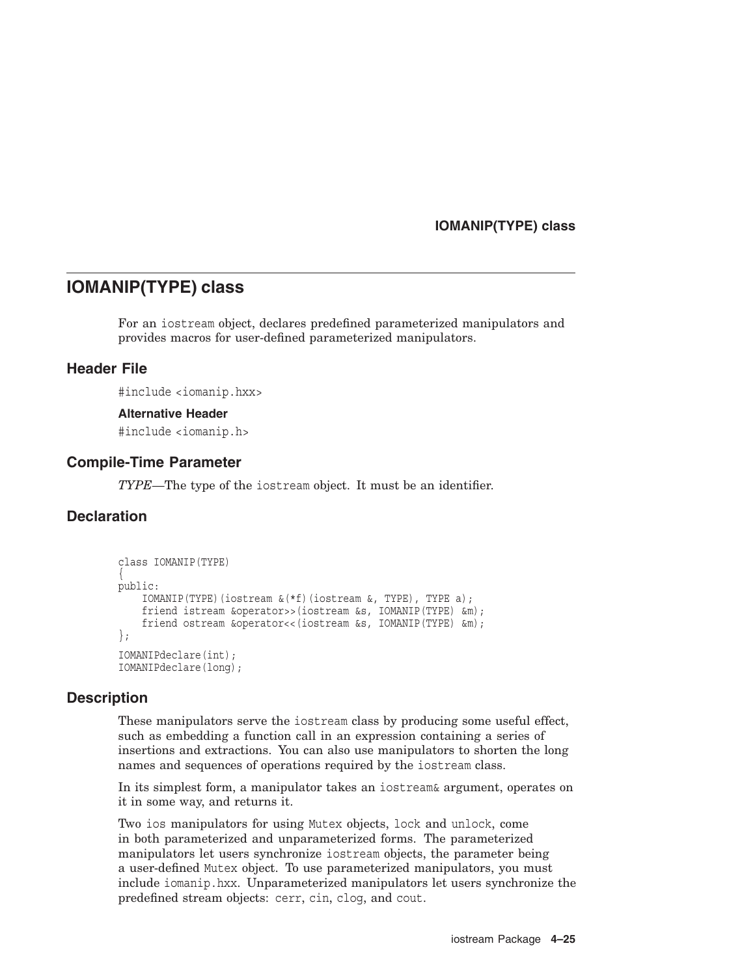## **IOMANIP(TYPE) class**

# **IOMANIP(TYPE) class**

For an iostream object, declares predefined parameterized manipulators and provides macros for user-defined parameterized manipulators.

## **Header File**

#include <iomanip.hxx>

#### **Alternative Header**

#include <iomanip.h>

## **Compile-Time Parameter**

*TYPE*—The type of the iostream object. It must be an identifier.

## **Declaration**

```
class IOMANIP(TYPE)
\{public:
    IOMANIP(TYPE)(iostream &(*f)(iostream &, TYPE), TYPE a);
    friend istream &operator>>(iostream &s, IOMANIP(TYPE) &m);
    friend ostream &operator<<(iostream &s, IOMANIP(TYPE) &m);
};
IOMANIPdeclare(int);
IOMANIPdeclare(long);
```
## **Description**

These manipulators serve the iostream class by producing some useful effect, such as embedding a function call in an expression containing a series of insertions and extractions. You can also use manipulators to shorten the long names and sequences of operations required by the iostream class.

In its simplest form, a manipulator takes an iostream& argument, operates on it in some way, and returns it.

Two ios manipulators for using Mutex objects, lock and unlock, come in both parameterized and unparameterized forms. The parameterized manipulators let users synchronize iostream objects, the parameter being a user-defined Mutex object. To use parameterized manipulators, you must include iomanip.hxx. Unparameterized manipulators let users synchronize the predefined stream objects: cerr, cin, clog, and cout.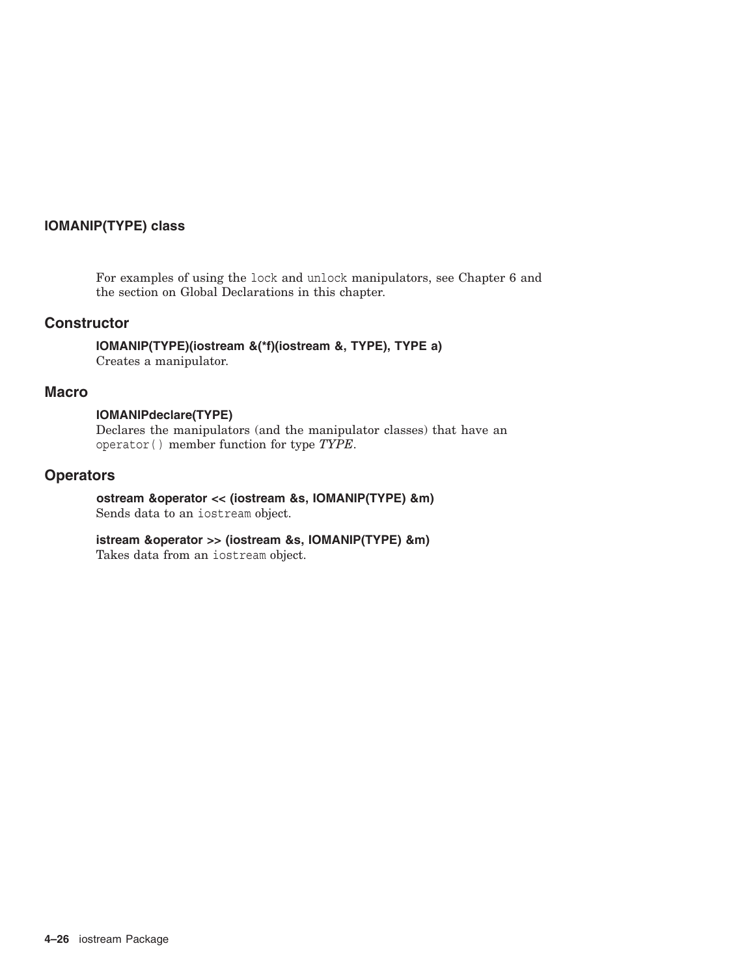## **IOMANIP(TYPE) class**

For examples of using the lock and unlock manipulators, see Chapter 6 and the section on Global Declarations in this chapter.

## **Constructor**

**IOMANIP(TYPE)(iostream &(\*f)(iostream &, TYPE), TYPE a)** Creates a manipulator.

### **Macro**

### **IOMANIPdeclare(TYPE)**

Declares the manipulators (and the manipulator classes) that have an operator( ) member function for type *TYPE*.

## **Operators**

### **ostream &operator << (iostream &s, IOMANIP(TYPE) &m)** Sends data to an iostream object.

## **istream &operator >> (iostream &s, IOMANIP(TYPE) &m)**

Takes data from an iostream object.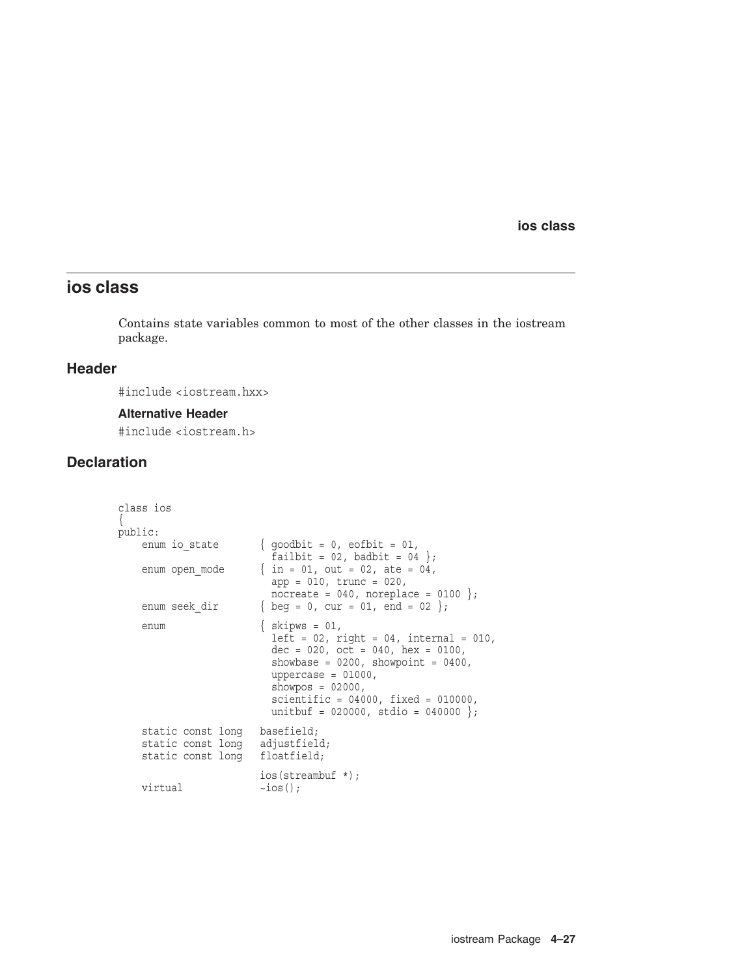# **ios class**

Contains state variables common to most of the other classes in the iostream package.

## **Header**

#include <iostream.hxx>

#### **Alternative Header**

#include <iostream.h>

## **Declaration**

```
class ios
\{public:<br>enum io state
                         { goodbit = 0, eofbit = 01,
                           failbit = 02, badbit = 04 };
    enum open_mode \{ in = 01, out = 02, ate = 04,app = 010, trunc = 020,
                           \text{nocreate} = 040, \text{ noreplace} = 0100;enum seek dir \{ \text{beg} = 0, \text{ cur} = 01, \text{end} = 02 \};enum { skipws = 01,
                            left = 02, right = 04, internal = 010,
                            dec = 020, oct = 040, hex = 0100,
                            showbase = 0200, showpoint = 0400,
                           uppercase = 01000,
                           showpos = 02000,
                           scientific = 04000, fixed = 010000,unitbuf = 020000, stdio = 040000 };
    static const long basefield;<br>static const long adjustfield;
    static const long
    static const long floatfield;
                         ios(streambuf *);
    virtual \simios();
```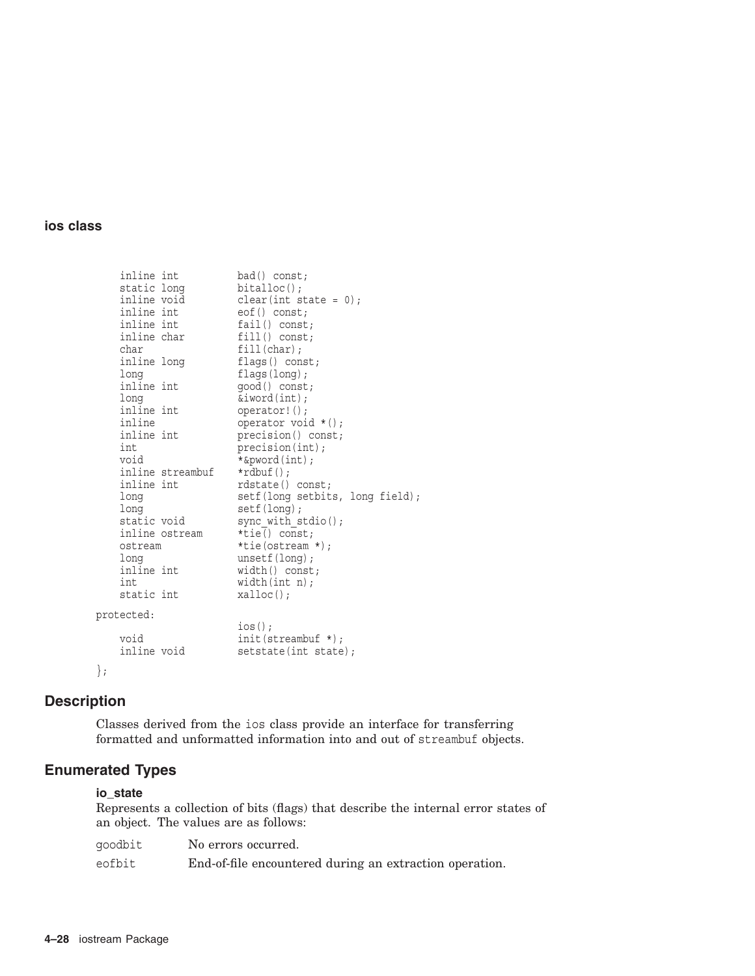| inline int  |                  | bad() const;                    |
|-------------|------------------|---------------------------------|
| static long |                  | $bitalloc()$ ;                  |
| inline void |                  | $clear(int state = 0);$         |
| inline int  |                  | $\cot()$ const;                 |
| inline int  |                  | fail() const;                   |
| inline char |                  | $fill()$ const;                 |
| char        |                  | $fill(char)$ ;                  |
| inline long |                  | flags() const;                  |
| long        |                  | flags(long);                    |
| inline int  |                  | good() const;                   |
| long        |                  | $\&$ iword $(int);$             |
| inline int  |                  | operator! ();                   |
| inline      |                  | operator void $*()$ ;           |
| inline int  |                  | precision() const;              |
| int         |                  | precision(int);                 |
| void        |                  | *&pword(int);                   |
|             | inline streambuf | $*rdbuf()$ ;                    |
| inline int  |                  | rdstate() const;                |
| long        |                  | setf(long setbits, long field); |
| long        |                  | setf(long);                     |
| static void |                  | sync with $stdio()$ ;           |
|             | inline ostream   | *tie() const;                   |
| ostream     |                  | $*$ tie(ostream *);             |
| long        |                  | unsetf(long);                   |
| inline int  |                  | width() const;                  |
| int         |                  | width(int n);                   |
| static int  |                  | $x$ alloc $()$ ;                |
| protected:  |                  |                                 |
|             |                  | $ios()$ ;                       |
| void        |                  | init(Stringmath>                |
| inline void |                  | setstate(int state);            |
| $\}$ ;      |                  |                                 |

# **Description**

Classes derived from the ios class provide an interface for transferring formatted and unformatted information into and out of streambuf objects.

# **Enumerated Types**

## **io\_state**

Represents a collection of bits (flags) that describe the internal error states of an object. The values are as follows:

| qoodbit | No errors occurred.                                     |
|---------|---------------------------------------------------------|
| eofbit  | End-of-file encountered during an extraction operation. |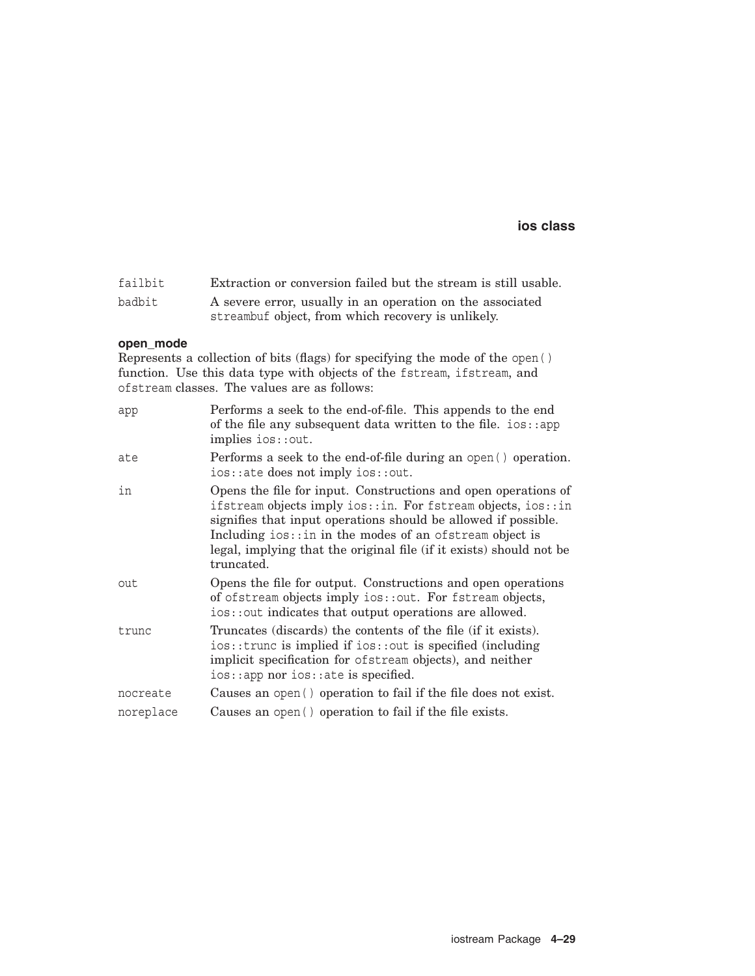| failbit | Extraction or conversion failed but the stream is still usable. |
|---------|-----------------------------------------------------------------|
| badbit  | A severe error, usually in an operation on the associated       |
|         | streambuf object, from which recovery is unlikely.              |

### **open\_mode**

Represents a collection of bits (flags) for specifying the mode of the open( ) function. Use this data type with objects of the fstream, ifstream, and ofstream classes. The values are as follows:

| app       | Performs a seek to the end-of-file. This appends to the end<br>of the file any subsequent data written to the file. $ios::app$<br>implies ios::out.                                                                                                                                                                                                  |
|-----------|------------------------------------------------------------------------------------------------------------------------------------------------------------------------------------------------------------------------------------------------------------------------------------------------------------------------------------------------------|
| ate       | Performs a seek to the end-of-file during an open () operation.<br>ios:: ate does not imply ios:: out.                                                                                                                                                                                                                                               |
| in        | Opens the file for input. Constructions and open operations of<br>ifstream objects imply ios::in. For fstream objects, ios::in<br>signifies that input operations should be allowed if possible.<br>Including $ios$ :: in in the modes of an ofstream object is<br>legal, implying that the original file (if it exists) should not be<br>truncated. |
| out       | Opens the file for output. Constructions and open operations<br>of ofstream objects imply ios::out. For fstream objects,<br>ios::out indicates that output operations are allowed.                                                                                                                                                                   |
| trunc     | Truncates (discards) the contents of the file (if it exists).<br>$ios::true$ is implied if $ios::out$ is specified (including<br>implicit specification for of stream objects), and neither<br>$ios::app$ nor $ios::ate$ is specified.                                                                                                               |
| nocreate  | Causes an open () operation to fail if the file does not exist.                                                                                                                                                                                                                                                                                      |
| noreplace | Causes an open () operation to fail if the file exists.                                                                                                                                                                                                                                                                                              |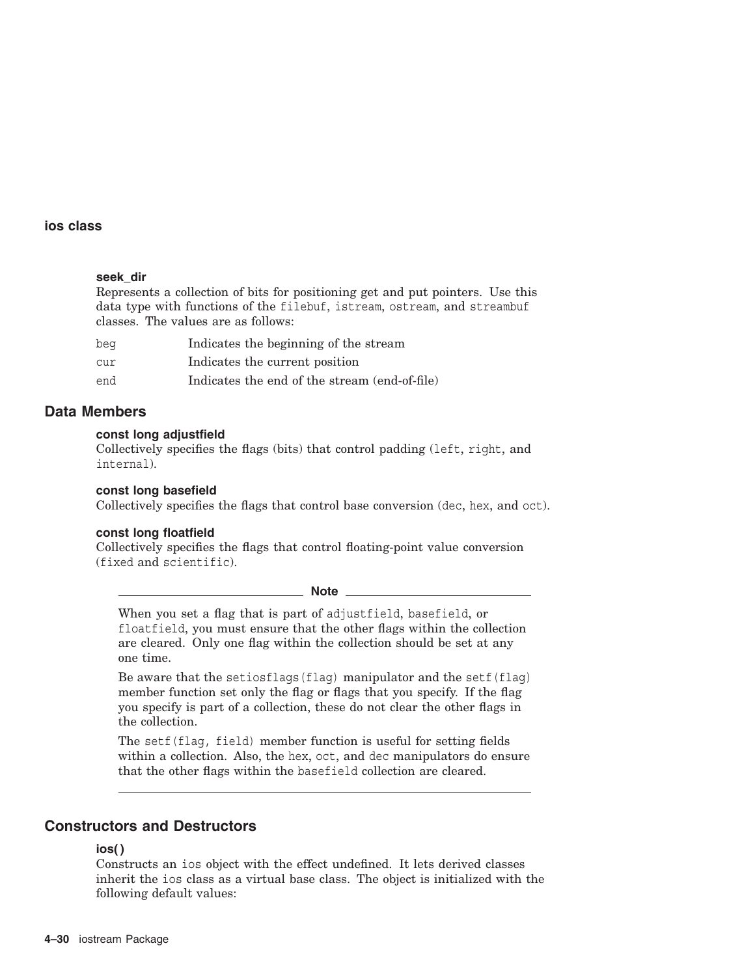### **seek\_dir**

Represents a collection of bits for positioning get and put pointers. Use this data type with functions of the filebuf, istream, ostream, and streambuf classes. The values are as follows:

| bea | Indicates the beginning of the stream         |
|-----|-----------------------------------------------|
| cur | Indicates the current position                |
| end | Indicates the end of the stream (end-of-file) |

## **Data Members**

### **const long adjustfield**

Collectively specifies the flags (bits) that control padding (left, right, and internal).

**const long basefield** Collectively specifies the flags that control base conversion (dec, hex, and oct).

### **const long floatfield**

Collectively specifies the flags that control floating-point value conversion (fixed and scientific).

**Note**

When you set a flag that is part of adjustfield, basefield, or floatfield, you must ensure that the other flags within the collection are cleared. Only one flag within the collection should be set at any one time.

Be aware that the setiosflags(flag) manipulator and the setf(flag) member function set only the flag or flags that you specify. If the flag you specify is part of a collection, these do not clear the other flags in the collection.

The setf(flag, field) member function is useful for setting fields within a collection. Also, the hex, oct, and dec manipulators do ensure that the other flags within the basefield collection are cleared.

## **Constructors and Destructors**

#### **ios( )**

Constructs an ios object with the effect undefined. It lets derived classes inherit the ios class as a virtual base class. The object is initialized with the following default values: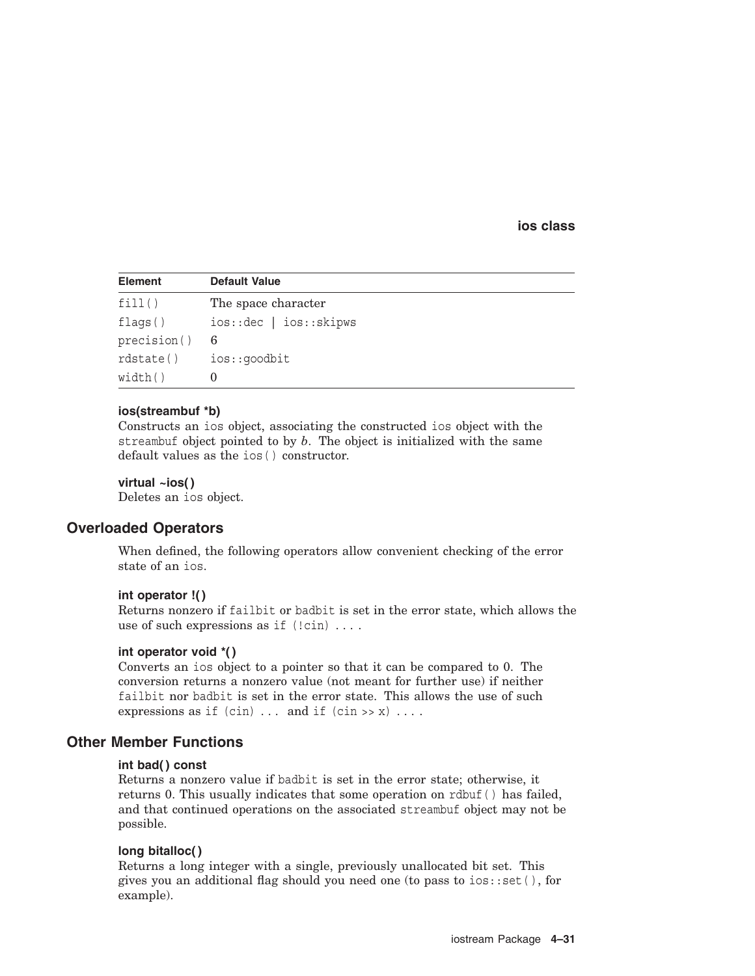| <b>Element</b> | <b>Default Value</b>     |
|----------------|--------------------------|
| fill()         | The space character      |
| flags()        | ios:: dec   ios:: skipws |
| precision()    | 6                        |
| rdstate()      | ios::goodbit             |
| width()        |                          |

#### **ios(streambuf \*b)**

Constructs an ios object, associating the constructed ios object with the streambuf object pointed to by *b*. The object is initialized with the same default values as the ios( ) constructor.

### **virtual ~ios( )**

Deletes an ios object.

## **Overloaded Operators**

When defined, the following operators allow convenient checking of the error state of an ios.

#### **int operator !( )**

Returns nonzero if failbit or badbit is set in the error state, which allows the use of such expressions as if  $(!cin)$ ....

### **int operator void \*( )**

Converts an ios object to a pointer so that it can be compared to 0. The conversion returns a nonzero value (not meant for further use) if neither failbit nor badbit is set in the error state. This allows the use of such expressions as if  $(cin)$ ... and if  $(cin \gg x)$ ....

## **Other Member Functions**

#### **int bad( ) const**

Returns a nonzero value if badbit is set in the error state; otherwise, it returns 0. This usually indicates that some operation on rdbuf( ) has failed, and that continued operations on the associated streambuf object may not be possible.

### **long bitalloc( )**

Returns a long integer with a single, previously unallocated bit set. This gives you an additional flag should you need one (to pass to ios::set( ), for example).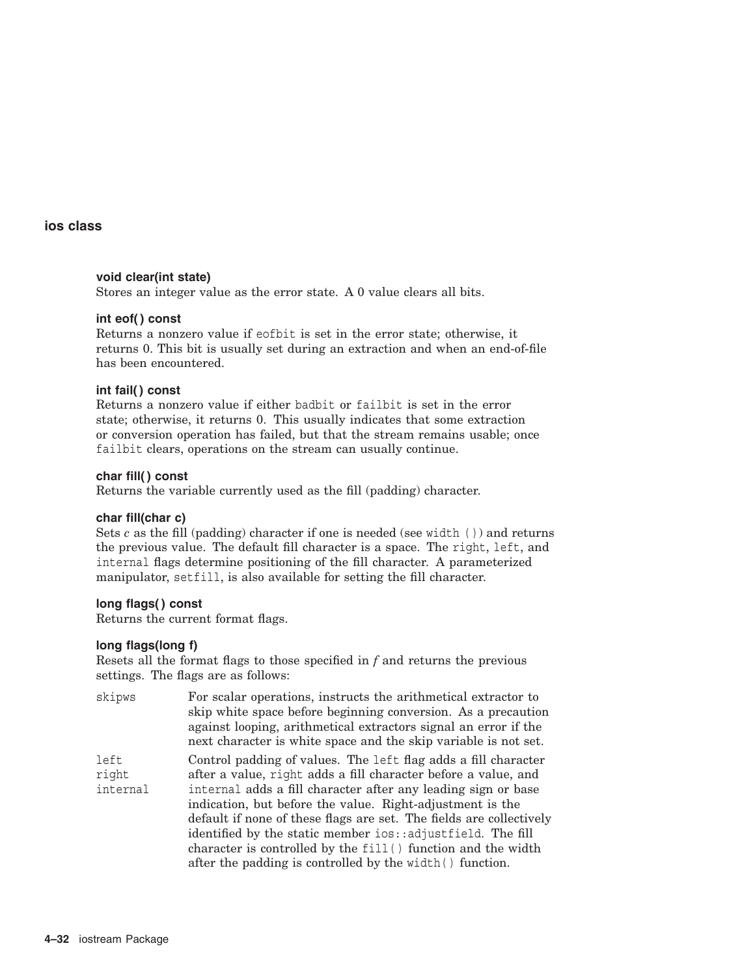### **void clear(int state)**

Stores an integer value as the error state. A 0 value clears all bits.

### **int eof( ) const**

Returns a nonzero value if eofbit is set in the error state; otherwise, it returns 0. This bit is usually set during an extraction and when an end-of-file has been encountered.

### **int fail( ) const**

Returns a nonzero value if either badbit or failbit is set in the error state; otherwise, it returns 0. This usually indicates that some extraction or conversion operation has failed, but that the stream remains usable; once failbit clears, operations on the stream can usually continue.

### **char fill( ) const**

Returns the variable currently used as the fill (padding) character.

#### **char fill(char c)**

Sets *c* as the fill (padding) character if one is needed (see width ( )) and returns the previous value. The default fill character is a space. The right, left, and internal flags determine positioning of the fill character. A parameterized manipulator, setfill, is also available for setting the fill character.

### **long flags( ) const**

Returns the current format flags.

### **long flags(long f)**

Resets all the format flags to those specified in *f* and returns the previous settings. The flags are as follows:

| skipws                    | For scalar operations, instructs the arithmetical extractor to<br>skip white space before beginning conversion. As a precaution<br>against looping, arithmetical extractors signal an error if the<br>next character is white space and the skip variable is not set.                                                                                                                                                                                                                                                             |
|---------------------------|-----------------------------------------------------------------------------------------------------------------------------------------------------------------------------------------------------------------------------------------------------------------------------------------------------------------------------------------------------------------------------------------------------------------------------------------------------------------------------------------------------------------------------------|
| left<br>right<br>internal | Control padding of values. The left flag adds a fill character<br>after a value, right adds a fill character before a value, and<br>internal adds a fill character after any leading sign or base<br>indication, but before the value. Right-adjustment is the<br>default if none of these flags are set. The fields are collectively<br>identified by the static member ios::adjustfield. The fill<br>character is controlled by the fill () function and the width<br>after the padding is controlled by the width () function. |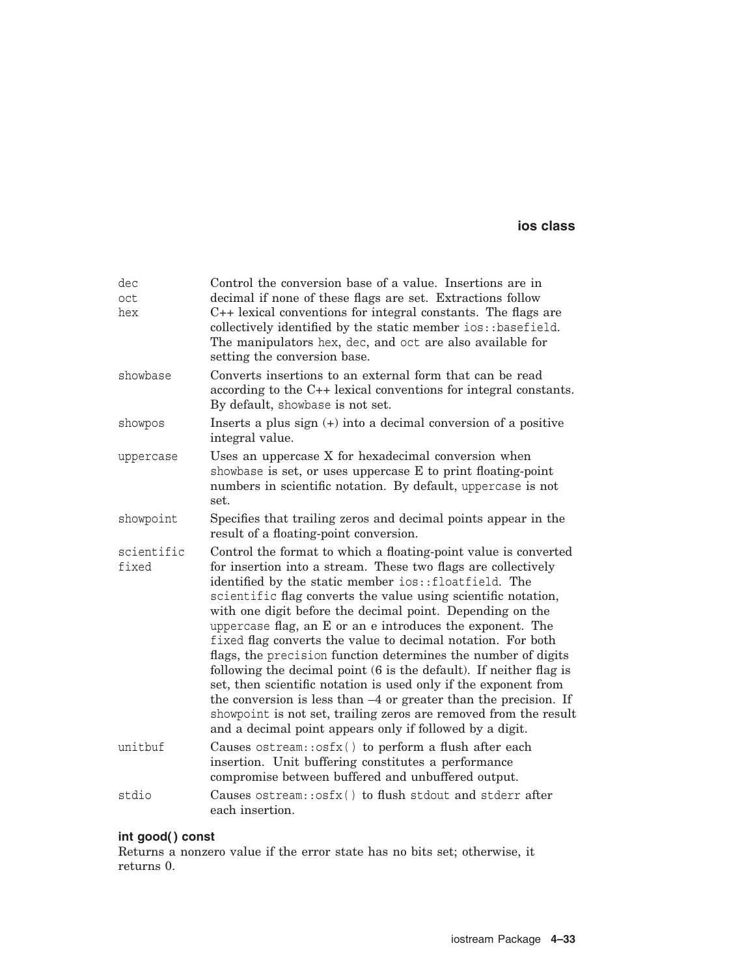| dec<br>oct<br>hex   | Control the conversion base of a value. Insertions are in<br>decimal if none of these flags are set. Extractions follow<br>C++ lexical conventions for integral constants. The flags are<br>collectively identified by the static member ios: : basefield.<br>The manipulators hex, dec, and oct are also available for<br>setting the conversion base.                                                                                                                                                                                                                                                                                                                                                                                                                                                                                                            |
|---------------------|--------------------------------------------------------------------------------------------------------------------------------------------------------------------------------------------------------------------------------------------------------------------------------------------------------------------------------------------------------------------------------------------------------------------------------------------------------------------------------------------------------------------------------------------------------------------------------------------------------------------------------------------------------------------------------------------------------------------------------------------------------------------------------------------------------------------------------------------------------------------|
| showbase            | Converts insertions to an external form that can be read<br>according to the C++ lexical conventions for integral constants.<br>By default, showbase is not set.                                                                                                                                                                                                                                                                                                                                                                                                                                                                                                                                                                                                                                                                                                   |
| showpos             | Inserts a plus sign $(+)$ into a decimal conversion of a positive<br>integral value.                                                                                                                                                                                                                                                                                                                                                                                                                                                                                                                                                                                                                                                                                                                                                                               |
| uppercase           | Uses an uppercase X for hexadecimal conversion when<br>showbase is set, or uses uppercase $E$ to print floating-point<br>numbers in scientific notation. By default, uppercase is not<br>set.                                                                                                                                                                                                                                                                                                                                                                                                                                                                                                                                                                                                                                                                      |
| showpoint           | Specifies that trailing zeros and decimal points appear in the<br>result of a floating-point conversion.                                                                                                                                                                                                                                                                                                                                                                                                                                                                                                                                                                                                                                                                                                                                                           |
| scientific<br>fixed | Control the format to which a floating-point value is converted<br>for insertion into a stream. These two flags are collectively<br>identified by the static member ios::floatfield. The<br>scientific flag converts the value using scientific notation,<br>with one digit before the decimal point. Depending on the<br>uppercase flag, an E or an e introduces the exponent. The<br>fixed flag converts the value to decimal notation. For both<br>flags, the precision function determines the number of digits<br>following the decimal point (6 is the default). If neither flag is<br>set, then scientific notation is used only if the exponent from<br>the conversion is less than $-4$ or greater than the precision. If<br>showpoint is not set, trailing zeros are removed from the result<br>and a decimal point appears only if followed by a digit. |
| unitbuf             | Causes ostream:: osfx() to perform a flush after each<br>insertion. Unit buffering constitutes a performance<br>compromise between buffered and unbuffered output.                                                                                                                                                                                                                                                                                                                                                                                                                                                                                                                                                                                                                                                                                                 |
| stdio               | Causes ostream:: osfx() to flush stdout and stderr after<br>each insertion.                                                                                                                                                                                                                                                                                                                                                                                                                                                                                                                                                                                                                                                                                                                                                                                        |

# **int good( ) const**

Returns a nonzero value if the error state has no bits set; otherwise, it returns 0.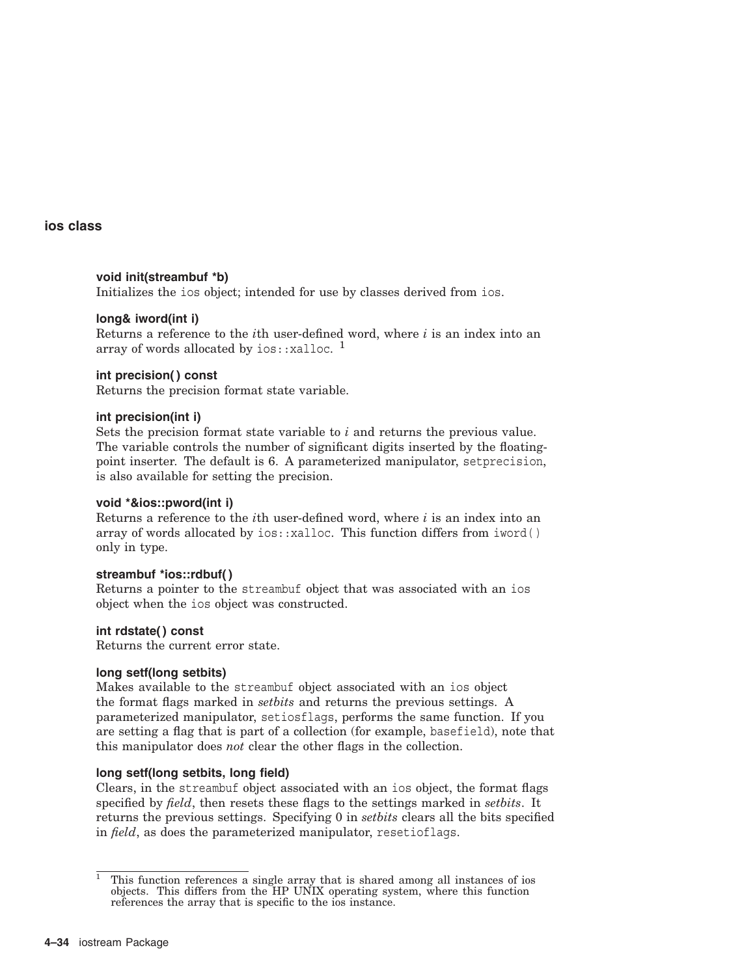### **void init(streambuf \*b)**

Initializes the ios object; intended for use by classes derived from ios.

## **long& iword(int i)**

Returns a reference to the *i*th user-defined word, where *i* is an index into an array of words allocated by  $ios::x$ alloc. <sup>1</sup>

### **int precision( ) const**

Returns the precision format state variable.

### **int precision(int i)**

Sets the precision format state variable to *i* and returns the previous value. The variable controls the number of significant digits inserted by the floatingpoint inserter. The default is 6. A parameterized manipulator, setprecision, is also available for setting the precision.

### **void \*&ios::pword(int i)**

Returns a reference to the *i*th user-defined word, where *i* is an index into an array of words allocated by ios::xalloc. This function differs from iword( ) only in type.

### **streambuf \*ios::rdbuf( )**

Returns a pointer to the streambuf object that was associated with an ios object when the ios object was constructed.

### **int rdstate( ) const**

Returns the current error state.

### **long setf(long setbits)**

Makes available to the streambuf object associated with an ios object the format flags marked in *setbits* and returns the previous settings. A parameterized manipulator, setiosflags, performs the same function. If you are setting a flag that is part of a collection (for example, basefield), note that this manipulator does *not* clear the other flags in the collection.

### **long setf(long setbits, long field)**

Clears, in the streambuf object associated with an ios object, the format flags specified by *field*, then resets these flags to the settings marked in *setbits*. It returns the previous settings. Specifying 0 in *setbits* clears all the bits specified in *field*, as does the parameterized manipulator, resetioflags.

 $1$  This function references a single array that is shared among all instances of ios objects. This differs from the HP UNIX operating system, where this function references the array that is specific to the ios instance.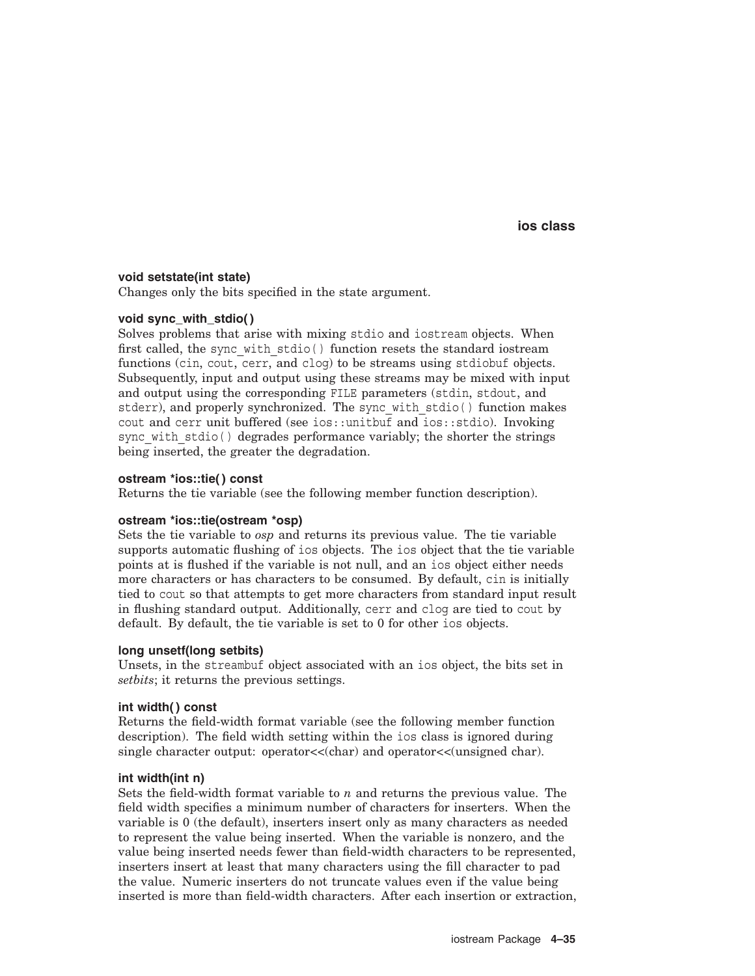### **void setstate(int state)**

Changes only the bits specified in the state argument.

### **void sync\_with\_stdio( )**

Solves problems that arise with mixing stdio and iostream objects. When first called, the sync with  $stdi\circ()$  function resets the standard iostream functions (cin, cout, cerr, and clog) to be streams using stdiobuf objects. Subsequently, input and output using these streams may be mixed with input and output using the corresponding FILE parameters (stdin, stdout, and stderr), and properly synchronized. The sync with stdio() function makes cout and cerr unit buffered (see ios::unitbut and ios::stdio). Invoking sync with stdio() degrades performance variably; the shorter the strings being inserted, the greater the degradation.

### **ostream \*ios::tie( ) const**

Returns the tie variable (see the following member function description).

### **ostream \*ios::tie(ostream \*osp)**

Sets the tie variable to *osp* and returns its previous value. The tie variable supports automatic flushing of ios objects. The ios object that the tie variable points at is flushed if the variable is not null, and an ios object either needs more characters or has characters to be consumed. By default, cin is initially tied to cout so that attempts to get more characters from standard input result in flushing standard output. Additionally, cerr and clog are tied to cout by default. By default, the tie variable is set to 0 for other ios objects.

#### **long unsetf(long setbits)**

Unsets, in the streambuf object associated with an ios object, the bits set in *setbits*; it returns the previous settings.

#### **int width( ) const**

Returns the field-width format variable (see the following member function description). The field width setting within the ios class is ignored during single character output: operator<<(char) and operator<<(unsigned char).

#### **int width(int n)**

Sets the field-width format variable to *n* and returns the previous value. The field width specifies a minimum number of characters for inserters. When the variable is 0 (the default), inserters insert only as many characters as needed to represent the value being inserted. When the variable is nonzero, and the value being inserted needs fewer than field-width characters to be represented, inserters insert at least that many characters using the fill character to pad the value. Numeric inserters do not truncate values even if the value being inserted is more than field-width characters. After each insertion or extraction,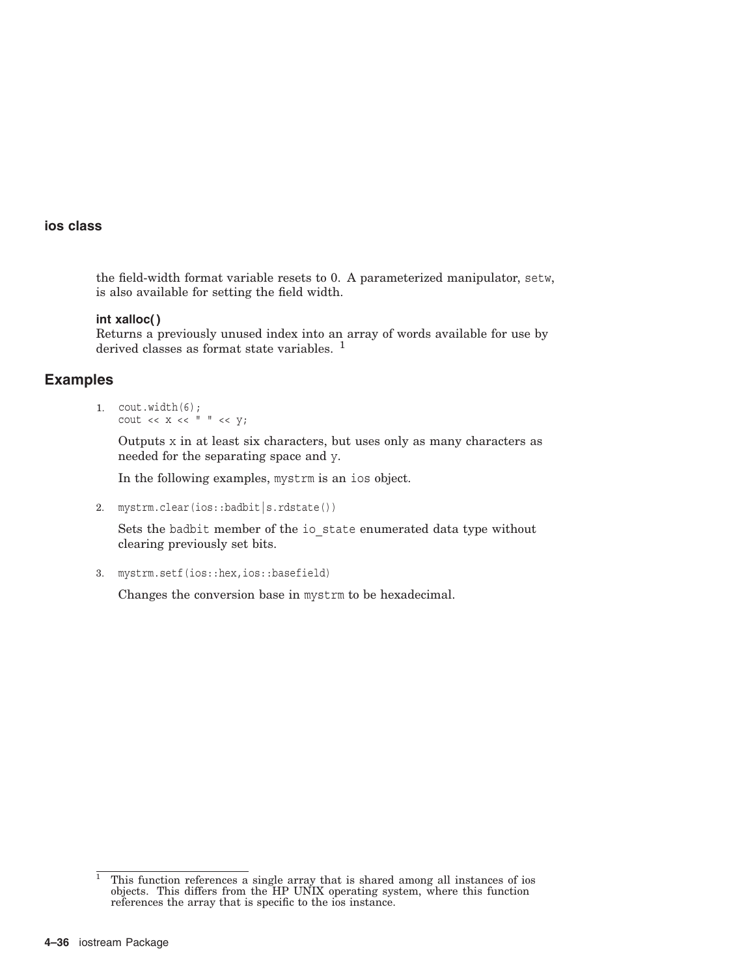the field-width format variable resets to 0. A parameterized manipulator, setw, is also available for setting the field width.

### **int xalloc( )**

Returns a previously unused index into an array of words available for use by derived classes as format state variables.<sup>1</sup>

## **Examples**

#### 1. cout.width(6); cout  $<< x << " " << y;$

Outputs x in at least six characters, but uses only as many characters as needed for the separating space and y.

In the following examples, mystrm is an ios object.

2. mystrm.clear(ios::badbit|s.rdstate())

Sets the badbit member of the io state enumerated data type without clearing previously set bits.

3. mystrm.setf(ios::hex,ios::basefield)

Changes the conversion base in mystrm to be hexadecimal.

 $1$  This function references a single array that is shared among all instances of ios objects. This differs from the HP UNIX operating system, where this function references the array that is specific to the ios instance.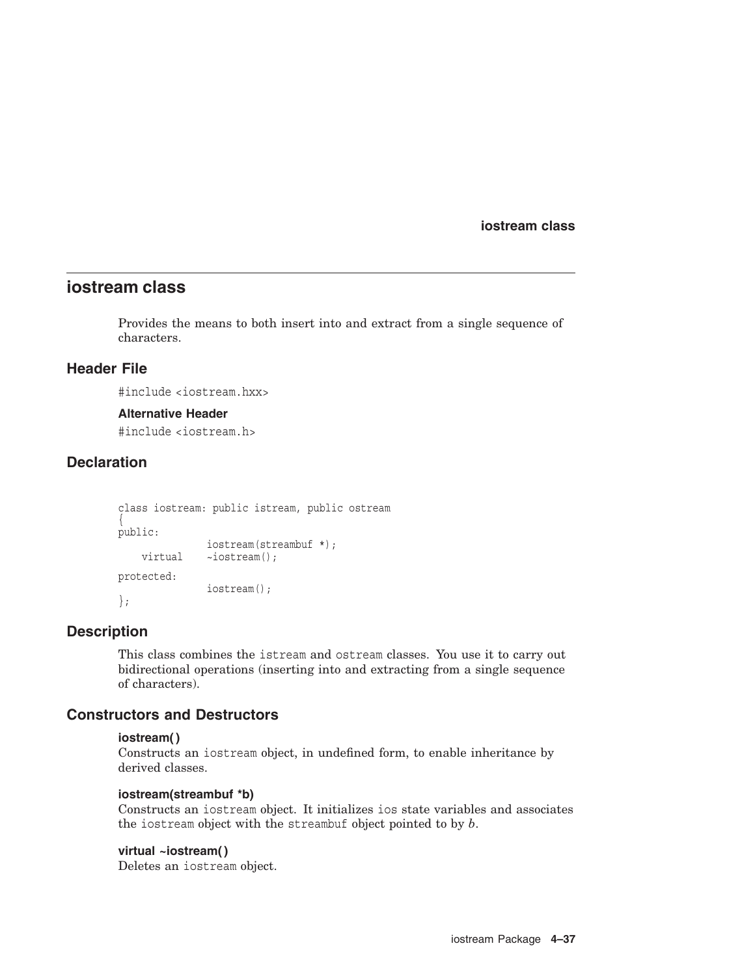**iostream class**

# **iostream class**

Provides the means to both insert into and extract from a single sequence of characters.

## **Header File**

#include <iostream.hxx>

#### **Alternative Header**

#include <iostream.h>

## **Declaration**

```
class iostream: public istream, public ostream
\{public:
              iostream(streambuf *);
   virtual ~iostream();
protected:
              iostream();
};
```
## **Description**

This class combines the istream and ostream classes. You use it to carry out bidirectional operations (inserting into and extracting from a single sequence of characters).

## **Constructors and Destructors**

### **iostream( )**

Constructs an iostream object, in undefined form, to enable inheritance by derived classes.

#### **iostream(streambuf \*b)**

Constructs an iostream object. It initializes ios state variables and associates the iostream object with the streambuf object pointed to by *b*.

### **virtual ~iostream( )**

Deletes an iostream object.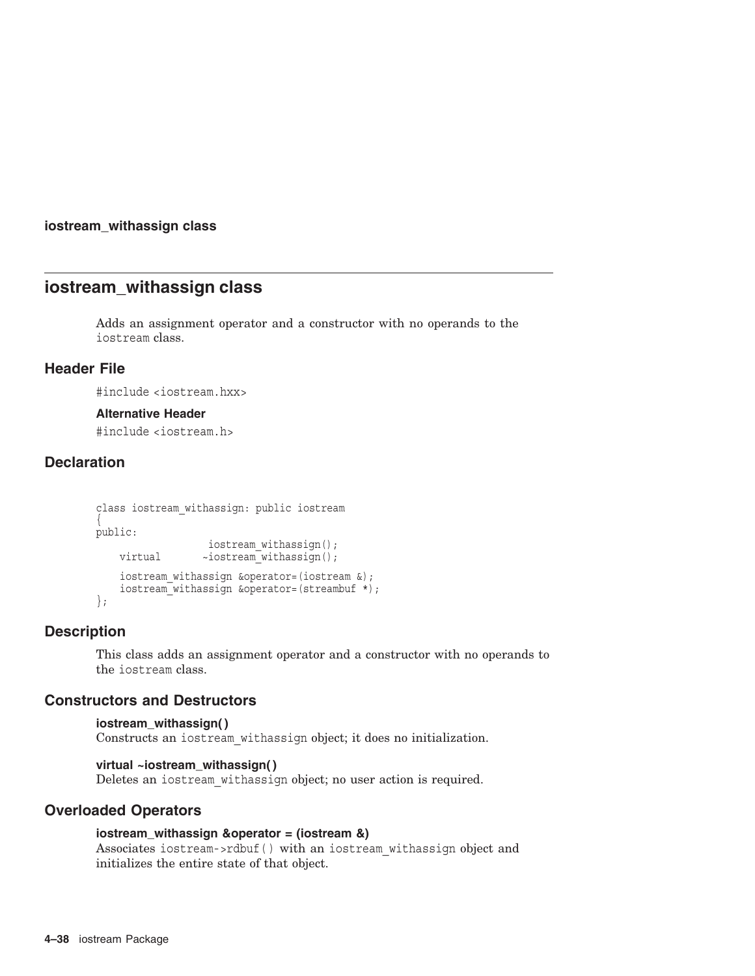### **iostream\_withassign class**

# **iostream\_withassign class**

Adds an assignment operator and a constructor with no operands to the iostream class.

## **Header File**

#include <iostream.hxx>

### **Alternative Header**

#include <iostream.h>

## **Declaration**

```
class iostream_withassign: public iostream
\{public:
                  iostream withassign();
   virtual ~iostream_withassign();
   iostream withassign &operator=(iostream &);
   iostream_withassign &operator=(streambuf *); };
```
## **Description**

This class adds an assignment operator and a constructor with no operands to the iostream class.

## **Constructors and Destructors**

```
iostream_withassign( )
Constructs an iostream_withassign object; it does no initialization.
```
## **virtual ~iostream\_withassign( )**

Deletes an iostream\_withassign object; no user action is required.

## **Overloaded Operators**

## **iostream\_withassign &operator = (iostream &)**

Associates iostream->rdbuf( ) with an iostream\_withassign object and initializes the entire state of that object.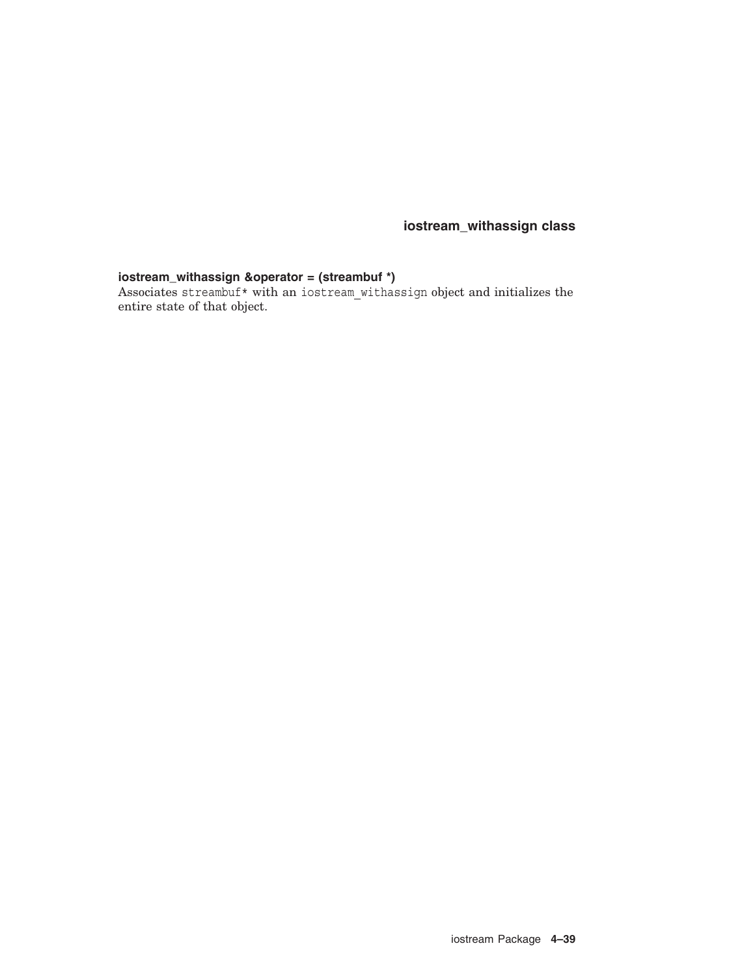**iostream\_withassign class**

## **iostream\_withassign &operator = (streambuf \*)**

Associates streambuf\* with an iostream\_withassign object and initializes the entire state of that object.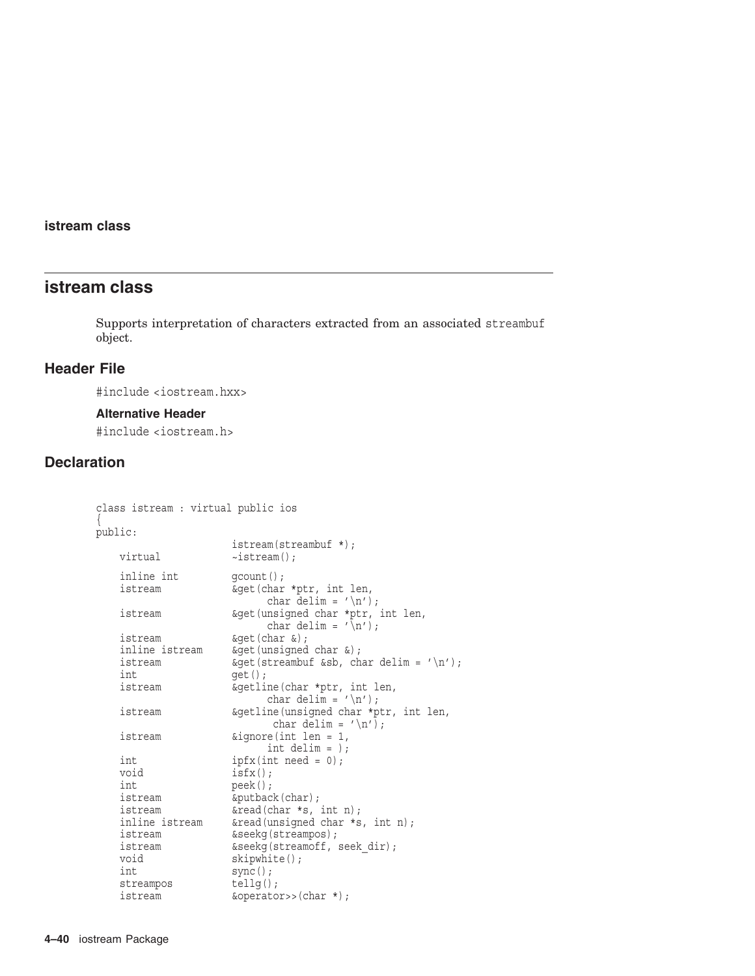# **istream class**

Supports interpretation of characters extracted from an associated streambuf object.

# **Header File**

#include <iostream.hxx>

## **Alternative Header**

#include <iostream.h>

# **Declaration**

| class istream : virtual public ios |  |                                                                                 |
|------------------------------------|--|---------------------------------------------------------------------------------|
| public:                            |  |                                                                                 |
|                                    |  | $\text{istream}(\text{streambut }*)$ ;                                          |
| virtual                            |  | $\sim$ istream $()$ ;                                                           |
| inline int                         |  | $qcount()$ ;                                                                    |
| istream                            |  | &get(char *ptr, int len,<br>char delim = $'\n\langle n' \rangle$ ;              |
| istream                            |  | &get (unsigned char *ptr, int len,<br>char delim = $\langle \n\rangle$ n');     |
| istream                            |  | $\&$ qet(char $\&$ );                                                           |
| inline istream                     |  | $\&$ qet(unsiqned char $\&$ );                                                  |
| istream                            |  | $\&$ qet(streambuf &sb, char delim = '\n');                                     |
| int                                |  | $qet()$ ;                                                                       |
| istream                            |  | &getline(char *ptr, int len,                                                    |
| istream                            |  | &getline(unsigned char *ptr, int len,<br>char delim = $'\n\langle n' \rangle$ ; |
| istream                            |  | $\text{\&{}ignore(int len = 1,$<br>int delim = $)$ ;                            |
| int                                |  | $ipfx(int need = 0);$                                                           |
| void                               |  | $isfx()$ ;                                                                      |
| int                                |  | $\text{peak}()$ ;                                                               |
| istream                            |  | &putback(char);                                                                 |
| istream                            |  | $\&$ read(char *s, int n);                                                      |
| inline istream                     |  | &read(unsigned char *s, int n);                                                 |
| istream                            |  | &seekg(streampos);                                                              |
| istream                            |  | &seekg(streamoff, seek dir);                                                    |
| void                               |  | skipwhite();                                                                    |
| int                                |  | $sync()$ ;                                                                      |
| streampos                          |  | $tellq()$ ;                                                                     |
| istream                            |  | &operator>>(char *);                                                            |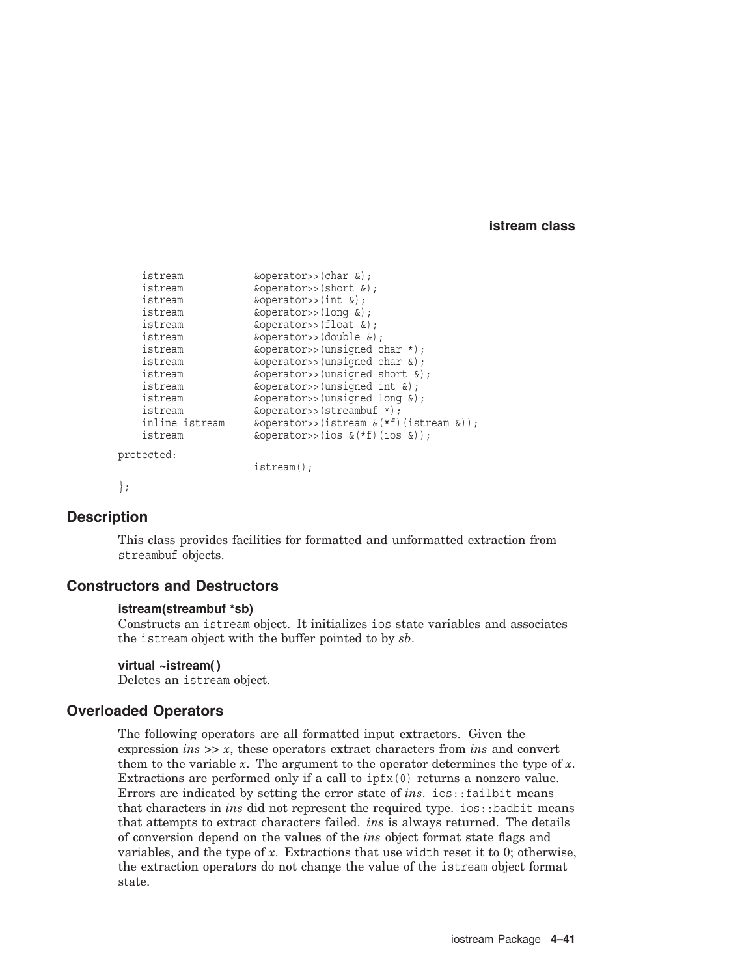```
istream \&\text{operator}>>(char \&);
    istream \&\text{operator}>>(short \&);
    istream \&\text{operator}>>(\text{int }&);istream &operator>>(long &);
    istream &operator>>(float &);
    istream &operator>>(double &);
    istream &operator>>(unsigned char *);
   istream \&\text{operator}>> (unsigned char \&\text{)};
   istream \& operator>>(unsigned short \&);
   istream \&operatorname{operator} \&operatorname{operator} \&operatorname{operator} \&\text{int } \&\text{;}istream &\text{coperators}>(\text{unsigned long }&);istream \&overline{\text{operators}}>(streambuf *);
    inline istream \& operator>>(istream \&(*f)(istream \&));
    istream &operator>>(ios &(*f)(ios &));
protected:
                       istream();
};
```
# **Description**

This class provides facilities for formatted and unformatted extraction from streambuf objects.

## **Constructors and Destructors**

### **istream(streambuf \*sb)**

Constructs an istream object. It initializes ios state variables and associates the istream object with the buffer pointed to by *sb*.

### **virtual ~istream( )**

Deletes an istream object.

## **Overloaded Operators**

The following operators are all formatted input extractors. Given the expression *ins* >> *x*, these operators extract characters from *ins* and convert them to the variable *x*. The argument to the operator determines the type of *x*. Extractions are performed only if a call to  $ipfx(0)$  returns a nonzero value. Errors are indicated by setting the error state of *ins*. ios::failbit means that characters in *ins* did not represent the required type. ios::badbit means that attempts to extract characters failed. *ins* is always returned. The details of conversion depend on the values of the *ins* object format state flags and variables, and the type of *x*. Extractions that use width reset it to 0; otherwise, the extraction operators do not change the value of the istream object format state.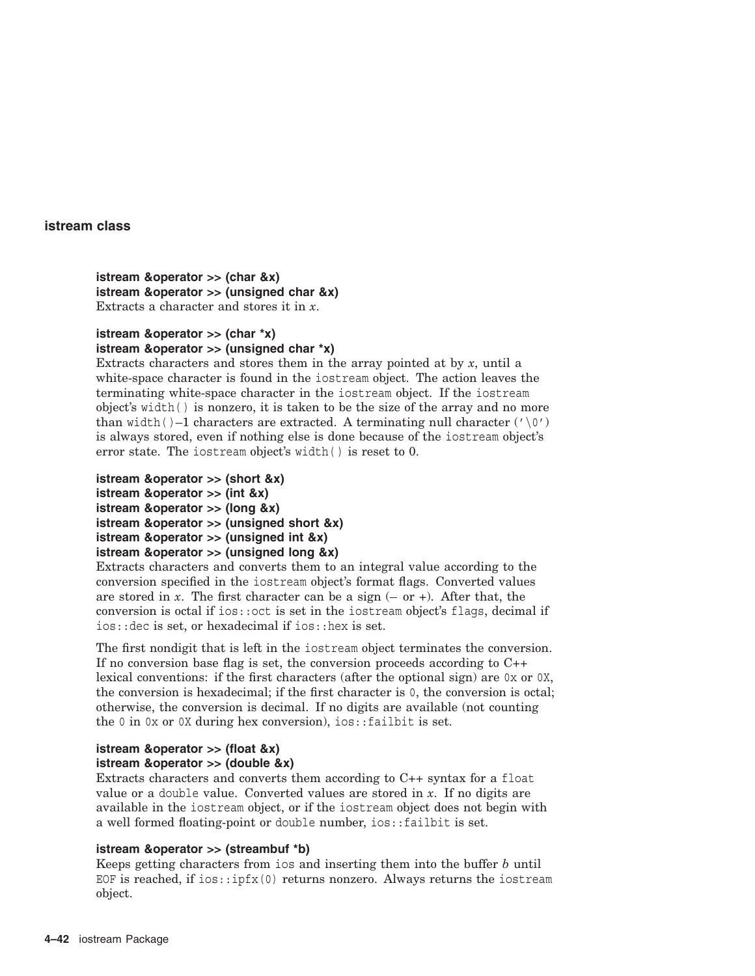**istream &operator >> (char &x) istream &operator >> (unsigned char &x)** Extracts a character and stores it in *x*.

# **istream &operator >> (char \*x)**

## **istream &operator >> (unsigned char \*x)**

Extracts characters and stores them in the array pointed at by *x*, until a white-space character is found in the iostream object. The action leaves the terminating white-space character in the iostream object. If the iostream object's width( ) is nonzero, it is taken to be the size of the array and no more than width( $)$ –1 characters are extracted. A terminating null character  $('\n\circ')$ is always stored, even if nothing else is done because of the iostream object's error state. The iostream object's width( ) is reset to 0.

- **istream &operator >> (short &x)**
- **istream &operator >> (int &x)**
- **istream &operator >> (long &x)**
- **istream &operator >> (unsigned short &x)**
- **istream &operator >> (unsigned int &x)**
- **istream &operator >> (unsigned long &x)**

Extracts characters and converts them to an integral value according to the conversion specified in the iostream object's format flags. Converted values are stored in  $x$ . The first character can be a sign  $(-$  or  $+$ ). After that, the conversion is octal if ios::oct is set in the iostream object's flags, decimal if ios::dec is set, or hexadecimal if ios::hex is set.

The first nondigit that is left in the iostream object terminates the conversion. If no conversion base flag is set, the conversion proceeds according to C++ lexical conventions: if the first characters (after the optional sign) are 0x or 0X, the conversion is hexadecimal; if the first character is 0, the conversion is octal; otherwise, the conversion is decimal. If no digits are available (not counting the 0 in 0x or 0X during hex conversion), ios::failbit is set.

## **istream &operator >> (float &x) istream &operator >> (double &x)**

Extracts characters and converts them according to C++ syntax for a float value or a double value. Converted values are stored in *x*. If no digits are available in the iostream object, or if the iostream object does not begin with a well formed floating-point or double number, ios::failbit is set.

## **istream &operator >> (streambuf \*b)**

Keeps getting characters from ios and inserting them into the buffer *b* until EOF is reached, if  $ios::ipfx(0)$  returns nonzero. Always returns the iostream object.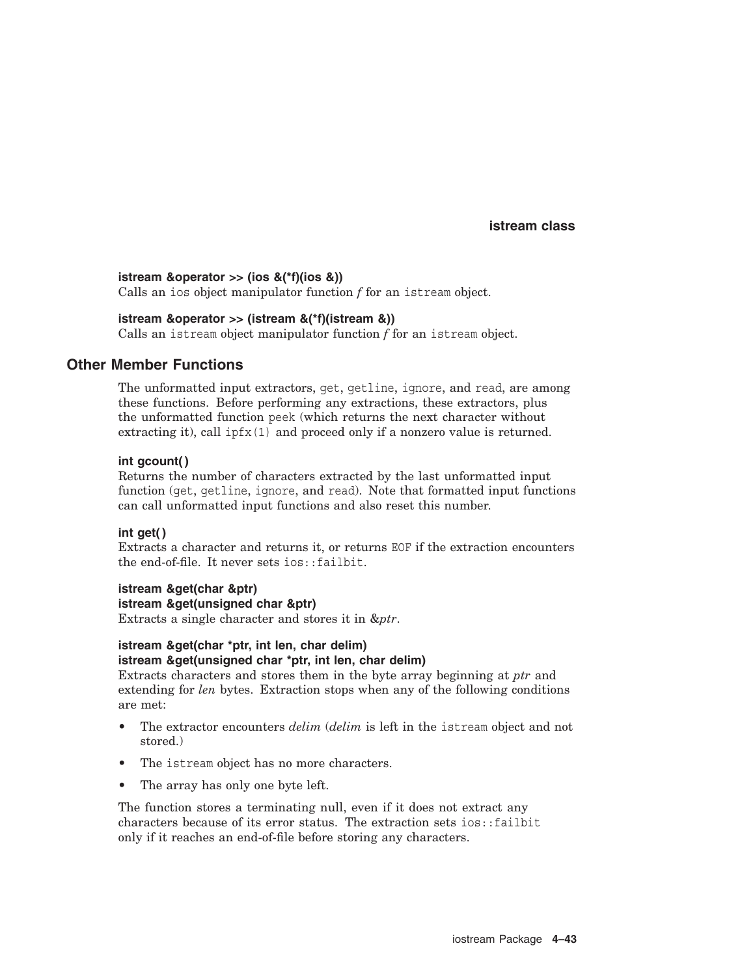## **istream &operator >> (ios &(\*f)(ios &))**

Calls an ios object manipulator function *f* for an istream object.

## **istream &operator >> (istream &(\*f)(istream &))**

Calls an istream object manipulator function *f* for an istream object.

## **Other Member Functions**

The unformatted input extractors, get, getline, ignore, and read, are among these functions. Before performing any extractions, these extractors, plus the unformatted function peek (which returns the next character without extracting it), call ipfx(1) and proceed only if a nonzero value is returned.

## **int gcount( )**

Returns the number of characters extracted by the last unformatted input function (get, getline, ignore, and read). Note that formatted input functions can call unformatted input functions and also reset this number.

## **int get( )**

Extracts a character and returns it, or returns EOF if the extraction encounters the end-of-file. It never sets ios::failbit.

## **istream &get(char &ptr)**

**istream &get(unsigned char &ptr)** Extracts a single character and stores it in &*ptr*.

## **istream &get(char \*ptr, int len, char delim) istream &get(unsigned char \*ptr, int len, char delim)**

Extracts characters and stores them in the byte array beginning at *ptr* and extending for *len* bytes. Extraction stops when any of the following conditions are met:

- The extractor encounters *delim* (*delim* is left in the istream object and not stored.)
- The istream object has no more characters.
- The array has only one byte left.

The function stores a terminating null, even if it does not extract any characters because of its error status. The extraction sets ios::failbit only if it reaches an end-of-file before storing any characters.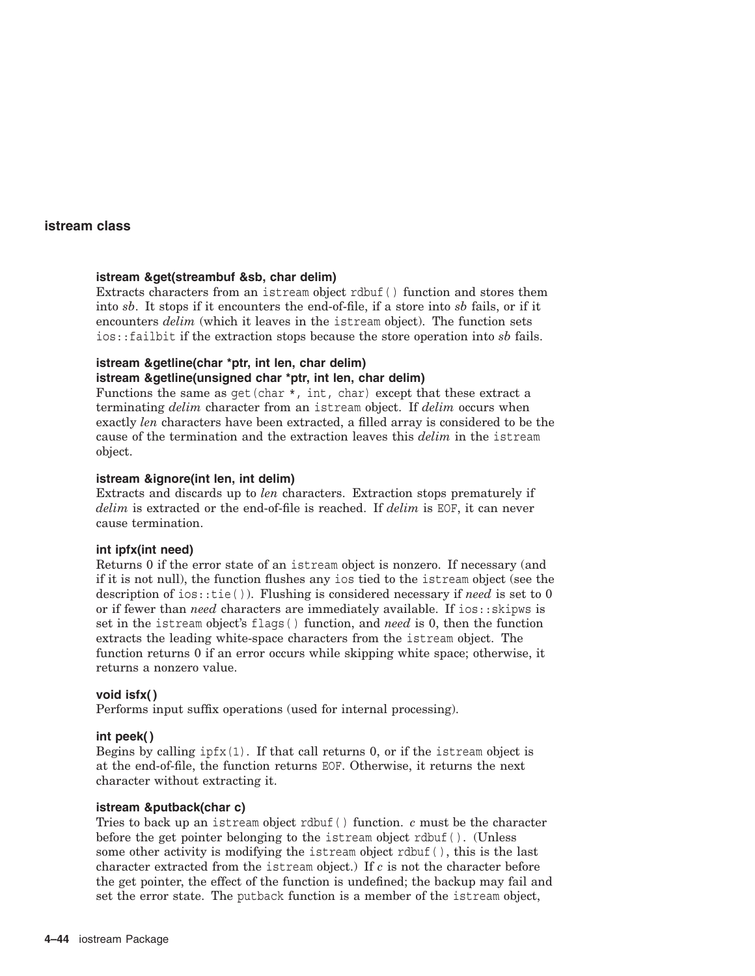## **istream &get(streambuf &sb, char delim)**

Extracts characters from an istream object rdbuf( ) function and stores them into *sb*. It stops if it encounters the end-of-file, if a store into *sb* fails, or if it encounters *delim* (which it leaves in the istream object). The function sets ios::failbit if the extraction stops because the store operation into *sb* fails.

# **istream &getline(char \*ptr, int len, char delim)**

## **istream &getline(unsigned char \*ptr, int len, char delim)**

Functions the same as  $qet(char *, int, char)$  except that these extract a terminating *delim* character from an istream object. If *delim* occurs when exactly *len* characters have been extracted, a filled array is considered to be the cause of the termination and the extraction leaves this *delim* in the istream object.

### **istream &ignore(int len, int delim)**

Extracts and discards up to *len* characters. Extraction stops prematurely if *delim* is extracted or the end-of-file is reached. If *delim* is EOF, it can never cause termination.

## **int ipfx(int need)**

Returns 0 if the error state of an istream object is nonzero. If necessary (and if it is not null), the function flushes any ios tied to the istream object (see the description of ios::tie( )). Flushing is considered necessary if *need* is set to 0 or if fewer than *need* characters are immediately available. If ios::skipws is set in the istream object's flags( ) function, and *need* is 0, then the function extracts the leading white-space characters from the istream object. The function returns 0 if an error occurs while skipping white space; otherwise, it returns a nonzero value.

### **void isfx( )**

Performs input suffix operations (used for internal processing).

### **int peek( )**

Begins by calling  $ipfx(1)$ . If that call returns 0, or if the istream object is at the end-of-file, the function returns EOF. Otherwise, it returns the next character without extracting it.

### **istream &putback(char c)**

Tries to back up an istream object rdbuf( ) function. *c* must be the character before the get pointer belonging to the istream object rdbuf( ). (Unless some other activity is modifying the istream object rdbuf( ), this is the last character extracted from the istream object.) If *c* is not the character before the get pointer, the effect of the function is undefined; the backup may fail and set the error state. The putback function is a member of the istream object,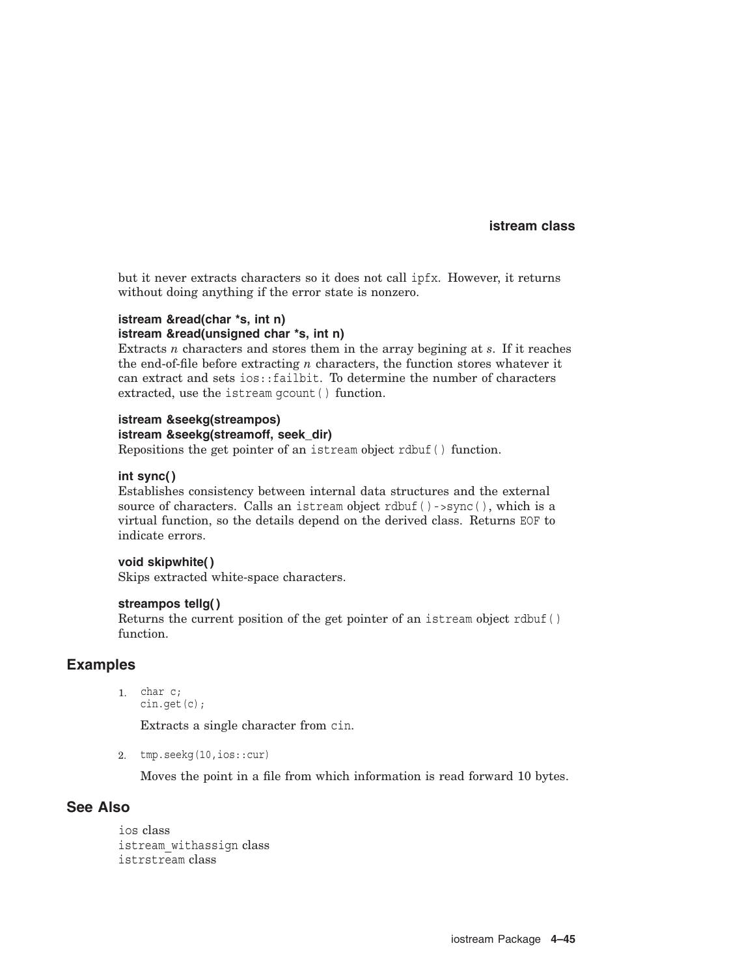but it never extracts characters so it does not call ipfx. However, it returns without doing anything if the error state is nonzero.

### **istream &read(char \*s, int n) istream &read(unsigned char \*s, int n)**

Extracts *n* characters and stores them in the array begining at *s*. If it reaches the end-of-file before extracting *n* characters, the function stores whatever it can extract and sets ios::failbit. To determine the number of characters extracted, use the istream gcount ( ) function.

### **istream &seekg(streampos) istream &seekg(streamoff, seek\_dir)**

Repositions the get pointer of an istream object rdbuf( ) function.

## **int sync( )**

Establishes consistency between internal data structures and the external source of characters. Calls an istream object rdbuf ()->sync(), which is a virtual function, so the details depend on the derived class. Returns EOF to indicate errors.

## **void skipwhite( )**

Skips extracted white-space characters.

## **streampos tellg( )**

Returns the current position of the get pointer of an istream object rdbuf( ) function.

# **Examples**

1. char c; cin.get(c);

Extracts a single character from cin.

2. tmp.seekg(10,ios::cur)

Moves the point in a file from which information is read forward 10 bytes.

# **See Also**

ios class istream\_withassign class istrstream class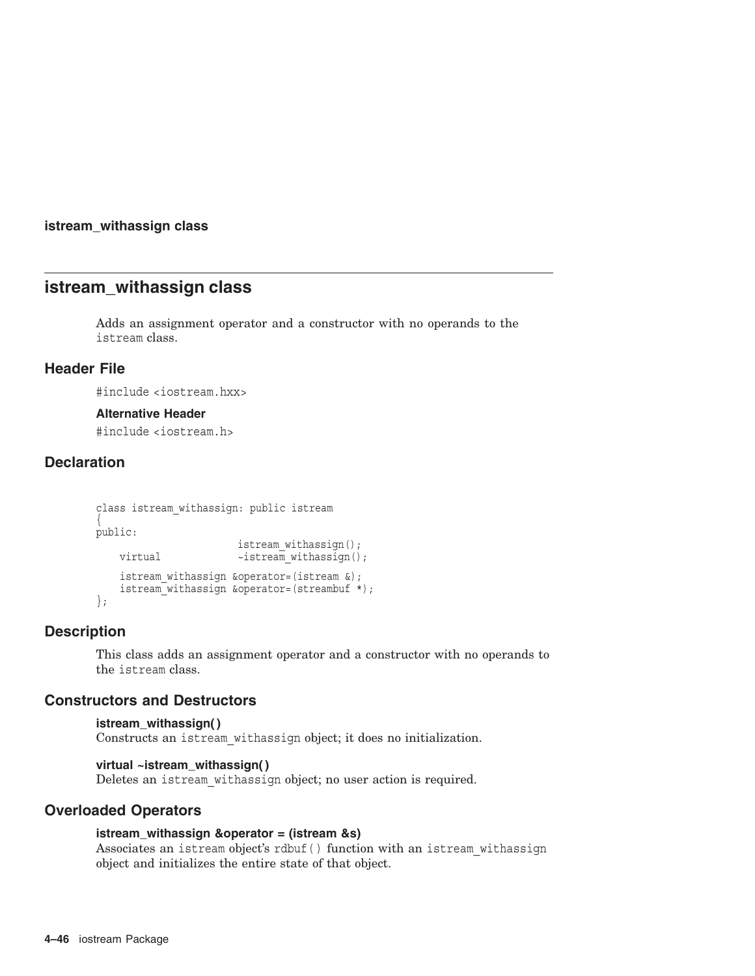## **istream\_withassign class**

# **istream\_withassign class**

Adds an assignment operator and a constructor with no operands to the istream class.

## **Header File**

#include <iostream.hxx>

## **Alternative Header**

#include <iostream.h>

# **Declaration**

```
class istream_withassign: public istream
{
public:
                        istream withassign();
   virtual ~istream withassign();
   istream_withassign &operator=(istream &);
   istream<sup>-</sup>withassign &operator=(streambuf *);
};
```
## **Description**

This class adds an assignment operator and a constructor with no operands to the istream class.

## **Constructors and Destructors**

```
istream_withassign( )
Constructs an istream_withassign object; it does no initialization.
```
## **virtual ~istream\_withassign( )**

Deletes an istream\_withassign object; no user action is required.

## **Overloaded Operators**

## **istream\_withassign &operator = (istream &s)**

Associates an istream object's rdbuf () function with an istream withassign object and initializes the entire state of that object.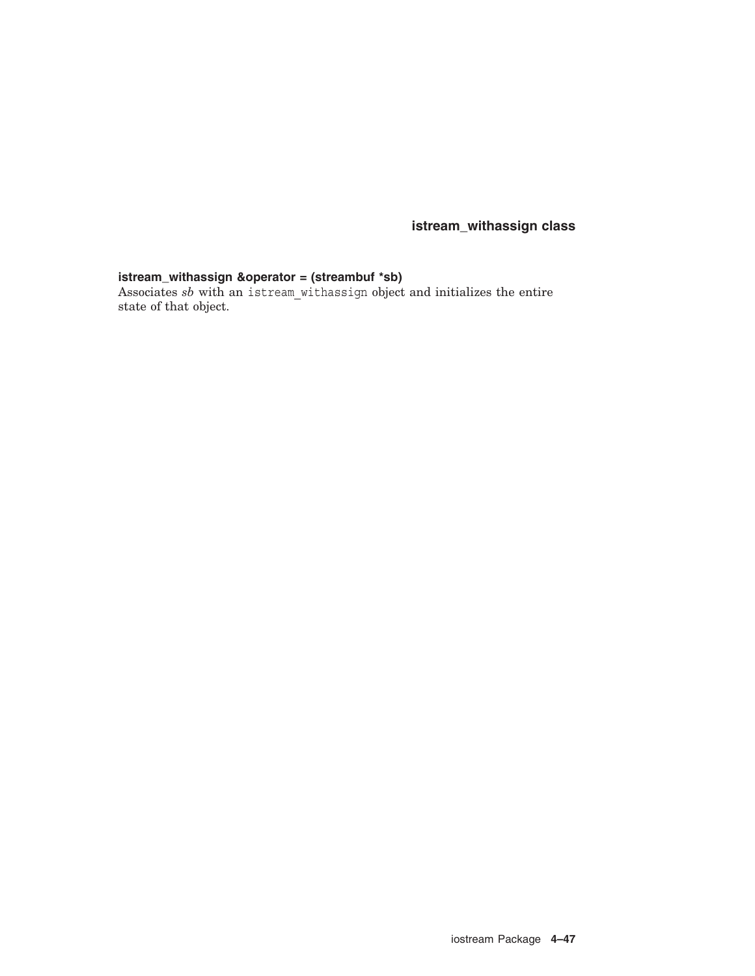**istream\_withassign class**

## **istream\_withassign &operator = (streambuf \*sb)**

Associates *sb* with an istream\_withassign object and initializes the entire state of that object.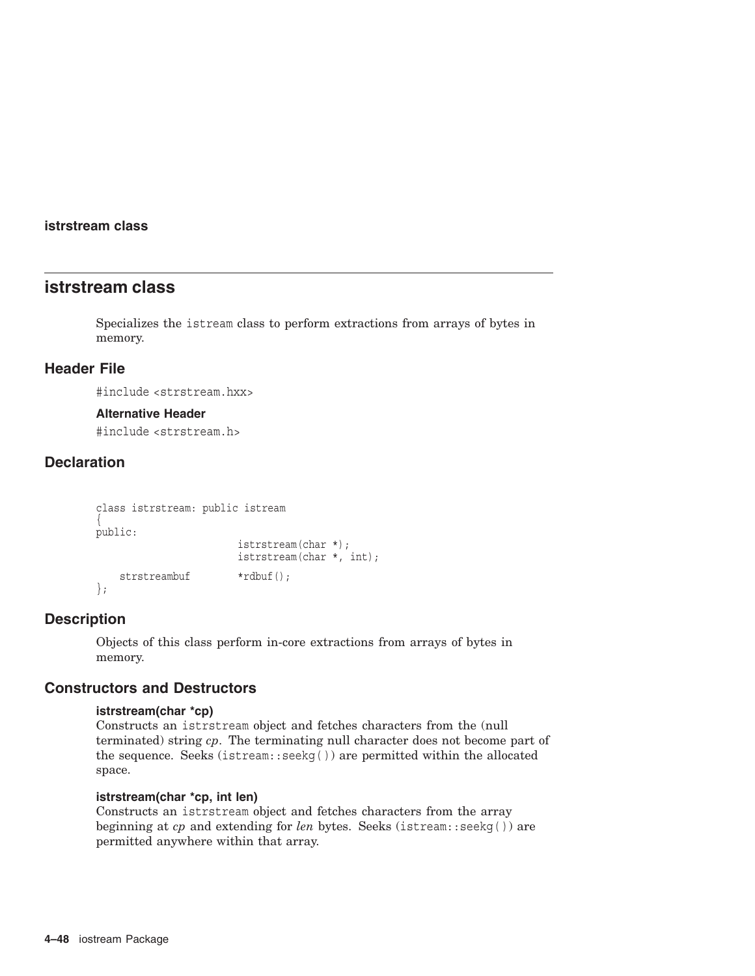## **istrstream class**

# **istrstream class**

Specializes the istream class to perform extractions from arrays of bytes in memory.

# **Header File**

#include <strstream.hxx>

### **Alternative Header**

#include <strstream.h>

# **Declaration**

```
class istrstream: public istream
{
public:
                       istrstream(char *);
                       istrstream(char *, int);
   strstreambuf *rdbuf();
};
```
## **Description**

Objects of this class perform in-core extractions from arrays of bytes in memory.

# **Constructors and Destructors**

## **istrstream(char \*cp)**

Constructs an istrstream object and fetches characters from the (null terminated) string *cp*. The terminating null character does not become part of the sequence. Seeks (istream::seekg( )) are permitted within the allocated space.

# **istrstream(char \*cp, int len)**

Constructs an istrstream object and fetches characters from the array beginning at *cp* and extending for *len* bytes. Seeks (istream::seekg( )) are permitted anywhere within that array.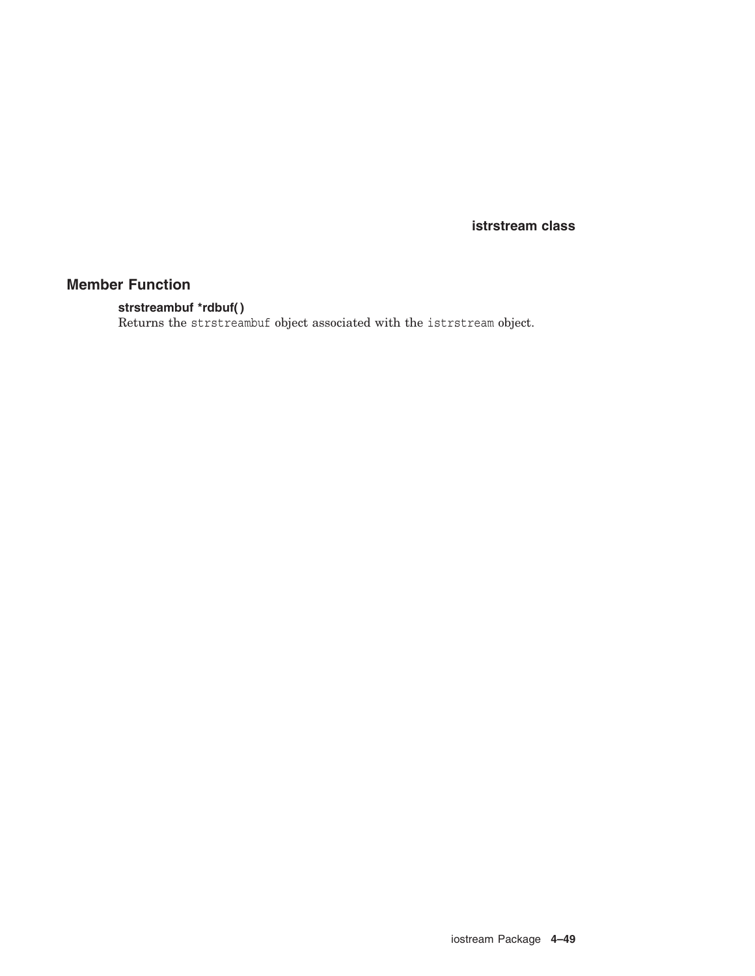**istrstream class**

# **Member Function**

## **strstreambuf \*rdbuf( )**

Returns the strstreambuf object associated with the istrstream object.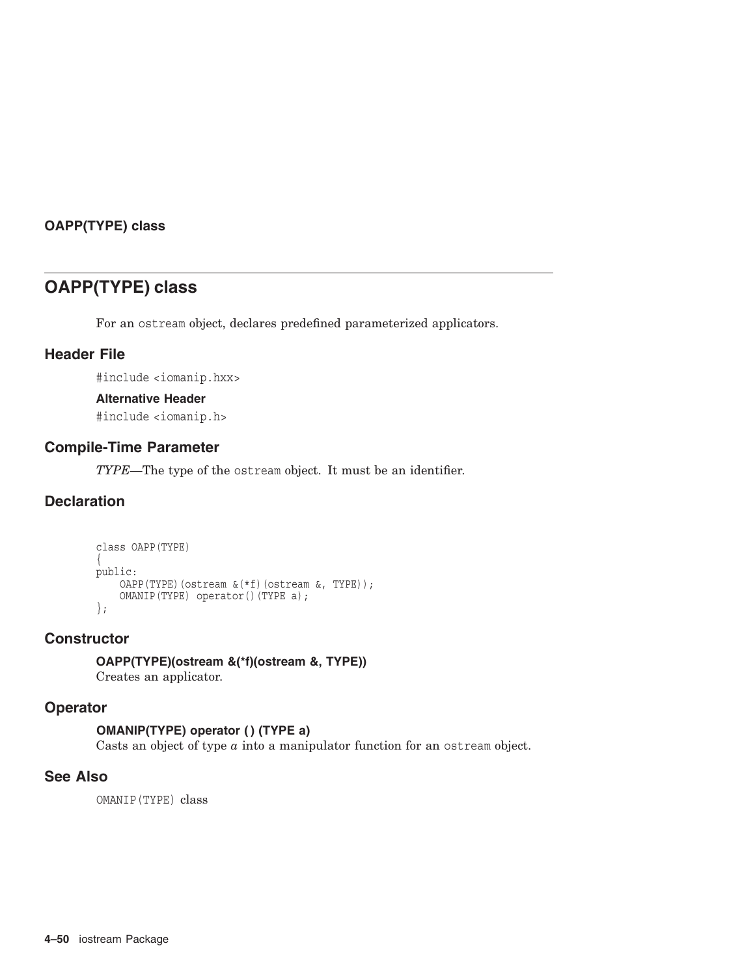# **OAPP(TYPE) class**

# **OAPP(TYPE) class**

For an ostream object, declares predefined parameterized applicators.

# **Header File**

#include <iomanip.hxx>

## **Alternative Header**

#include <iomanip.h>

# **Compile-Time Parameter**

*TYPE*—The type of the ostream object. It must be an identifier.

# **Declaration**

```
class OAPP(TYPE)
{
public:
   OAPP(TYPE)(ostream \&(*f)(ostream \&, TYPE));
    OMANIP(TYPE) operator()(TYPE a);
};
```
## **Constructor**

**OAPP(TYPE)(ostream &(\*f)(ostream &, TYPE))** Creates an applicator.

# **Operator**

## **OMANIP(TYPE) operator ( ) (TYPE a)**

Casts an object of type *a* into a manipulator function for an ostream object.

# **See Also**

OMANIP(TYPE) class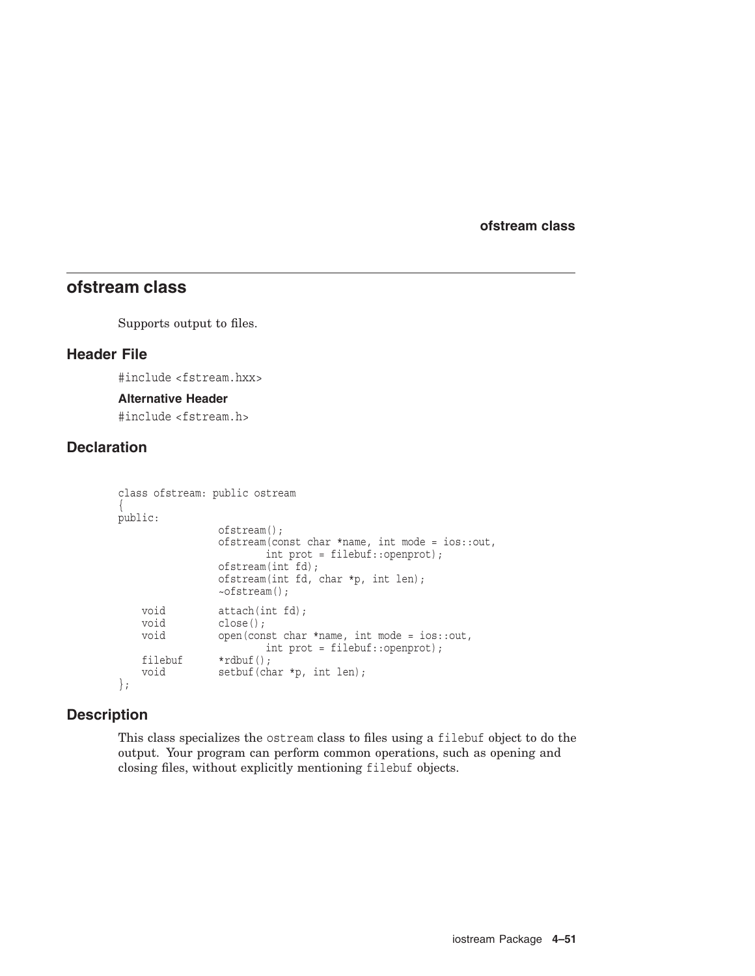# **ofstream class**

Supports output to files.

## **Header File**

#include <fstream.hxx>

## **Alternative Header**

#include <fstream.h>

# **Declaration**

```
class ofstream: public ostream
{
public:
                 ofstream();
                 ofstream(const char *name, int mode = ios::out,
                          int prot = filebuf::openprot);
                  ofstream(int fd);
                  ofstream(int fd, char *p, int len);
                 ~ofstream();
    void attach(int fd);<br>void close();
                 close();
    void open(const char *name, int mode = ios::out,
                         int prot = filebuf::openprot);
    filebuf *rdbuf();<br>void setbuf(ch;
                 setbuf(char *p, int len);
};
```
## **Description**

This class specializes the ostream class to files using a filebuf object to do the output. Your program can perform common operations, such as opening and closing files, without explicitly mentioning filebuf objects.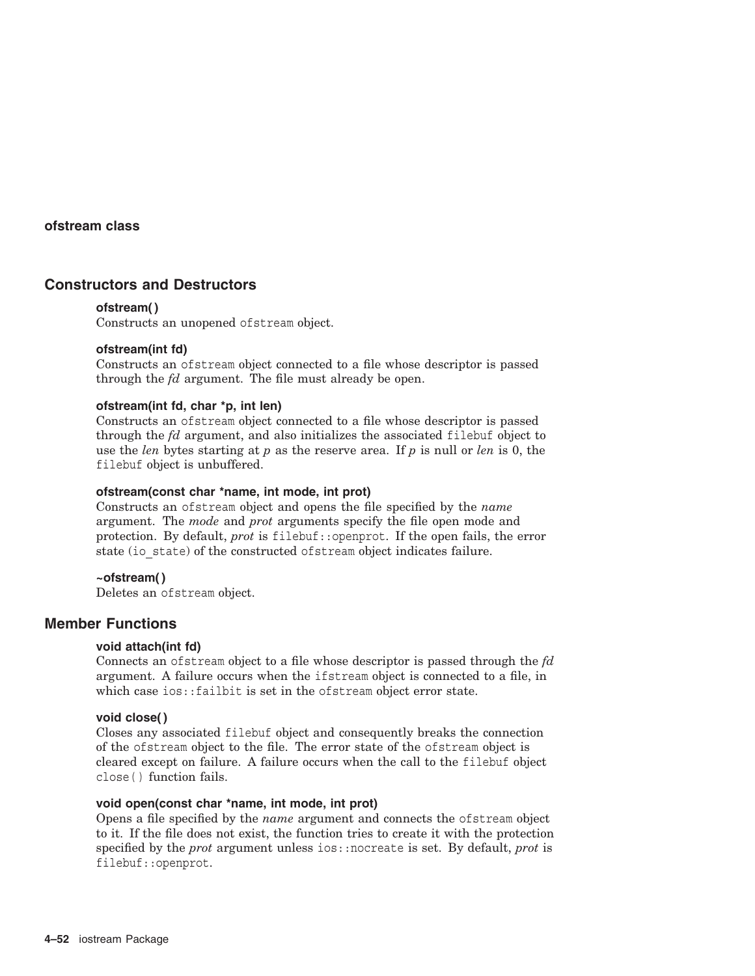# **Constructors and Destructors**

### **ofstream( )**

Constructs an unopened ofstream object.

## **ofstream(int fd)**

Constructs an ofstream object connected to a file whose descriptor is passed through the *fd* argument. The file must already be open.

### **ofstream(int fd, char \*p, int len)**

Constructs an ofstream object connected to a file whose descriptor is passed through the *fd* argument, and also initializes the associated filebuf object to use the *len* bytes starting at *p* as the reserve area. If *p* is null or *len* is 0, the filebuf object is unbuffered.

## **ofstream(const char \*name, int mode, int prot)**

Constructs an ofstream object and opens the file specified by the *name* argument. The *mode* and *prot* arguments specify the file open mode and protection. By default, *prot* is filebuf::openprot. If the open fails, the error state (io state) of the constructed of stream object indicates failure.

## **~ofstream( )**

Deletes an ofstream object.

## **Member Functions**

### **void attach(int fd)**

Connects an ofstream object to a file whose descriptor is passed through the *fd* argument. A failure occurs when the ifstream object is connected to a file, in which case ios::failbit is set in the ofstream object error state.

### **void close( )**

Closes any associated filebuf object and consequently breaks the connection of the ofstream object to the file. The error state of the ofstream object is cleared except on failure. A failure occurs when the call to the filebuf object close( ) function fails.

### **void open(const char \*name, int mode, int prot)**

Opens a file specified by the *name* argument and connects the ofstream object to it. If the file does not exist, the function tries to create it with the protection specified by the *prot* argument unless ios::nocreate is set. By default, *prot* is filebuf::openprot.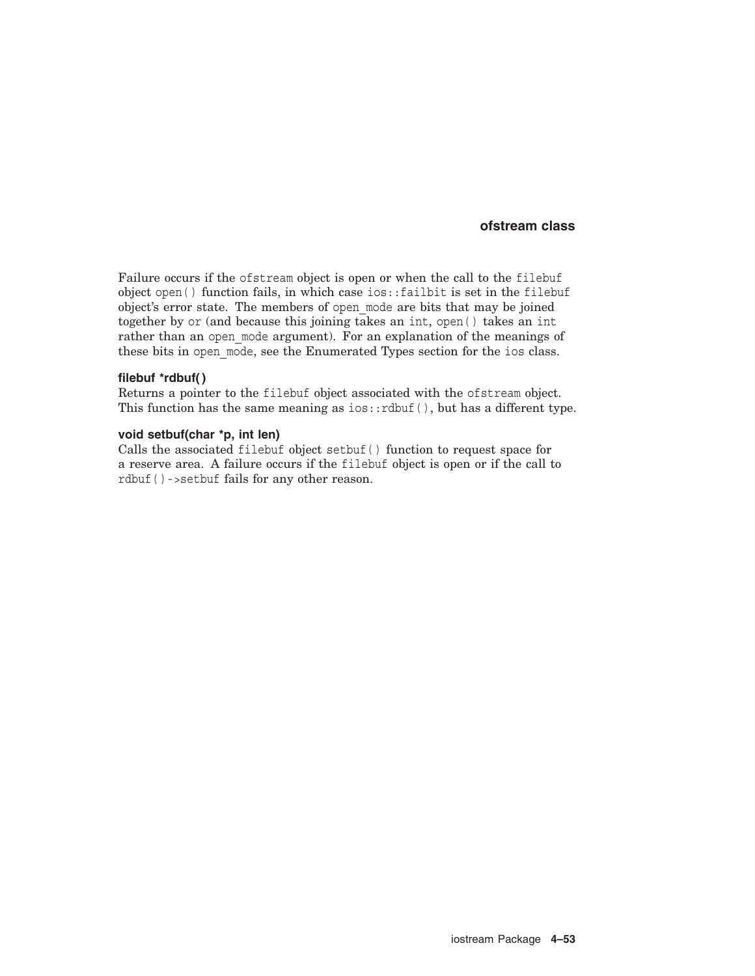Failure occurs if the ofstream object is open or when the call to the filebuf object open( ) function fails, in which case ios::failbit is set in the filebuf object's error state. The members of open\_mode are bits that may be joined together by or (and because this joining takes an int, open( ) takes an int rather than an open mode argument). For an explanation of the meanings of these bits in open mode, see the Enumerated Types section for the ios class.

### **filebuf \*rdbuf( )**

Returns a pointer to the filebuf object associated with the ofstream object. This function has the same meaning as  $ios::rdbuf()$ , but has a different type.

### **void setbuf(char \*p, int len)**

Calls the associated filebuf object setbuf( ) function to request space for a reserve area. A failure occurs if the filebuf object is open or if the call to rdbuf( )->setbuf fails for any other reason.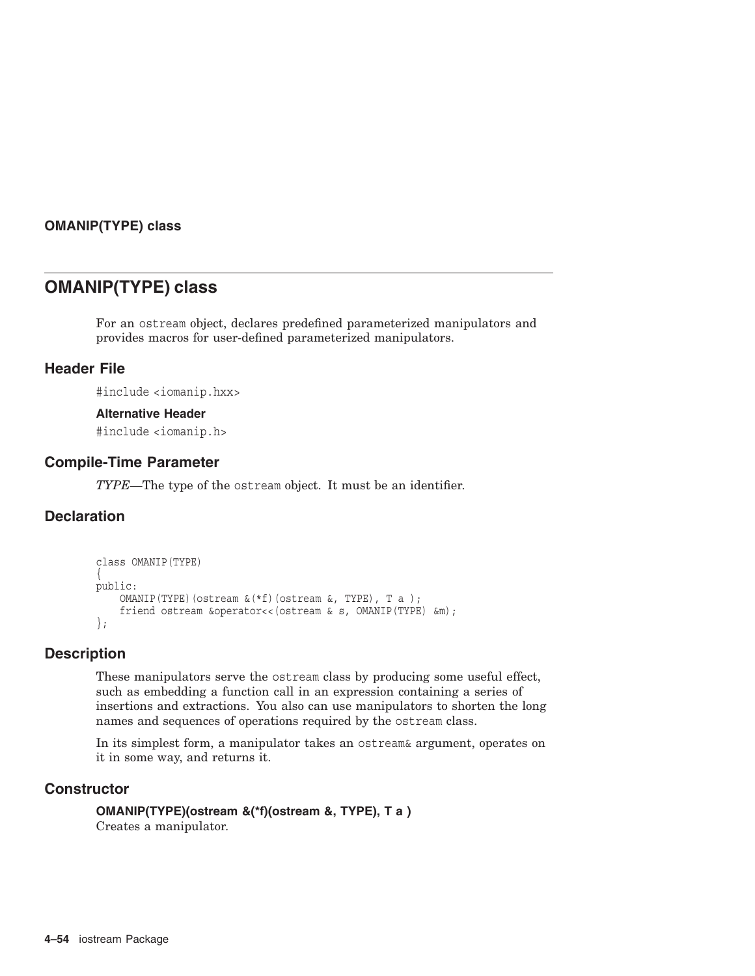## **OMANIP(TYPE) class**

# **OMANIP(TYPE) class**

For an ostream object, declares predefined parameterized manipulators and provides macros for user-defined parameterized manipulators.

# **Header File**

#include <iomanip.hxx>

## **Alternative Header**

#include <iomanip.h>

## **Compile-Time Parameter**

*TYPE*—The type of the ostream object. It must be an identifier.

# **Declaration**

```
class OMANIP(TYPE)
{
public:
    OMANIP(TYPE)(ostream &(*f)(ostream &, TYPE), T a );
    friend ostream &operator<<(ostream & s, OMANIP(TYPE) &m);
};
```
## **Description**

These manipulators serve the ostream class by producing some useful effect, such as embedding a function call in an expression containing a series of insertions and extractions. You also can use manipulators to shorten the long names and sequences of operations required by the ostream class.

In its simplest form, a manipulator takes an ostream& argument, operates on it in some way, and returns it.

# **Constructor**

**OMANIP(TYPE)(ostream &(\*f)(ostream &, TYPE), T a )** Creates a manipulator.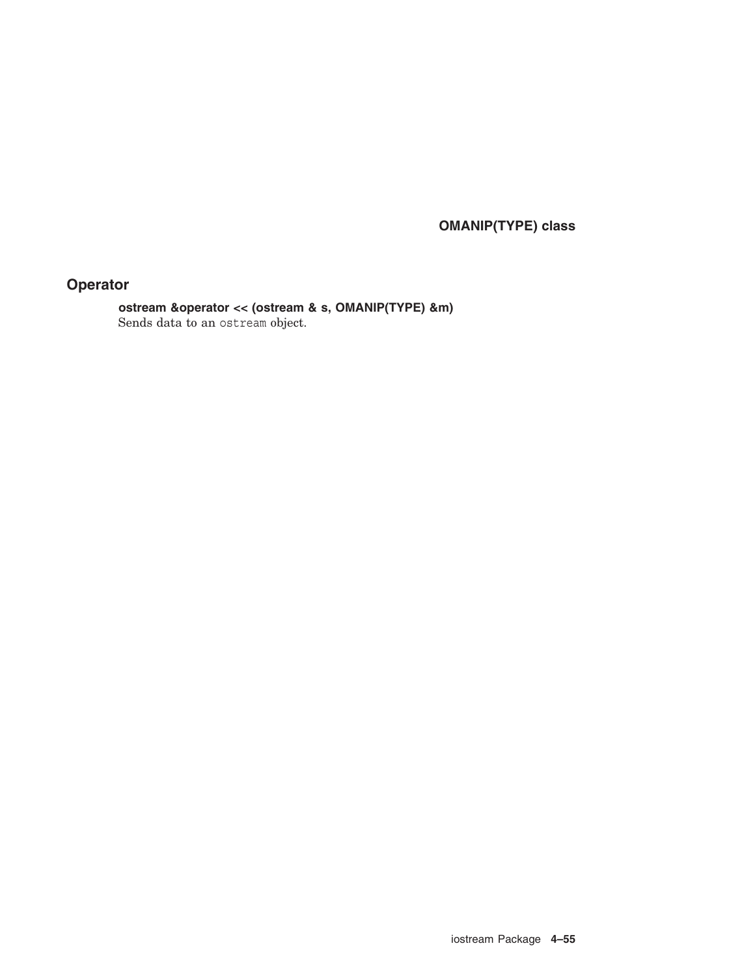**OMANIP(TYPE) class**

# **Operator**

**ostream &operator << (ostream & s, OMANIP(TYPE) &m)** Sends data to an ostream object.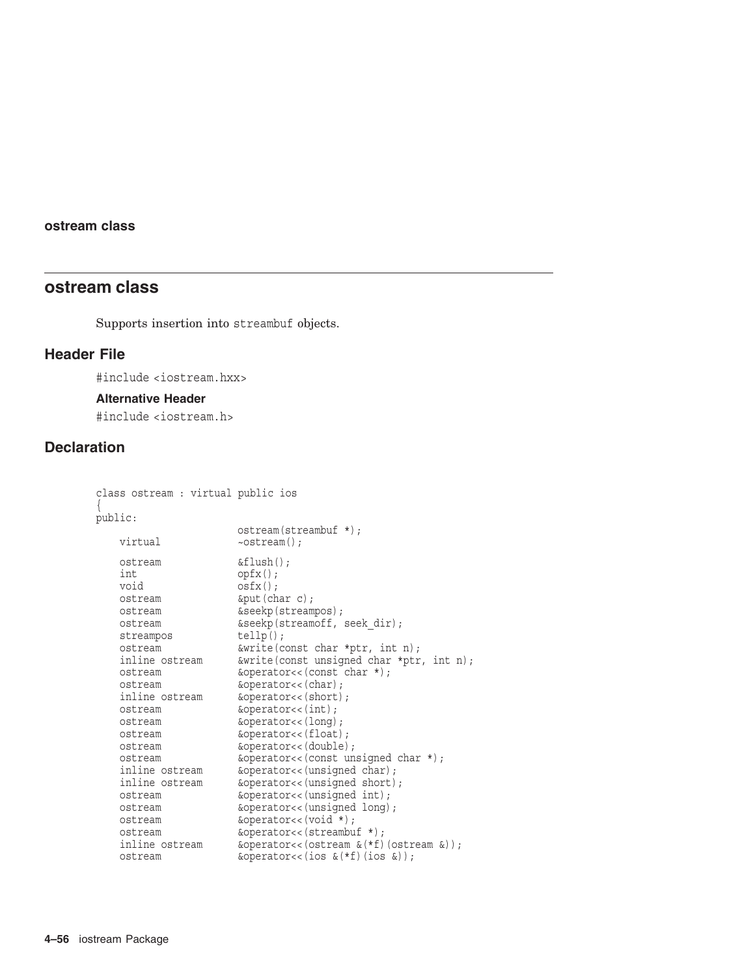# **ostream class**

Supports insertion into streambuf objects.

# **Header File**

#include <iostream.hxx>

## **Alternative Header**

#include <iostream.h>

# **Declaration**

```
class ostream : virtual public ios
{
public:
                      ostream(streambuf *);
   virtual \simostream();
   ostream &flush();
   int opfx();<br>void osfx();
                    osfx();
    ostream &put(char c);
    ostream &seekp(streampos);
    ostream &seekp(streamoff, seek_dir);
    streampos tellp();
    ostream &write(const char *ptr, int n);
    inline ostream &write(const unsigned char *ptr, int n);
    ostream &operator<<(const char *);
    ostream &operator<<(char);
    inline ostream &operator<<(short);
    ostream &operator<<(int);
    ostream &operator<<(long);
    ostream &operator<<(float);
   ostream &operator<<(double);
   ostream &operator<<(const unsigned char *);
    inline ostream &operator<<(unsigned char);
    inline ostream &operator<<(unsigned short);
    ostream &operator<<(unsigned int);
   ostream &operator<<(unsigned long);
   ostream \&operator < (void *);ostream \&\text{operator}\\&\times(\text{stream}\&\{\star\})\;;\nonumber\\ inline ostream \&\text{operator}\\&\times(\text{system}\&\{\star\})\&\text{operator}(<x) (ostream \&(*f) (ostream \&));
   ostream \&\text{operator}(<\text{ios }\&(*f)(\text{ios }\&));
```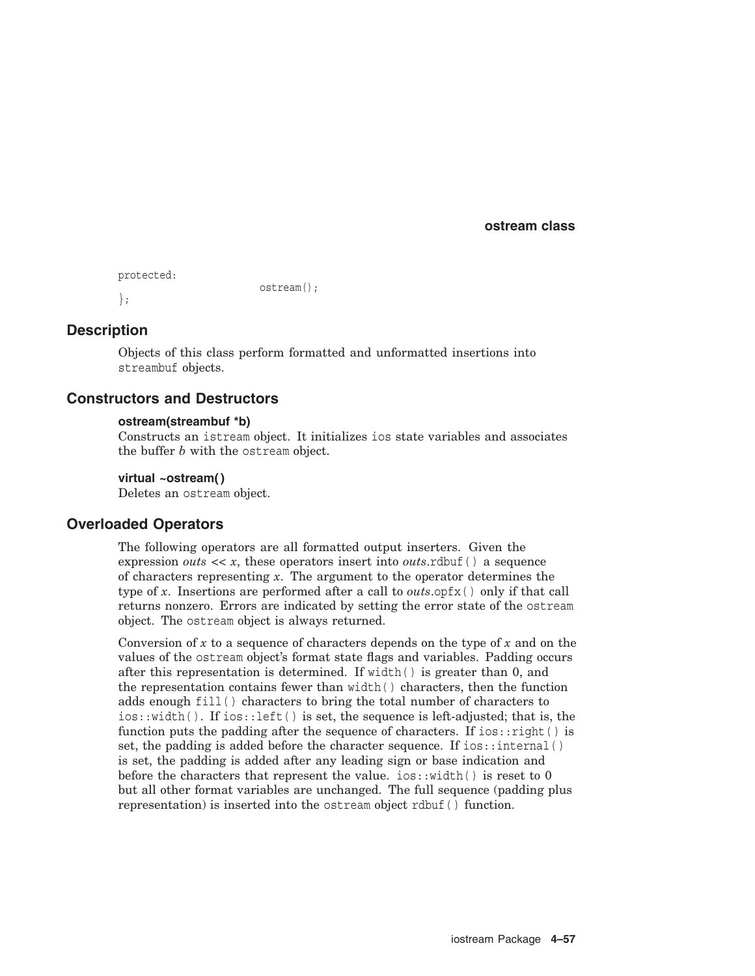```
protected:
                         ostream();
};
```
# **Description**

Objects of this class perform formatted and unformatted insertions into streambuf objects.

## **Constructors and Destructors**

### **ostream(streambuf \*b)**

Constructs an istream object. It initializes ios state variables and associates the buffer *b* with the ostream object.

### **virtual ~ostream( )**

Deletes an ostream object.

## **Overloaded Operators**

The following operators are all formatted output inserters. Given the expression *outs*  $\langle x, x \rangle$  these operators insert into *outs*.rdbuf() a sequence of characters representing *x*. The argument to the operator determines the type of *x*. Insertions are performed after a call to *outs*.opfx( ) only if that call returns nonzero. Errors are indicated by setting the error state of the ostream object. The ostream object is always returned.

Conversion of  $x$  to a sequence of characters depends on the type of  $x$  and on the values of the ostream object's format state flags and variables. Padding occurs after this representation is determined. If  $width()$  is greater than 0, and the representation contains fewer than width( ) characters, then the function adds enough fill( ) characters to bring the total number of characters to  $ios::width()$ . If  $ios::left()$  is set, the sequence is left-adjusted; that is, the function puts the padding after the sequence of characters. If ios:: $\text{right}( )$  is set, the padding is added before the character sequence. If ios::internal() is set, the padding is added after any leading sign or base indication and before the characters that represent the value.  $i \circ s : \text{width}( )$  is reset to 0 but all other format variables are unchanged. The full sequence (padding plus representation) is inserted into the ostream object rdbuf( ) function.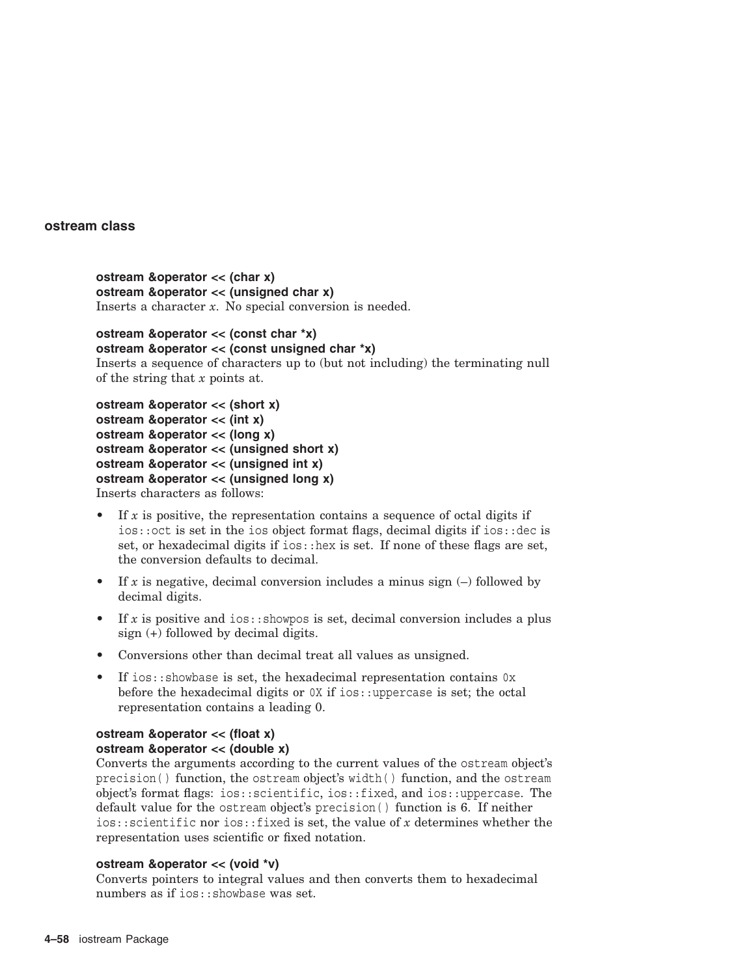```
ostream &operator << (char x)
ostream &operator << (unsigned char x)
Inserts a character x. No special conversion is needed.
```

```
ostream &operator << (const char *x)
ostream &operator << (const unsigned char *x)
Inserts a sequence of characters up to (but not including) the terminating null
of the string that x points at.
```

```
ostream &operator << (short x)
ostream &operator << (int x)
ostream &operator << (long x)
ostream &operator << (unsigned short x)
ostream &operator << (unsigned int x)
ostream &operator << (unsigned long x)
Inserts characters as follows:
```
- If  $x$  is positive, the representation contains a sequence of octal digits if ios::oct is set in the ios object format flags, decimal digits if ios::dec is set, or hexadecimal digits if  $i \circ s$ : hex is set. If none of these flags are set, the conversion defaults to decimal.
- If *x* is negative, decimal conversion includes a minus sign  $(-)$  followed by decimal digits.
- If  $x$  is positive and ios:  $:$  showpos is set, decimal conversion includes a plus sign (+) followed by decimal digits.
- Conversions other than decimal treat all values as unsigned.
- If ios::showbase is set, the hexadecimal representation contains 0x before the hexadecimal digits or  $0X$  if ios:: uppercase is set; the octal representation contains a leading 0.

# **ostream &operator << (float x) ostream &operator << (double x)**

Converts the arguments according to the current values of the ostream object's precision( ) function, the ostream object's width( ) function, and the ostream object's format flags: ios::scientific, ios::fixed, and ios::uppercase. The default value for the ostream object's precision( ) function is 6. If neither ios::scientific nor ios::fixed is set, the value of *x* determines whether the representation uses scientific or fixed notation.

## **ostream &operator << (void \*v)**

Converts pointers to integral values and then converts them to hexadecimal numbers as if ios:: showbase was set.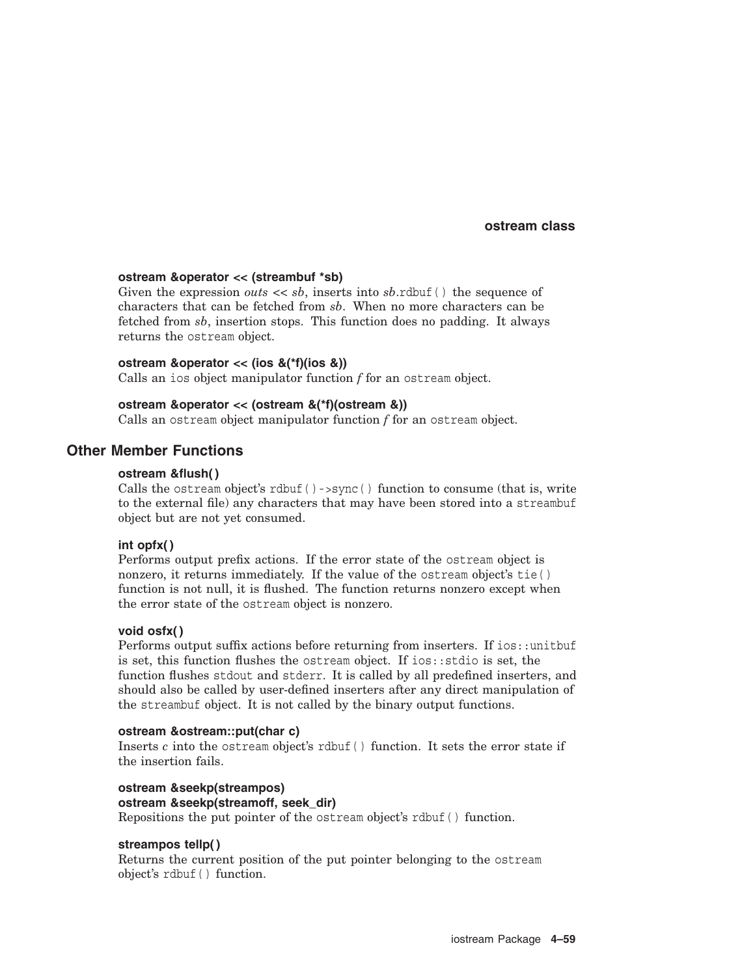### **ostream &operator << (streambuf \*sb)**

Given the expression *outs*  $\langle \cdot \rangle$  *sb*, inserts into *sb*.rdbuf() the sequence of characters that can be fetched from *sb*. When no more characters can be fetched from *sb*, insertion stops. This function does no padding. It always returns the ostream object.

#### **ostream &operator << (ios &(\*f)(ios &))**

Calls an ios object manipulator function *f* for an ostream object.

## **ostream &operator << (ostream &(\*f)(ostream &))**

Calls an ostream object manipulator function *f* for an ostream object.

# **Other Member Functions**

## **ostream &flush( )**

Calls the ostream object's rdbuf( )->sync( ) function to consume (that is, write to the external file) any characters that may have been stored into a streambuf object but are not yet consumed.

#### **int opfx( )**

Performs output prefix actions. If the error state of the ostream object is nonzero, it returns immediately. If the value of the ostream object's tie( ) function is not null, it is flushed. The function returns nonzero except when the error state of the ostream object is nonzero.

#### **void osfx( )**

Performs output suffix actions before returning from inserters. If ios::unitbuf is set, this function flushes the ostream object. If ios::stdio is set, the function flushes stdout and stderr. It is called by all predefined inserters, and should also be called by user-defined inserters after any direct manipulation of the streambuf object. It is not called by the binary output functions.

### **ostream &ostream::put(char c)**

Inserts *c* into the ostream object's rdbuf( ) function. It sets the error state if the insertion fails.

**ostream &seekp(streampos) ostream &seekp(streamoff, seek\_dir)** Repositions the put pointer of the ostream object's rdbuf( ) function.

#### **streampos tellp( )**

Returns the current position of the put pointer belonging to the ostream object's rdbuf( ) function.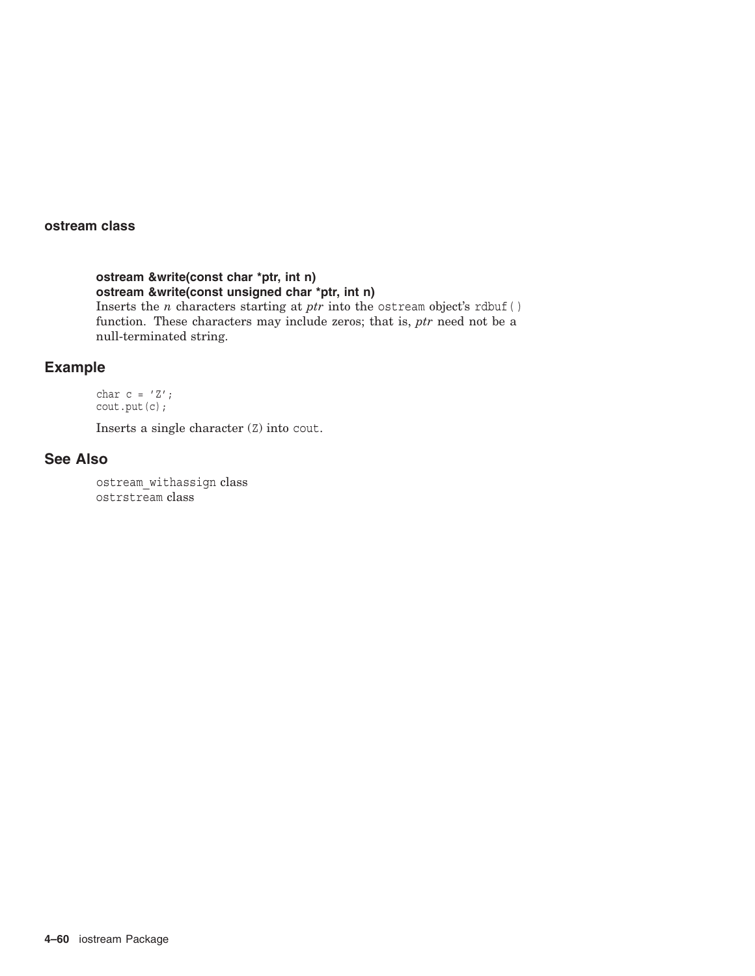**ostream &write(const char \*ptr, int n) ostream &write(const unsigned char \*ptr, int n)** Inserts the *n* characters starting at *ptr* into the ostream object's rdbuf( ) function. These characters may include zeros; that is, *ptr* need not be a null-terminated string.

# **Example**

char  $c = 'Z'$ ; cout.put(c);

Inserts a single character (Z) into cout.

## **See Also**

ostream\_withassign class ostrstream class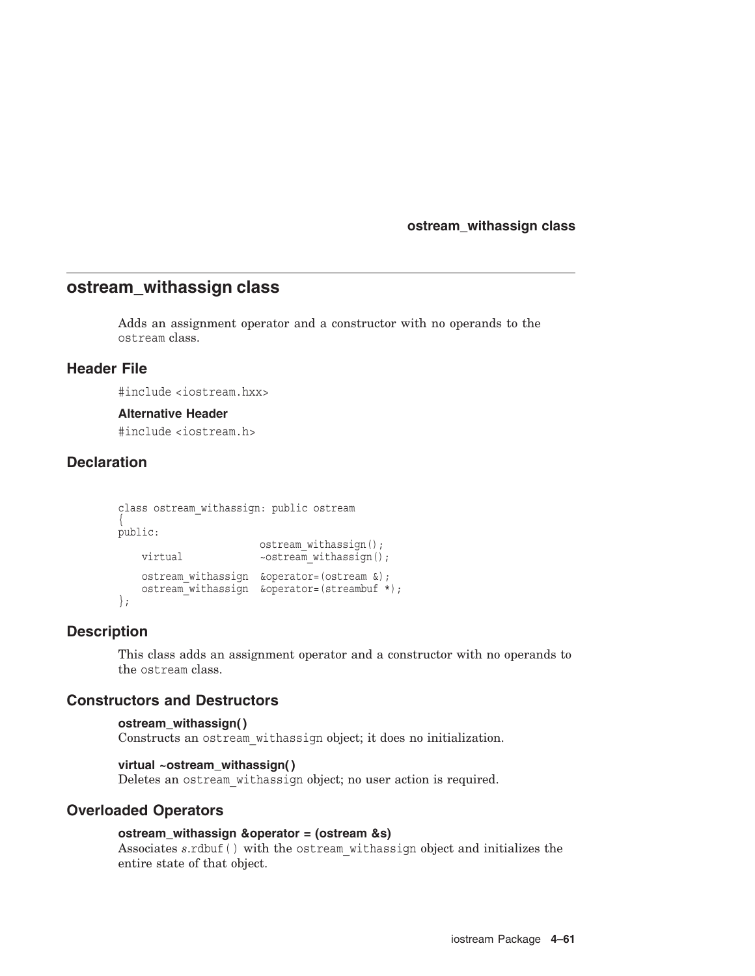## **ostream\_withassign class**

# **ostream\_withassign class**

Adds an assignment operator and a constructor with no operands to the ostream class.

## **Header File**

#include <iostream.hxx>

### **Alternative Header**

#include <iostream.h>

# **Declaration**

```
class ostream_withassign: public ostream
{
public:
                      ostream withassign();
   virtual \simostream withassign();
   ostream withassign &operator=(ostream &);
   ostream_withassign &operator=(streambuf *); };
```
# **Description**

This class adds an assignment operator and a constructor with no operands to the ostream class.

## **Constructors and Destructors**

```
ostream_withassign( )
```
Constructs an ostream\_withassign object; it does no initialization.

## **virtual ~ostream\_withassign( )**

Deletes an ostream\_withassign object; no user action is required.

## **Overloaded Operators**

## **ostream\_withassign &operator = (ostream &s)**

Associates *s*.rdbuf( ) with the ostream\_withassign object and initializes the entire state of that object.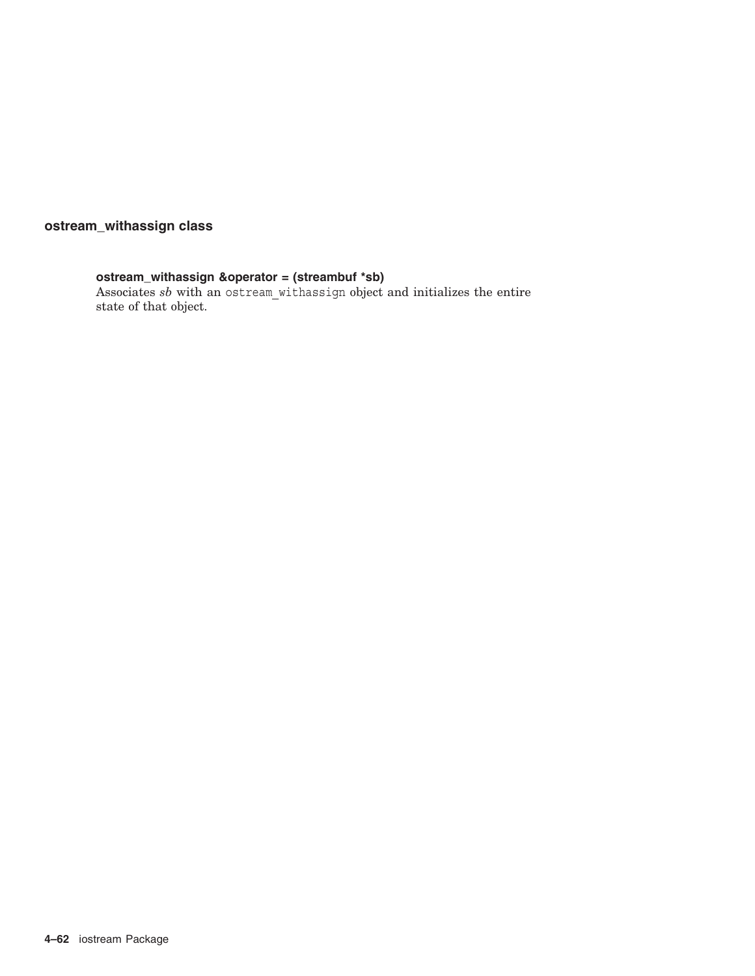# **ostream\_withassign class**

# **ostream\_withassign &operator = (streambuf \*sb)**

Associates *sb* with an ostream\_withassign object and initializes the entire state of that object.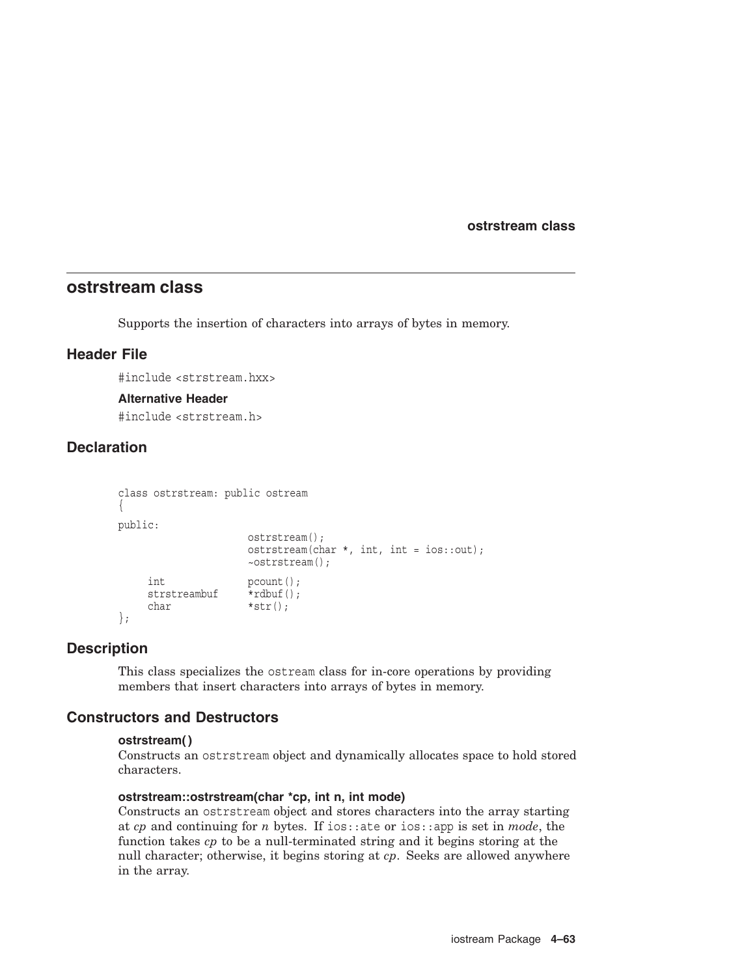**ostrstream class**

# **ostrstream class**

Supports the insertion of characters into arrays of bytes in memory.

## **Header File**

#include <strstream.hxx>

### **Alternative Header**

#include <strstream.h>

# **Declaration**

```
class ostrstream: public ostream
{
public:
                               ostrstream();
                               ostrstream(char *, int, int = ios::out);
                               ~ostrstream();
       int<br>strstreambuf \begin{array}{ll} 1, & \text{pcount}(x) \\ \text{strstreambut} & \text{rdbuf}(x) \end{array}strstreambuf
       char *str();
};
```
## **Description**

This class specializes the ostream class for in-core operations by providing members that insert characters into arrays of bytes in memory.

## **Constructors and Destructors**

## **ostrstream( )**

Constructs an ostrstream object and dynamically allocates space to hold stored characters.

## **ostrstream::ostrstream(char \*cp, int n, int mode)**

Constructs an ostrstream object and stores characters into the array starting at *cp* and continuing for *n* bytes. If ios::ate or ios::app is set in *mode*, the function takes *cp* to be a null-terminated string and it begins storing at the null character; otherwise, it begins storing at *cp*. Seeks are allowed anywhere in the array.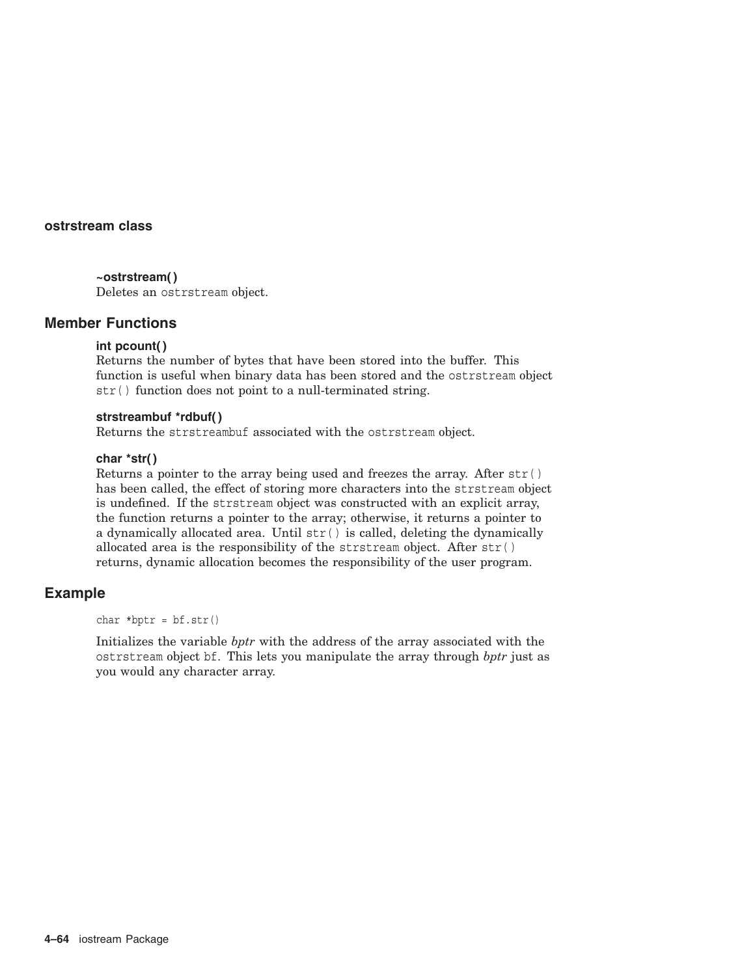## **ostrstream class**

### **~ostrstream( )**

Deletes an ostrstream object.

## **Member Functions**

## **int pcount( )**

Returns the number of bytes that have been stored into the buffer. This function is useful when binary data has been stored and the ostrstream object str( ) function does not point to a null-terminated string.

## **strstreambuf \*rdbuf( )**

Returns the strstreambuf associated with the ostrstream object.

### **char \*str( )**

Returns a pointer to the array being used and freezes the array. After str( ) has been called, the effect of storing more characters into the strstream object is undefined. If the strstream object was constructed with an explicit array, the function returns a pointer to the array; otherwise, it returns a pointer to a dynamically allocated area. Until str( ) is called, deleting the dynamically allocated area is the responsibility of the strstream object. After str( ) returns, dynamic allocation becomes the responsibility of the user program.

## **Example**

char  $*$ bptr =  $bf$ .str()

Initializes the variable *bptr* with the address of the array associated with the ostrstream object bf. This lets you manipulate the array through *bptr* just as you would any character array.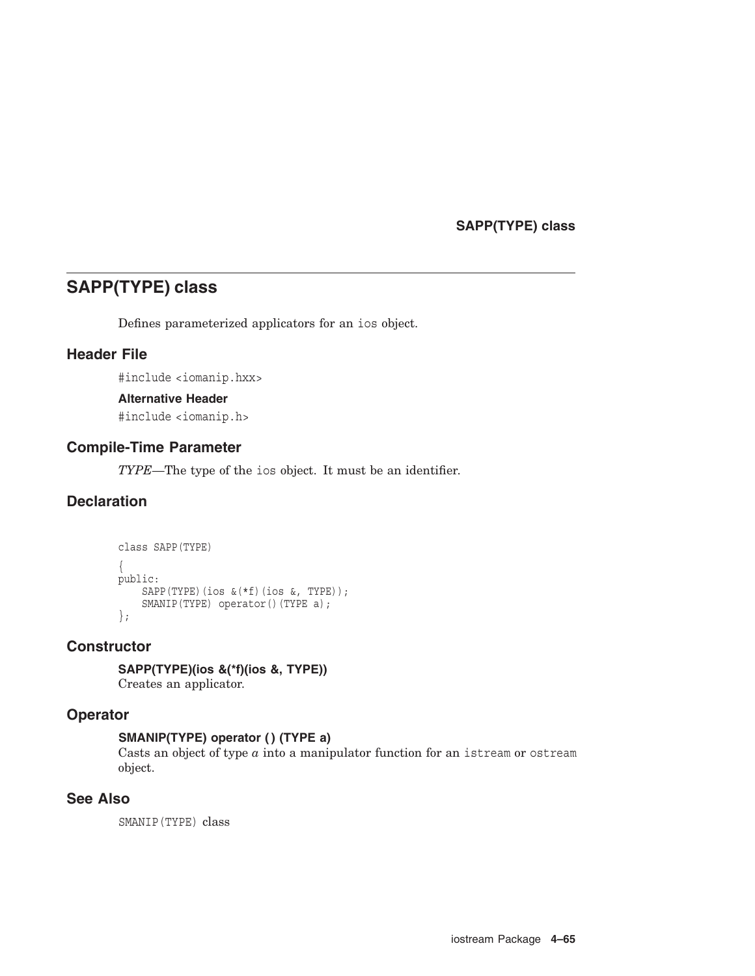# **SAPP(TYPE) class**

# **SAPP(TYPE) class**

Defines parameterized applicators for an ios object.

# **Header File**

#include <iomanip.hxx>

## **Alternative Header**

#include <iomanip.h>

# **Compile-Time Parameter**

*TYPE*—The type of the ios object. It must be an identifier.

# **Declaration**

```
class SAPP(TYPE)
{
public:
    SAPP(TYPE)(ios &(*f)(ios &, TYPE));
    SMANIP(TYPE) operator()(TYPE a);
};
```
# **Constructor**

**SAPP(TYPE)(ios &(\*f)(ios &, TYPE))** Creates an applicator.

## **Operator**

# **SMANIP(TYPE) operator ( ) (TYPE a)**

Casts an object of type *a* into a manipulator function for an istream or ostream object.

# **See Also**

SMANIP(TYPE) class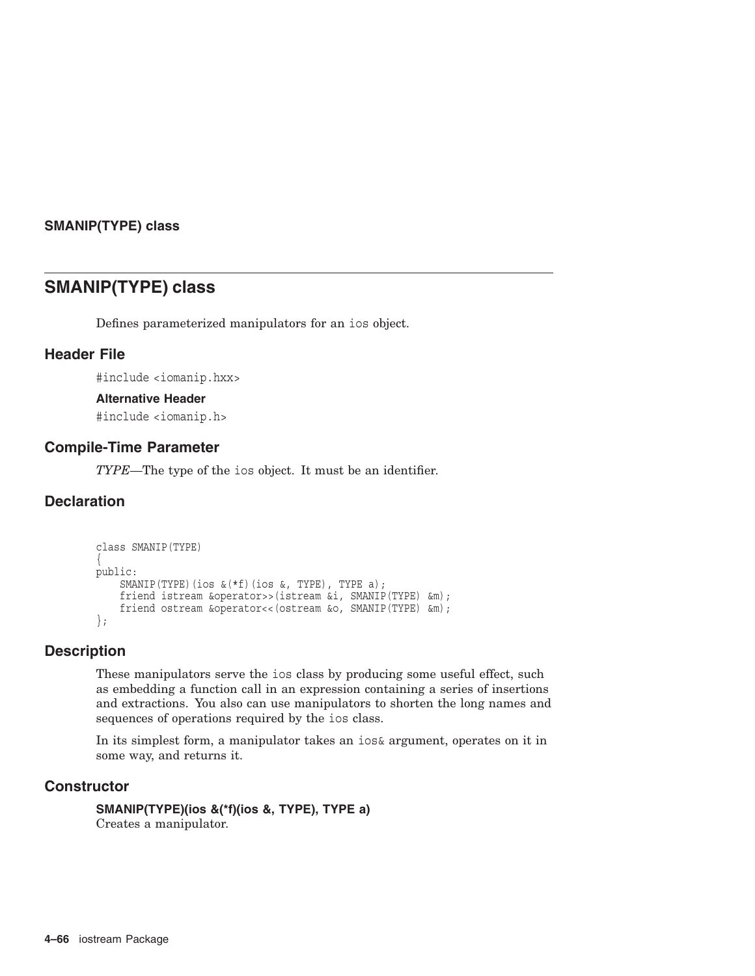## **SMANIP(TYPE) class**

# **SMANIP(TYPE) class**

Defines parameterized manipulators for an ios object.

# **Header File**

#include <iomanip.hxx>

## **Alternative Header**

#include <iomanip.h>

## **Compile-Time Parameter**

*TYPE*—The type of the ios object. It must be an identifier.

# **Declaration**

```
class SMANIP(TYPE)
{
public:
    SMANIP(TYPE)(ios &(*f)(ios &, TYPE), TYPE a);
    friend istream &operator>>(istream &i, SMANIP(TYPE) &m);
    friend ostream &operator<<(ostream &o, SMANIP(TYPE) &m);
};
```
# **Description**

These manipulators serve the ios class by producing some useful effect, such as embedding a function call in an expression containing a series of insertions and extractions. You also can use manipulators to shorten the long names and sequences of operations required by the ios class.

In its simplest form, a manipulator takes an ios& argument, operates on it in some way, and returns it.

# **Constructor**

```
SMANIP(TYPE)(ios &(*f)(ios &, TYPE), TYPE a)
Creates a manipulator.
```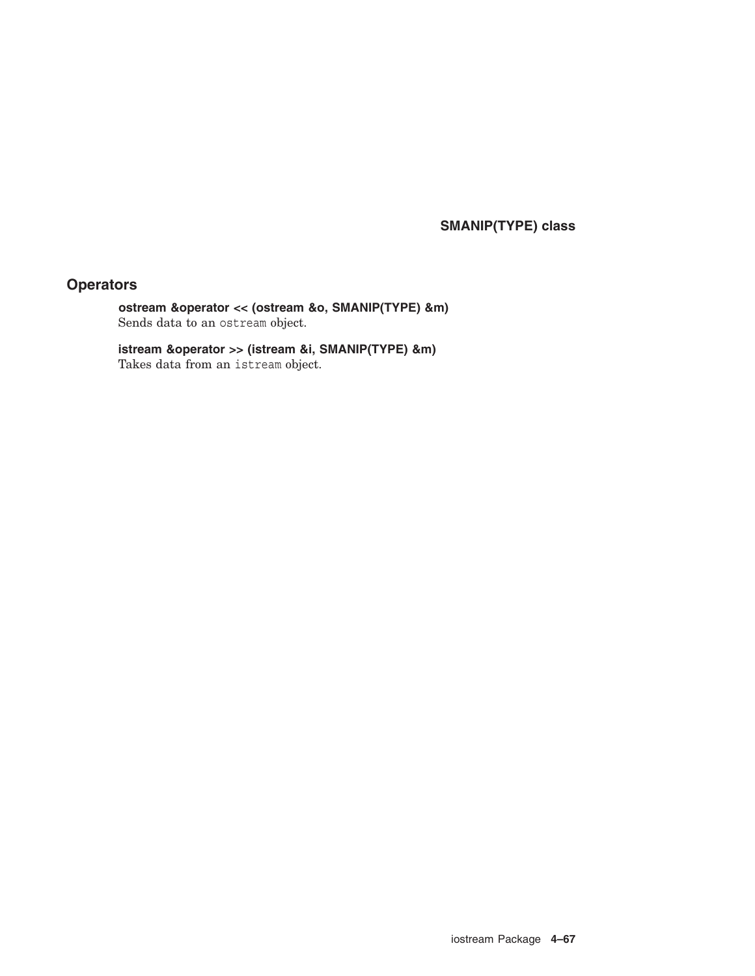**SMANIP(TYPE) class**

# **Operators**

**ostream &operator << (ostream &o, SMANIP(TYPE) &m)** Sends data to an ostream object.

**istream &operator >> (istream &i, SMANIP(TYPE) &m)** Takes data from an istream object.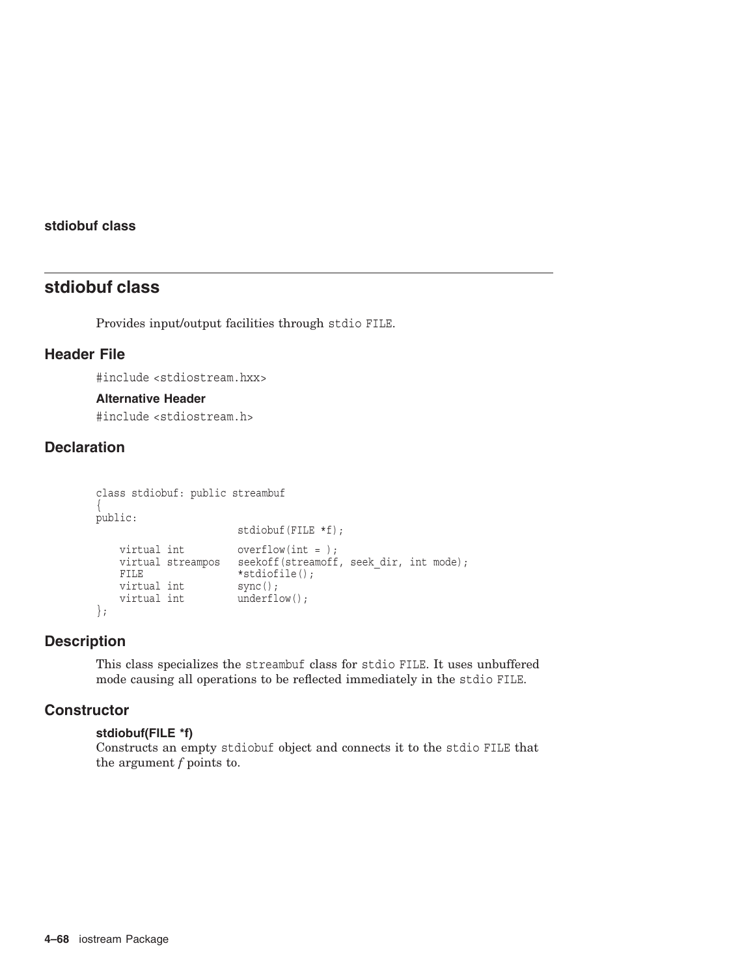# **stdiobuf class**

# **stdiobuf class**

Provides input/output facilities through stdio FILE.

# **Header File**

#include <stdiostream.hxx>

## **Alternative Header**

#include <stdiostream.h>

# **Declaration**

```
class stdiobuf: public streambuf
{
public:
                       stdiobuf(FILE *f);
   virtual int overflow(int = );
   virtual streampos seekoff(streamoff, seek dir, int mode);
   FILE *stdiofile();<br>virtual int sync();
   virtual int
   virtual int underflow();
};
```
# **Description**

This class specializes the streambuf class for stdio FILE. It uses unbuffered mode causing all operations to be reflected immediately in the stdio FILE.

## **Constructor**

## **stdiobuf(FILE \*f)**

Constructs an empty stdiobuf object and connects it to the stdio FILE that the argument *f* points to.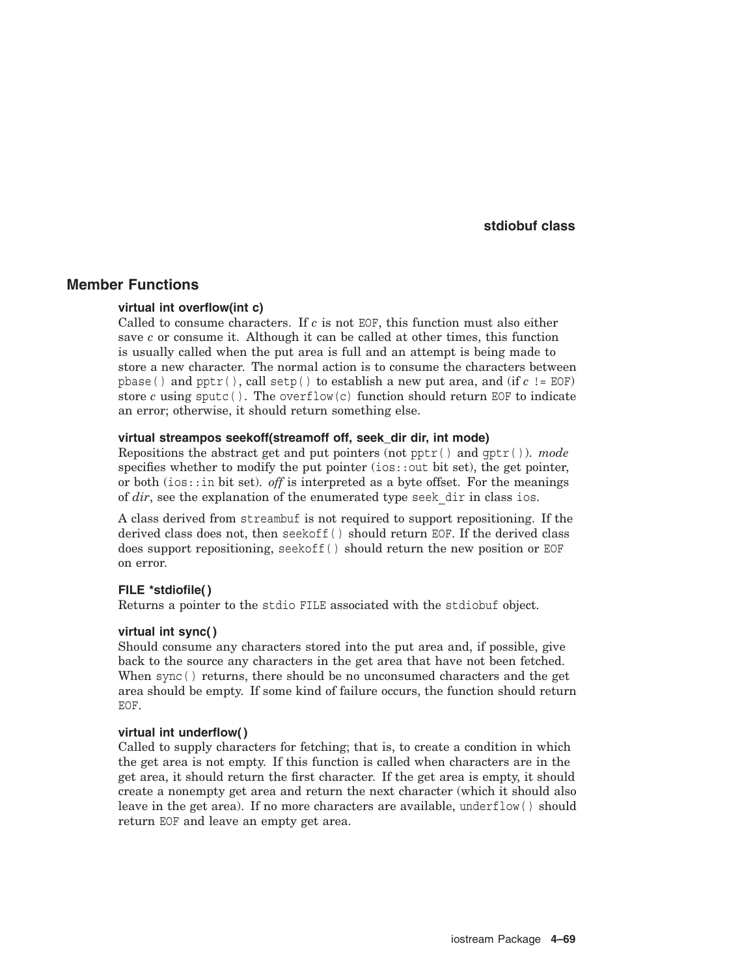## **stdiobuf class**

## **Member Functions**

## **virtual int overflow(int c)**

Called to consume characters. If *c* is not EOF, this function must also either save *c* or consume it. Although it can be called at other times, this function is usually called when the put area is full and an attempt is being made to store a new character. The normal action is to consume the characters between pbase( ) and pptr( ), call setp( ) to establish a new put area, and (if *c* != EOF) store *c* using sputc(). The overflow(c) function should return EOF to indicate an error; otherwise, it should return something else.

### **virtual streampos seekoff(streamoff off, seek\_dir dir, int mode)**

Repositions the abstract get and put pointers (not pptr( ) and gptr( )). *mode* specifies whether to modify the put pointer (ios::out bit set), the get pointer, or both (ios::in bit set). *off* is interpreted as a byte offset. For the meanings of *dir*, see the explanation of the enumerated type seek dir in class ios.

A class derived from streambuf is not required to support repositioning. If the derived class does not, then seekoff( ) should return EOF. If the derived class does support repositioning, seekoff( ) should return the new position or EOF on error.

### **FILE \*stdiofile( )**

Returns a pointer to the stdio FILE associated with the stdiobuf object.

### **virtual int sync( )**

Should consume any characters stored into the put area and, if possible, give back to the source any characters in the get area that have not been fetched. When sync( ) returns, there should be no unconsumed characters and the get area should be empty. If some kind of failure occurs, the function should return EOF.

## **virtual int underflow( )**

Called to supply characters for fetching; that is, to create a condition in which the get area is not empty. If this function is called when characters are in the get area, it should return the first character. If the get area is empty, it should create a nonempty get area and return the next character (which it should also leave in the get area). If no more characters are available, underflow( ) should return EOF and leave an empty get area.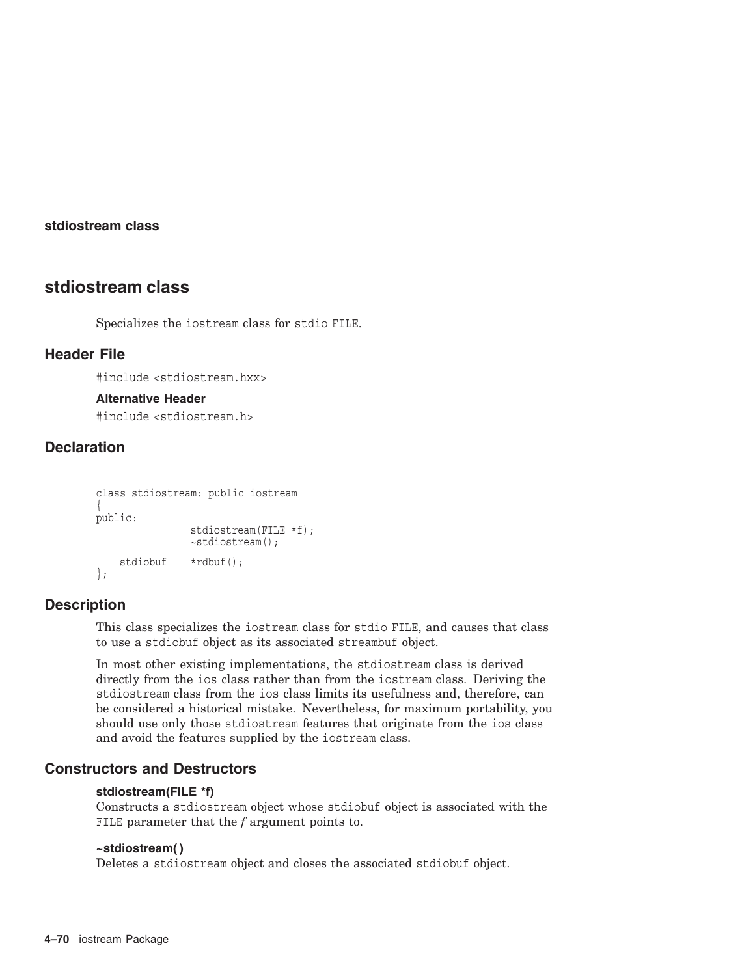## **stdiostream class**

# **stdiostream class**

Specializes the iostream class for stdio FILE.

# **Header File**

#include <stdiostream.hxx>

## **Alternative Header**

#include <stdiostream.h>

# **Declaration**

```
class stdiostream: public iostream
{
public:
                stdiostream(FILE *f);
                ~stdiostream();
    stdiobuf *rdbuf();
};
```
## **Description**

This class specializes the iostream class for stdio FILE, and causes that class to use a stdiobuf object as its associated streambuf object.

In most other existing implementations, the stdiostream class is derived directly from the ios class rather than from the iostream class. Deriving the stdiostream class from the ios class limits its usefulness and, therefore, can be considered a historical mistake. Nevertheless, for maximum portability, you should use only those stdiostream features that originate from the ios class and avoid the features supplied by the iostream class.

## **Constructors and Destructors**

## **stdiostream(FILE \*f)**

Constructs a stdiostream object whose stdiobuf object is associated with the FILE parameter that the *f* argument points to.

## **~stdiostream( )**

Deletes a stdiostream object and closes the associated stdiobuf object.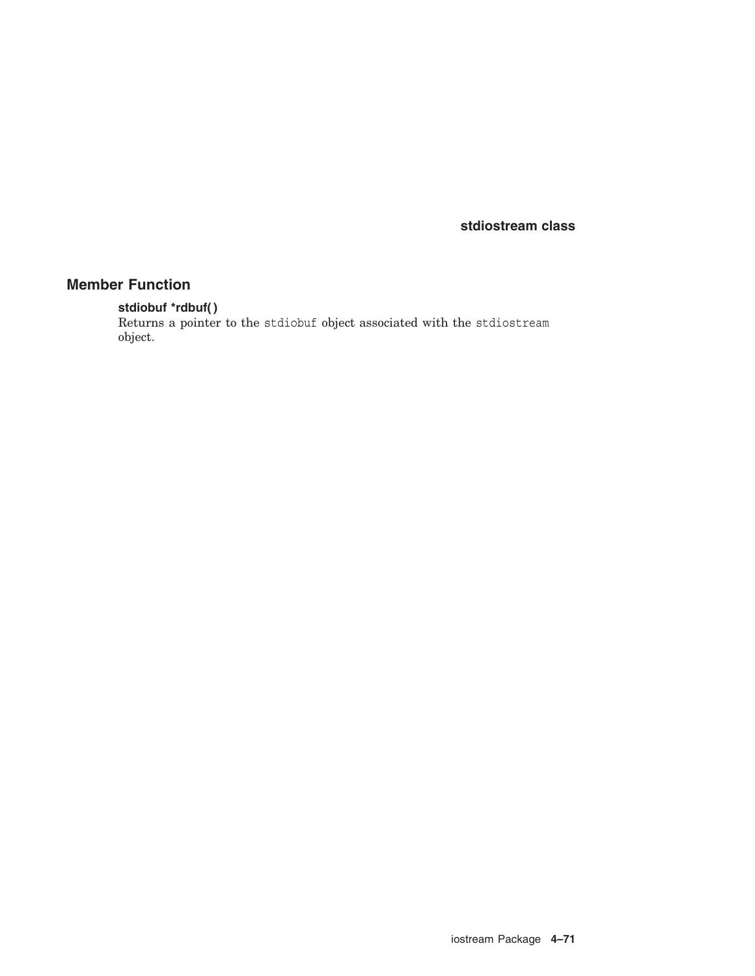**stdiostream class**

# **Member Function**

## **stdiobuf \*rdbuf( )**

Returns a pointer to the stdiobuf object associated with the stdiostream object.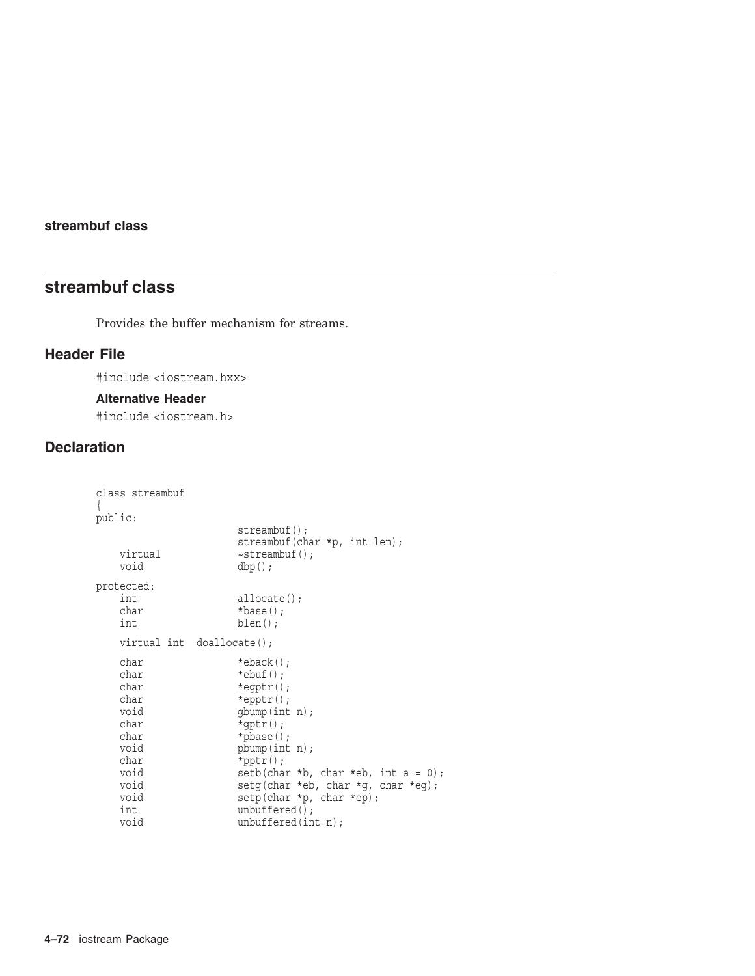# **streambuf class**

# **streambuf class**

Provides the buffer mechanism for streams.

# **Header File**

#include <iostream.hxx>

## **Alternative Header**

#include <iostream.h>

# **Declaration**

```
class streambuf
{
public:
                    streambuf();
                    streambuf(char *p, int len);
   virtual \simstreambuf();
   void dbp();
protected:
   int allocate();
   char *base();<br>int *blen();
                    blen();
   virtual int doallocate();
   char *eback();
   char *ebuf();<br>char *eqptr()
                    *eqptr();
   char *epptr();
   void gbump(int n);<br>char *qptr();
   char *gptr();<br>char *pbase()
                    *pbase();
   void pbump(int n);
   char *pptr();<br>void setb(cha
                    setb(char *b, char *eb, int a = 0);void setg(char *eb, char *g, char *eg);
   void setp(char *p, char *ep);
   int unbuffered();<br>void unbuffered(in
                    unbuffered(int n);
```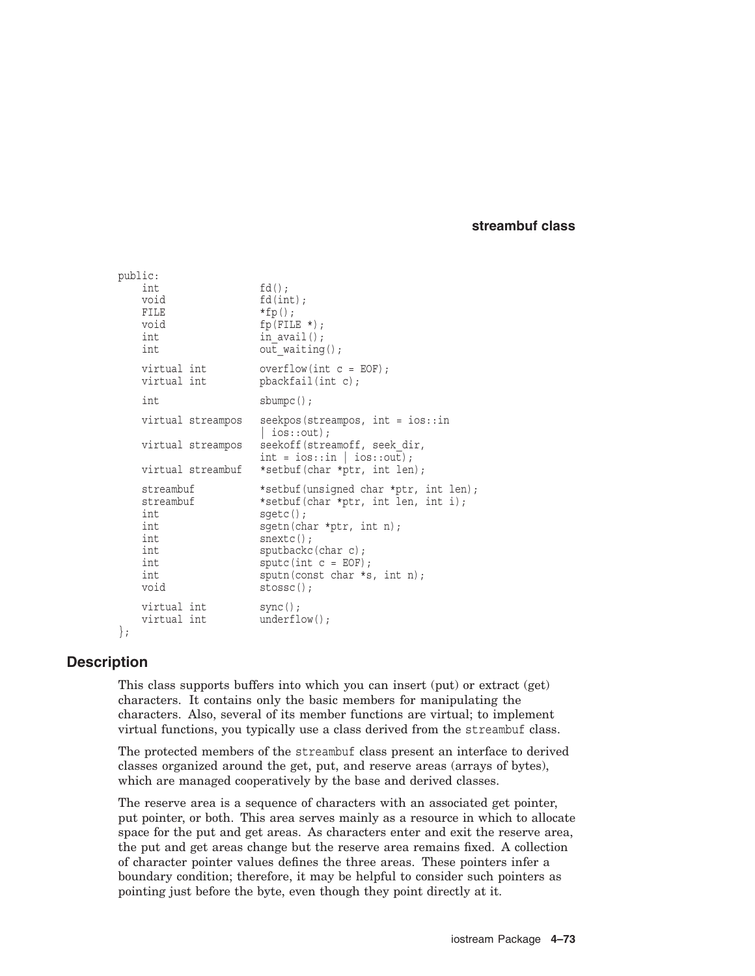## **streambuf class**

```
public:
  int fd();
  void fd(int);
  FILE *fp();
  void fp(FILE *);
  int in avail();
  int out waiting();
  virtual int overflow(int c = EOF);<br>virtual int bbackfail(int c);pbackfail(int c);int sbumpc();
  virtual streampos seekpos(streampos, int = ios::in
                  \vert ios::out);
  virtual streampos seekoff(streamoff, seek_dir, int = ios::in | ios::out);
  virtual streambuf *setbuf(char *ptr, int len);
  streambuf *setbuf(unsigned char *ptr, int len);
  streambuf *setbuf(char *ptr, int len, int i);
  int sqetc();
  int sgetn(char *ptr, int n);
  int snextc();
  int sputbackc(char c);
  int sputc(int c = EOF);
  int sputn(const char *s, int n);
  void stossc();
  virtual int sync();
  virtual int underflow();
```

```
};
```
# **Description**

This class supports buffers into which you can insert (put) or extract (get) characters. It contains only the basic members for manipulating the characters. Also, several of its member functions are virtual; to implement virtual functions, you typically use a class derived from the streambuf class.

The protected members of the streambuf class present an interface to derived classes organized around the get, put, and reserve areas (arrays of bytes), which are managed cooperatively by the base and derived classes.

The reserve area is a sequence of characters with an associated get pointer, put pointer, or both. This area serves mainly as a resource in which to allocate space for the put and get areas. As characters enter and exit the reserve area, the put and get areas change but the reserve area remains fixed. A collection of character pointer values defines the three areas. These pointers infer a boundary condition; therefore, it may be helpful to consider such pointers as pointing just before the byte, even though they point directly at it.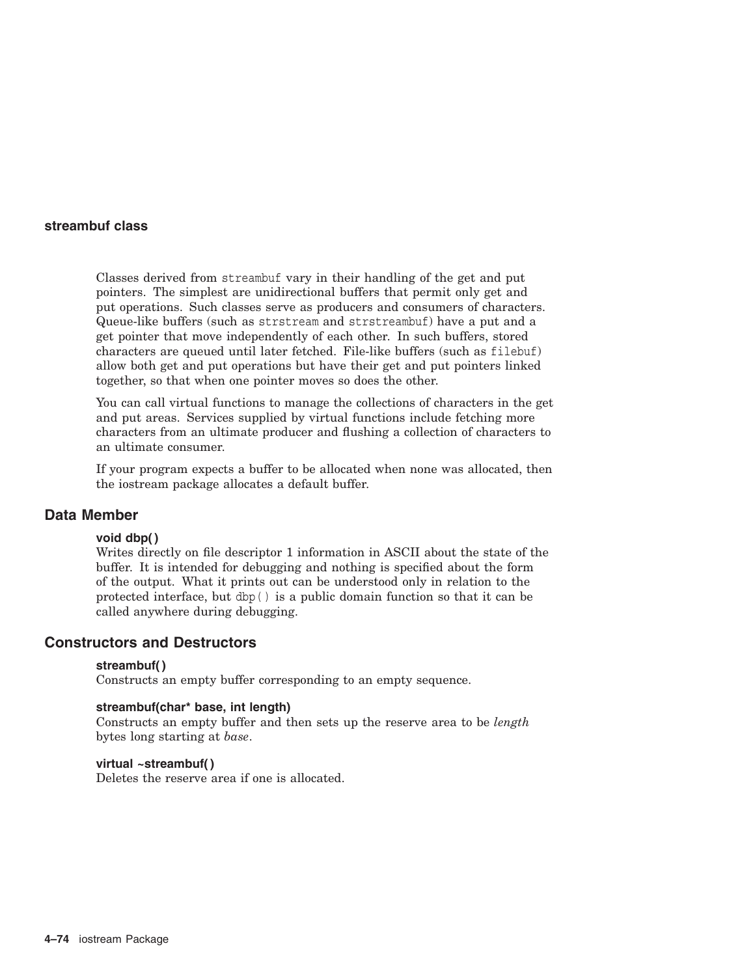## **streambuf class**

Classes derived from streambuf vary in their handling of the get and put pointers. The simplest are unidirectional buffers that permit only get and put operations. Such classes serve as producers and consumers of characters. Queue-like buffers (such as strstream and strstreambuf) have a put and a get pointer that move independently of each other. In such buffers, stored characters are queued until later fetched. File-like buffers (such as filebuf) allow both get and put operations but have their get and put pointers linked together, so that when one pointer moves so does the other.

You can call virtual functions to manage the collections of characters in the get and put areas. Services supplied by virtual functions include fetching more characters from an ultimate producer and flushing a collection of characters to an ultimate consumer.

If your program expects a buffer to be allocated when none was allocated, then the iostream package allocates a default buffer.

# **Data Member**

### **void dbp( )**

Writes directly on file descriptor 1 information in ASCII about the state of the buffer. It is intended for debugging and nothing is specified about the form of the output. What it prints out can be understood only in relation to the protected interface, but dbp( ) is a public domain function so that it can be called anywhere during debugging.

## **Constructors and Destructors**

#### **streambuf( )**

Constructs an empty buffer corresponding to an empty sequence.

### **streambuf(char\* base, int length)**

Constructs an empty buffer and then sets up the reserve area to be *length* bytes long starting at *base*.

#### **virtual ~streambuf( )**

Deletes the reserve area if one is allocated.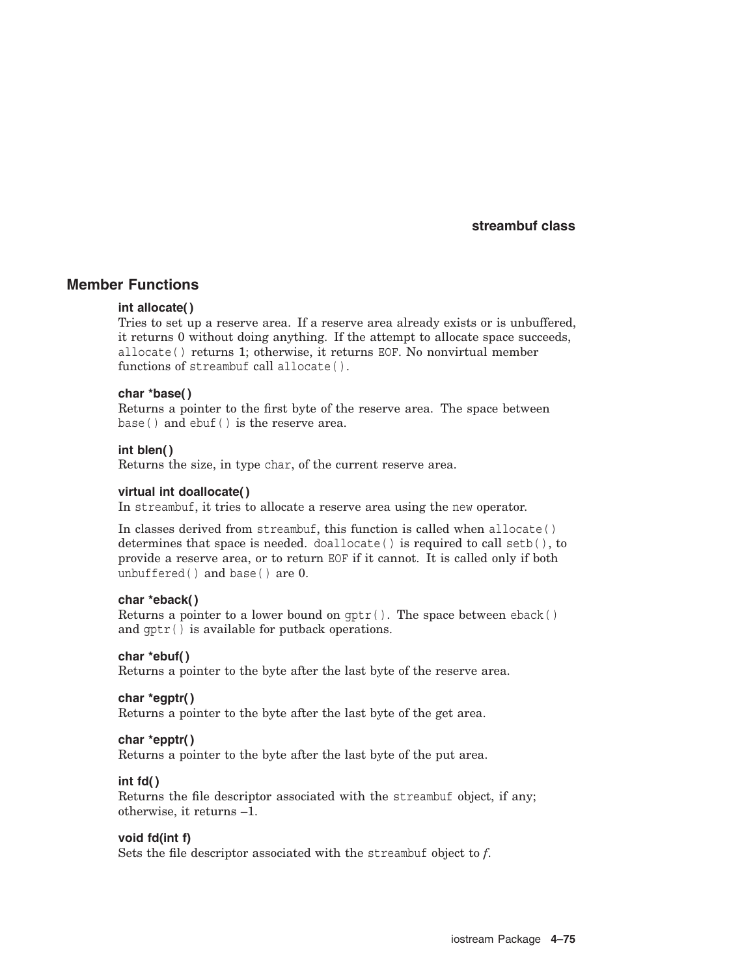## **Member Functions**

#### **int allocate( )**

Tries to set up a reserve area. If a reserve area already exists or is unbuffered, it returns 0 without doing anything. If the attempt to allocate space succeeds, allocate( ) returns 1; otherwise, it returns EOF. No nonvirtual member functions of streambuf call allocate( ).

#### **char \*base( )**

Returns a pointer to the first byte of the reserve area. The space between base() and ebuf() is the reserve area.

#### **int blen( )**

Returns the size, in type char, of the current reserve area.

#### **virtual int doallocate( )**

In streambuf, it tries to allocate a reserve area using the new operator.

In classes derived from streambuf, this function is called when allocate( ) determines that space is needed.  $\text{d}-\text{d}-\text{d}$  is required to call setb(), to provide a reserve area, or to return EOF if it cannot. It is called only if both unbuffered( ) and base( ) are 0.

#### **char \*eback( )**

Returns a pointer to a lower bound on  $gptr()$ . The space between eback() and gptr( ) is available for putback operations.

## **char \*ebuf( )**

Returns a pointer to the byte after the last byte of the reserve area.

#### **char \*egptr( )**

Returns a pointer to the byte after the last byte of the get area.

## **char \*epptr( )**

Returns a pointer to the byte after the last byte of the put area.

#### **int fd( )**

Returns the file descriptor associated with the streambuf object, if any; otherwise, it returns –1.

## **void fd(int f)**

Sets the file descriptor associated with the streambuf object to *f*.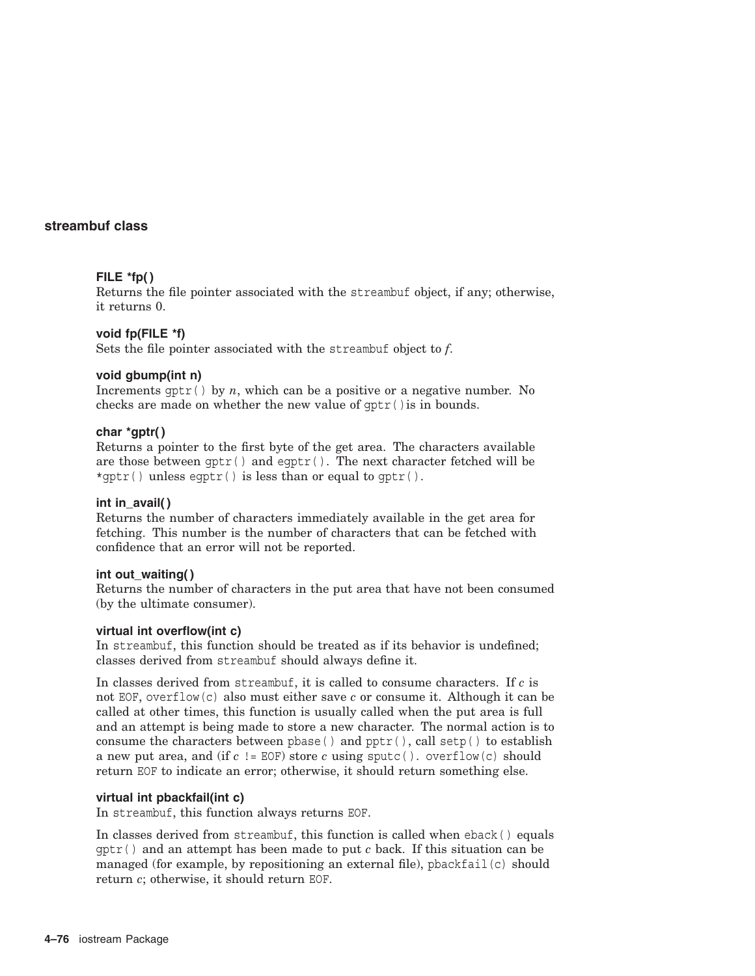## **FILE \*fp( )**

Returns the file pointer associated with the streambuf object, if any; otherwise, it returns 0.

## **void fp(FILE \*f)**

Sets the file pointer associated with the streambuf object to *f*.

## **void gbump(int n)**

Increments  $\text{qptr}(\cdot)$  by *n*, which can be a positive or a negative number. No checks are made on whether the new value of gptr( )is in bounds.

#### **char \*gptr( )**

Returns a pointer to the first byte of the get area. The characters available are those between gptr( ) and egptr( ). The next character fetched will be \*qptr() unless eqptr() is less than or equal to  $qptr()$ .

#### **int in\_avail( )**

Returns the number of characters immediately available in the get area for fetching. This number is the number of characters that can be fetched with confidence that an error will not be reported.

#### **int out\_waiting( )**

Returns the number of characters in the put area that have not been consumed (by the ultimate consumer).

## **virtual int overflow(int c)**

In streambuf, this function should be treated as if its behavior is undefined; classes derived from streambuf should always define it.

In classes derived from streambuf, it is called to consume characters. If *c* is not EOF, overflow(c) also must either save *c* or consume it. Although it can be called at other times, this function is usually called when the put area is full and an attempt is being made to store a new character. The normal action is to consume the characters between pbase () and  $pptr()$ , call setp() to establish a new put area, and (if *c* != EOF) store *c* using sputc( ). overflow(c) should return EOF to indicate an error; otherwise, it should return something else.

## **virtual int pbackfail(int c)**

In streambuf, this function always returns EOF.

In classes derived from streambuf, this function is called when eback( ) equals  $qptr()$  and an attempt has been made to put *c* back. If this situation can be managed (for example, by repositioning an external file), pbackfail(c) should return *c*; otherwise, it should return EOF.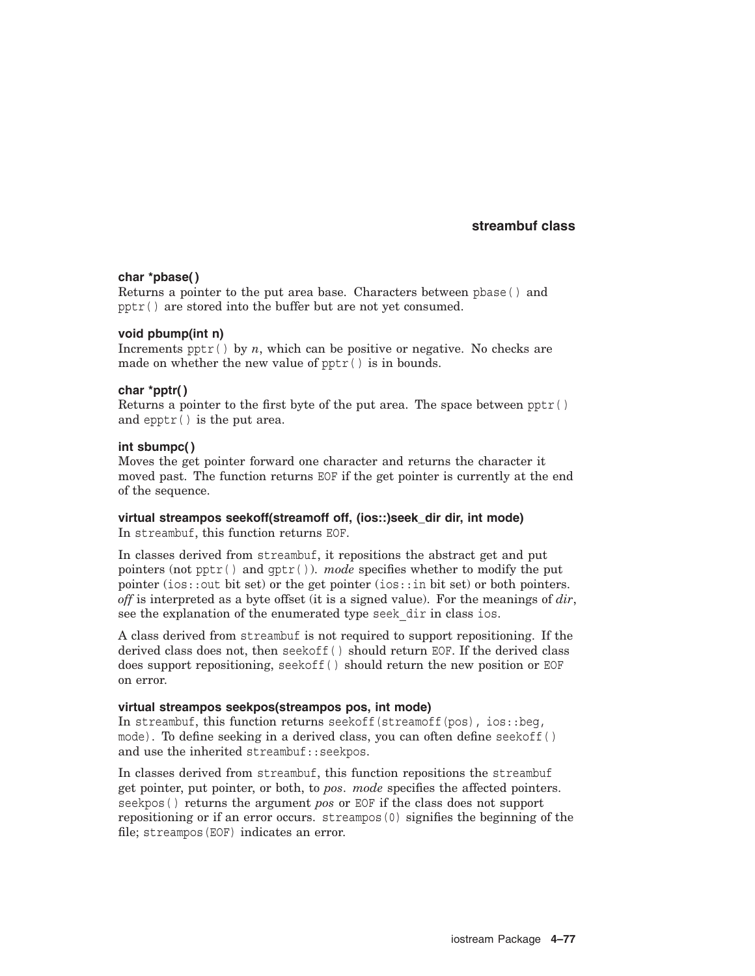## **char \*pbase( )**

Returns a pointer to the put area base. Characters between pbase( ) and pptr( ) are stored into the buffer but are not yet consumed.

#### **void pbump(int n)**

Increments  $pptr()$  by *n*, which can be positive or negative. No checks are made on whether the new value of pptr( ) is in bounds.

#### **char \*pptr( )**

Returns a pointer to the first byte of the put area. The space between pptr( ) and epptr( ) is the put area.

#### **int sbumpc( )**

Moves the get pointer forward one character and returns the character it moved past. The function returns EOF if the get pointer is currently at the end of the sequence.

#### **virtual streampos seekoff(streamoff off, (ios::)seek\_dir dir, int mode)**

In streambuf, this function returns EOF.

In classes derived from streambuf, it repositions the abstract get and put pointers (not pptr( ) and gptr( )). *mode* specifies whether to modify the put pointer (ios::out bit set) or the get pointer (ios::in bit set) or both pointers. *off* is interpreted as a byte offset (it is a signed value). For the meanings of *dir*, see the explanation of the enumerated type seek dir in class ios.

A class derived from streambuf is not required to support repositioning. If the derived class does not, then seekoff( ) should return EOF. If the derived class does support repositioning, seekoff( ) should return the new position or EOF on error.

#### **virtual streampos seekpos(streampos pos, int mode)**

In streambuf, this function returns seekoff (streamoff(pos),  $ios::beq$ , mode). To define seeking in a derived class, you can often define seekoff( ) and use the inherited streambuf::seekpos.

In classes derived from streambuf, this function repositions the streambuf get pointer, put pointer, or both, to *pos*. *mode* specifies the affected pointers. seekpos( ) returns the argument *pos* or EOF if the class does not support repositioning or if an error occurs. streampos(0) signifies the beginning of the file; streampos(EOF) indicates an error.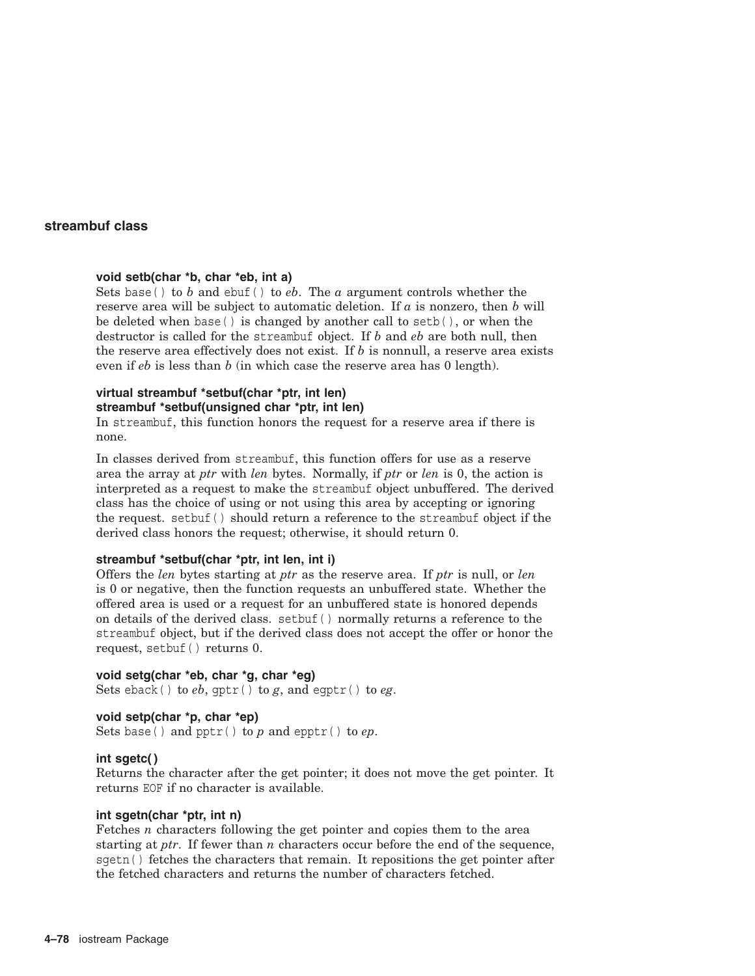## **void setb(char \*b, char \*eb, int a)**

Sets base( ) to *b* and ebuf( ) to *eb*. The *a* argument controls whether the reserve area will be subject to automatic deletion. If *a* is nonzero, then *b* will be deleted when base() is changed by another call to setb(), or when the destructor is called for the streambuf object. If *b* and *eb* are both null, then the reserve area effectively does not exist. If *b* is nonnull, a reserve area exists even if *eb* is less than *b* (in which case the reserve area has 0 length).

## **virtual streambuf \*setbuf(char \*ptr, int len) streambuf \*setbuf(unsigned char \*ptr, int len)**

In streambuf, this function honors the request for a reserve area if there is none.

In classes derived from streambuf, this function offers for use as a reserve area the array at *ptr* with *len* bytes. Normally, if *ptr* or *len* is 0, the action is interpreted as a request to make the streambuf object unbuffered. The derived class has the choice of using or not using this area by accepting or ignoring the request. setbuf( ) should return a reference to the streambuf object if the derived class honors the request; otherwise, it should return 0.

#### **streambuf \*setbuf(char \*ptr, int len, int i)**

Offers the *len* bytes starting at *ptr* as the reserve area. If *ptr* is null, or *len* is 0 or negative, then the function requests an unbuffered state. Whether the offered area is used or a request for an unbuffered state is honored depends on details of the derived class. setbuf( ) normally returns a reference to the streambuf object, but if the derived class does not accept the offer or honor the request, setbuf( ) returns 0.

## **void setg(char \*eb, char \*g, char \*eg)**

Sets eback( ) to *eb*, gptr( ) to *g*, and egptr( ) to *eg*.

#### **void setp(char \*p, char \*ep)** Sets base( ) and pptr( ) to *p* and epptr( ) to *ep*.

#### **int sgetc( )**

Returns the character after the get pointer; it does not move the get pointer. It returns EOF if no character is available.

#### **int sgetn(char \*ptr, int n)**

Fetches *n* characters following the get pointer and copies them to the area starting at *ptr*. If fewer than *n* characters occur before the end of the sequence, sgetn( ) fetches the characters that remain. It repositions the get pointer after the fetched characters and returns the number of characters fetched.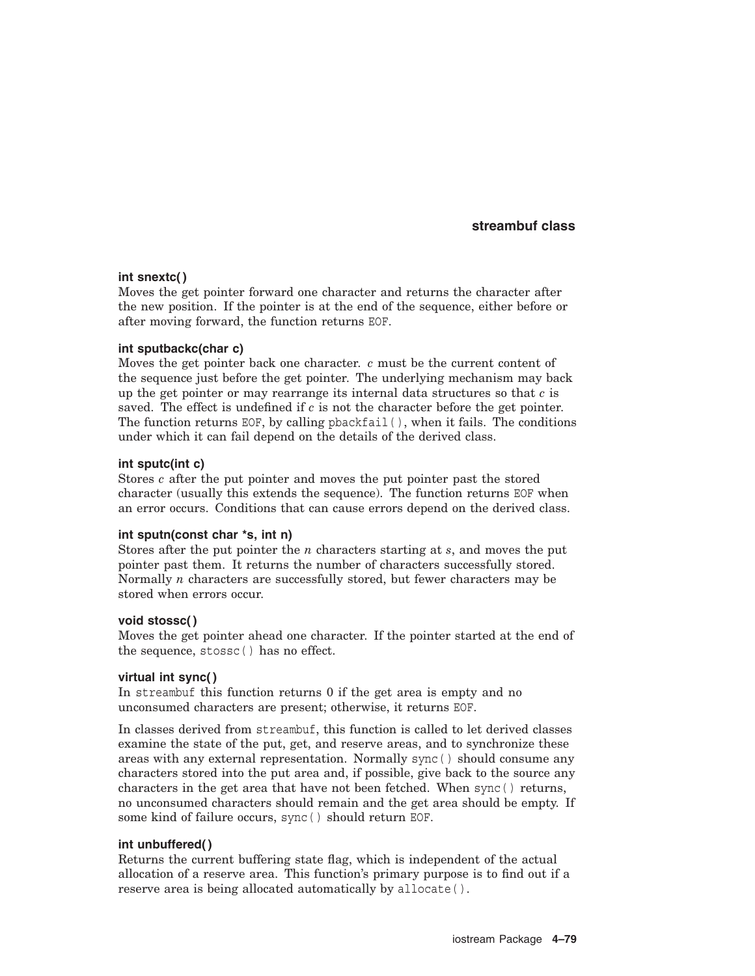#### **int snextc( )**

Moves the get pointer forward one character and returns the character after the new position. If the pointer is at the end of the sequence, either before or after moving forward, the function returns EOF.

#### **int sputbackc(char c)**

Moves the get pointer back one character. *c* must be the current content of the sequence just before the get pointer. The underlying mechanism may back up the get pointer or may rearrange its internal data structures so that *c* is saved. The effect is undefined if *c* is not the character before the get pointer. The function returns EOF, by calling phackfail( $)$ , when it fails. The conditions under which it can fail depend on the details of the derived class.

#### **int sputc(int c)**

Stores *c* after the put pointer and moves the put pointer past the stored character (usually this extends the sequence). The function returns EOF when an error occurs. Conditions that can cause errors depend on the derived class.

#### **int sputn(const char \*s, int n)**

Stores after the put pointer the *n* characters starting at *s*, and moves the put pointer past them. It returns the number of characters successfully stored. Normally *n* characters are successfully stored, but fewer characters may be stored when errors occur.

#### **void stossc( )**

Moves the get pointer ahead one character. If the pointer started at the end of the sequence, stossc( ) has no effect.

#### **virtual int sync( )**

In streambuf this function returns 0 if the get area is empty and no unconsumed characters are present; otherwise, it returns EOF.

In classes derived from streambuf, this function is called to let derived classes examine the state of the put, get, and reserve areas, and to synchronize these areas with any external representation. Normally sync( ) should consume any characters stored into the put area and, if possible, give back to the source any characters in the get area that have not been fetched. When sync( ) returns, no unconsumed characters should remain and the get area should be empty. If some kind of failure occurs, sync( ) should return EOF.

#### **int unbuffered( )**

Returns the current buffering state flag, which is independent of the actual allocation of a reserve area. This function's primary purpose is to find out if a reserve area is being allocated automatically by allocate ().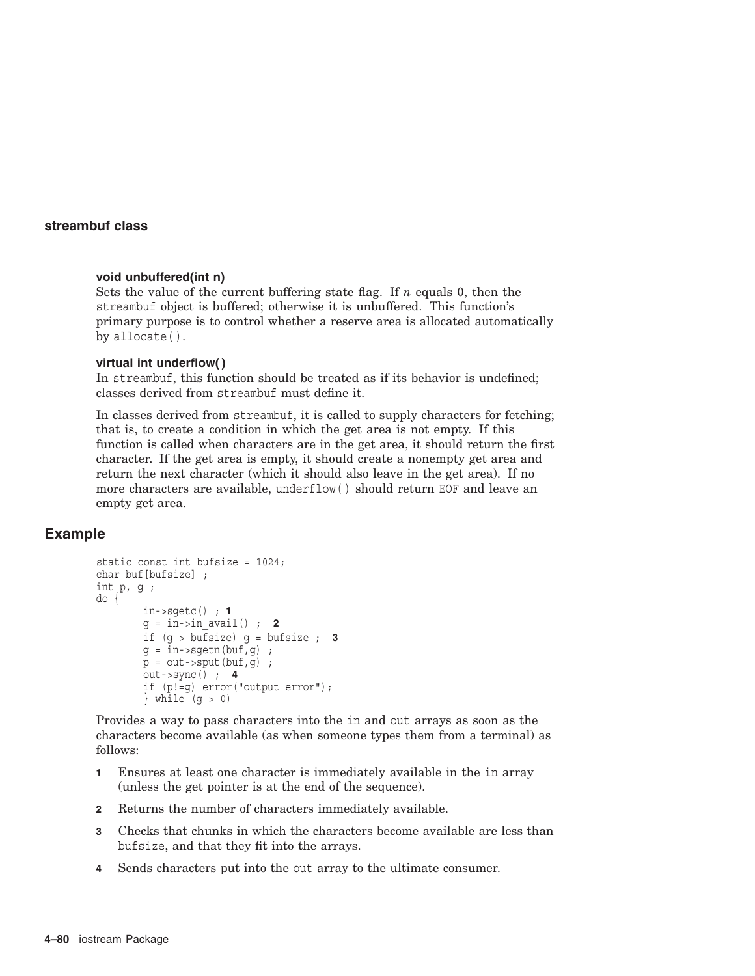#### **void unbuffered(int n)**

Sets the value of the current buffering state flag. If *n* equals 0, then the streambuf object is buffered; otherwise it is unbuffered. This function's primary purpose is to control whether a reserve area is allocated automatically by allocate( ).

#### **virtual int underflow( )**

In streambuf, this function should be treated as if its behavior is undefined; classes derived from streambuf must define it.

In classes derived from streambuf, it is called to supply characters for fetching; that is, to create a condition in which the get area is not empty. If this function is called when characters are in the get area, it should return the first character. If the get area is empty, it should create a nonempty get area and return the next character (which it should also leave in the get area). If no more characters are available, underflow( ) should return EOF and leave an empty get area.

## **Example**

```
static const int bufsize = 1024;
char buf[bufsize] ;
int p, g ;
do {
        in->sgetc() ; 1
        g = \text{in-sin } \text{avail}( ) ; 2
        if (g > bufsize) g = bufsize ; 3
        g = \overline{in}->sgetn(buf,g);
        p = out-sput(buf,q);
        out->sync() ; 4
        if (p!=g) error("output error");
        } while (q > 0)
```
Provides a way to pass characters into the in and out arrays as soon as the characters become available (as when someone types them from a terminal) as follows:

- **1** Ensures at least one character is immediately available in the in array (unless the get pointer is at the end of the sequence).
- **2** Returns the number of characters immediately available.
- **3** Checks that chunks in which the characters become available are less than bufsize, and that they fit into the arrays.
- **4** Sends characters put into the out array to the ultimate consumer.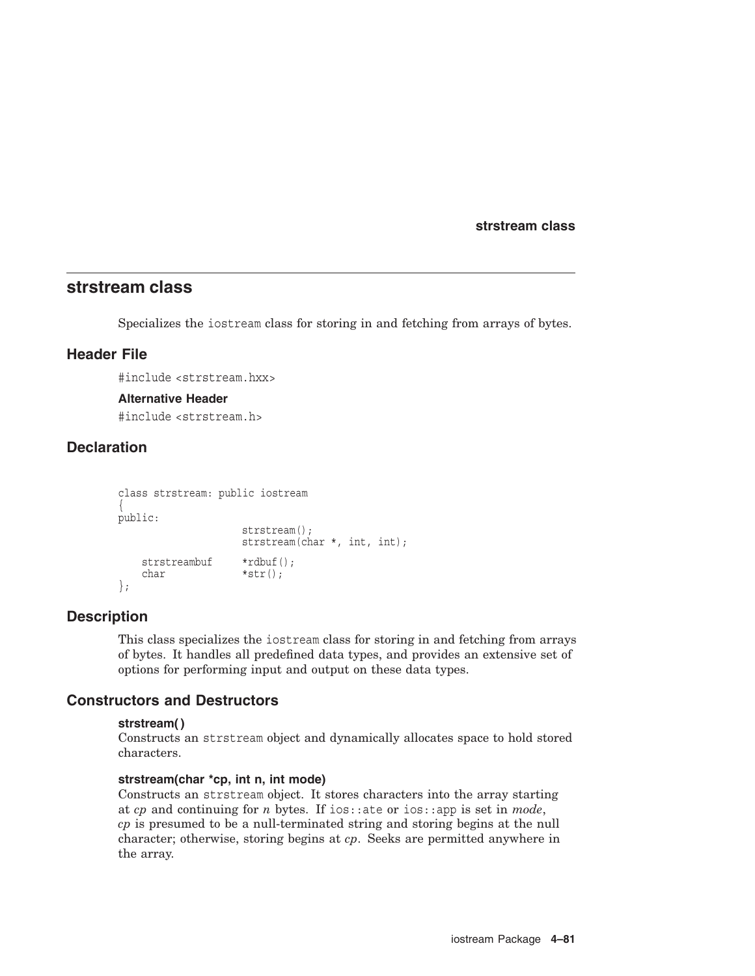**strstream class**

## **strstream class**

Specializes the iostream class for storing in and fetching from arrays of bytes.

## **Header File**

#include <strstream.hxx>

#### **Alternative Header**

#include <strstream.h>

## **Declaration**

```
class strstream: public iostream
{
public:
                  strstream();
                  strstream(char *, int, int);
   strstreambuf *rdbuf();
   char *str();
};
```
## **Description**

This class specializes the iostream class for storing in and fetching from arrays of bytes. It handles all predefined data types, and provides an extensive set of options for performing input and output on these data types.

## **Constructors and Destructors**

#### **strstream( )**

Constructs an strstream object and dynamically allocates space to hold stored characters.

## **strstream(char \*cp, int n, int mode)**

Constructs an strstream object. It stores characters into the array starting at *cp* and continuing for *n* bytes. If ios::ate or ios::app is set in *mode*, *cp* is presumed to be a null-terminated string and storing begins at the null character; otherwise, storing begins at *cp*. Seeks are permitted anywhere in the array.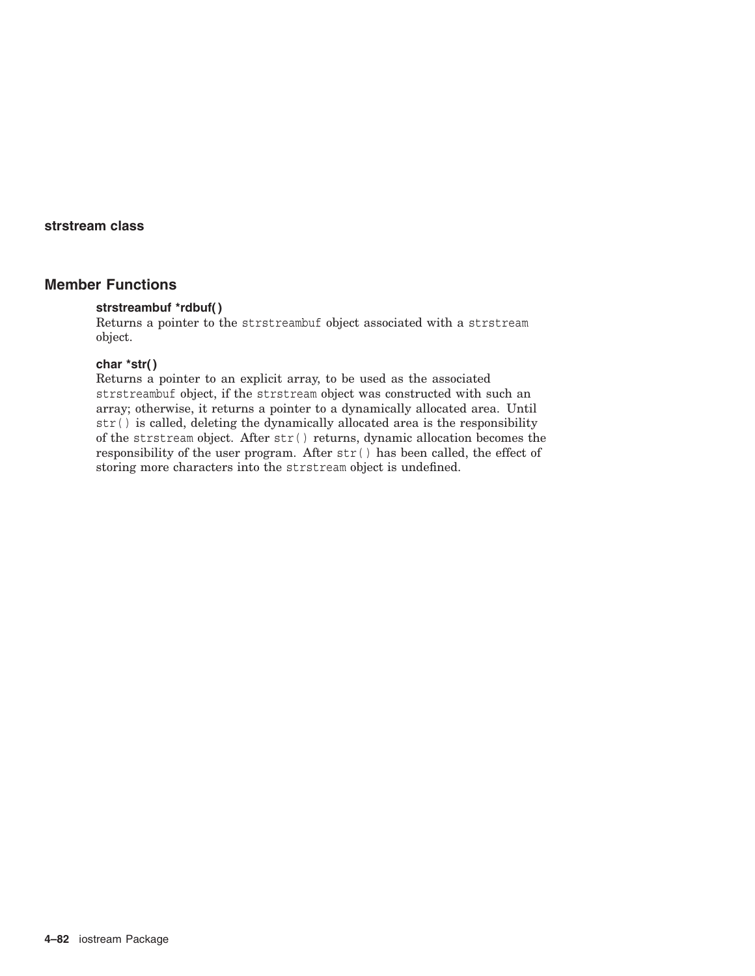## **strstream class**

## **Member Functions**

## **strstreambuf \*rdbuf( )**

Returns a pointer to the strstreambuf object associated with a strstream object.

#### **char \*str( )**

Returns a pointer to an explicit array, to be used as the associated strstreambuf object, if the strstream object was constructed with such an array; otherwise, it returns a pointer to a dynamically allocated area. Until str( ) is called, deleting the dynamically allocated area is the responsibility of the strstream object. After str( ) returns, dynamic allocation becomes the responsibility of the user program. After  $str()$  has been called, the effect of storing more characters into the strstream object is undefined.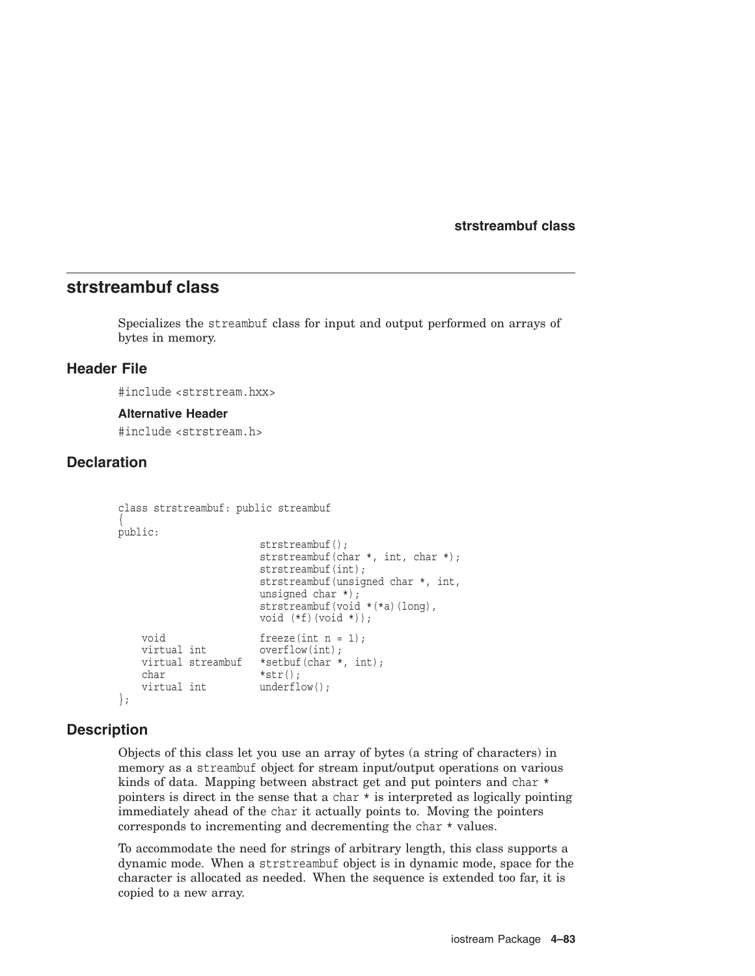## **strstreambuf class**

Specializes the streambuf class for input and output performed on arrays of bytes in memory.

## **Header File**

#include <strstream.hxx>

#### **Alternative Header**

#include <strstream.h>

## **Declaration**

```
class strstreambuf: public streambuf
{
public:
                       strstreambuf();
                      strstreambuf(char *, int, char *);
                      strstreambuf(int);
                       strstreambuf(unsigned char *, int,
                      unsigned char *);
                       strstreambuf(void *(*a)(long),
                      void (*f)(void *));
    void freeze(int n = 1);
    virtual int overflow(int);
   virtual streambuf *setbuf(char *, int);
   char *str();<br>virtual int *str();
                     underflow();
};
```
#### **Description**

Objects of this class let you use an array of bytes (a string of characters) in memory as a streambuf object for stream input/output operations on various kinds of data. Mapping between abstract get and put pointers and char \* pointers is direct in the sense that a char \* is interpreted as logically pointing immediately ahead of the char it actually points to. Moving the pointers corresponds to incrementing and decrementing the char \* values.

To accommodate the need for strings of arbitrary length, this class supports a dynamic mode. When a strstreambuf object is in dynamic mode, space for the character is allocated as needed. When the sequence is extended too far, it is copied to a new array.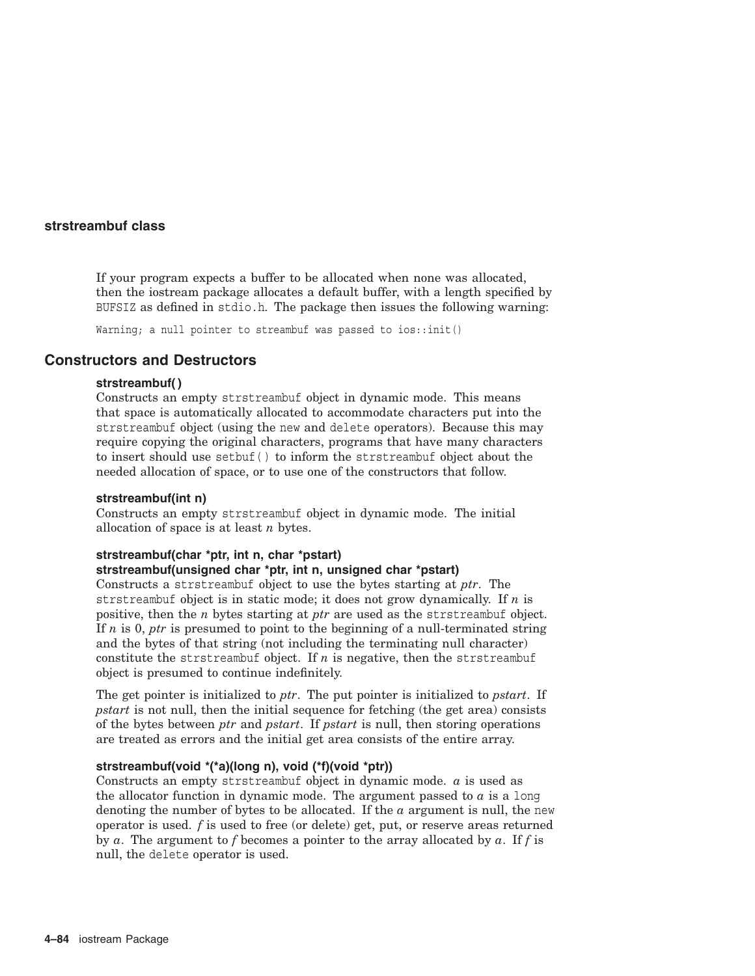If your program expects a buffer to be allocated when none was allocated, then the iostream package allocates a default buffer, with a length specified by BUFSIZ as defined in stdio.h. The package then issues the following warning:

Warning; a null pointer to streambuf was passed to ios::init()

## **Constructors and Destructors**

#### **strstreambuf( )**

Constructs an empty strstreambuf object in dynamic mode. This means that space is automatically allocated to accommodate characters put into the strstreambuf object (using the new and delete operators). Because this may require copying the original characters, programs that have many characters to insert should use setbuf( ) to inform the strstreambuf object about the needed allocation of space, or to use one of the constructors that follow.

#### **strstreambuf(int n)**

Constructs an empty strstreambuf object in dynamic mode. The initial allocation of space is at least *n* bytes.

#### **strstreambuf(char \*ptr, int n, char \*pstart) strstreambuf(unsigned char \*ptr, int n, unsigned char \*pstart)**

Constructs a strstreambuf object to use the bytes starting at *ptr*. The strstreambuf object is in static mode; it does not grow dynamically. If *n* is positive, then the *n* bytes starting at *ptr* are used as the strstreambuf object. If *n* is 0, *ptr* is presumed to point to the beginning of a null-terminated string and the bytes of that string (not including the terminating null character) constitute the strstreambuf object. If *n* is negative, then the strstreambuf object is presumed to continue indefinitely.

The get pointer is initialized to *ptr*. The put pointer is initialized to *pstart*. If *pstart* is not null, then the initial sequence for fetching (the get area) consists of the bytes between *ptr* and *pstart*. If *pstart* is null, then storing operations are treated as errors and the initial get area consists of the entire array.

#### **strstreambuf(void \*(\*a)(long n), void (\*f)(void \*ptr))**

Constructs an empty strstreambuf object in dynamic mode. *a* is used as the allocator function in dynamic mode. The argument passed to *a* is a long denoting the number of bytes to be allocated. If the *a* argument is null, the new operator is used. *f* is used to free (or delete) get, put, or reserve areas returned by *a*. The argument to *f* becomes a pointer to the array allocated by *a*. If *f* is null, the delete operator is used.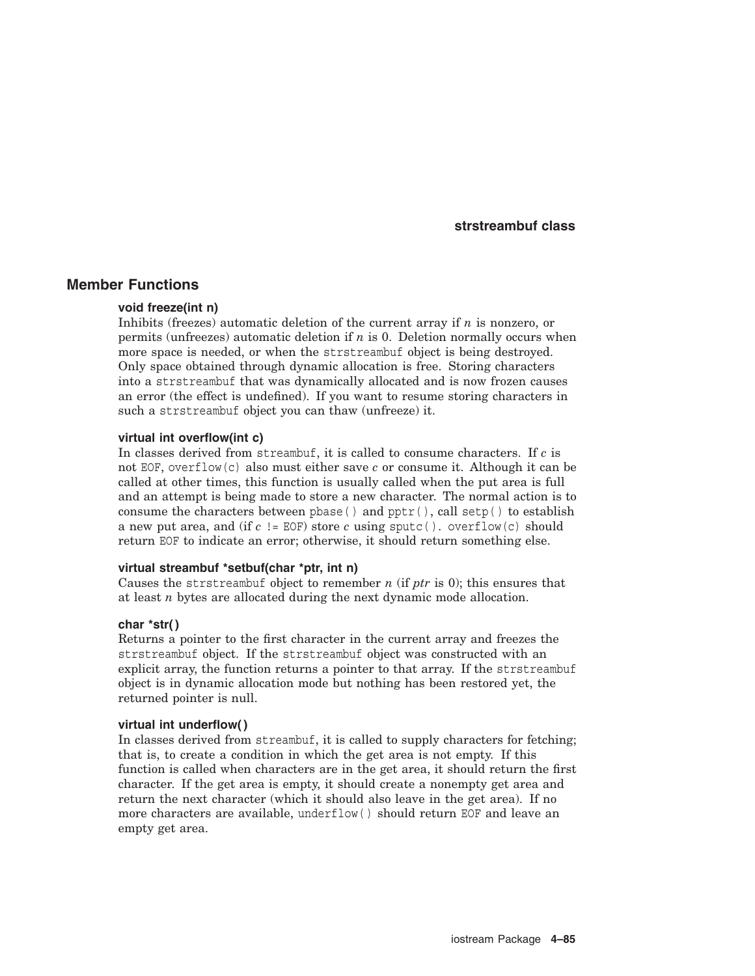## **Member Functions**

#### **void freeze(int n)**

Inhibits (freezes) automatic deletion of the current array if *n* is nonzero, or permits (unfreezes) automatic deletion if *n* is 0. Deletion normally occurs when more space is needed, or when the strstreambuf object is being destroyed. Only space obtained through dynamic allocation is free. Storing characters into a strstreambuf that was dynamically allocated and is now frozen causes an error (the effect is undefined). If you want to resume storing characters in such a strstreambuf object you can thaw (unfreeze) it.

#### **virtual int overflow(int c)**

In classes derived from streambuf, it is called to consume characters. If *c* is not EOF, overflow(c) also must either save *c* or consume it. Although it can be called at other times, this function is usually called when the put area is full and an attempt is being made to store a new character. The normal action is to consume the characters between pbase () and  $pptr()$ , call setp() to establish a new put area, and (if  $c$  != EOF) store  $c$  using sputc(). overflow(c) should return EOF to indicate an error; otherwise, it should return something else.

#### **virtual streambuf \*setbuf(char \*ptr, int n)**

Causes the strstreambuf object to remember *n* (if *ptr* is 0); this ensures that at least *n* bytes are allocated during the next dynamic mode allocation.

#### **char \*str( )**

Returns a pointer to the first character in the current array and freezes the strstreambuf object. If the strstreambuf object was constructed with an explicit array, the function returns a pointer to that array. If the strstreambuf object is in dynamic allocation mode but nothing has been restored yet, the returned pointer is null.

#### **virtual int underflow( )**

In classes derived from streambuf, it is called to supply characters for fetching; that is, to create a condition in which the get area is not empty. If this function is called when characters are in the get area, it should return the first character. If the get area is empty, it should create a nonempty get area and return the next character (which it should also leave in the get area). If no more characters are available, underflow( ) should return EOF and leave an empty get area.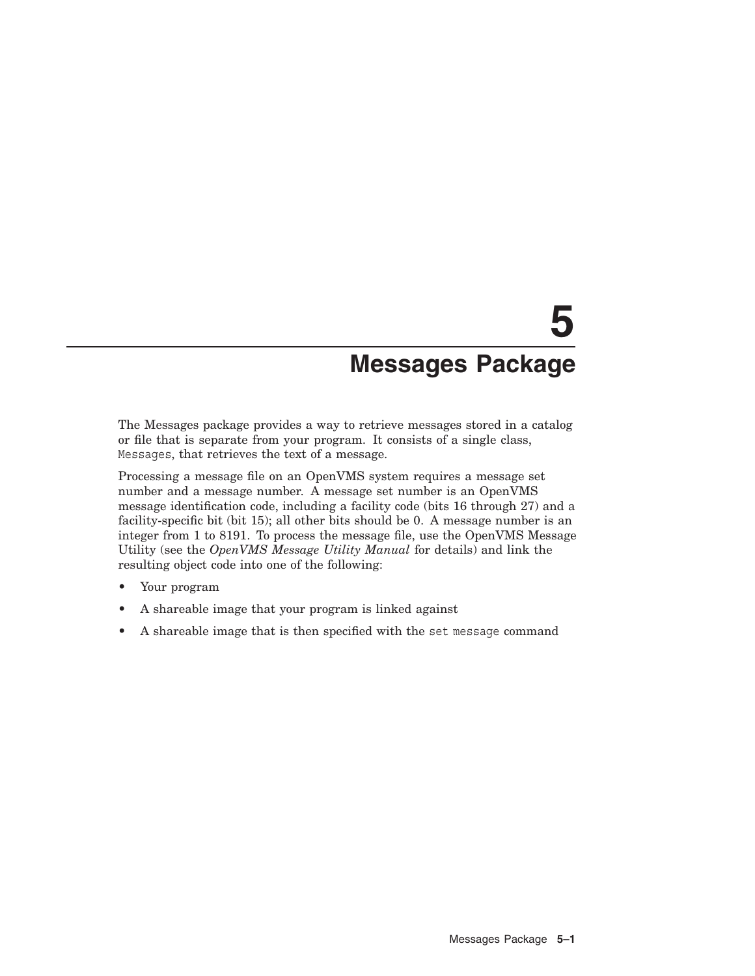# **5 Messages Package**

The Messages package provides a way to retrieve messages stored in a catalog or file that is separate from your program. It consists of a single class, Messages, that retrieves the text of a message.

Processing a message file on an OpenVMS system requires a message set number and a message number. A message set number is an OpenVMS message identification code, including a facility code (bits 16 through 27) and a facility-specific bit (bit 15); all other bits should be 0. A message number is an integer from 1 to 8191. To process the message file, use the OpenVMS Message Utility (see the *OpenVMS Message Utility Manual* for details) and link the resulting object code into one of the following:

- Your program
- A shareable image that your program is linked against
- A shareable image that is then specified with the set message command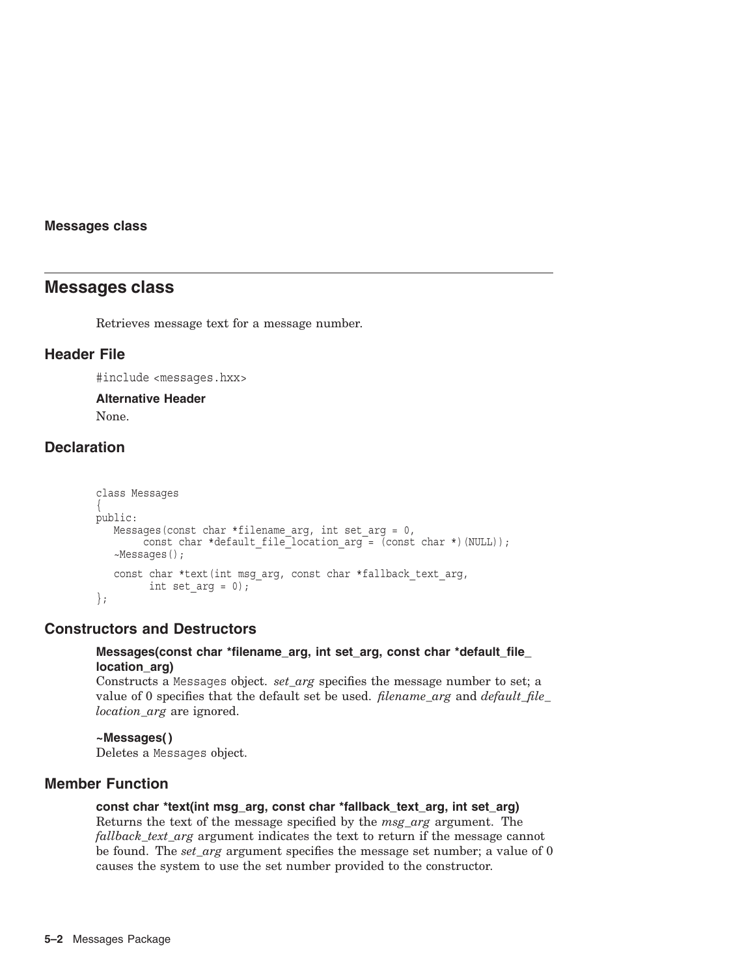## **Messages class**

## **Messages class**

Retrieves message text for a message number.

## **Header File**

#include <messages.hxx>

#### **Alternative Header**

None.

# **Declaration**

```
class Messages
{
public:
   Messages(const char *filename arg, int set arg = 0,
        const char *default file<sup>l</sup>ocation arg = (const char *)(NULL));
   ~Messages();
   const char *text(int msg arg, const char *fallback text arg,
         int set arg = 0);
};
```
## **Constructors and Destructors**

## **Messages(const char \*filename\_arg, int set\_arg, const char \*default\_file\_ location\_arg)**

Constructs a Messages object. *set\_arg* specifies the message number to set; a value of 0 specifies that the default set be used. *filename\_arg* and *default\_file\_ location\_arg* are ignored.

## **~Messages( )**

Deletes a Messages object.

## **Member Function**

## **const char \*text(int msg\_arg, const char \*fallback\_text\_arg, int set\_arg)** Returns the text of the message specified by the *msg\_arg* argument. The *fallback text arg* argument indicates the text to return if the message cannot be found. The *set\_arg* argument specifies the message set number; a value of 0 causes the system to use the set number provided to the constructor.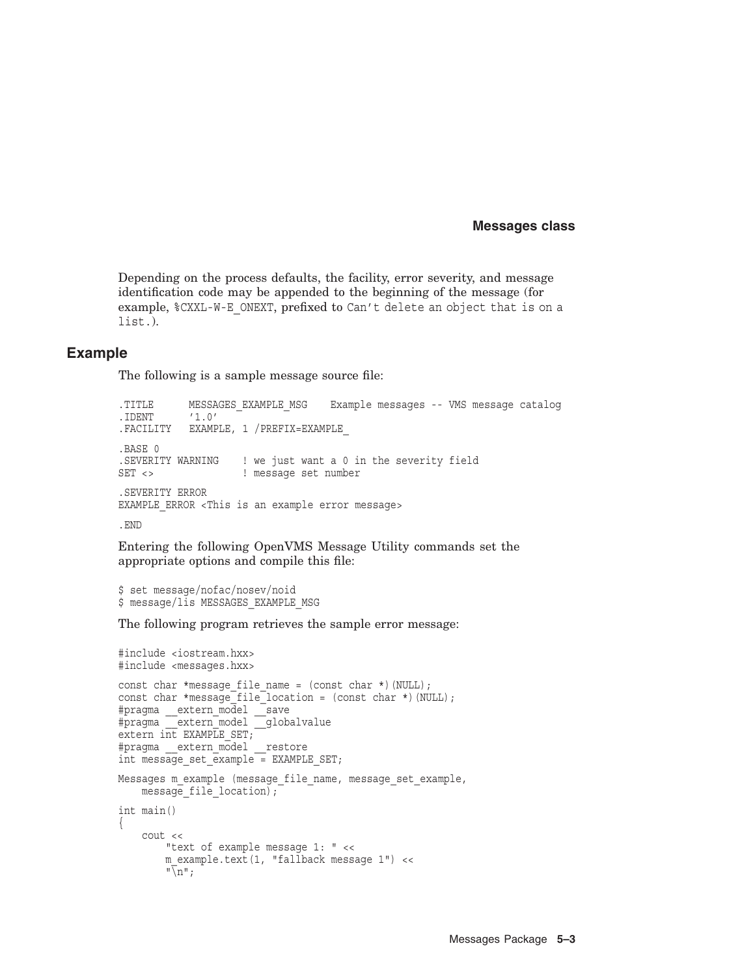#### **Messages class**

Depending on the process defaults, the facility, error severity, and message identification code may be appended to the beginning of the message (for example, \$CXXL-W-E\_ONEXT, prefixed to Can't delete an object that is on a list.).

## **Example**

The following is a sample message source file:

```
.TITLE MESSAGES_EXAMPLE_MSG Example messages -- VMS message catalog
.IDENT '1.0'
.FACILITY EXAMPLE, 1 /PREFIX=EXAMPLE_
.BASE 0
.SEVERITY WARNING ! we just want a 0 in the severity field
SET <> ! message set number
.SEVERITY ERROR
EXAMPLE ERROR <This is an example error message>
```
.END

Entering the following OpenVMS Message Utility commands set the appropriate options and compile this file:

```
$ set message/nofac/nosev/noid
$ message/lis MESSAGES EXAMPLE MSG
```
The following program retrieves the sample error message:

```
#include <iostream.hxx>
#include <messages.hxx>
const char *message file name = (const char *)(NULL);
const char *message_file_location = (const char *)(NULL);
#pragma __extern_model __save
#pragma extern model globalvalue
extern int EXAMPLE SET;
#pragma __extern_model __restore
int message set example = EXAMPLE SET;
Messages m example (message file name, message set example,
    message file location);
int main()
{
    cout <<
       "text of example message 1: " <<
        m example.text(1, "fallback message 1") <<
        \sqrt[m]{n} ;
```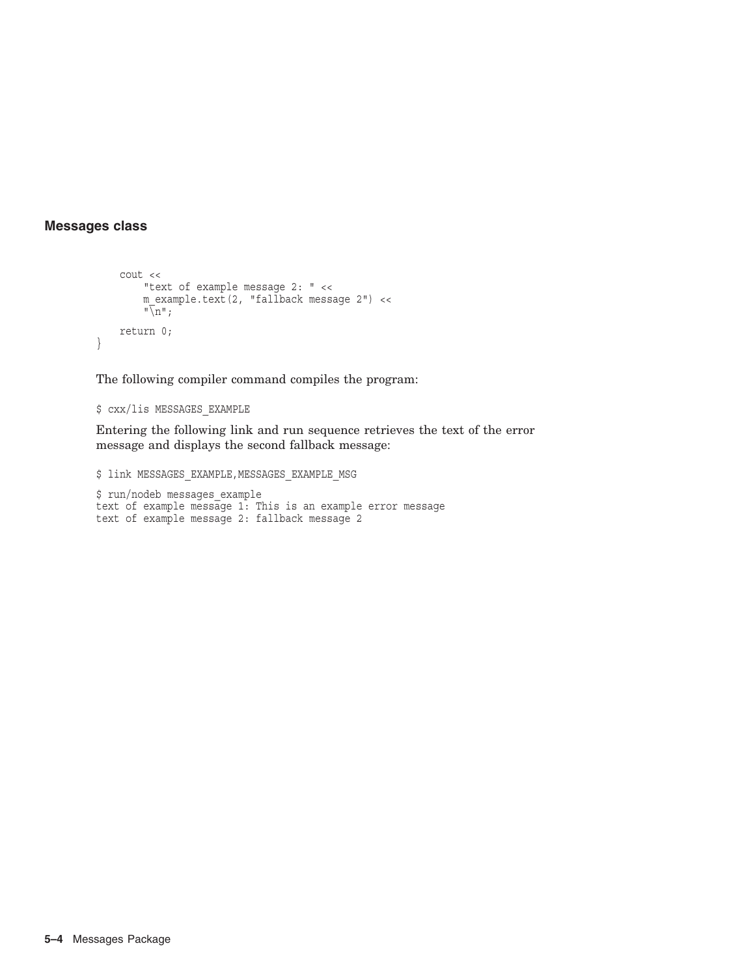## **Messages class**

}

```
cout <<
    "text of example message 2: " <<
    m_example.text(2, "fallback message 2") <<
    "\n\langle n";return 0;
```
The following compiler command compiles the program:

\$ cxx/lis MESSAGES\_EXAMPLE

Entering the following link and run sequence retrieves the text of the error message and displays the second fallback message:

 $$$  link MESSAGES EXAMPLE, MESSAGES EXAMPLE MSG

```
$ run/nodeb messages_example
text of example message 1: This is an example error message
text of example message 2: fallback message 2
```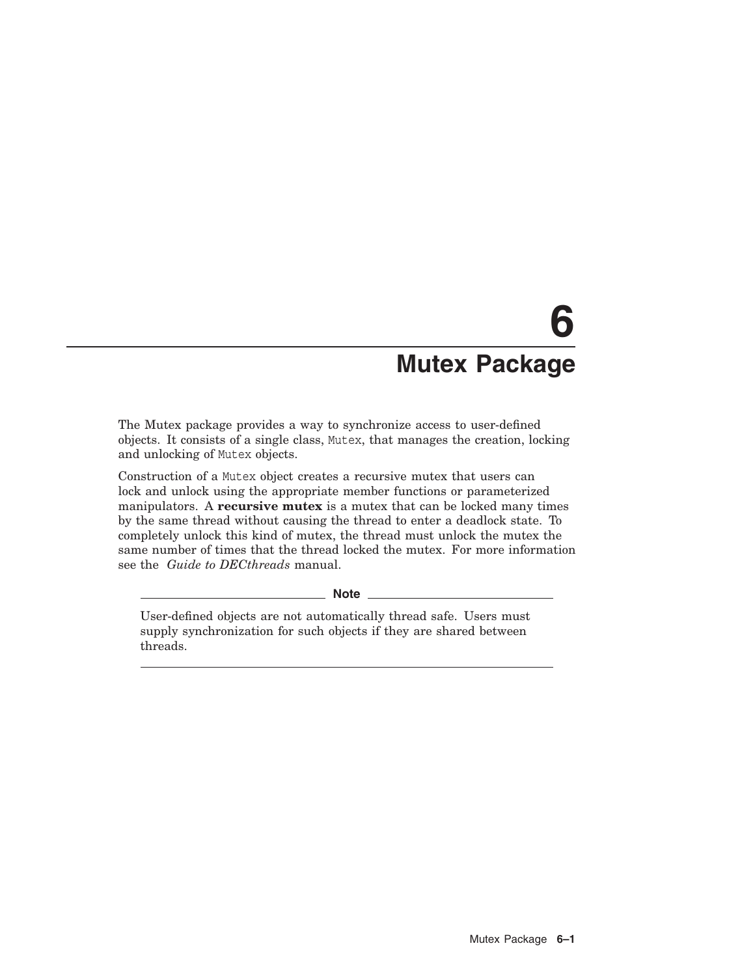# **6 Mutex Package**

The Mutex package provides a way to synchronize access to user-defined objects. It consists of a single class, Mutex, that manages the creation, locking and unlocking of Mutex objects.

Construction of a Mutex object creates a recursive mutex that users can lock and unlock using the appropriate member functions or parameterized manipulators. A **recursive mutex** is a mutex that can be locked many times by the same thread without causing the thread to enter a deadlock state. To completely unlock this kind of mutex, the thread must unlock the mutex the same number of times that the thread locked the mutex. For more information see the *Guide to DECthreads* manual.

\_\_ Note \_\_\_\_\_

User-defined objects are not automatically thread safe. Users must supply synchronization for such objects if they are shared between threads.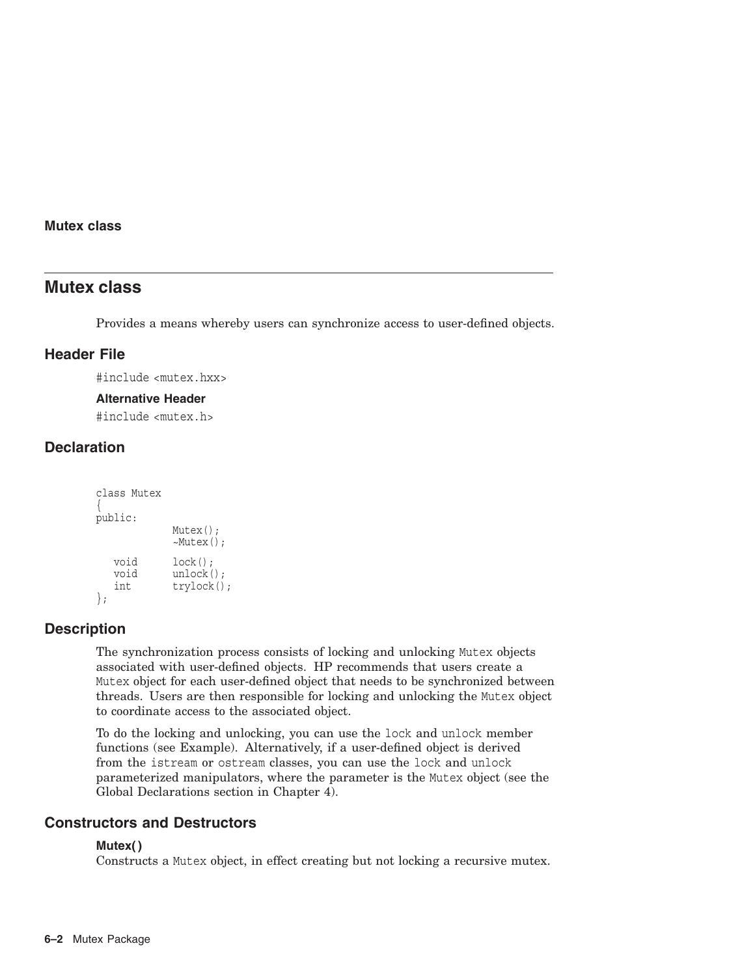## **Mutex class**

## **Mutex class**

Provides a means whereby users can synchronize access to user-defined objects.

## **Header File**

#include <mutex.hxx>

#### **Alternative Header**

#include <mutex.h>

# **Declaration**

```
class Mutex
{
public:
              Mutex();
              ~Mutex();
   void lock();
   void unlock();<br>int trylock()
              trylock();
};
```
## **Description**

The synchronization process consists of locking and unlocking Mutex objects associated with user-defined objects. HP recommends that users create a Mutex object for each user-defined object that needs to be synchronized between threads. Users are then responsible for locking and unlocking the Mutex object to coordinate access to the associated object.

To do the locking and unlocking, you can use the lock and unlock member functions (see Example). Alternatively, if a user-defined object is derived from the istream or ostream classes, you can use the lock and unlock parameterized manipulators, where the parameter is the Mutex object (see the Global Declarations section in Chapter 4).

## **Constructors and Destructors**

## **Mutex( )**

Constructs a Mutex object, in effect creating but not locking a recursive mutex.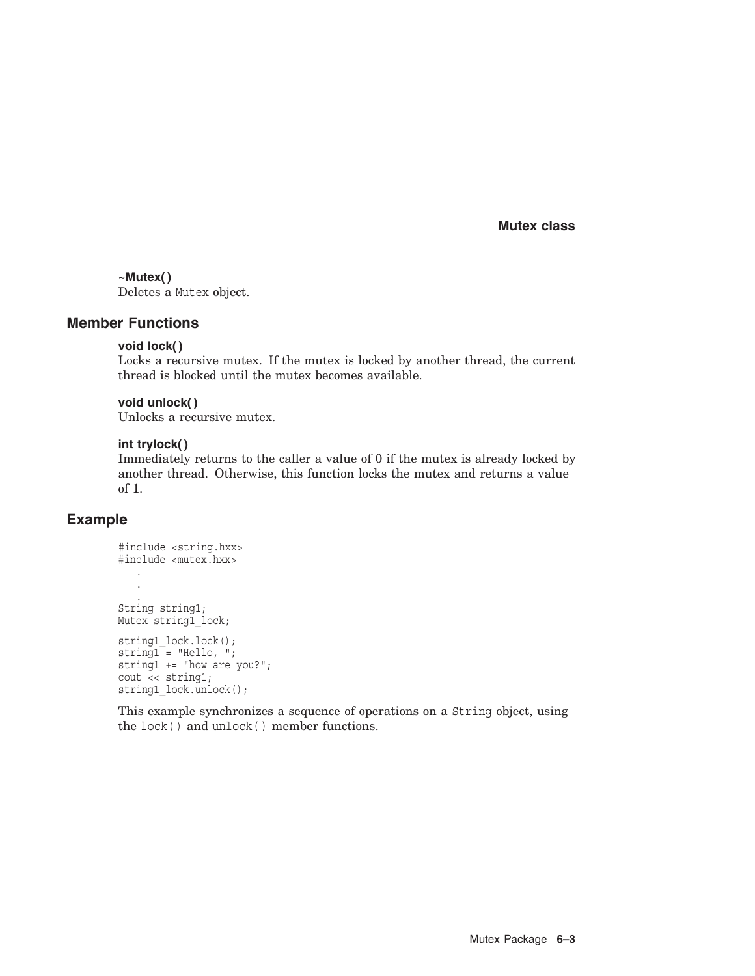**Mutex class**

## **~Mutex( )**

Deletes a Mutex object.

## **Member Functions**

## **void lock( )**

Locks a recursive mutex. If the mutex is locked by another thread, the current thread is blocked until the mutex becomes available.

#### **void unlock( )**

Unlocks a recursive mutex.

## **int trylock( )**

Immediately returns to the caller a value of 0 if the mutex is already locked by another thread. Otherwise, this function locks the mutex and returns a value of 1.

## **Example**

```
#include <string.hxx>
#include <mutex.hxx> .
   .
   . String string1;
Mutex string1 lock;
string1_lock.lock();
string1 = "Hello, ";string1 += "how are you?";
cout << string1;
string1_lock.unlock();
```
This example synchronizes a sequence of operations on a String object, using the lock( ) and unlock( ) member functions.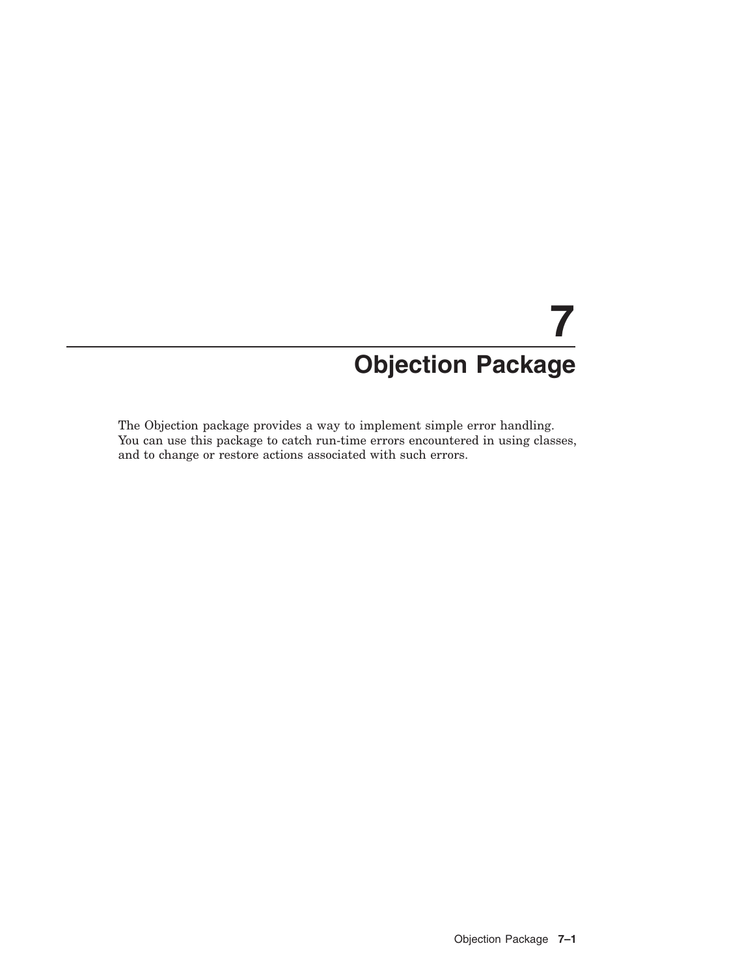# **7 Objection Package**

The Objection package provides a way to implement simple error handling. You can use this package to catch run-time errors encountered in using classes, and to change or restore actions associated with such errors.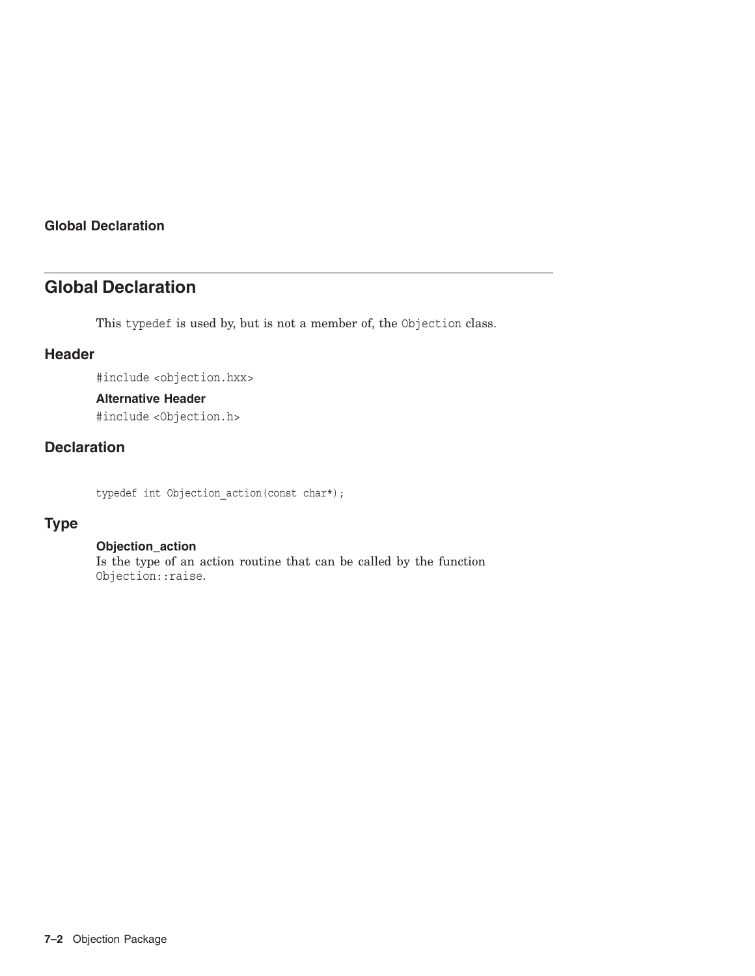## **Global Declaration**

# **Global Declaration**

This typedef is used by, but is not a member of, the Objection class.

## **Header**

#include <objection.hxx>

## **Alternative Header**

#include <Objection.h>

# **Declaration**

typedef int Objection\_action(const char\*);

# **Type**

## **Objection\_action**

Is the type of an action routine that can be called by the function Objection::raise.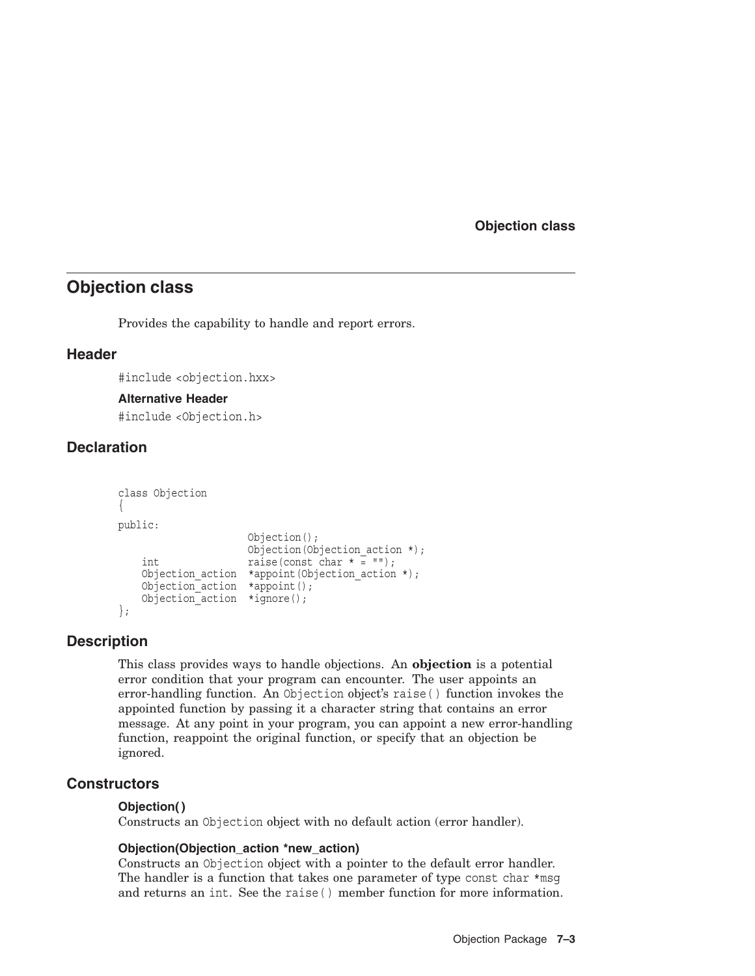**Objection class**

# **Objection class**

Provides the capability to handle and report errors.

## **Header**

#include <objection.hxx>

## **Alternative Header**

#include <Objection.h>

## **Declaration**

```
class Objection
{
public:
                    Objection();
                    Objection(Objection action *);
   int raise(const char * = "");
    Objection_action *appoint(Objection_action *);
    Objection action *appoint();
   Objection_action *ignore(); };
```
## **Description**

This class provides ways to handle objections. An **objection** is a potential error condition that your program can encounter. The user appoints an error-handling function. An Objection object's raise( ) function invokes the appointed function by passing it a character string that contains an error message. At any point in your program, you can appoint a new error-handling function, reappoint the original function, or specify that an objection be ignored.

## **Constructors**

## **Objection( )**

Constructs an Objection object with no default action (error handler).

## **Objection(Objection\_action \*new\_action)**

Constructs an Objection object with a pointer to the default error handler. The handler is a function that takes one parameter of type const char  $\ast$ msq and returns an int. See the raise( ) member function for more information.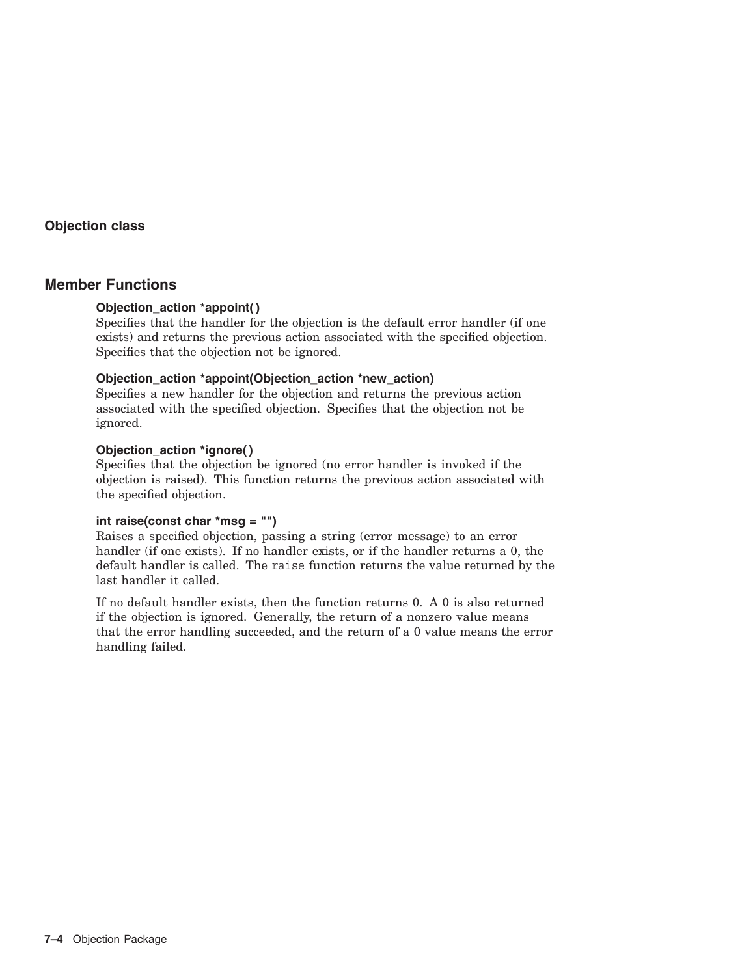## **Objection class**

## **Member Functions**

## **Objection\_action \*appoint( )**

Specifies that the handler for the objection is the default error handler (if one exists) and returns the previous action associated with the specified objection. Specifies that the objection not be ignored.

## **Objection\_action \*appoint(Objection\_action \*new\_action)**

Specifies a new handler for the objection and returns the previous action associated with the specified objection. Specifies that the objection not be ignored.

## **Objection\_action \*ignore( )**

Specifies that the objection be ignored (no error handler is invoked if the objection is raised). This function returns the previous action associated with the specified objection.

## **int raise(const char \*msg = "")**

Raises a specified objection, passing a string (error message) to an error handler (if one exists). If no handler exists, or if the handler returns a 0, the default handler is called. The raise function returns the value returned by the last handler it called.

If no default handler exists, then the function returns 0. A 0 is also returned if the objection is ignored. Generally, the return of a nonzero value means that the error handling succeeded, and the return of a 0 value means the error handling failed.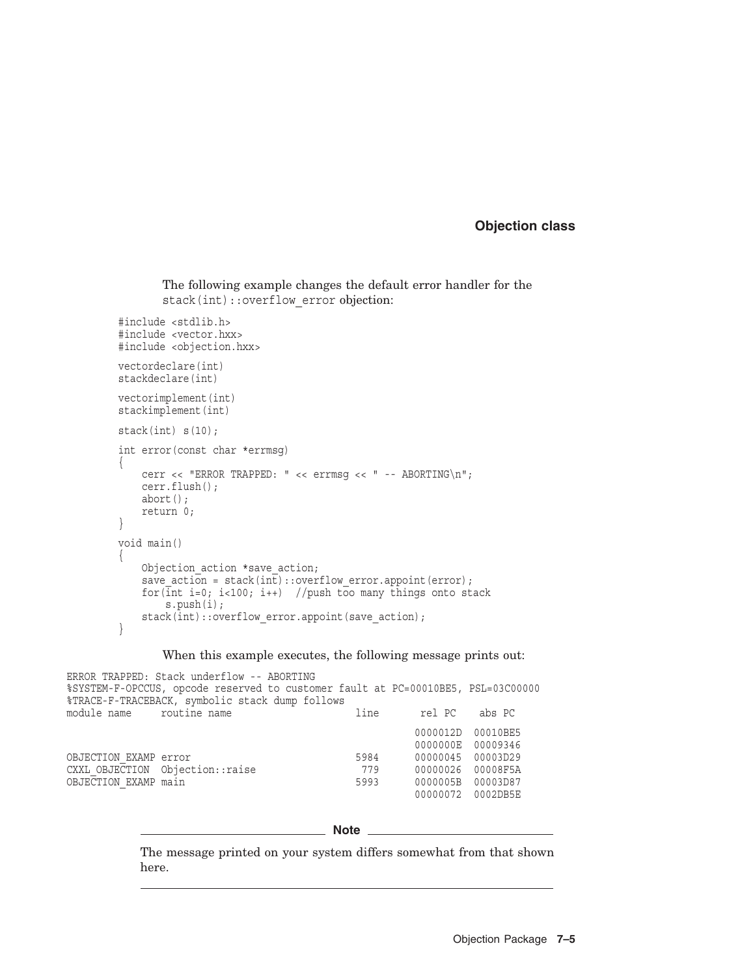## **Objection class**

```
The following example changes the default error handler for the
stack(int)::overflow error objection:
```

```
#include <stdlib.h>
#include <vector.hxx>
#include <objection.hxx>
vectordeclare(int)
stackdeclare(int)
vectorimplement(int)
stackimplement(int)
stack(int) s(10);
int error(const char *errmsg)
{
    cerr << "ERROR TRAPPED: " << errmsq << " -- ABORTING\n";
    cerr.flush();
    abort();
    return 0;
}
void main()
{
    Objection action *save action;
    save acti\overline{on} = stack(int)::overflow error.appoint(error);
    for(int i=0; i<100; i++) //push too many things onto stack
        s.push(i);
    stack(int)::overflow error.appoint(save action);
}
```
#### When this example executes, the following message prints out:

ERROR TRAPPED: Stack underflow -- ABORTING %SYSTEM-F-OPCCUS, opcode reserved to customer fault at PC=00010BE5, PSL=03C00000 %TRACE-F-TRACEBACK, symbolic stack dump follows module name routine name line rel PC abs PC 0000012D 00010BE5 0000000E 00009346 OBJECTION\_EXAMP error 5984 00000045 00003D29 CXXL OBJECTION Objection::raise 779 OBJECTION EXAMP main 60000005B 0000005B 00003D87 00000072 0002DB5E

#### **Note**

The message printed on your system differs somewhat from that shown here.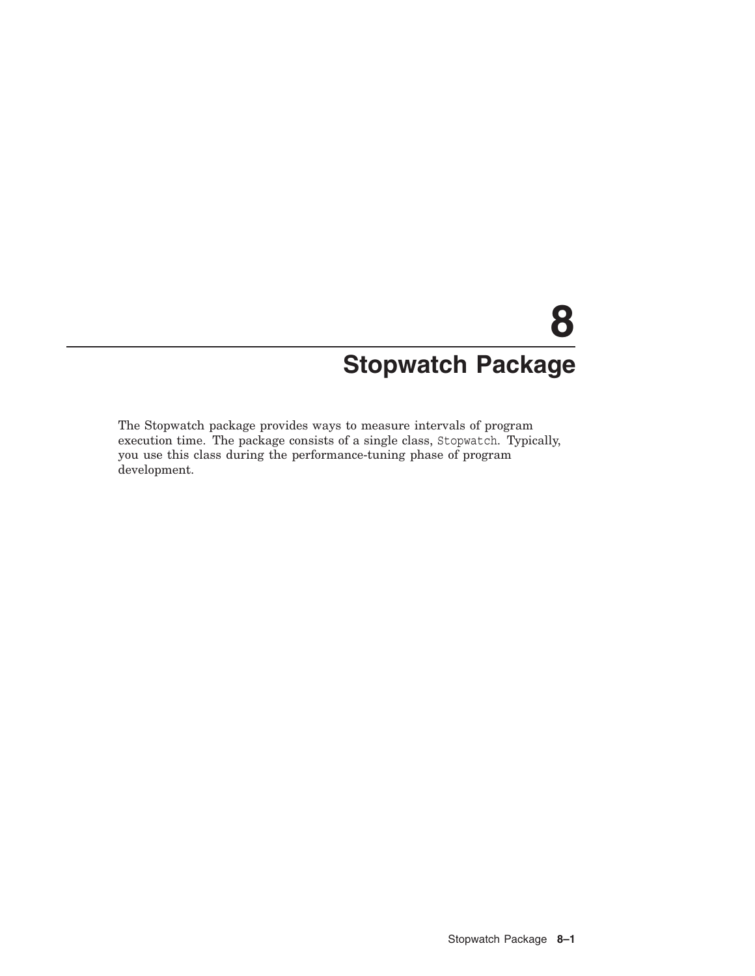# **8 Stopwatch Package**

The Stopwatch package provides ways to measure intervals of program execution time. The package consists of a single class, Stopwatch. Typically, you use this class during the performance-tuning phase of program development.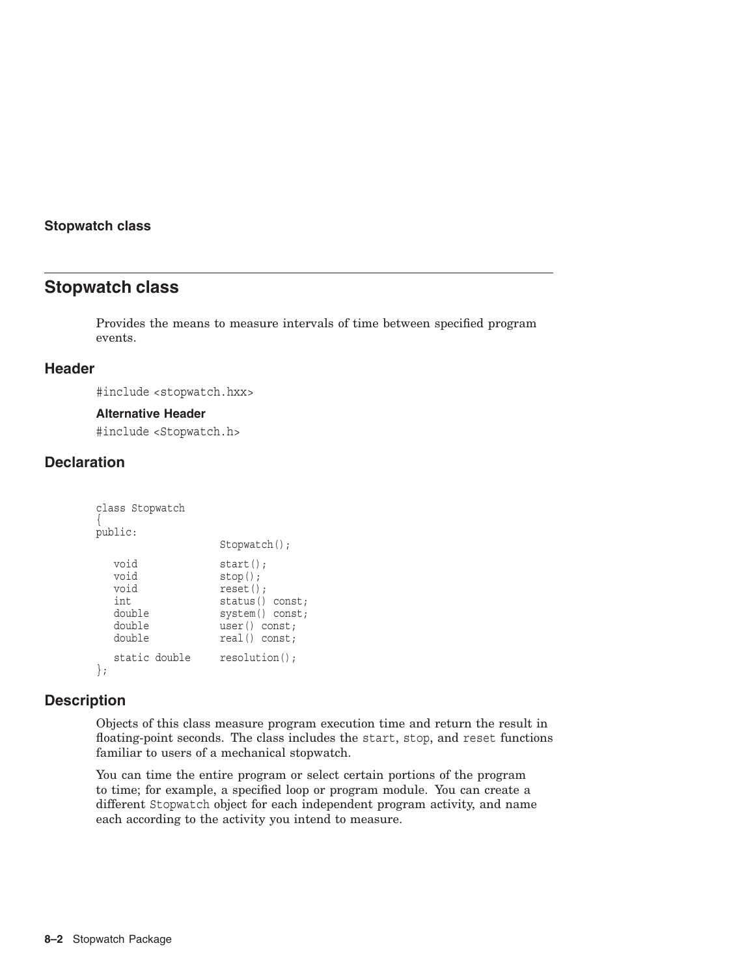## **Stopwatch class**

## **Stopwatch class**

Provides the means to measure intervals of time between specified program events.

## **Header**

#include <stopwatch.hxx>

#### **Alternative Header**

#include <Stopwatch.h>

## **Declaration**

```
class Stopwatch
{
public:
                   Stopwatch();
  void start();<br>void stop();
                  stop();
  void reset();
  int status() const;
  double system() const;
  double user() const;<br>double real() const;
                  real() const;static double resolution();
};
```
## **Description**

Objects of this class measure program execution time and return the result in floating-point seconds. The class includes the start, stop, and reset functions familiar to users of a mechanical stopwatch.

You can time the entire program or select certain portions of the program to time; for example, a specified loop or program module. You can create a different Stopwatch object for each independent program activity, and name each according to the activity you intend to measure.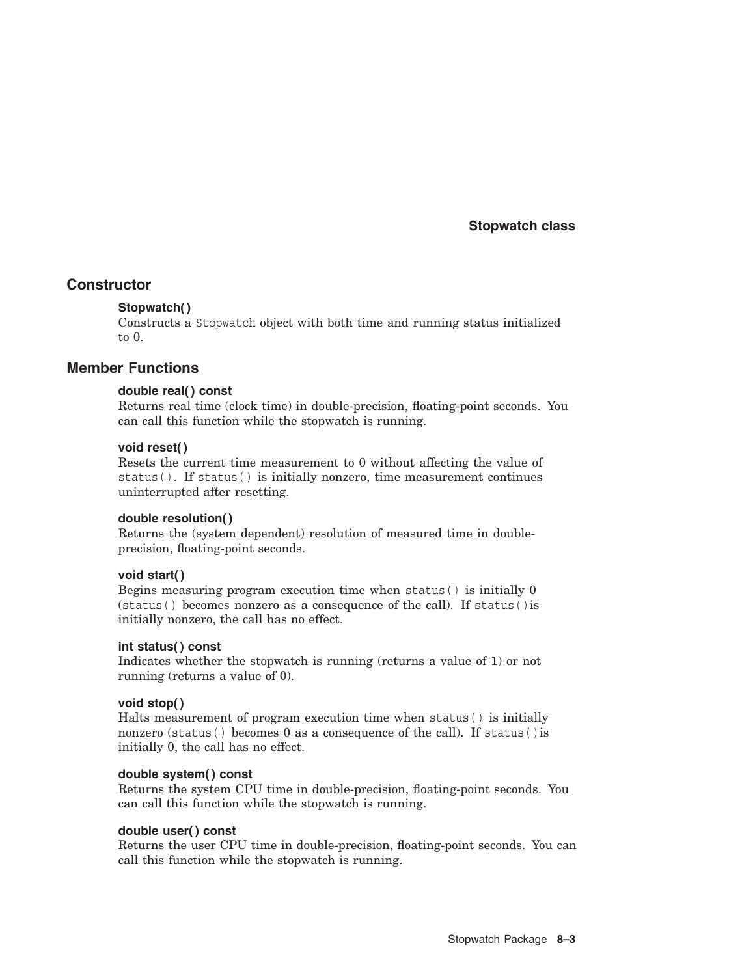**Stopwatch class**

## **Constructor**

## **Stopwatch( )**

Constructs a Stopwatch object with both time and running status initialized to 0.

## **Member Functions**

## **double real( ) const**

Returns real time (clock time) in double-precision, floating-point seconds. You can call this function while the stopwatch is running.

## **void reset( )**

Resets the current time measurement to 0 without affecting the value of status( ). If status( ) is initially nonzero, time measurement continues uninterrupted after resetting.

## **double resolution( )**

Returns the (system dependent) resolution of measured time in doubleprecision, floating-point seconds.

## **void start( )**

Begins measuring program execution time when status( ) is initially 0 (status( ) becomes nonzero as a consequence of the call). If status( )is initially nonzero, the call has no effect.

## **int status( ) const**

Indicates whether the stopwatch is running (returns a value of 1) or not running (returns a value of 0).

## **void stop( )**

Halts measurement of program execution time when status( ) is initially nonzero (status( ) becomes 0 as a consequence of the call). If status( )is initially 0, the call has no effect.

## **double system( ) const**

Returns the system CPU time in double-precision, floating-point seconds. You can call this function while the stopwatch is running.

#### **double user( ) const**

Returns the user CPU time in double-precision, floating-point seconds. You can call this function while the stopwatch is running.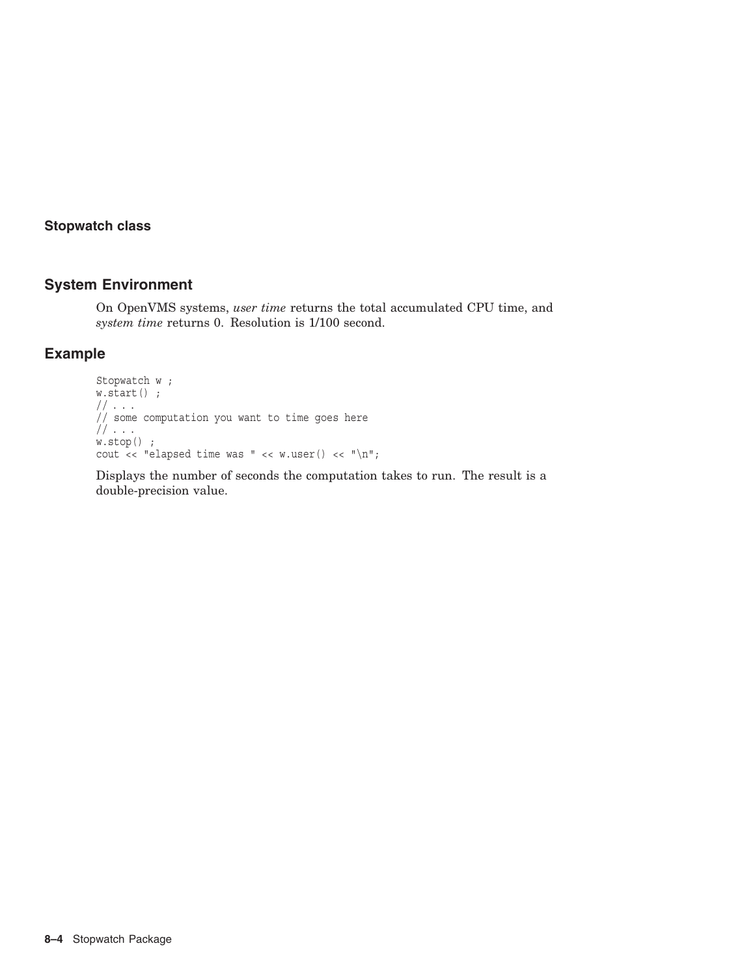## **Stopwatch class**

## **System Environment**

On OpenVMS systems, *user time* returns the total accumulated CPU time, and *system time* returns 0. Resolution is 1/100 second.

## **Example**

```
Stopwatch w ;
w.start() ;
// . . .
// some computation you want to time goes here
// . . .
w.\,\texttt{stop}() ;
cout << "elapsed time was " << w.user() << "\n";
```
Displays the number of seconds the computation takes to run. The result is a double-precision value.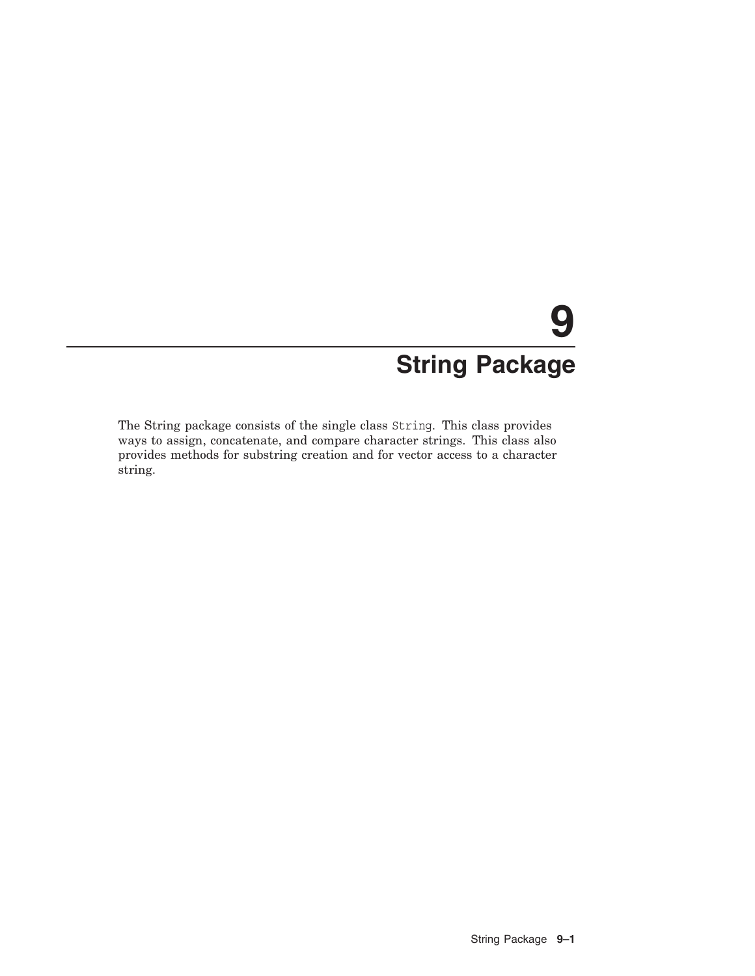# **9 String Package**

The String package consists of the single class String. This class provides ways to assign, concatenate, and compare character strings. This class also provides methods for substring creation and for vector access to a character string.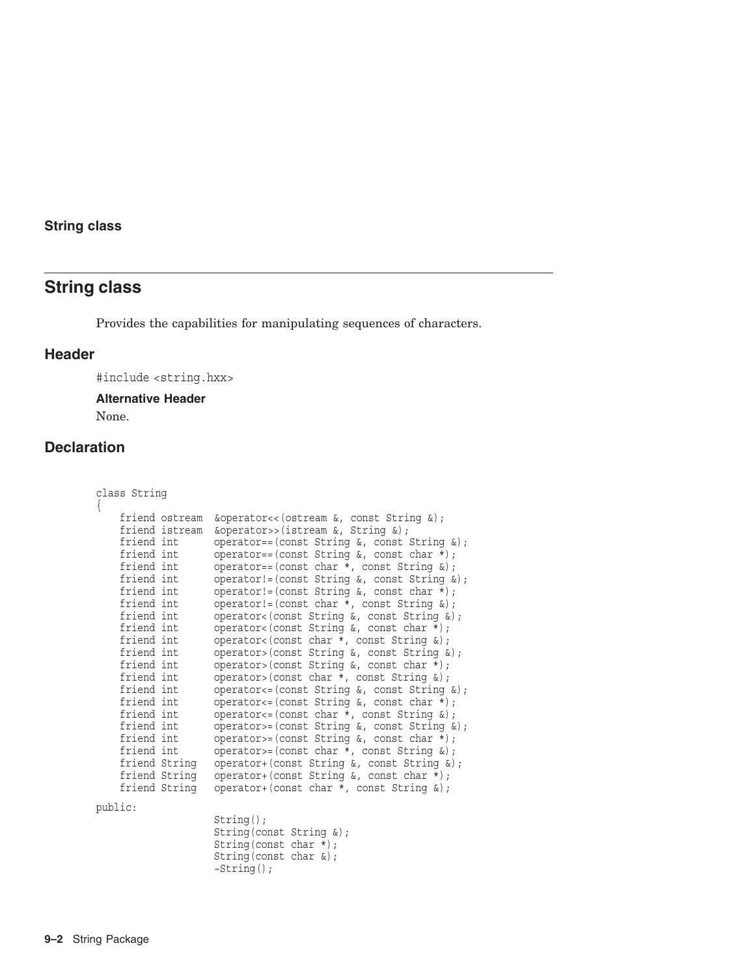# **String class**

Provides the capabilities for manipulating sequences of characters.

## **Header**

#include <string.hxx>

## **Alternative Header**

None.

# **Declaration**

| class String<br>$\{$                                                                                                                                                                                                                                                                                                                            |  |                                                                                                                                                                                                                                                                                                                                                                                                                                                                                                                                                                                                                                                                                                                                                                                                                                                                                                                                                                                                                |
|-------------------------------------------------------------------------------------------------------------------------------------------------------------------------------------------------------------------------------------------------------------------------------------------------------------------------------------------------|--|----------------------------------------------------------------------------------------------------------------------------------------------------------------------------------------------------------------------------------------------------------------------------------------------------------------------------------------------------------------------------------------------------------------------------------------------------------------------------------------------------------------------------------------------------------------------------------------------------------------------------------------------------------------------------------------------------------------------------------------------------------------------------------------------------------------------------------------------------------------------------------------------------------------------------------------------------------------------------------------------------------------|
| friend ostream<br>friend istream<br>friend int<br>friend int<br>friend int<br>friend int<br>friend int<br>friend int<br>friend int<br>friend int<br>friend int<br>friend int<br>friend int<br>friend int<br>friend int<br>friend int<br>friend int<br>friend int<br>friend int<br>friend int<br>friend String<br>friend String<br>friend String |  | $\&operator(\&operator>>(istream \&, String \&);operator==(const String \⊂>l, const String \⊂>l);operator==(const String \&, const char *);operator==(const char *, const String \&);operator!= (const String \⊂>0, const String \⊂>0;operator!=(const String \&, const char *);operator!= \left(\text{const char } *, \text{ const String } x\right);operator<(const String &, const String &);operator<(const String &, const char *);operator<(const char *, const String &);operator>(const String &, const String &);operator>(const String &, const char *);operator>(const char *, const String &);operator <= (const String &, const String &);operator <= (const String \⊂>l, const char *);operator <= (const char *, const String \&);operator>=(const String \&, const String \&);operator>=(const String \&, const char *);operator>=(const char *, const String \&);operator+(const String &, const String &);operator+(const String &, const char *);operator+(const char *, const String \&);$ |
| public:                                                                                                                                                                                                                                                                                                                                         |  |                                                                                                                                                                                                                                                                                                                                                                                                                                                                                                                                                                                                                                                                                                                                                                                                                                                                                                                                                                                                                |
|                                                                                                                                                                                                                                                                                                                                                 |  | $String()$ ;<br>String (const String $\&$ );<br>String (const char $\star$ );<br>String (const char $\&$ );<br>$\sim$ String();                                                                                                                                                                                                                                                                                                                                                                                                                                                                                                                                                                                                                                                                                                                                                                                                                                                                                |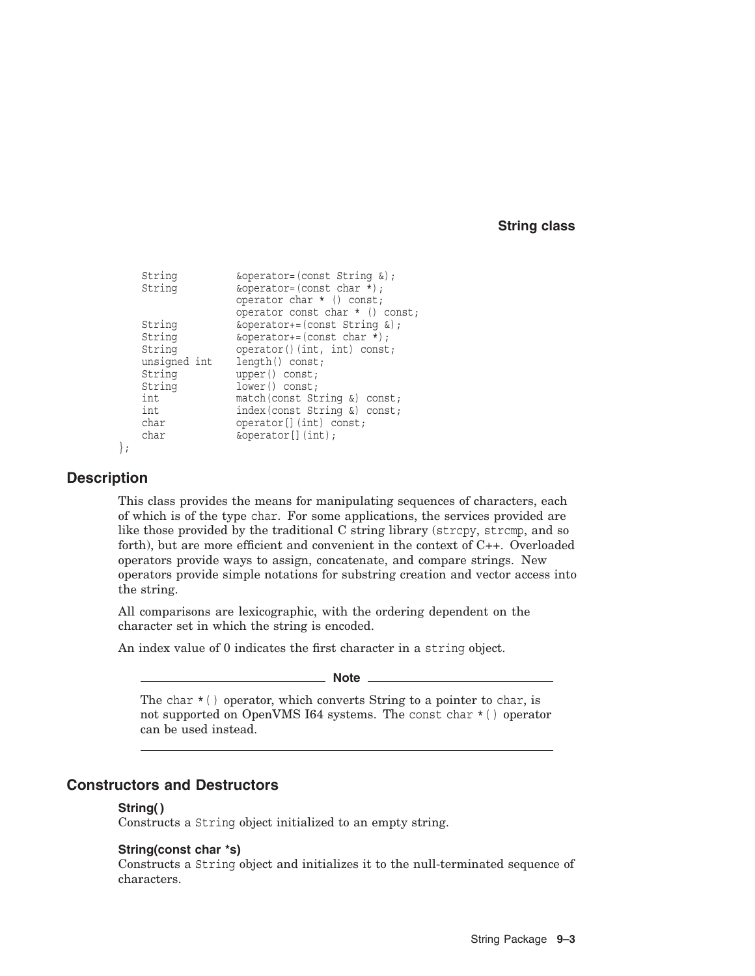```
String \&\text{operator=(const String }\&);String \&\text{operator=(const char *)};
              operator char * () const;
              operator const char * () const;
String \&\text{operator+=}(const String \&);String \&\text{operator+=}(const \text{ char } *);
String operator()(int, int) const;
unsigned int length() const;
String upper() const;
String lower() const;
int match(const String &) const;
int index(const String &) const;
char operator[](int) const;
char \&\text{operator}[] (int);
```

```
};
```
## **Description**

This class provides the means for manipulating sequences of characters, each of which is of the type char. For some applications, the services provided are like those provided by the traditional C string library (strcpy, strcmp, and so forth), but are more efficient and convenient in the context of C++. Overloaded operators provide ways to assign, concatenate, and compare strings. New operators provide simple notations for substring creation and vector access into the string.

All comparisons are lexicographic, with the ordering dependent on the character set in which the string is encoded.

An index value of 0 indicates the first character in a string object.

**Note**

The char  $*( )$  operator, which converts String to a pointer to char, is not supported on OpenVMS I64 systems. The const char \*( ) operator can be used instead.

## **Constructors and Destructors**

## **String( )**

Constructs a String object initialized to an empty string.

## **String(const char \*s)**

Constructs a String object and initializes it to the null-terminated sequence of characters.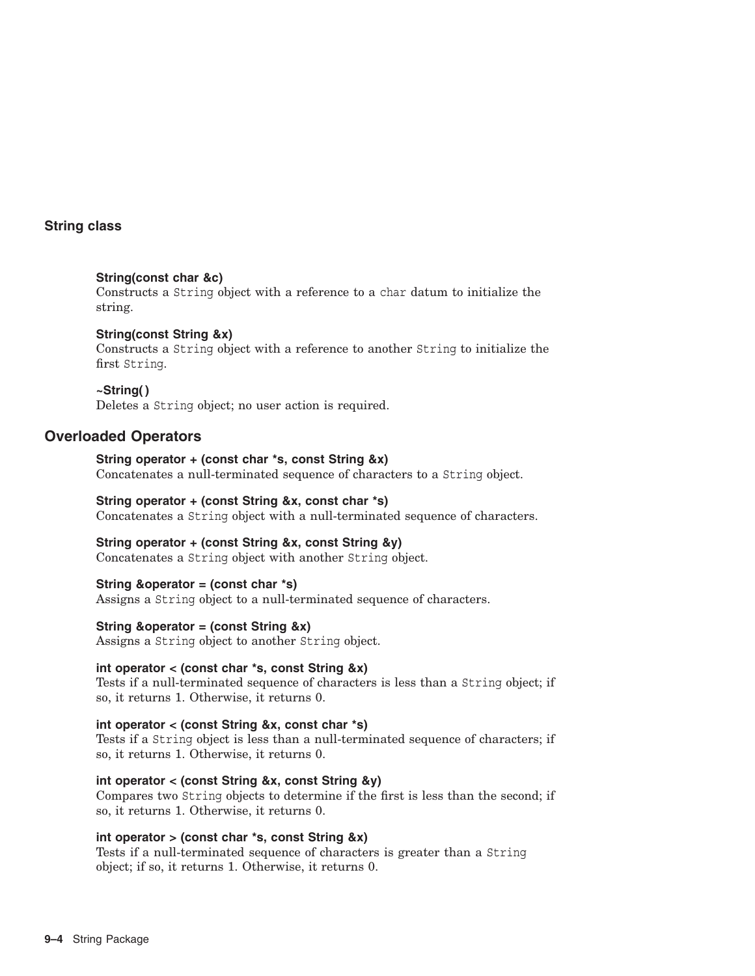## **String(const char &c)**

Constructs a String object with a reference to a char datum to initialize the string.

## **String(const String &x)**

Constructs a String object with a reference to another String to initialize the first String.

## **~String( )**

Deletes a String object; no user action is required.

## **Overloaded Operators**

# **String operator + (const char \*s, const String &x)**

Concatenates a null-terminated sequence of characters to a String object.

## **String operator + (const String &x, const char \*s)**

Concatenates a String object with a null-terminated sequence of characters.

## **String operator + (const String &x, const String &y)**

Concatenates a String object with another String object.

## **String &operator = (const char \*s)**

Assigns a String object to a null-terminated sequence of characters.

## **String &operator = (const String &x)**

Assigns a String object to another String object.

## **int operator < (const char \*s, const String &x)**

Tests if a null-terminated sequence of characters is less than a String object; if so, it returns 1. Otherwise, it returns 0.

## **int operator < (const String &x, const char \*s)**

Tests if a String object is less than a null-terminated sequence of characters; if so, it returns 1. Otherwise, it returns 0.

## **int operator < (const String &x, const String &y)**

Compares two String objects to determine if the first is less than the second; if so, it returns 1. Otherwise, it returns 0.

## **int operator > (const char \*s, const String &x)**

Tests if a null-terminated sequence of characters is greater than a String object; if so, it returns 1. Otherwise, it returns 0.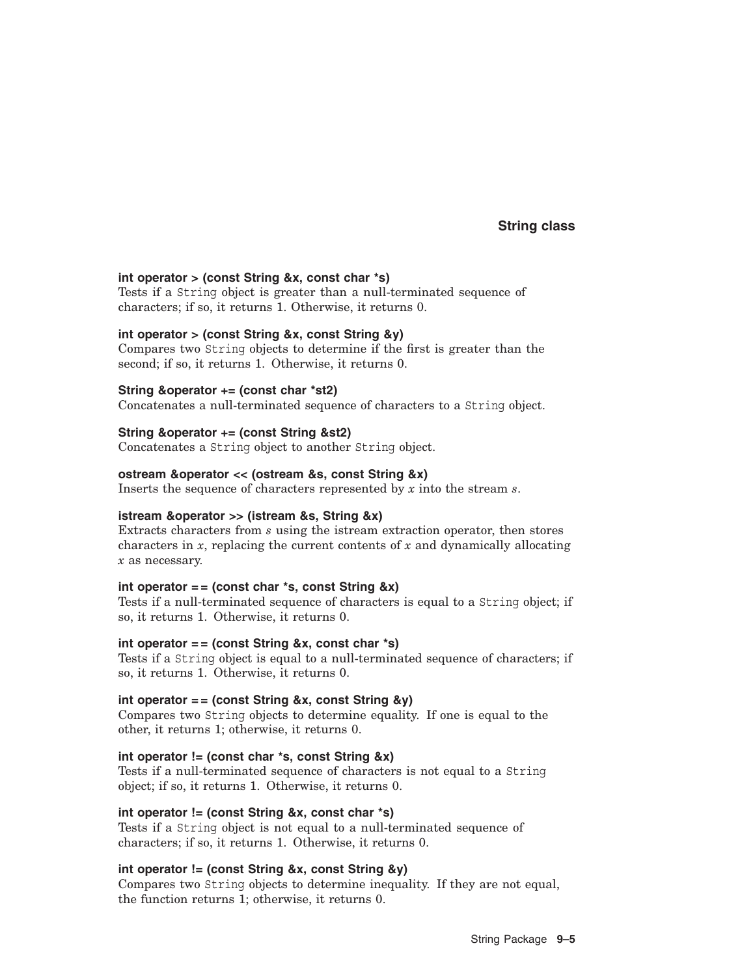#### **int operator > (const String &x, const char \*s)**

Tests if a String object is greater than a null-terminated sequence of characters; if so, it returns 1. Otherwise, it returns 0.

#### **int operator > (const String &x, const String &y)**

Compares two String objects to determine if the first is greater than the second; if so, it returns 1. Otherwise, it returns 0.

#### **String &operator += (const char \*st2)**

Concatenates a null-terminated sequence of characters to a String object.

#### **String &operator += (const String &st2)**

Concatenates a String object to another String object.

#### **ostream &operator << (ostream &s, const String &x)**

Inserts the sequence of characters represented by *x* into the stream *s*.

#### **istream &operator >> (istream &s, String &x)**

Extracts characters from *s* using the istream extraction operator, then stores characters in *x*, replacing the current contents of *x* and dynamically allocating *x* as necessary.

#### **int operator = = (const char \*s, const String &x)**

Tests if a null-terminated sequence of characters is equal to a String object; if so, it returns 1. Otherwise, it returns 0.

## int operator == (const String &x, const char \*s)

Tests if a String object is equal to a null-terminated sequence of characters; if so, it returns 1. Otherwise, it returns 0.

#### **int operator = = (const String &x, const String &y)**

Compares two String objects to determine equality. If one is equal to the other, it returns 1; otherwise, it returns 0.

#### **int operator != (const char \*s, const String &x)**

Tests if a null-terminated sequence of characters is not equal to a String object; if so, it returns 1. Otherwise, it returns 0.

#### **int operator != (const String &x, const char \*s)**

Tests if a String object is not equal to a null-terminated sequence of characters; if so, it returns 1. Otherwise, it returns 0.

#### **int operator != (const String &x, const String &y)**

Compares two String objects to determine inequality. If they are not equal, the function returns 1; otherwise, it returns 0.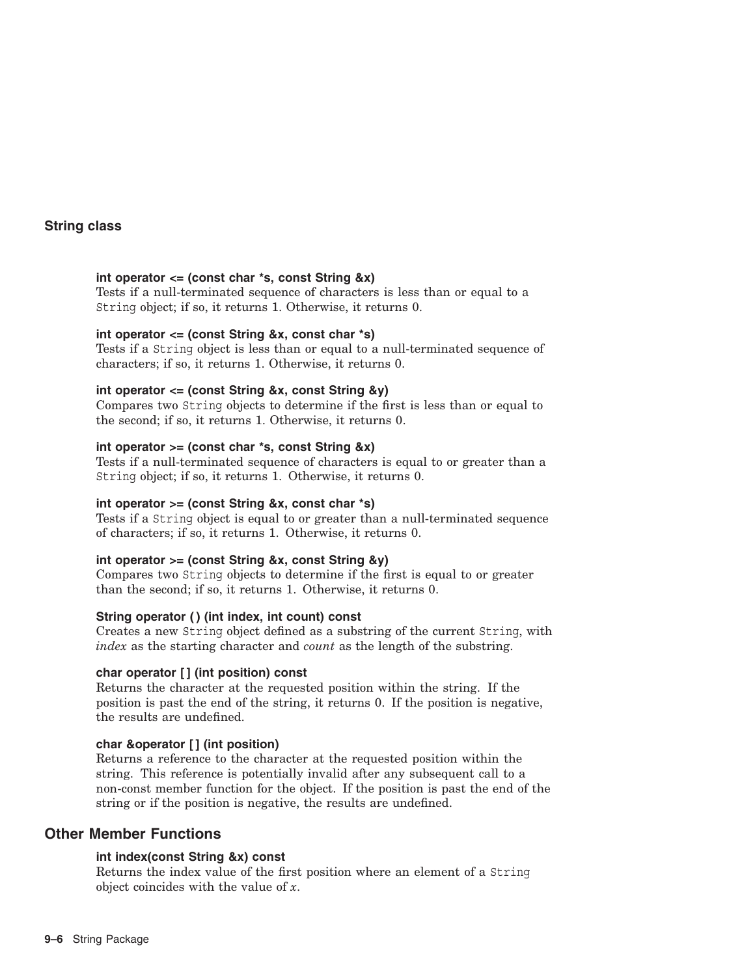## **int operator <= (const char \*s, const String &x)**

Tests if a null-terminated sequence of characters is less than or equal to a String object; if so, it returns 1. Otherwise, it returns 0.

#### **int operator <= (const String &x, const char \*s)**

Tests if a String object is less than or equal to a null-terminated sequence of characters; if so, it returns 1. Otherwise, it returns 0.

#### **int operator <= (const String &x, const String &y)**

Compares two String objects to determine if the first is less than or equal to the second; if so, it returns 1. Otherwise, it returns 0.

#### **int operator >= (const char \*s, const String &x)**

Tests if a null-terminated sequence of characters is equal to or greater than a String object; if so, it returns 1. Otherwise, it returns 0.

#### **int operator >= (const String &x, const char \*s)**

Tests if a String object is equal to or greater than a null-terminated sequence of characters; if so, it returns 1. Otherwise, it returns 0.

#### **int operator >= (const String &x, const String &y)**

Compares two String objects to determine if the first is equal to or greater than the second; if so, it returns 1. Otherwise, it returns 0.

## String operator () (int index, int count) const

Creates a new String object defined as a substring of the current String, with *index* as the starting character and *count* as the length of the substring.

#### **char operator [ ] (int position) const**

Returns the character at the requested position within the string. If the position is past the end of the string, it returns 0. If the position is negative, the results are undefined.

#### **char &operator [ ] (int position)**

Returns a reference to the character at the requested position within the string. This reference is potentially invalid after any subsequent call to a non-const member function for the object. If the position is past the end of the string or if the position is negative, the results are undefined.

## **Other Member Functions**

## **int index(const String &x) const**

Returns the index value of the first position where an element of a String object coincides with the value of *x*.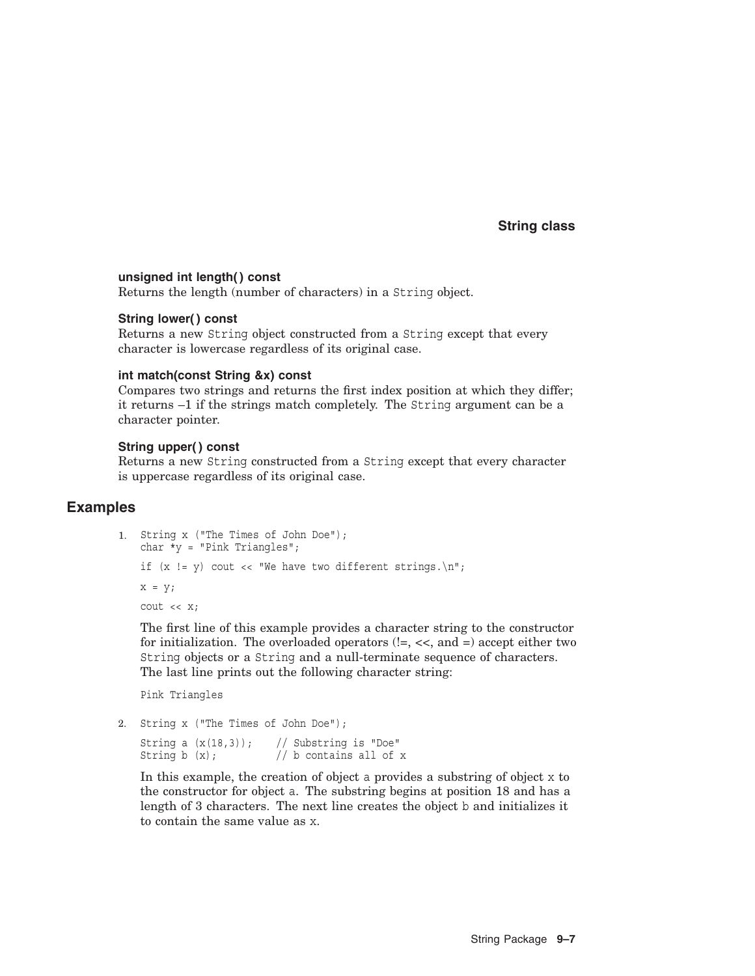## **String class**

#### **unsigned int length( ) const**

Returns the length (number of characters) in a String object.

## **String lower( ) const**

Returns a new String object constructed from a String except that every character is lowercase regardless of its original case.

#### **int match(const String &x) const**

Compares two strings and returns the first index position at which they differ; it returns –1 if the strings match completely. The String argument can be a character pointer.

#### **String upper( ) const**

Returns a new String constructed from a String except that every character is uppercase regardless of its original case.

## **Examples**

```
1. String x ("The Times of John Doe");
   char *y = "Pink Triangles";if (x := y) cout << "We have two different strings. \n";
   x = y;cout << x;
```
The first line of this example provides a character string to the constructor for initialization. The overloaded operators  $(!=, <,$  and  $=)$  accept either two String objects or a String and a null-terminate sequence of characters. The last line prints out the following character string:

Pink Triangles

2. String x ("The Times of John Doe");

String a  $(x(18,3))$ ; // Substring is "Doe" String b  $(x)$ ;  $//$  b contains all of x

In this example, the creation of object a provides a substring of object x to the constructor for object a. The substring begins at position 18 and has a length of 3 characters. The next line creates the object b and initializes it to contain the same value as x.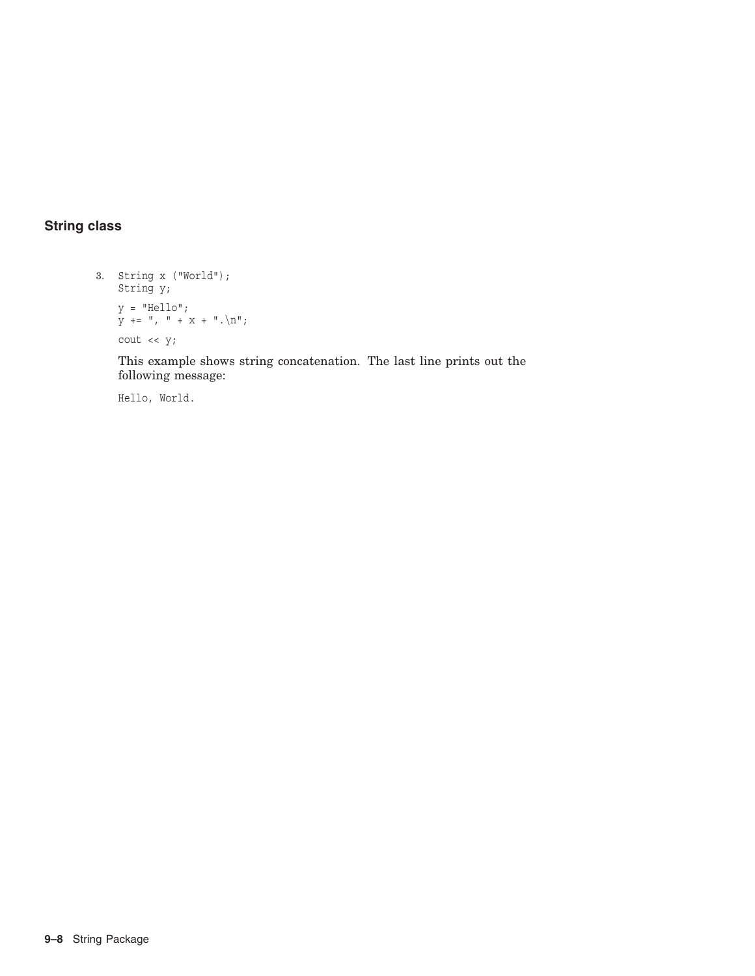# **String class**

```
3. String x ("World");
   String y;
    y = "Hello";
    y += ", " + x + ".\n";
   cout << y;
```
This example shows string concatenation. The last line prints out the following message:

Hello, World.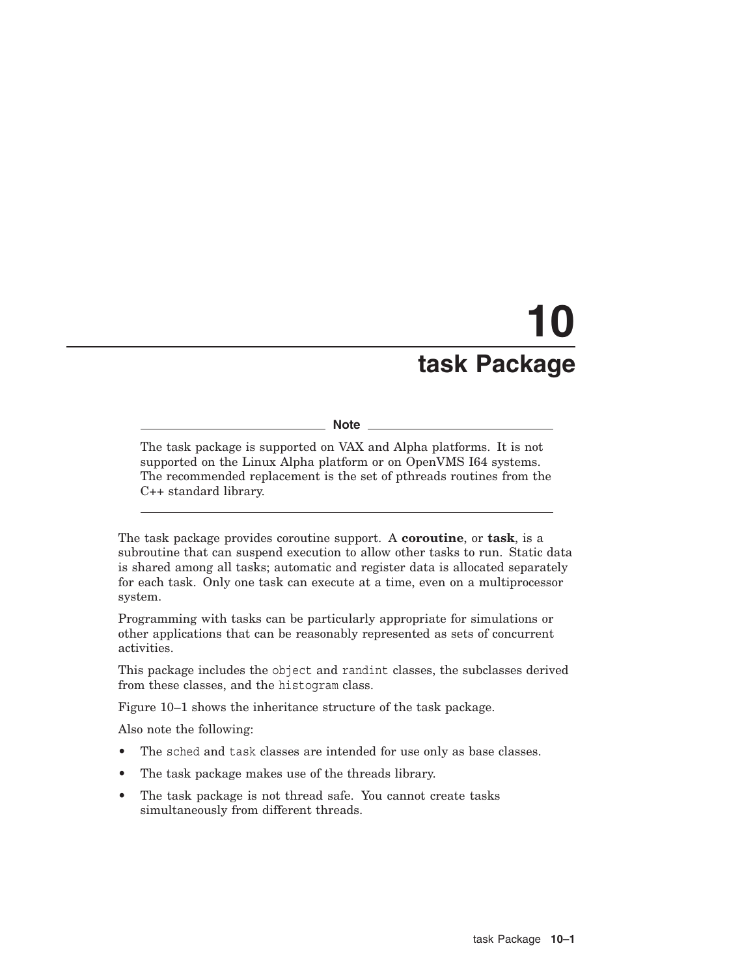# **10 task Package**

#### **Note**

The task package is supported on VAX and Alpha platforms. It is not supported on the Linux Alpha platform or on OpenVMS I64 systems. The recommended replacement is the set of pthreads routines from the C++ standard library.

The task package provides coroutine support. A **coroutine**, or **task**, is a subroutine that can suspend execution to allow other tasks to run. Static data is shared among all tasks; automatic and register data is allocated separately for each task. Only one task can execute at a time, even on a multiprocessor system.

Programming with tasks can be particularly appropriate for simulations or other applications that can be reasonably represented as sets of concurrent activities.

This package includes the object and randint classes, the subclasses derived from these classes, and the histogram class.

Figure 10–1 shows the inheritance structure of the task package.

Also note the following:

- The sched and task classes are intended for use only as base classes.
- The task package makes use of the threads library.
- The task package is not thread safe. You cannot create tasks simultaneously from different threads.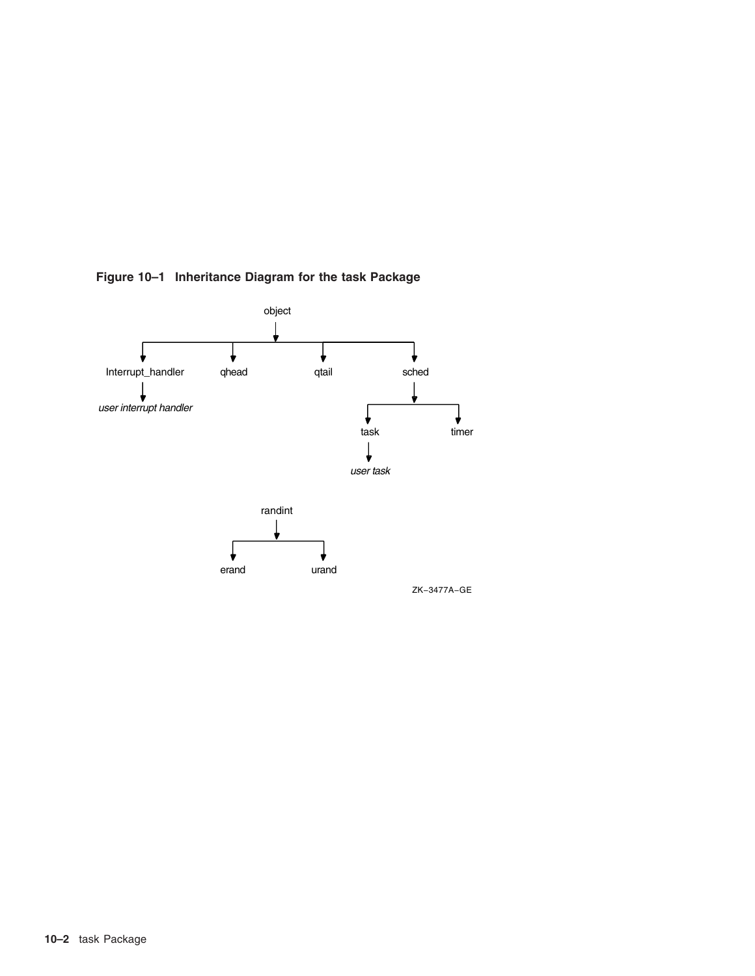

**Figure 10–1 Inheritance Diagram for the task Package**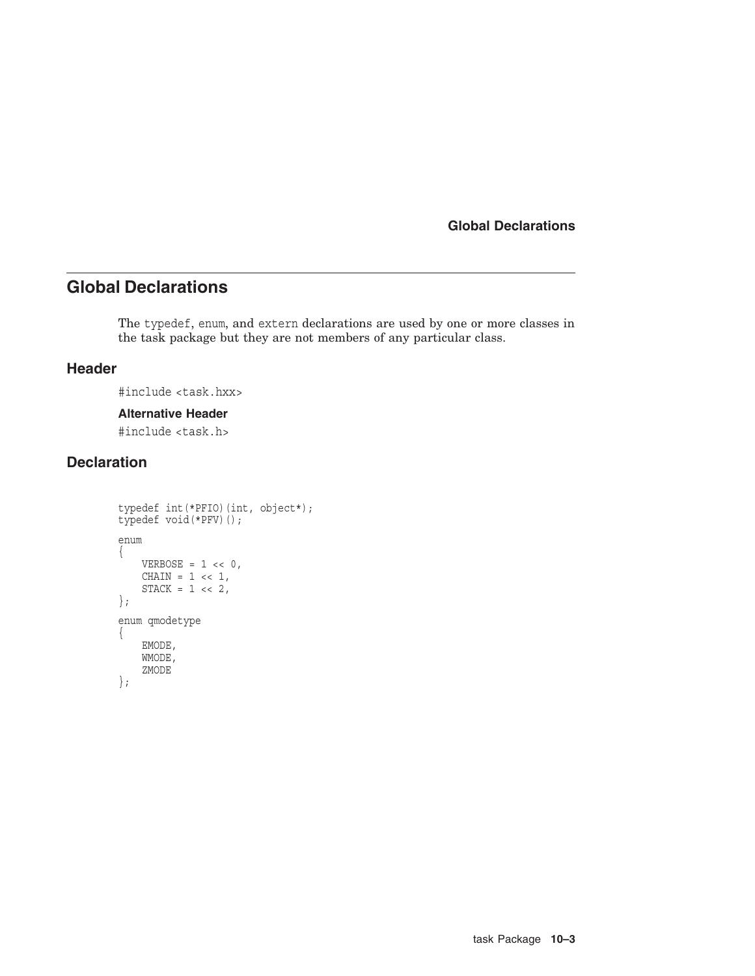# **Global Declarations**

The typedef, enum, and extern declarations are used by one or more classes in the task package but they are not members of any particular class.

## **Header**

#include <task.hxx>

#### **Alternative Header**

#include <task.h>

# **Declaration**

```
typedef int(*PFIO)(int, object*);
typedef void(*PFV)();
enum
{
    VERBOSE = 1 \lt\lt 0,CHAIN = 1 \leq 1,STACK = 1 \leq 2,};
enum qmodetype
{
    EMODE,
    WMODE,
    ZMODE
};
```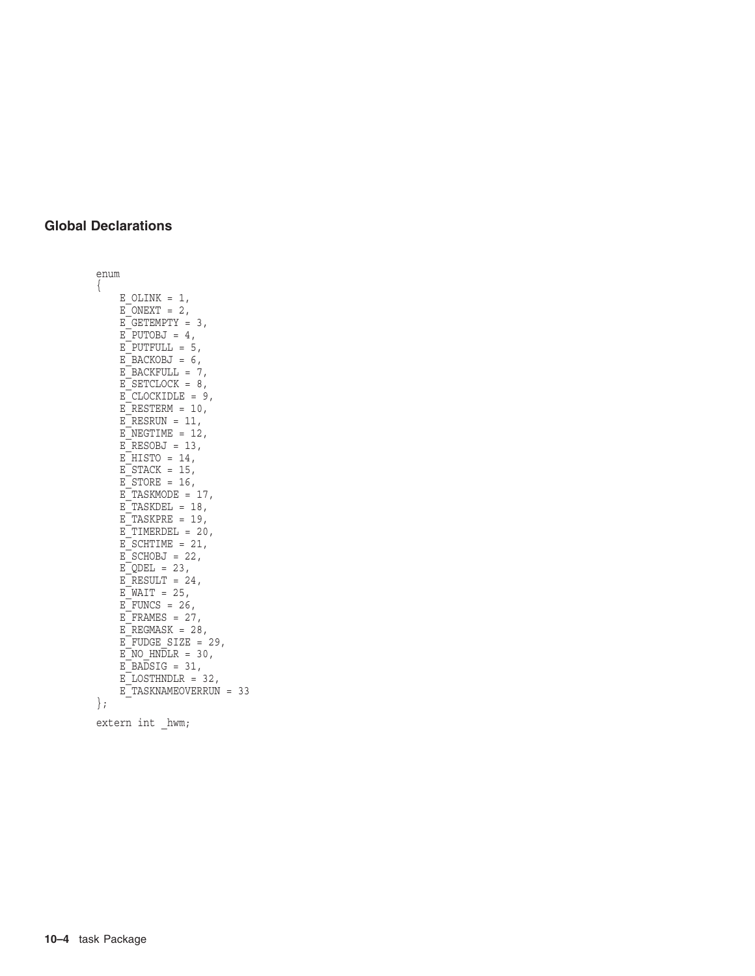```
enum
\left\{ \right.E OLINK = 1,
    E[ONEXT = 2,E<sup>GETEMPTY = 3,</sup>
    E^-PUTOBJ = 4,
    EPUTFULL = 5,
    EBACKOBJ = 6,
    EBACKFULL = 7,
    E_SETCLOCK = 8,
    E CLOCKIDLE = 9,E RESTERM = 10,
    E<sup>-</sup>RESRUN = 11,
    E<sup>-</sup>NEGTIME = 12,
    ERESOBJ = 13,
    EHISTO = 14,
    ESTACK = 15,
    ESTORE = 16,
    E TASKMODE = 17,
    E TASKDEL = 18,
    E TASKPRE = 19,
    E<sup>T</sup>IMERDEL = 20,
    ESCHTIME = 21,
    ESCHOBJ = 22,
    EQDEL = 23,
    ERESULT = 24,
    E\WAIT = 25,
    E_FUNCS = 26,
    E FRAMES = 27,
    EREGMASK = 28,
    E FUDGE SIZE = 29,
    E<sup>NO</sup> HNDLR = 30,
    EBADSIG = 31,
    ELOSTHNDLR = 32,
    E_TASKNAMEOVERRUN = 33 };
extern int _hwm;
```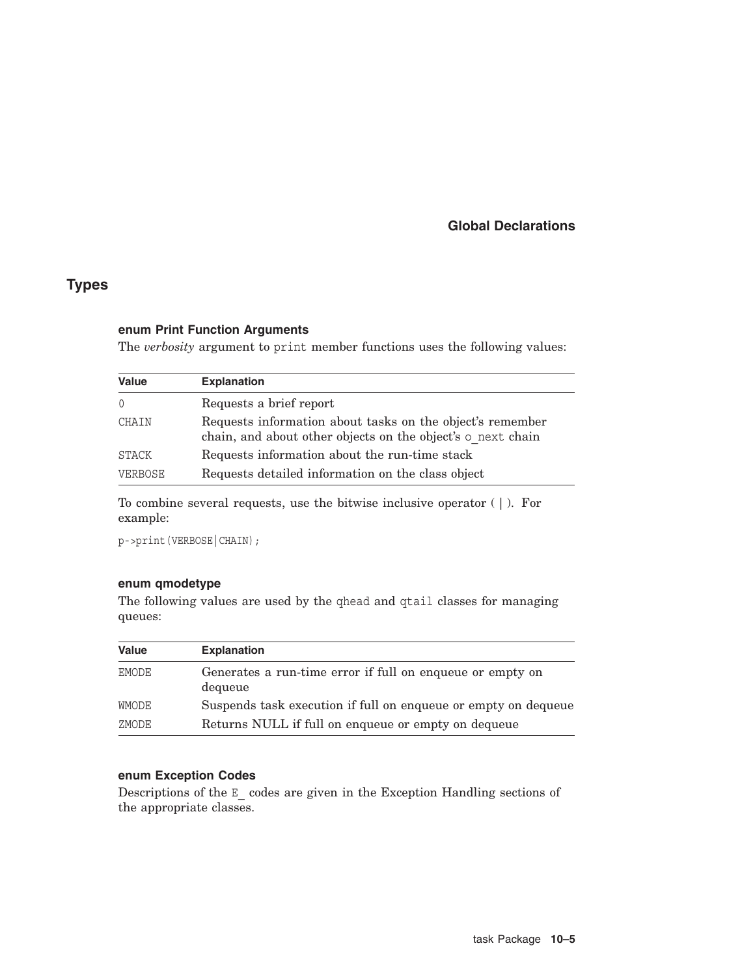# **Types**

#### **enum Print Function Arguments**

The *verbosity* argument to print member functions uses the following values:

| <b>Value</b>   | <b>Explanation</b>                                                                                                       |
|----------------|--------------------------------------------------------------------------------------------------------------------------|
| $\Omega$       | Requests a brief report                                                                                                  |
| CHAIN          | Requests information about tasks on the object's remember<br>chain, and about other objects on the object's o next chain |
| STACK          | Requests information about the run-time stack                                                                            |
| <b>VERBOSE</b> | Requests detailed information on the class object                                                                        |

To combine several requests, use the bitwise inclusive operator ( | ). For example:

p->print(VERBOSE|CHAIN);

## **enum qmodetype**

The following values are used by the qhead and qtail classes for managing queues:

| <b>Value</b> | <b>Explanation</b>                                                   |
|--------------|----------------------------------------------------------------------|
| EMODE        | Generates a run-time error if full on enqueue or empty on<br>dequeue |
| WMODE        | Suspends task execution if full on enqueue or empty on dequeue       |
| ZMODE        | Returns NULL if full on enqueue or empty on dequeue                  |

## **enum Exception Codes**

Descriptions of the E\_ codes are given in the Exception Handling sections of the appropriate classes.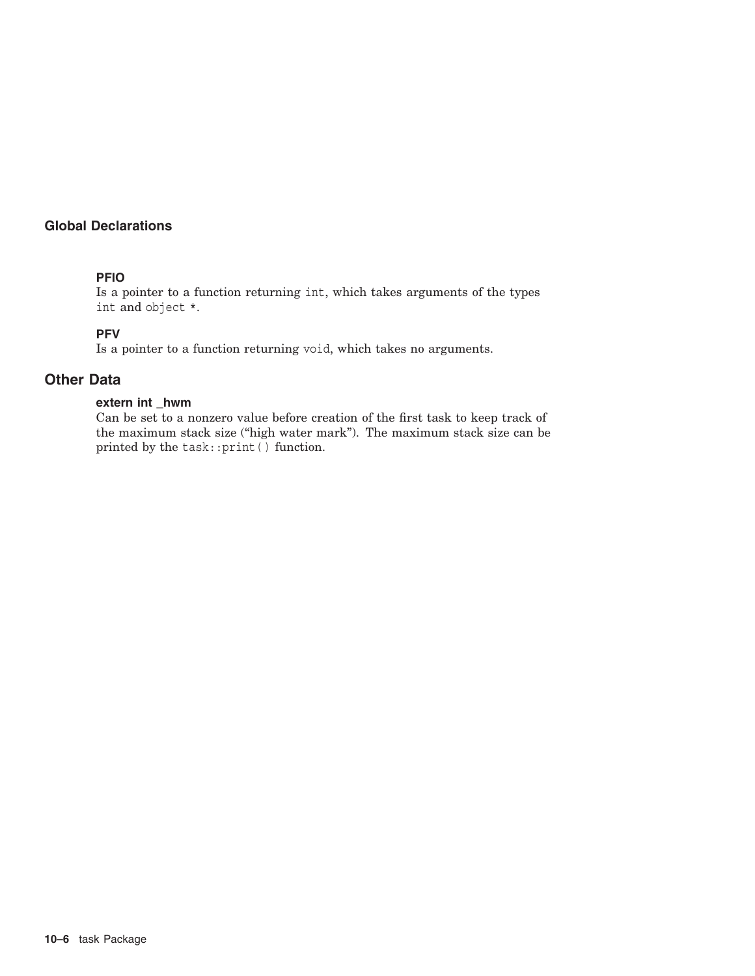## **PFIO**

Is a pointer to a function returning int, which takes arguments of the types int and object \*.

## **PFV**

Is a pointer to a function returning void, which takes no arguments.

## **Other Data**

#### **extern int \_hwm**

Can be set to a nonzero value before creation of the first task to keep track of the maximum stack size ("high water mark"). The maximum stack size can be printed by the task::print( ) function.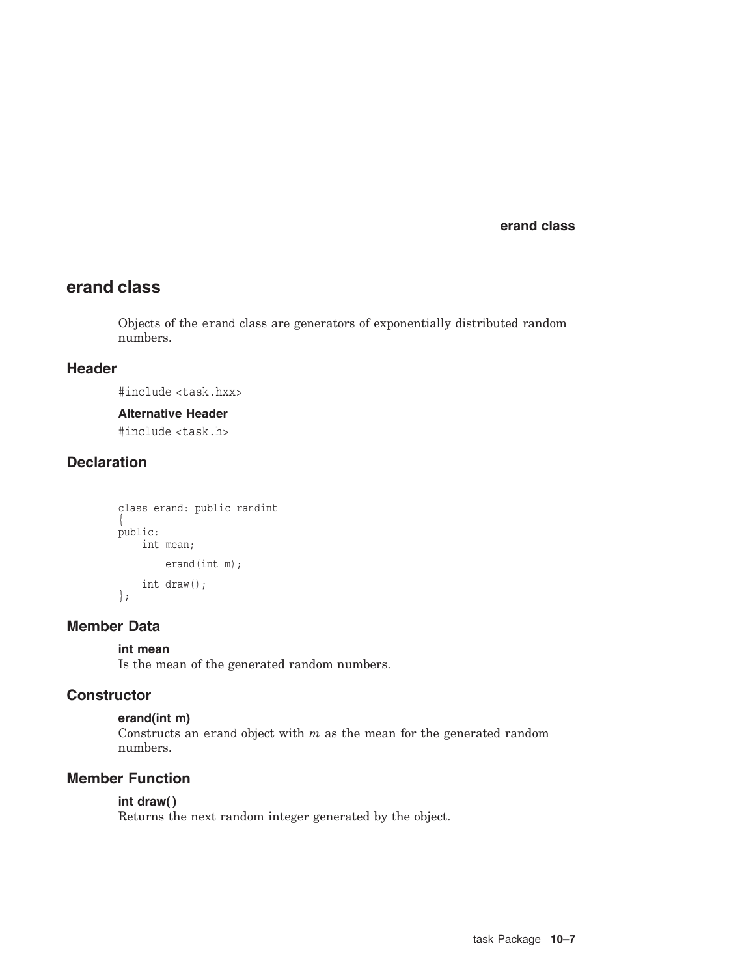**erand class**

# **erand class**

Objects of the erand class are generators of exponentially distributed random numbers.

## **Header**

#include <task.hxx>

#### **Alternative Header**

#include <task.h>

# **Declaration**

```
class erand: public randint
\{public:
   int mean;
        erand(int m);
    int draw();
};
```
## **Member Data**

## **int mean**

Is the mean of the generated random numbers.

## **Constructor**

## **erand(int m)**

Constructs an erand object with  $m$  as the mean for the generated random numbers.

# **Member Function**

# **int draw( )**

Returns the next random integer generated by the object.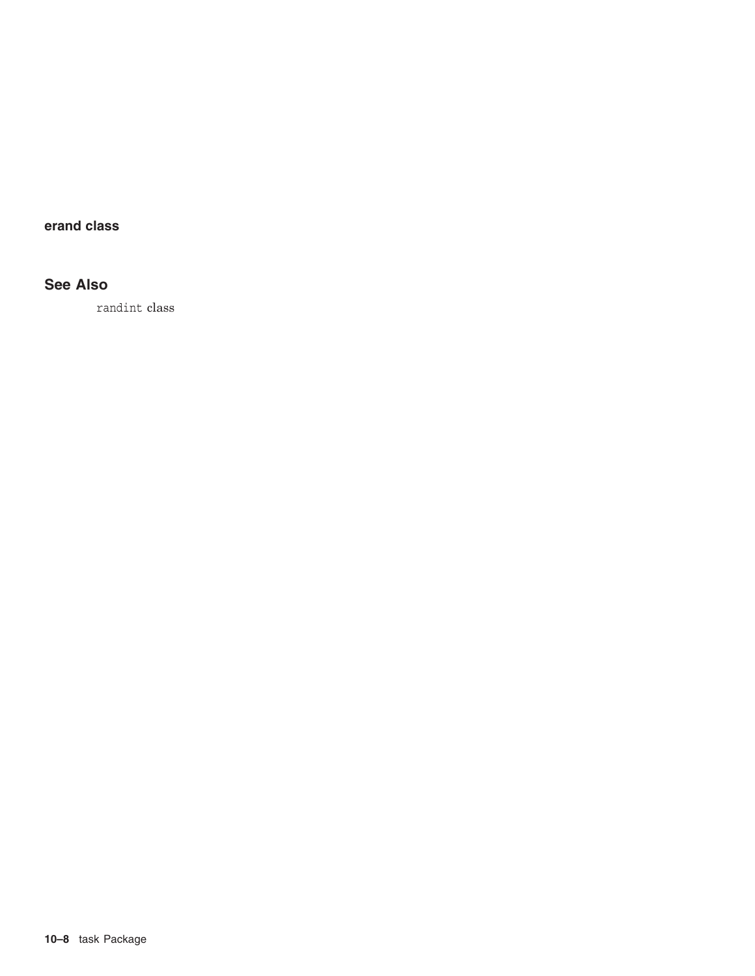# **erand class**

# **See Also**

randint class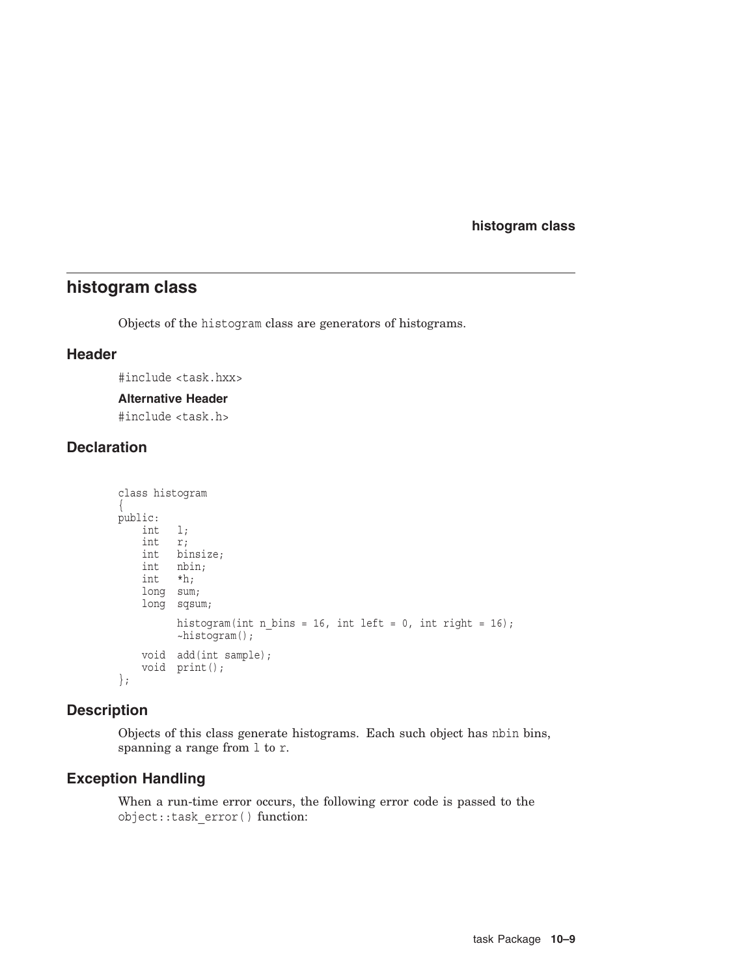**histogram class**

# **histogram class**

Objects of the histogram class are generators of histograms.

## **Header**

#include <task.hxx>

#### **Alternative Header**

#include <task.h>

# **Declaration**

```
class histogram
\{public:
   int l;
    int r;
    int binsize;
    int nbin;
    int *h;
   long sum;
   long sqsum;
         histogram(int n_bins = 16, int left = 0, int right = 16);
         ~histogram();
   void add(int sample);
   void print();
};
```
## **Description**

Objects of this class generate histograms. Each such object has nbin bins, spanning a range from l to r.

## **Exception Handling**

When a run-time error occurs, the following error code is passed to the object::task\_error( ) function: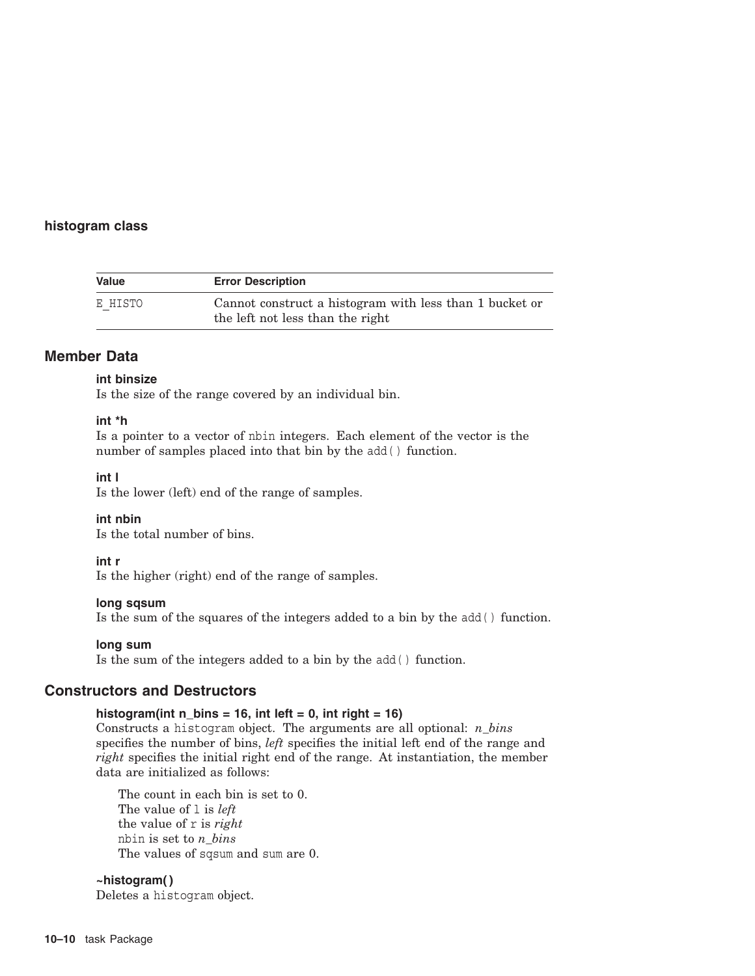## **histogram class**

| <b>Value</b> | <b>Error Description</b>                                                                    |
|--------------|---------------------------------------------------------------------------------------------|
| E HISTO      | Cannot construct a histogram with less than 1 bucket or<br>the left not less than the right |

## **Member Data**

## **int binsize**

Is the size of the range covered by an individual bin.

#### **int \*h**

Is a pointer to a vector of nbin integers. Each element of the vector is the number of samples placed into that bin by the add( ) function.

**int l**

Is the lower (left) end of the range of samples.

#### **int nbin**

Is the total number of bins.

#### **int r**

Is the higher (right) end of the range of samples.

#### **long sqsum**

Is the sum of the squares of the integers added to a bin by the add( ) function.

#### **long sum**

Is the sum of the integers added to a bin by the add( ) function.

## **Constructors and Destructors**

## histogram(int  $n_b$  bins = 16, int left = 0, int right = 16)

Constructs a histogram object. The arguments are all optional: *n\_bins* specifies the number of bins, *left* specifies the initial left end of the range and *right* specifies the initial right end of the range. At instantiation, the member data are initialized as follows:

The count in each bin is set to 0. The value of l is *left* the value of r is *right* nbin is set to *n\_bins* The values of sqsum and sum are 0.

## **~histogram( )**

Deletes a histogram object.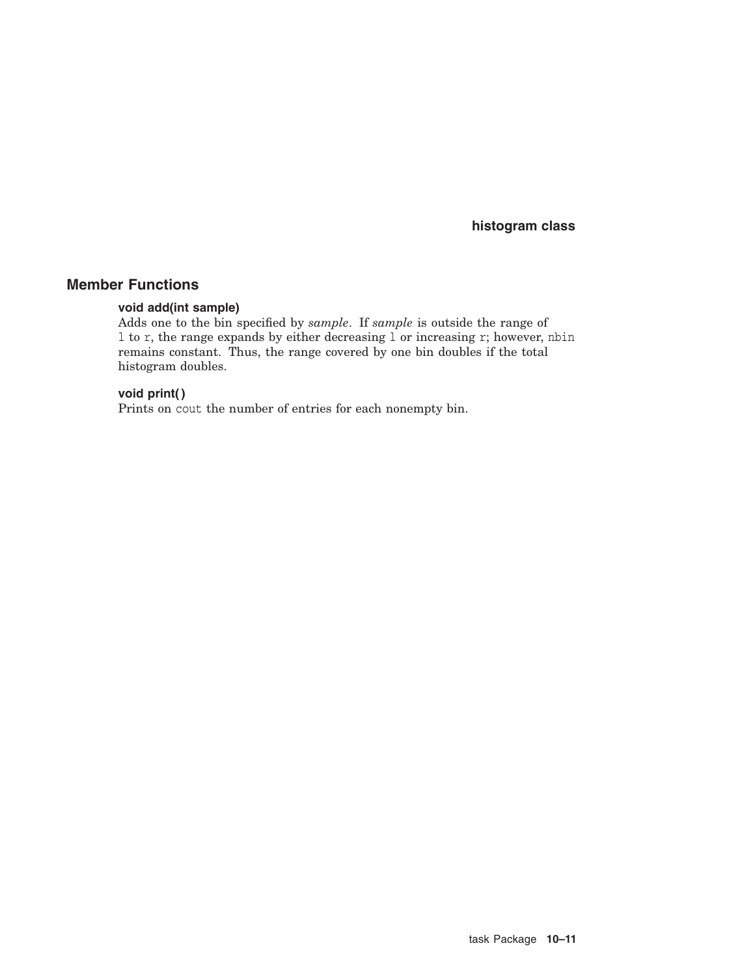**histogram class**

## **Member Functions**

## **void add(int sample)**

Adds one to the bin specified by *sample*. If *sample* is outside the range of l to r, the range expands by either decreasing l or increasing r; however, nbin remains constant. Thus, the range covered by one bin doubles if the total histogram doubles.

#### **void print( )**

Prints on cout the number of entries for each nonempty bin.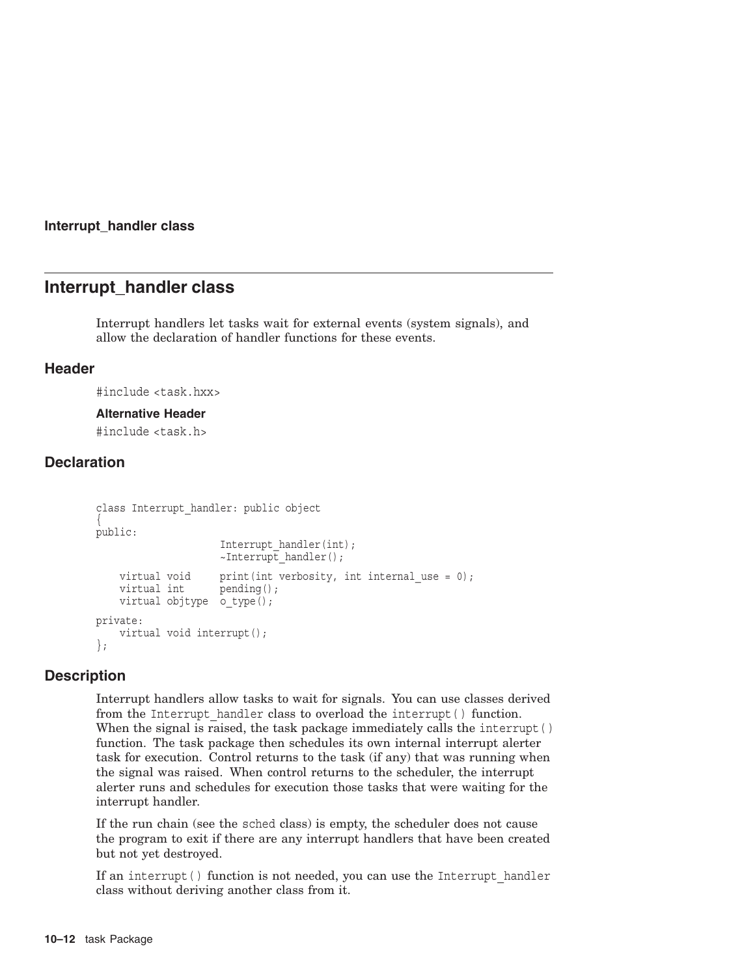#### **Interrupt\_handler class**

## **Interrupt\_handler class**

Interrupt handlers let tasks wait for external events (system signals), and allow the declaration of handler functions for these events.

#### **Header**

#include <task.hxx>

#### **Alternative Header**

#include <task.h>

## **Declaration**

```
class Interrupt_handler: public object
\{public:
                    Interrupt handler(int);
                    ~\simInterrupt handler();
   virtual void print(int verbosity, int internal use = 0);
   virtual int pending();
   virtual objtype o type();
private:
   virtual void interrupt();
};
```
#### **Description**

Interrupt handlers allow tasks to wait for signals. You can use classes derived from the Interrupt handler class to overload the interrupt() function. When the signal is raised, the task package immediately calls the interrupt () function. The task package then schedules its own internal interrupt alerter task for execution. Control returns to the task (if any) that was running when the signal was raised. When control returns to the scheduler, the interrupt alerter runs and schedules for execution those tasks that were waiting for the interrupt handler.

If the run chain (see the sched class) is empty, the scheduler does not cause the program to exit if there are any interrupt handlers that have been created but not yet destroyed.

If an interrupt() function is not needed, you can use the Interrupt handler class without deriving another class from it.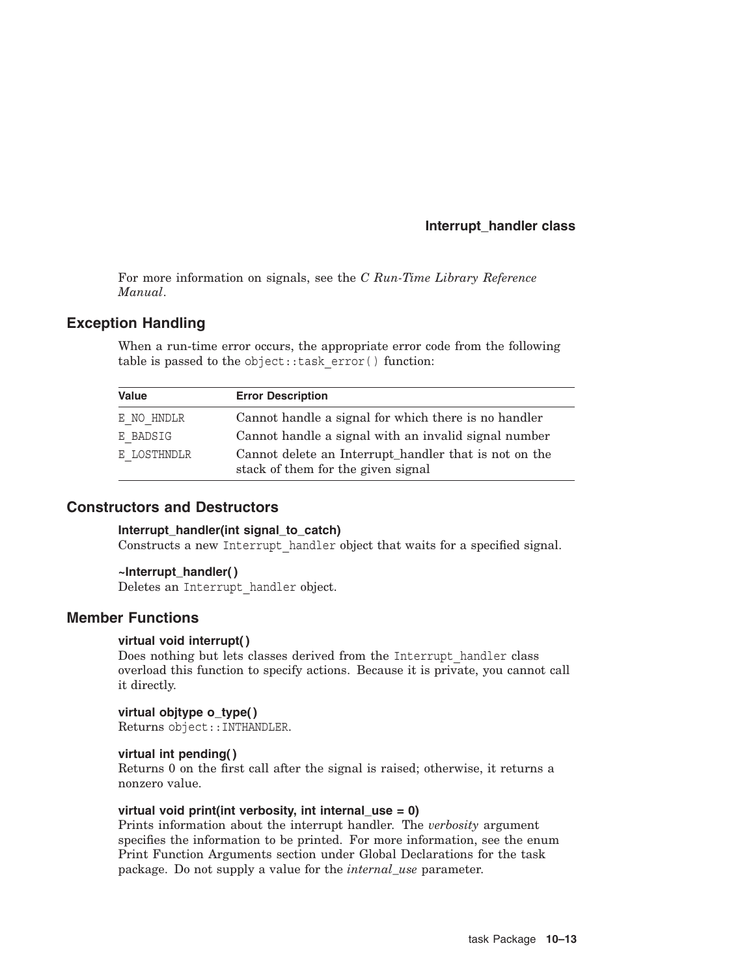## **Interrupt\_handler class**

For more information on signals, see the *C Run-Time Library Reference Manual*.

## **Exception Handling**

When a run-time error occurs, the appropriate error code from the following table is passed to the object::task error() function:

| <b>Value</b> | <b>Error Description</b>                                                                    |
|--------------|---------------------------------------------------------------------------------------------|
| E NO HNDLR   | Cannot handle a signal for which there is no handler                                        |
| E BADSIG     | Cannot handle a signal with an invalid signal number                                        |
| E LOSTHNDLR  | Cannot delete an Interrupt_handler that is not on the<br>stack of them for the given signal |

## **Constructors and Destructors**

#### **Interrupt\_handler(int signal\_to\_catch)**

Constructs a new Interrupt\_handler object that waits for a specified signal.

#### **~Interrupt\_handler( )**

Deletes an Interrupt\_handler object.

## **Member Functions**

#### **virtual void interrupt( )**

Does nothing but lets classes derived from the Interrupt\_handler class overload this function to specify actions. Because it is private, you cannot call it directly.

#### **virtual objtype o\_type( )**

Returns object::INTHANDLER.

#### **virtual int pending( )**

Returns 0 on the first call after the signal is raised; otherwise, it returns a nonzero value.

#### **virtual void print(int verbosity, int internal\_use = 0)**

Prints information about the interrupt handler. The *verbosity* argument specifies the information to be printed. For more information, see the enum Print Function Arguments section under Global Declarations for the task package. Do not supply a value for the *internal\_use* parameter.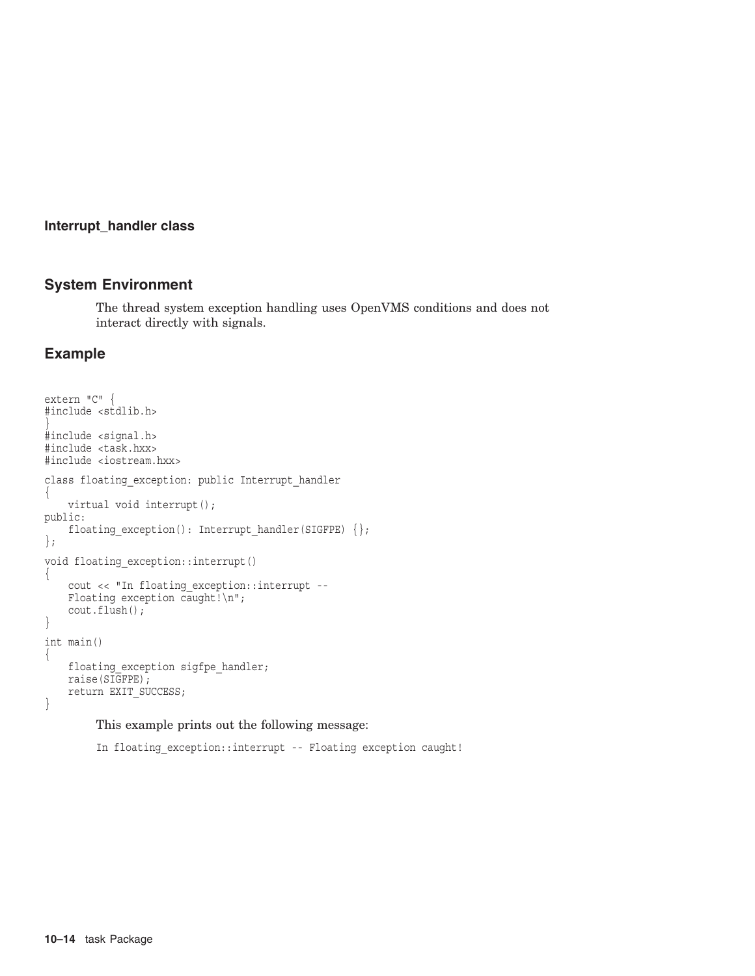#### **Interrupt\_handler class**

# **System Environment**

The thread system exception handling uses OpenVMS conditions and does not interact directly with signals.

## **Example**

```
extern "C" {
#include <stdlib.h>
}
#include <signal.h>
#include <task.hxx>
#include <iostream.hxx>
class floating exception: public Interrupt handler
{
    virtual void interrupt();
public:
    floating exception(): Interrupt handler(SIGFPE) \{\};
};
void floating_exception::interrupt()
{
    cout << "In floating_exception::interrupt --
    Floating exception caught! \n\n";
    cout.flush();
}
int main()
\{floating exception sigfpe handler;
    raise(SIGFPE);
    return EXIT_SUCCESS; }
```
This example prints out the following message:

In floating exception::interrupt -- Floating exception caught!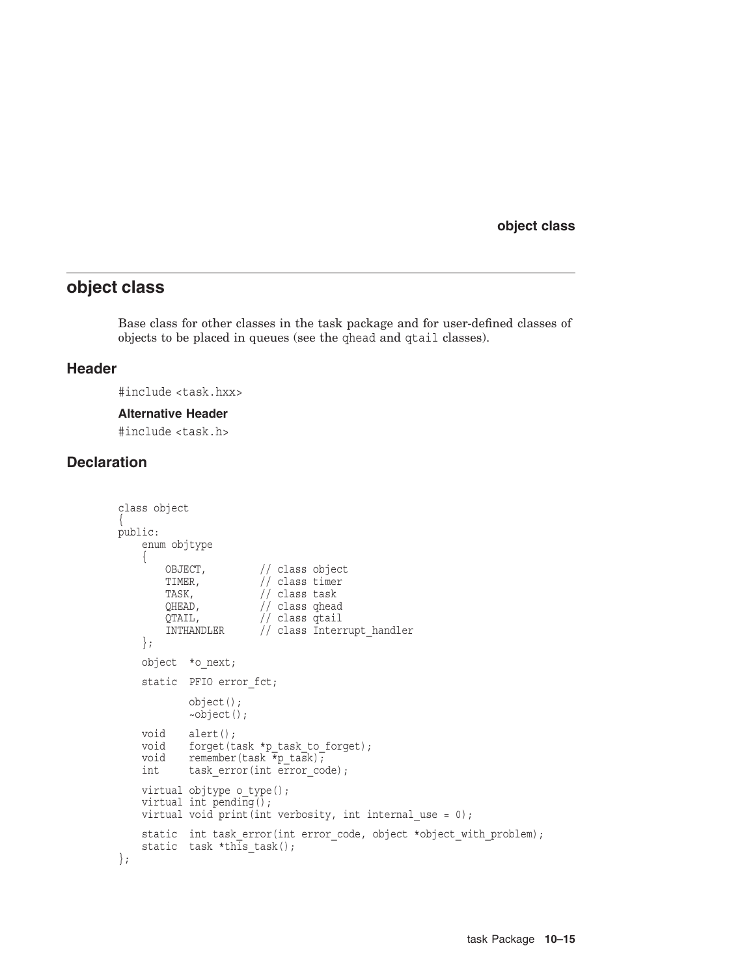# **object class**

Base class for other classes in the task package and for user-defined classes of objects to be placed in queues (see the qhead and qtail classes).

## **Header**

#include <task.hxx>

#### **Alternative Header**

#include <task.h>

## **Declaration**

```
class object
{
public:
    enum objtype
    {
        OBJECT, // class object
        TIMER, // class timerTASK, \frac{1}{2} // class task
        QHEAD, // class qhead
        QTAIL, // class qtail
        INTHANDLER // class Interrupt_handler };
    object *o_next;
    static PFIO error fct;
            object();
            ~object();
    void alert();
    void forget(task *p_task_to_forget);<br>void remember(task *p_task);
            remember(task \overline{\ast}p task);
    int task_error(int error_code);
    virtual objtype o type();
    virtual int pending();
    virtual void print(int verbosity, int internal use = 0);
    static int task error(int error code, object *object with problem);
    static task *th\overline{1}s_task();
};
```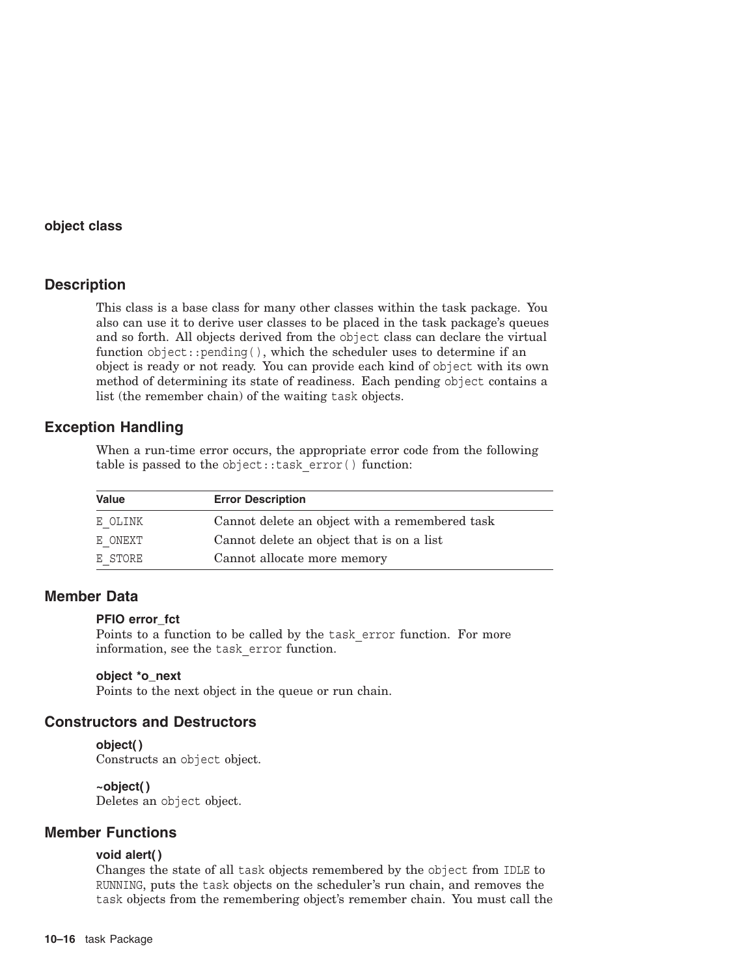## **Description**

This class is a base class for many other classes within the task package. You also can use it to derive user classes to be placed in the task package's queues and so forth. All objects derived from the object class can declare the virtual function object::pending( ), which the scheduler uses to determine if an object is ready or not ready. You can provide each kind of object with its own method of determining its state of readiness. Each pending object contains a list (the remember chain) of the waiting task objects.

## **Exception Handling**

When a run-time error occurs, the appropriate error code from the following table is passed to the object::task\_error( ) function:

| Value   | <b>Error Description</b>                       |  |
|---------|------------------------------------------------|--|
| E OLINK | Cannot delete an object with a remembered task |  |
| E ONEXT | Cannot delete an object that is on a list      |  |
| E STORE | Cannot allocate more memory                    |  |

## **Member Data**

#### **PFIO error\_fct**

Points to a function to be called by the task\_error function. For more information, see the task\_error function.

#### **object \*o\_next**

Points to the next object in the queue or run chain.

## **Constructors and Destructors**

## **object( )**

Constructs an object object.

#### **~object( )**

Deletes an object object.

## **Member Functions**

## **void alert( )**

Changes the state of all task objects remembered by the object from IDLE to RUNNING, puts the task objects on the scheduler's run chain, and removes the task objects from the remembering object's remember chain. You must call the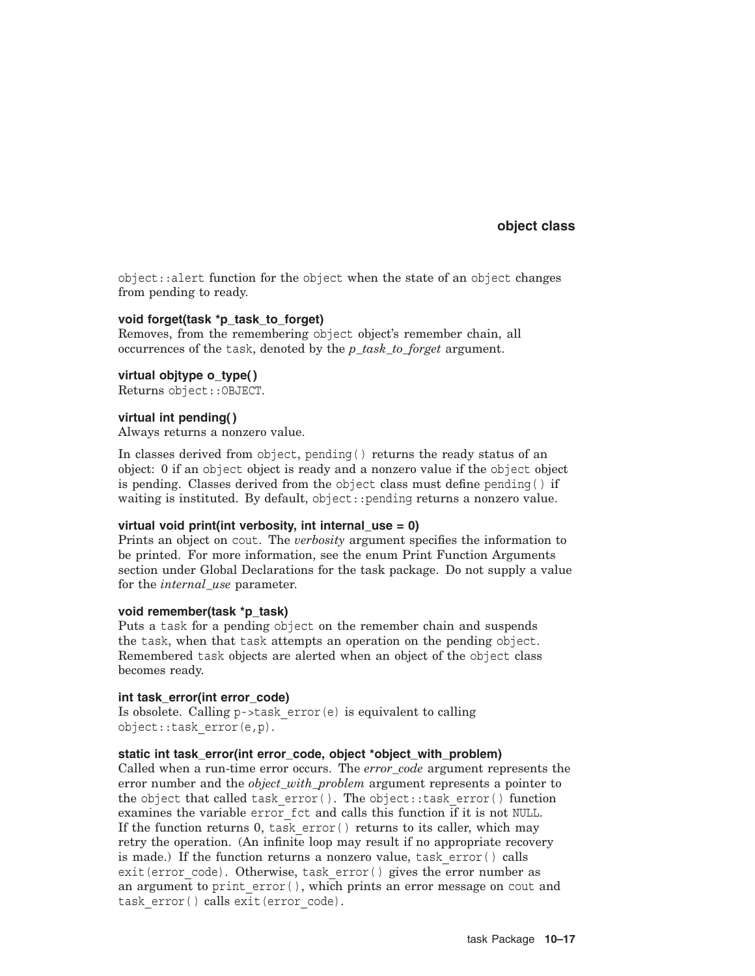object::alert function for the object when the state of an object changes from pending to ready.

#### **void forget(task \*p\_task\_to\_forget)**

Removes, from the remembering object object's remember chain, all occurrences of the task, denoted by the *p\_task\_to\_forget* argument.

#### **virtual objtype o\_type( )**

Returns object::OBJECT.

#### **virtual int pending( )**

Always returns a nonzero value.

In classes derived from object, pending( ) returns the ready status of an object: 0 if an object object is ready and a nonzero value if the object object is pending. Classes derived from the object class must define pending( ) if waiting is instituted. By default, object::pending returns a nonzero value.

#### **virtual void print(int verbosity, int internal\_use = 0)**

Prints an object on cout. The *verbosity* argument specifies the information to be printed. For more information, see the enum Print Function Arguments section under Global Declarations for the task package. Do not supply a value for the *internal\_use* parameter.

#### **void remember(task \*p\_task)**

Puts a task for a pending object on the remember chain and suspends the task, when that task attempts an operation on the pending object. Remembered task objects are alerted when an object of the object class becomes ready.

#### **int task\_error(int error\_code)**

Is obsolete. Calling p->task\_error(e) is equivalent to calling object::task\_error(e,p).

#### static int task error(int error code, object \*object with problem)

Called when a run-time error occurs. The *error\_code* argument represents the error number and the *object\_with\_problem* argument represents a pointer to the object that called task  $error()$ . The object::task  $error()$  function examines the variable error\_fct and calls this function if it is not NULL. If the function returns 0, task error() returns to its caller, which may retry the operation. (An infinite loop may result if no appropriate recovery is made.) If the function returns a nonzero value, task\_error( ) calls exit(error code). Otherwise, task error() gives the error number as an argument to print error(), which prints an error message on cout and task error() calls exit(error code).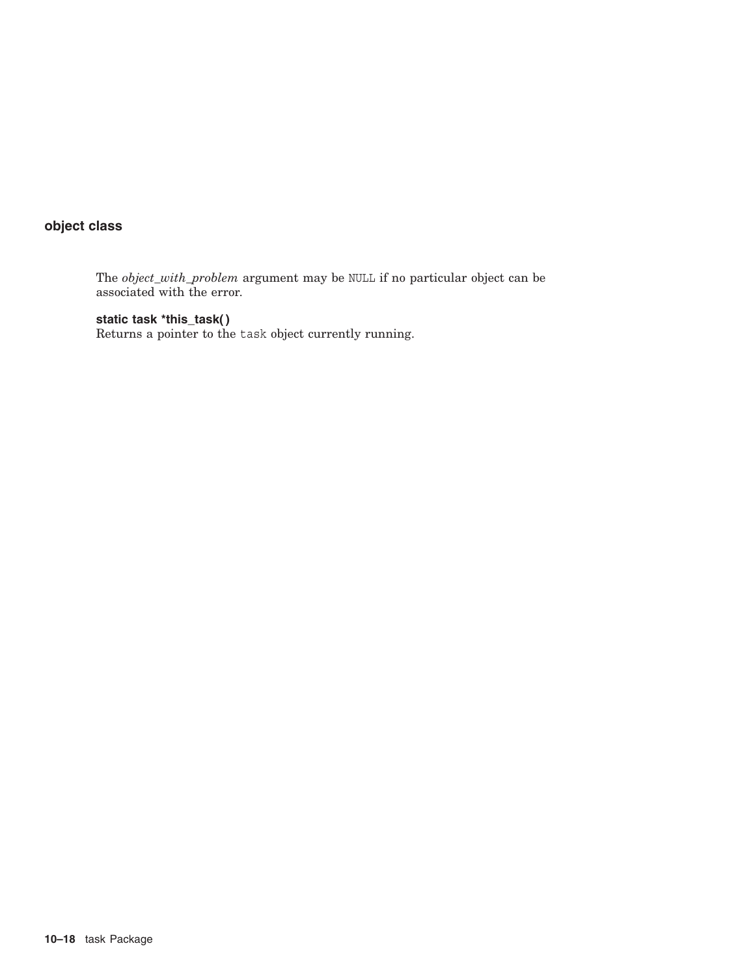The *object\_with\_problem* argument may be NULL if no particular object can be associated with the error.

**static task \*this\_task( )**

Returns a pointer to the task object currently running.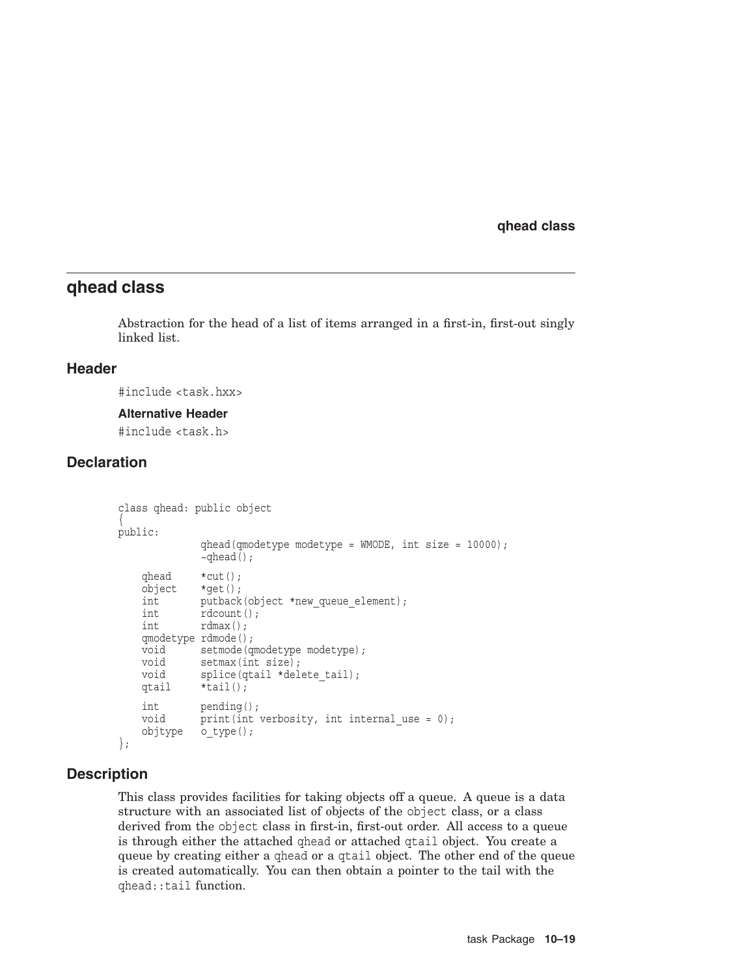## **qhead class**

Abstraction for the head of a list of items arranged in a first-in, first-out singly linked list.

#### **Header**

#include <task.hxx>

#### **Alternative Header**

#include <task.h>

## **Declaration**

```
class qhead: public object
{
public:
            qhead(qmodetype modetype = WMODE, int size = 10000);
            ~\simqhead();
   qhead *cut();
   object *qet();
   int putback(object *new queue element);
   int rdcount();
   int rdmax();
   qmodetype rdmode();
   void setmode(qmodetype modetype);
   void setmax(int size);
   void splice(qtail *delete tail);
   qtail *tail();
   int pending();
   void print(int verbosity, int internal use = 0);
   objtype o_type(); };
```
## **Description**

This class provides facilities for taking objects off a queue. A queue is a data structure with an associated list of objects of the object class, or a class derived from the object class in first-in, first-out order. All access to a queue is through either the attached qhead or attached qtail object. You create a queue by creating either a qhead or a qtail object. The other end of the queue is created automatically. You can then obtain a pointer to the tail with the qhead::tail function.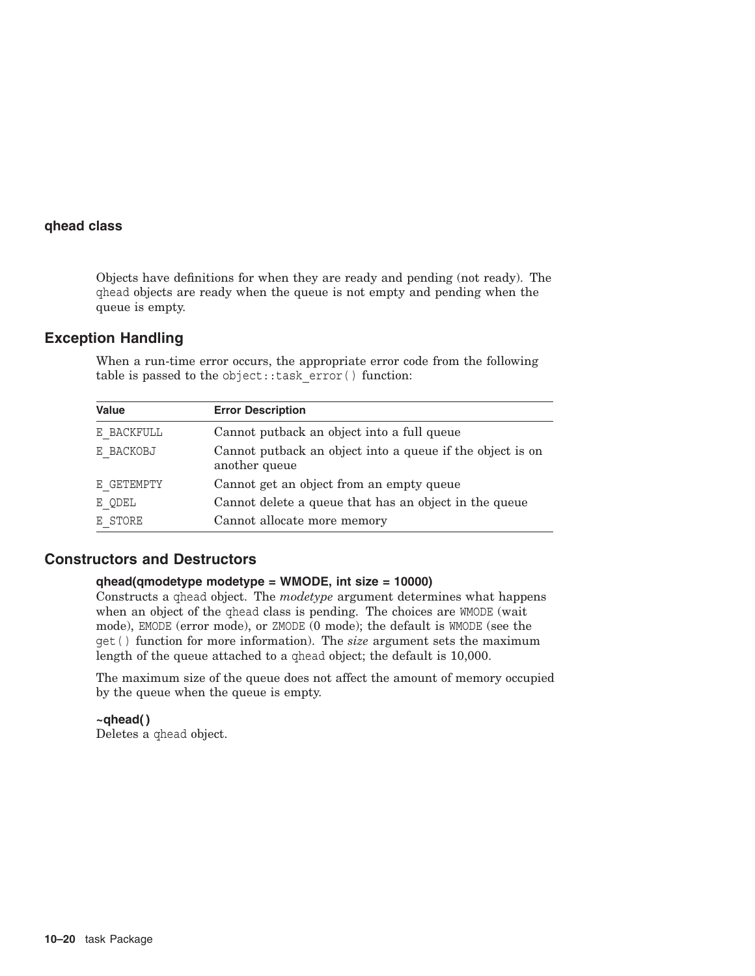Objects have definitions for when they are ready and pending (not ready). The qhead objects are ready when the queue is not empty and pending when the queue is empty.

## **Exception Handling**

When a run-time error occurs, the appropriate error code from the following table is passed to the object::task\_error( ) function:

| <b>Value</b> | <b>Error Description</b>                                                    |
|--------------|-----------------------------------------------------------------------------|
| E BACKFULL   | Cannot put back an object into a full queue                                 |
| E BACKOBJ    | Cannot put back an object into a queue if the object is on<br>another queue |
| E GETEMPTY   | Cannot get an object from an empty queue                                    |
| E QDEL       | Cannot delete a queue that has an object in the queue                       |
| E STORE      | Cannot allocate more memory                                                 |

## **Constructors and Destructors**

#### **qhead(qmodetype modetype = WMODE, int size = 10000)**

Constructs a qhead object. The *modetype* argument determines what happens when an object of the ghead class is pending. The choices are WMODE (wait mode), EMODE (error mode), or ZMODE (0 mode); the default is WMODE (see the get( ) function for more information). The *size* argument sets the maximum length of the queue attached to a qhead object; the default is 10,000.

The maximum size of the queue does not affect the amount of memory occupied by the queue when the queue is empty.

**~qhead( )** Deletes a qhead object.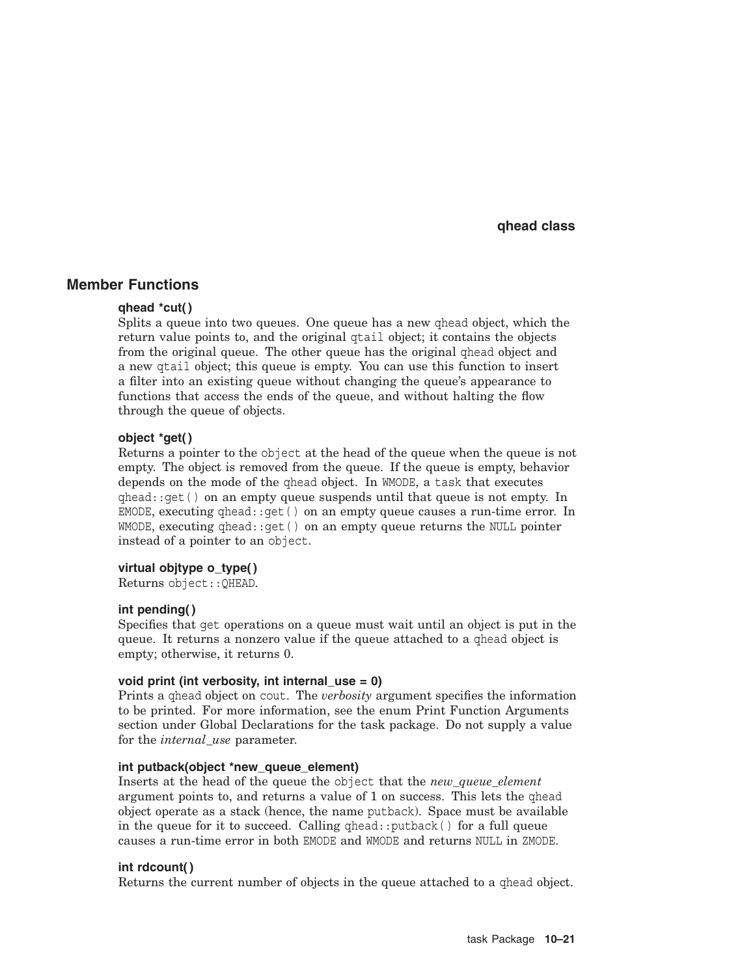## **Member Functions**

#### **qhead \*cut( )**

Splits a queue into two queues. One queue has a new qhead object, which the return value points to, and the original qtail object; it contains the objects from the original queue. The other queue has the original qhead object and a new qtail object; this queue is empty. You can use this function to insert a filter into an existing queue without changing the queue's appearance to functions that access the ends of the queue, and without halting the flow through the queue of objects.

#### **object \*get( )**

Returns a pointer to the object at the head of the queue when the queue is not empty. The object is removed from the queue. If the queue is empty, behavior depends on the mode of the qhead object. In WMODE, a task that executes  $qhead$ :: $qet$  () on an empty queue suspends until that queue is not empty. In EMODE, executing  $qhead$ :  $qet()$  on an empty queue causes a run-time error. In WMODE, executing qhead::get( ) on an empty queue returns the NULL pointer instead of a pointer to an object.

#### **virtual objtype o\_type( )**

Returns object::QHEAD.

#### **int pending( )**

Specifies that get operations on a queue must wait until an object is put in the queue. It returns a nonzero value if the queue attached to a qhead object is empty; otherwise, it returns 0.

#### **void print (int verbosity, int internal\_use = 0)**

Prints a qhead object on cout. The *verbosity* argument specifies the information to be printed. For more information, see the enum Print Function Arguments section under Global Declarations for the task package. Do not supply a value for the *internal\_use* parameter.

#### **int putback(object \*new\_queue\_element)**

Inserts at the head of the queue the object that the *new\_queue\_element* argument points to, and returns a value of 1 on success. This lets the qhead object operate as a stack (hence, the name putback). Space must be available in the queue for it to succeed. Calling  $q$ head:: $p$ utback() for a full queue causes a run-time error in both EMODE and WMODE and returns NULL in ZMODE.

#### **int rdcount( )**

Returns the current number of objects in the queue attached to a qhead object.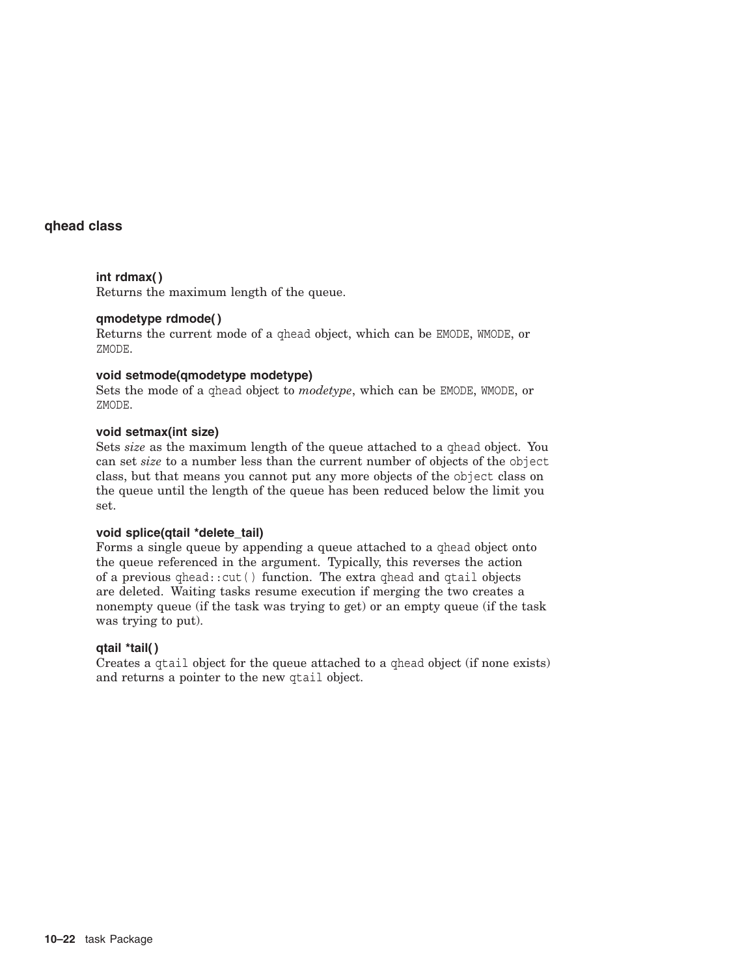#### **int rdmax( )**

Returns the maximum length of the queue.

## **qmodetype rdmode( )**

Returns the current mode of a qhead object, which can be EMODE, WMODE, or ZMODE.

#### **void setmode(qmodetype modetype)**

Sets the mode of a qhead object to *modetype*, which can be EMODE, WMODE, or ZMODE.

#### **void setmax(int size)**

Sets *size* as the maximum length of the queue attached to a qhead object. You can set *size* to a number less than the current number of objects of the object class, but that means you cannot put any more objects of the object class on the queue until the length of the queue has been reduced below the limit you set.

#### **void splice(qtail \*delete\_tail)**

Forms a single queue by appending a queue attached to a qhead object onto the queue referenced in the argument. Typically, this reverses the action of a previous qhead::cut( ) function. The extra qhead and qtail objects are deleted. Waiting tasks resume execution if merging the two creates a nonempty queue (if the task was trying to get) or an empty queue (if the task was trying to put).

#### **qtail \*tail( )**

Creates a qtail object for the queue attached to a qhead object (if none exists) and returns a pointer to the new qtail object.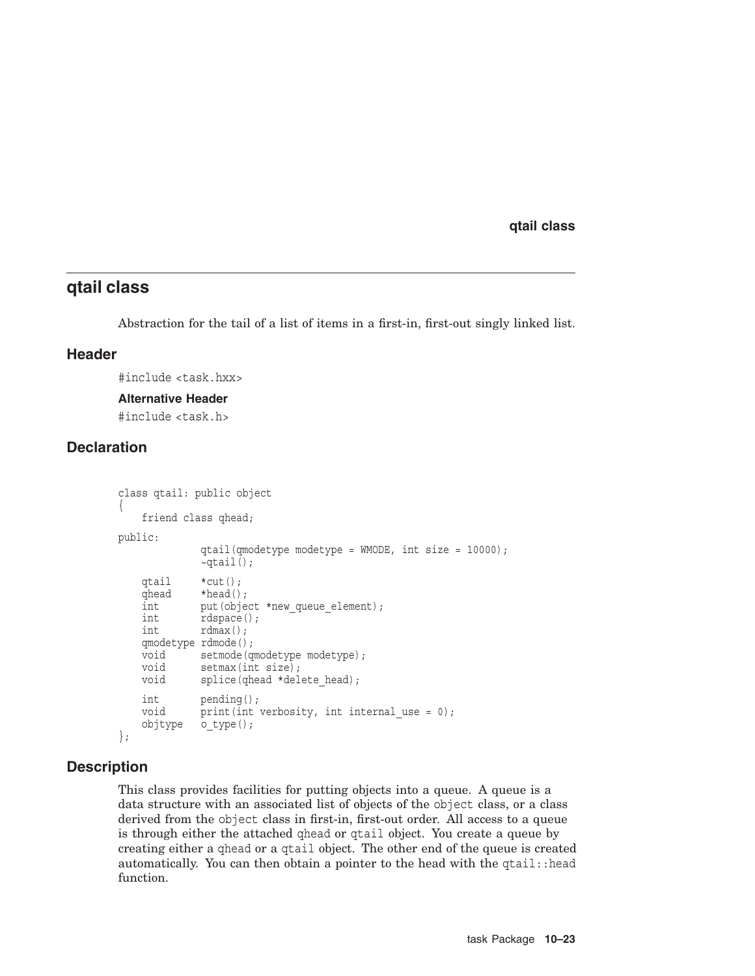# **qtail class**

Abstraction for the tail of a list of items in a first-in, first-out singly linked list.

## **Header**

#include <task.hxx>

#### **Alternative Header**

#include <task.h>

# **Declaration**

```
class qtail: public object
{
   friend class qhead;
public:
            qtail(qmodetype modetype = WMODE, int size = 10000);
             ~\simqtail();
   qtail *cut();
   qhead *head();
   int put (object *new queue element);
   int rdspace();
   int rdmax();
   qmodetype rdmode();
   void setmode(qmodetype modetype);
   void setmax(int size);
   void splice(qhead *delete head);
   int pending();
   void print(int verbosity, int internal use = 0);
   objtype o_type(); };
```
# **Description**

This class provides facilities for putting objects into a queue. A queue is a data structure with an associated list of objects of the object class, or a class derived from the object class in first-in, first-out order. All access to a queue is through either the attached qhead or qtail object. You create a queue by creating either a qhead or a qtail object. The other end of the queue is created automatically. You can then obtain a pointer to the head with the qtail::head function.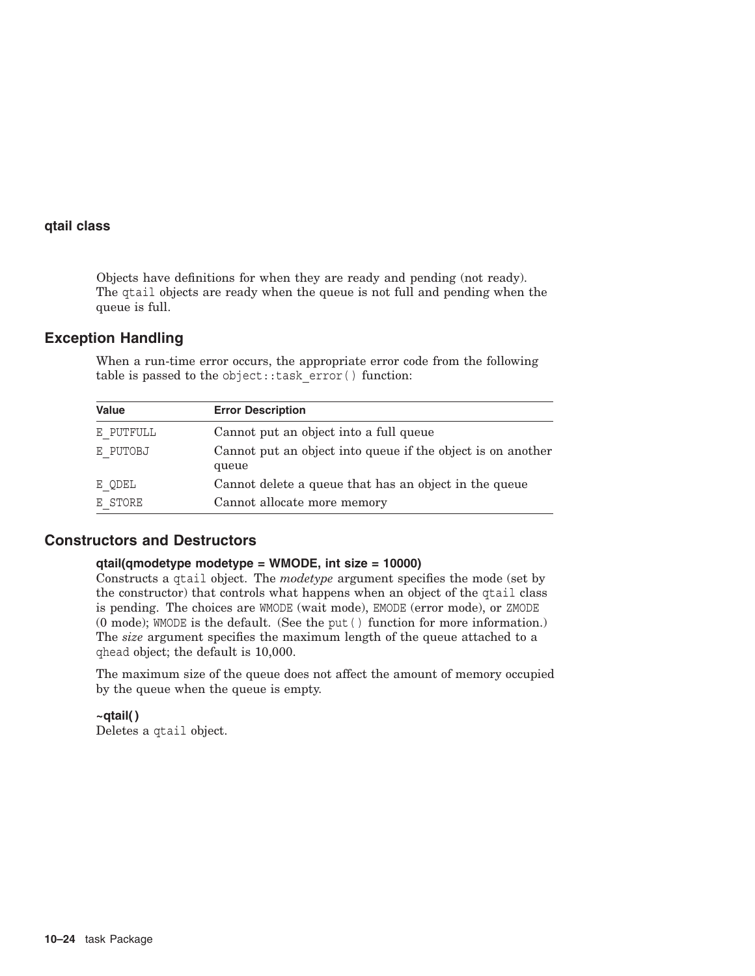Objects have definitions for when they are ready and pending (not ready). The qtail objects are ready when the queue is not full and pending when the queue is full.

## **Exception Handling**

When a run-time error occurs, the appropriate error code from the following table is passed to the object::task\_error( ) function:

| <b>Value</b> | <b>Error Description</b>                                             |
|--------------|----------------------------------------------------------------------|
| E PUTFULL    | Cannot put an object into a full queue                               |
| E PUTOBJ     | Cannot put an object into queue if the object is on another<br>queue |
| E QDEL       | Cannot delete a queue that has an object in the queue                |
| E STORE      | Cannot allocate more memory                                          |

## **Constructors and Destructors**

#### **qtail(qmodetype modetype = WMODE, int size = 10000)**

Constructs a qtail object. The *modetype* argument specifies the mode (set by the constructor) that controls what happens when an object of the qtail class is pending. The choices are WMODE (wait mode), EMODE (error mode), or ZMODE (0 mode); WMODE is the default. (See the put( ) function for more information.) The *size* argument specifies the maximum length of the queue attached to a qhead object; the default is 10,000.

The maximum size of the queue does not affect the amount of memory occupied by the queue when the queue is empty.

**~qtail( )** Deletes a qtail object.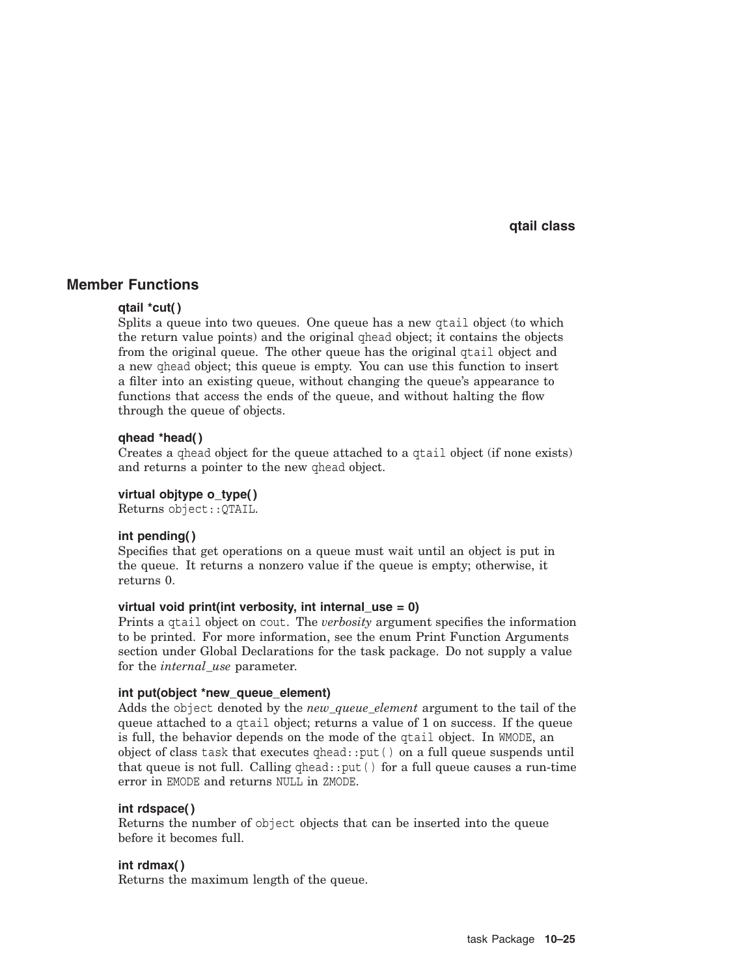## **Member Functions**

#### **qtail \*cut( )**

Splits a queue into two queues. One queue has a new qtail object (to which the return value points) and the original qhead object; it contains the objects from the original queue. The other queue has the original qtail object and a new qhead object; this queue is empty. You can use this function to insert a filter into an existing queue, without changing the queue's appearance to functions that access the ends of the queue, and without halting the flow through the queue of objects.

#### **qhead \*head( )**

Creates a qhead object for the queue attached to a qtail object (if none exists) and returns a pointer to the new qhead object.

#### **virtual objtype o\_type( )**

Returns object::QTAIL.

#### **int pending( )**

Specifies that get operations on a queue must wait until an object is put in the queue. It returns a nonzero value if the queue is empty; otherwise, it returns 0.

#### **virtual void print(int verbosity, int internal\_use = 0)**

Prints a qtail object on cout. The *verbosity* argument specifies the information to be printed. For more information, see the enum Print Function Arguments section under Global Declarations for the task package. Do not supply a value for the *internal\_use* parameter.

#### **int put(object \*new\_queue\_element)**

Adds the object denoted by the *new\_queue\_element* argument to the tail of the queue attached to a qtail object; returns a value of 1 on success. If the queue is full, the behavior depends on the mode of the qtail object. In WMODE, an object of class task that executes qhead::put( ) on a full queue suspends until that queue is not full. Calling  $qhead$ : : put () for a full queue causes a run-time error in EMODE and returns NULL in ZMODE.

#### **int rdspace( )**

Returns the number of object objects that can be inserted into the queue before it becomes full.

#### **int rdmax( )**

Returns the maximum length of the queue.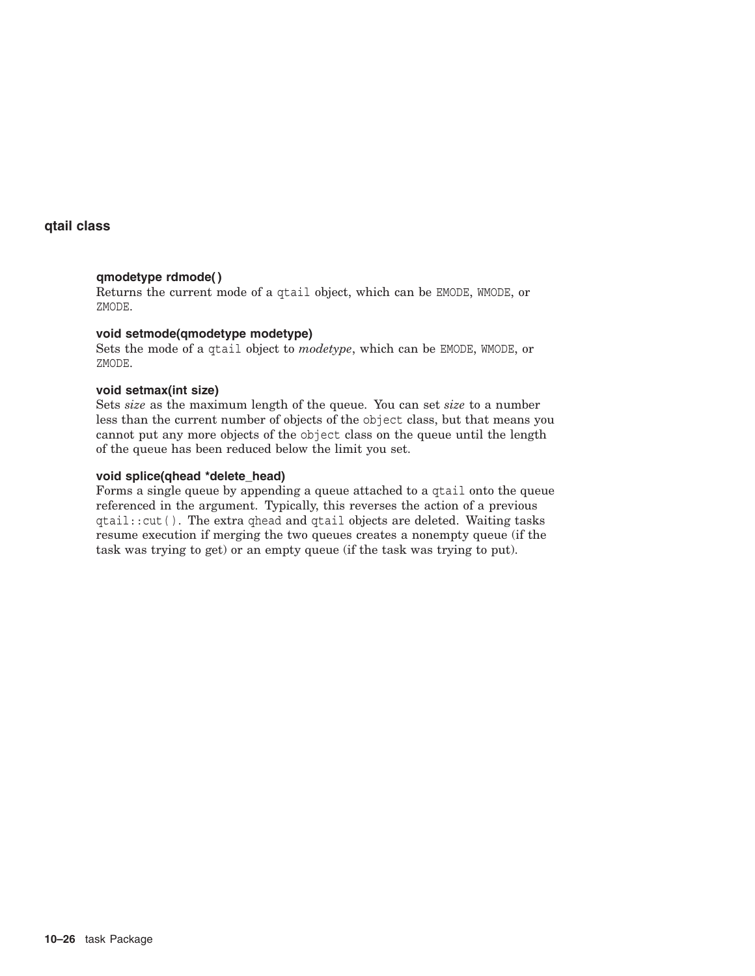## **qmodetype rdmode( )**

Returns the current mode of a qtail object, which can be EMODE, WMODE, or ZMODE.

## **void setmode(qmodetype modetype)**

Sets the mode of a qtail object to *modetype*, which can be EMODE, WMODE, or ZMODE.

#### **void setmax(int size)**

Sets *size* as the maximum length of the queue. You can set *size* to a number less than the current number of objects of the object class, but that means you cannot put any more objects of the object class on the queue until the length of the queue has been reduced below the limit you set.

#### **void splice(qhead \*delete\_head)**

Forms a single queue by appending a queue attached to a qtail onto the queue referenced in the argument. Typically, this reverses the action of a previous qtail::cut( ). The extra qhead and qtail objects are deleted. Waiting tasks resume execution if merging the two queues creates a nonempty queue (if the task was trying to get) or an empty queue (if the task was trying to put).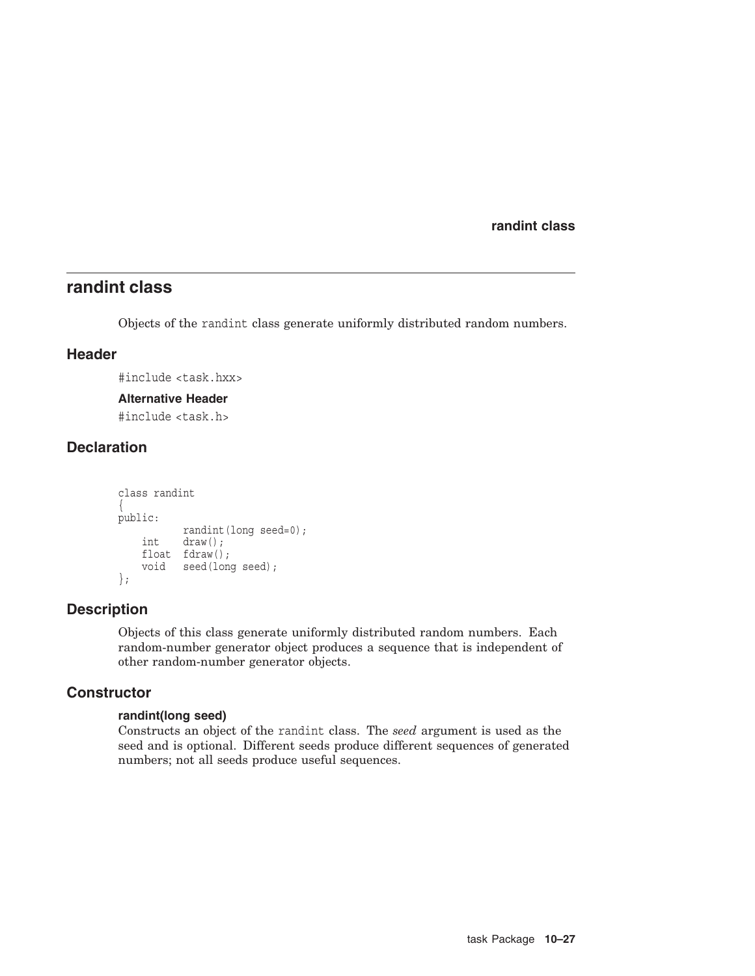**randint class**

# **randint class**

Objects of the randint class generate uniformly distributed random numbers.

## **Header**

#include <task.hxx>

#### **Alternative Header**

#include <task.h>

# **Declaration**

```
class randint
{
public:
          randint(long seed=0);
    int draw();
    float fdraw();
   void seed(long seed);
};
```
## **Description**

Objects of this class generate uniformly distributed random numbers. Each random-number generator object produces a sequence that is independent of other random-number generator objects.

## **Constructor**

#### **randint(long seed)**

Constructs an object of the randint class. The *seed* argument is used as the seed and is optional. Different seeds produce different sequences of generated numbers; not all seeds produce useful sequences.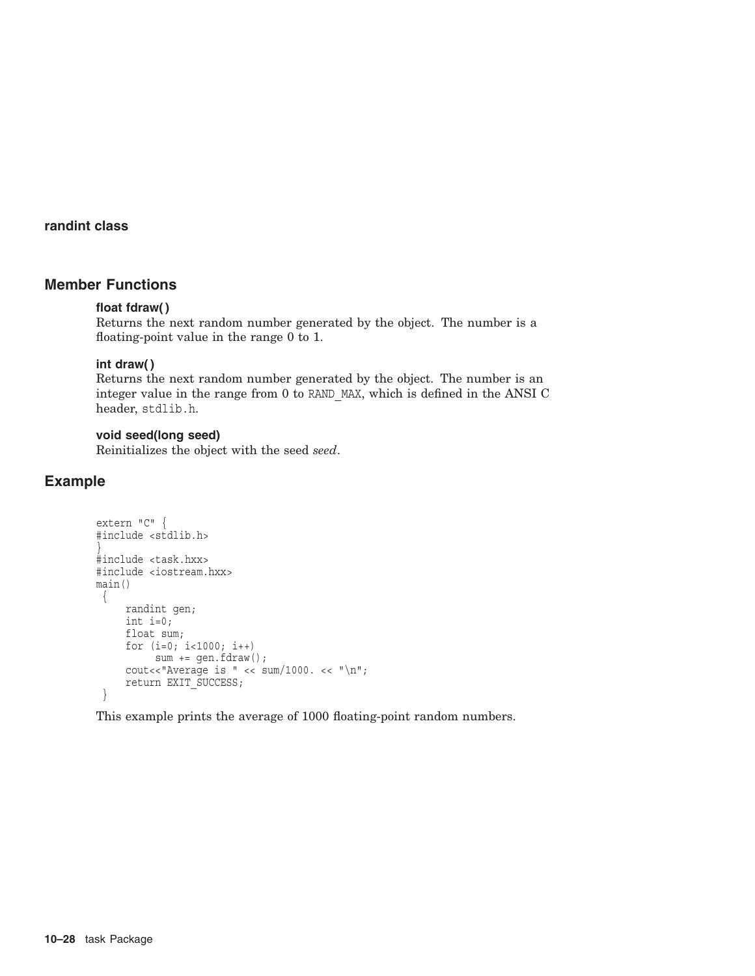## **randint class**

# **Member Functions**

#### **float fdraw( )**

Returns the next random number generated by the object. The number is a floating-point value in the range 0 to 1.

#### **int draw( )**

Returns the next random number generated by the object. The number is an integer value in the range from 0 to RAND\_MAX, which is defined in the ANSI C header, stdlib.h.

#### **void seed(long seed)**

Reinitializes the object with the seed *seed*.

## **Example**

```
extern "C" {
#include <stdlib.h>
}
#include <task.hxx>
#include <iostream.hxx>
main()
{
    randint gen;
    int i=0;
    float sum;
    for (i=0; i<1000; i++)
          sum += gen.fdraw();
     cout<<"Average is " << \text{sum}/1000. << "\n";
     return EXIT_SUCCESS; }
```
This example prints the average of 1000 floating-point random numbers.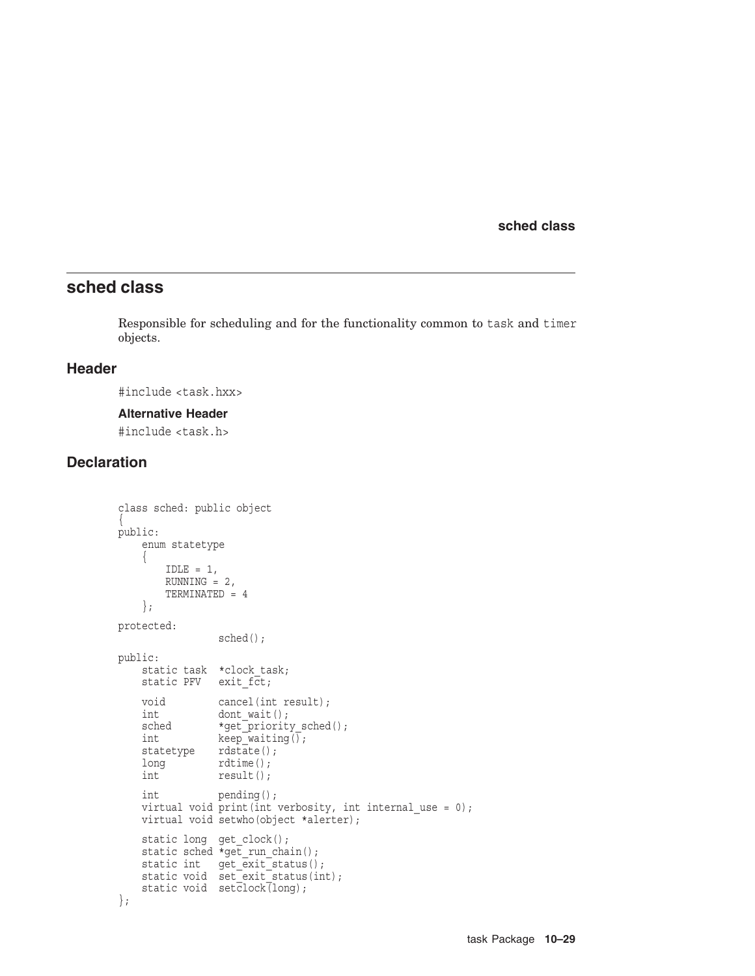# **sched class**

Responsible for scheduling and for the functionality common to task and timer objects.

## **Header**

#include <task.hxx>

#### **Alternative Header**

#include <task.h>

## **Declaration**

```
class sched: public object
{
public:
   enum statetype
    {
       IDLE = 1,RUNNING = 2,
       TERMINATED = 4};
protected:
                sched();
public:
    static task *clock_task;
    static PFV exit fct;
   void cancel(int result);
   int dont wait();
   sched *get_priority_sched();
   int keep\overline{\hspace{1mm}}\text{waiting}(\overline{)}\,;statetype rdstate();
   long rdtime();
   int result();
   int pending();
   virtual void print(int verbosity, int internal use = 0);
   virtual void setwho(object *alerter);
    static long get clock();
    static sched *get run chain();
    static int get exit status();
    static void set exit status(int);
   static void set{clock(long)};
};
```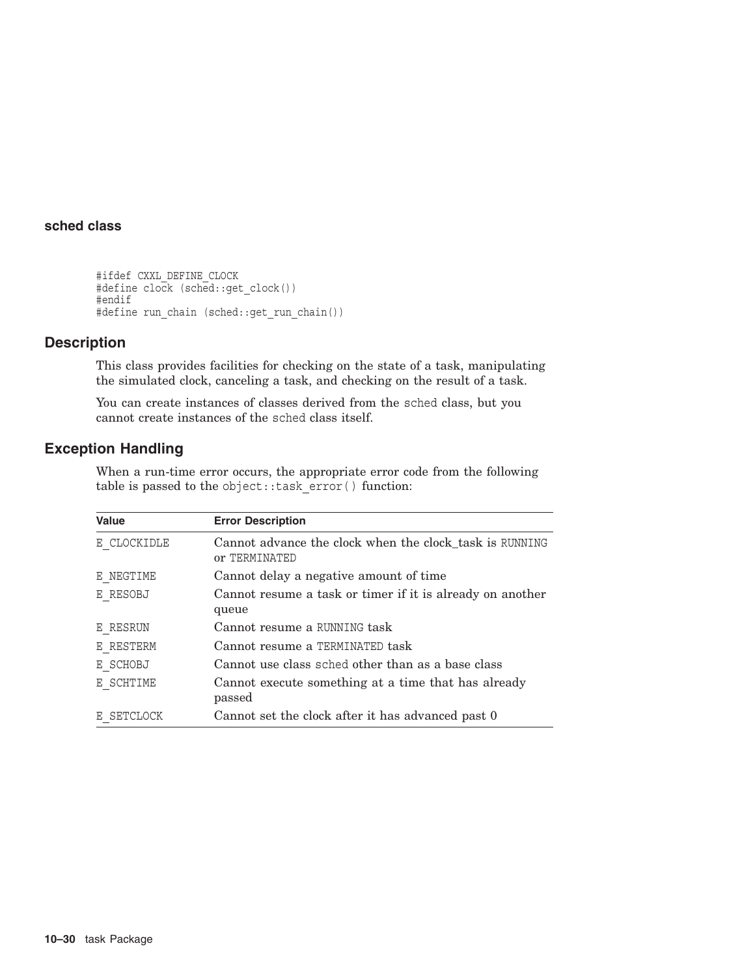```
#ifdef CXXL_DEFINE_CLOCK
#define clock (sched::get_clock())
#endif
#define run_chain (sched::get_run_chain())
```
## **Description**

This class provides facilities for checking on the state of a task, manipulating the simulated clock, canceling a task, and checking on the result of a task.

You can create instances of classes derived from the sched class, but you cannot create instances of the sched class itself.

## **Exception Handling**

When a run-time error occurs, the appropriate error code from the following table is passed to the object::task\_error( ) function:

| <b>Value</b> | <b>Error Description</b>                                                 |
|--------------|--------------------------------------------------------------------------|
| E CLOCKIDLE  | Cannot advance the clock when the clock_task is RUNNING<br>or TERMINATED |
| E NEGTIME    | Cannot delay a negative amount of time                                   |
| E RESOBJ     | Cannot resume a task or timer if it is already on another<br>queue       |
| E RESRUN     | Cannot resume a RUNNING task                                             |
| E RESTERM    | Cannot resume a TERMINATED task                                          |
| E SCHOBJ     | Cannot use class sched other than as a base class                        |
| E SCHTIME    | Cannot execute something at a time that has already<br>passed            |
| E SETCLOCK   | Cannot set the clock after it has advanced past 0                        |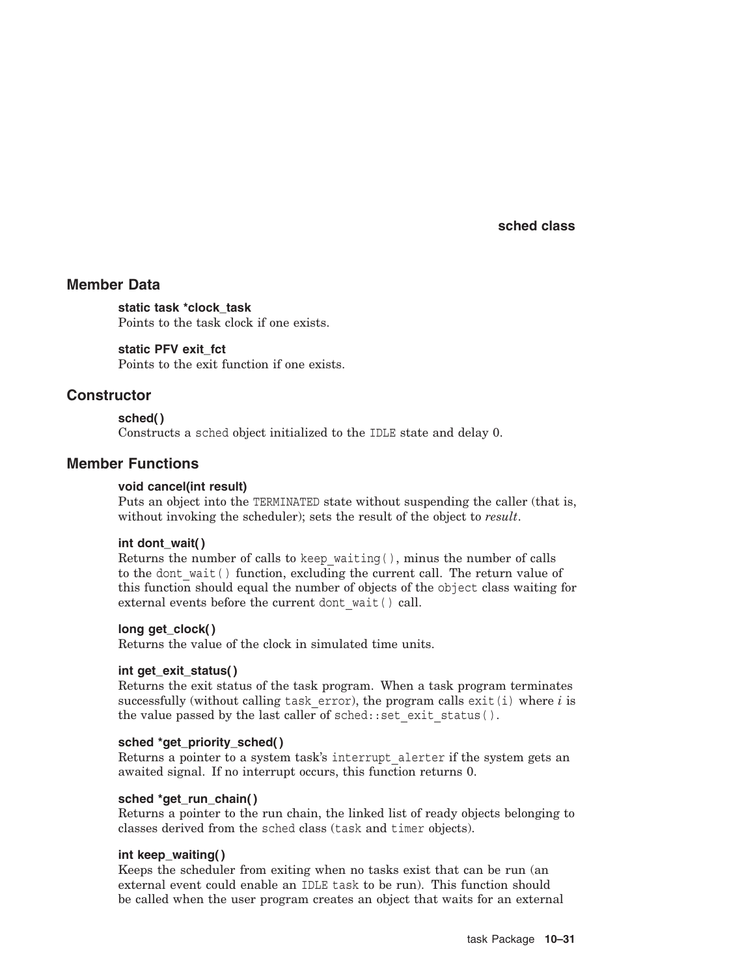## **Member Data**

**static task \*clock\_task** Points to the task clock if one exists.

**static PFV exit\_fct** Points to the exit function if one exists.

## **Constructor**

## **sched( )**

Constructs a sched object initialized to the IDLE state and delay 0.

## **Member Functions**

#### **void cancel(int result)**

Puts an object into the TERMINATED state without suspending the caller (that is, without invoking the scheduler); sets the result of the object to *result*.

#### **int dont\_wait( )**

Returns the number of calls to keep\_waiting( ), minus the number of calls to the dont wait() function, excluding the current call. The return value of this function should equal the number of objects of the object class waiting for external events before the current dont wait() call.

#### **long get\_clock( )**

Returns the value of the clock in simulated time units.

#### **int get\_exit\_status( )**

Returns the exit status of the task program. When a task program terminates successfully (without calling task error), the program calls exit(i) where  $i$  is the value passed by the last caller of  $s$ ched:: $set$ exit  $s$ tatus().

#### **sched \*get\_priority\_sched( )**

Returns a pointer to a system task's interrupt\_alerter if the system gets an awaited signal. If no interrupt occurs, this function returns 0.

#### **sched \*get\_run\_chain( )**

Returns a pointer to the run chain, the linked list of ready objects belonging to classes derived from the sched class (task and timer objects).

#### **int keep\_waiting( )**

Keeps the scheduler from exiting when no tasks exist that can be run (an external event could enable an IDLE task to be run). This function should be called when the user program creates an object that waits for an external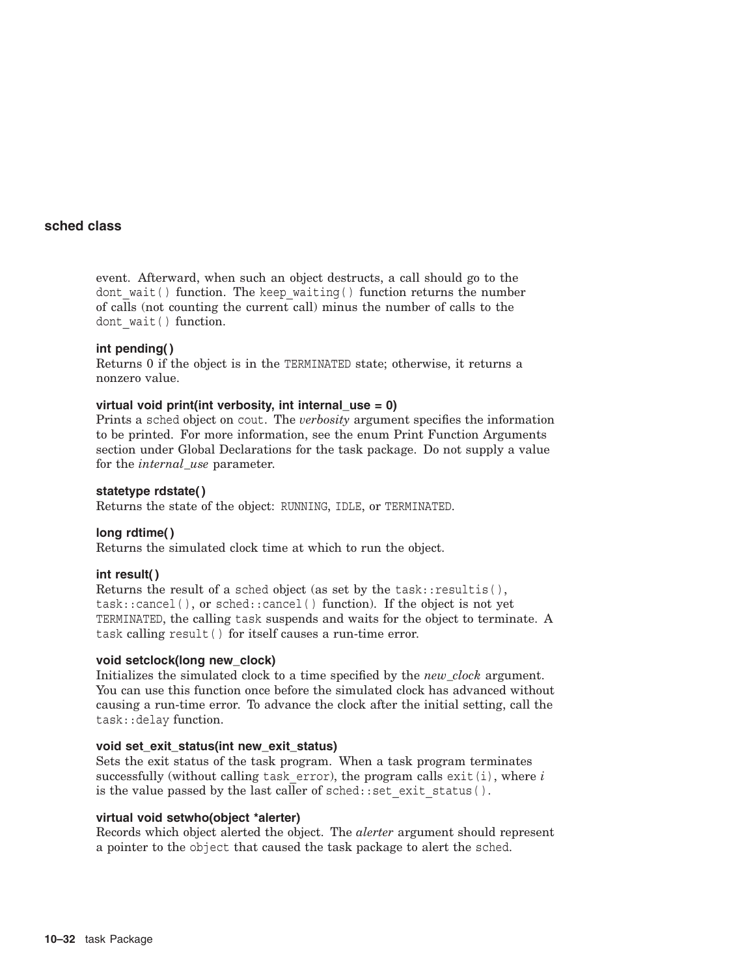event. Afterward, when such an object destructs, a call should go to the dont wait() function. The keep waiting() function returns the number of calls (not counting the current call) minus the number of calls to the dont wait() function.

#### **int pending( )**

Returns 0 if the object is in the TERMINATED state; otherwise, it returns a nonzero value.

#### **virtual void print(int verbosity, int internal\_use = 0)**

Prints a sched object on cout. The *verbosity* argument specifies the information to be printed. For more information, see the enum Print Function Arguments section under Global Declarations for the task package. Do not supply a value for the *internal\_use* parameter.

#### **statetype rdstate( )**

Returns the state of the object: RUNNING, IDLE, or TERMINATED.

#### **long rdtime( )**

Returns the simulated clock time at which to run the object.

#### **int result( )**

Returns the result of a sched object (as set by the  $task::resultis()$ , task::cancel( ), or sched::cancel( ) function). If the object is not yet TERMINATED, the calling task suspends and waits for the object to terminate. A task calling result( ) for itself causes a run-time error.

#### **void setclock(long new\_clock)**

Initializes the simulated clock to a time specified by the *new\_clock* argument. You can use this function once before the simulated clock has advanced without causing a run-time error. To advance the clock after the initial setting, call the task::delay function.

#### **void set\_exit\_status(int new\_exit\_status)**

Sets the exit status of the task program. When a task program terminates successfully (without calling task error), the program calls  $exit(i)$ , where  $i$ is the value passed by the last caller of sched::set exit status().

## **virtual void setwho(object \*alerter)**

Records which object alerted the object. The *alerter* argument should represent a pointer to the object that caused the task package to alert the sched.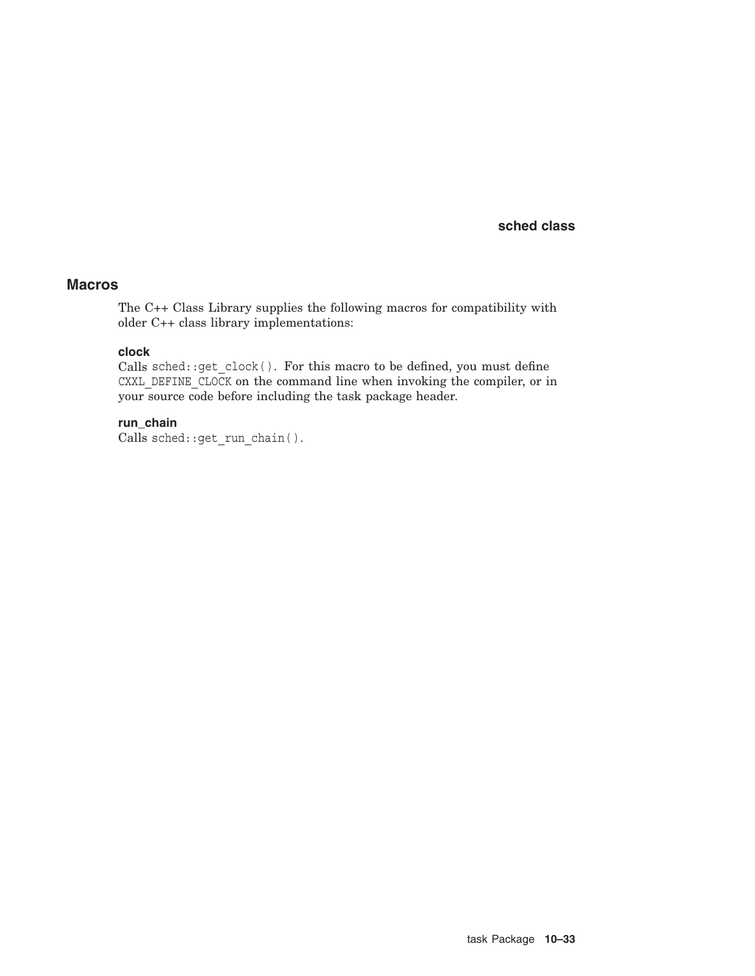## **Macros**

The C++ Class Library supplies the following macros for compatibility with older C++ class library implementations:

## **clock**

Calls sched::get clock(). For this macro to be defined, you must define CXXL\_DEFINE\_CLOCK on the command line when invoking the compiler, or in your source code before including the task package header.

# **run\_chain**

Calls sched::get\_run\_chain( ).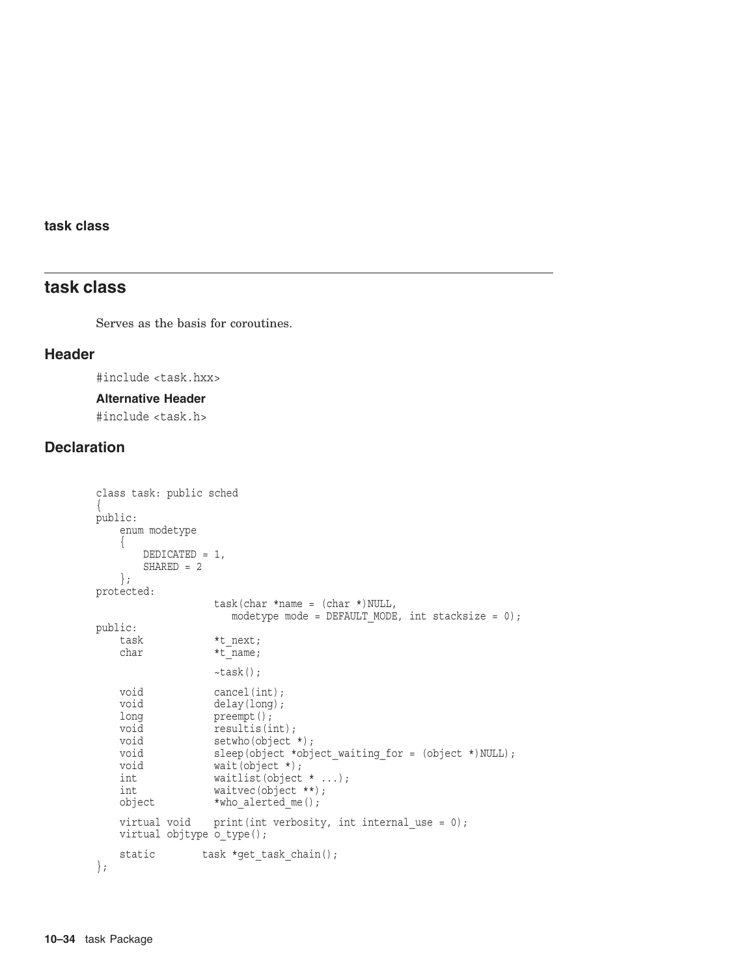## **task class**

# **task class**

Serves as the basis for coroutines.

#### **Header**

#include <task.hxx>

#### **Alternative Header**

#include <task.h>

# **Declaration**

```
class task: public sched
{
public:
   enum modetype
   {
       DEDICATED = 1,
      SHARED = 2};
protected:
                 task(char *name = (char *)NULL,
                   modetype mode = DEFAULT MODE, int stacksize = 0);
public:
   task *t next;
   char *t_name;
                 \simtask();
   void cancel(int);
   void delay(long);
   long preempt();
   void resultis(int);
   void setwho(object *);
   void sleep(object *object_waiting_for = (object *)NULL);<br>void wait(object *);
                 wait(object *);
   int waitlist(object * ...);
   int waitvec(object **);
   object *who alerted me();
   virtual void print(int verbosity, int internal use = 0);
   virtual objtype o_type();
   static task *get_task_chain();
};
```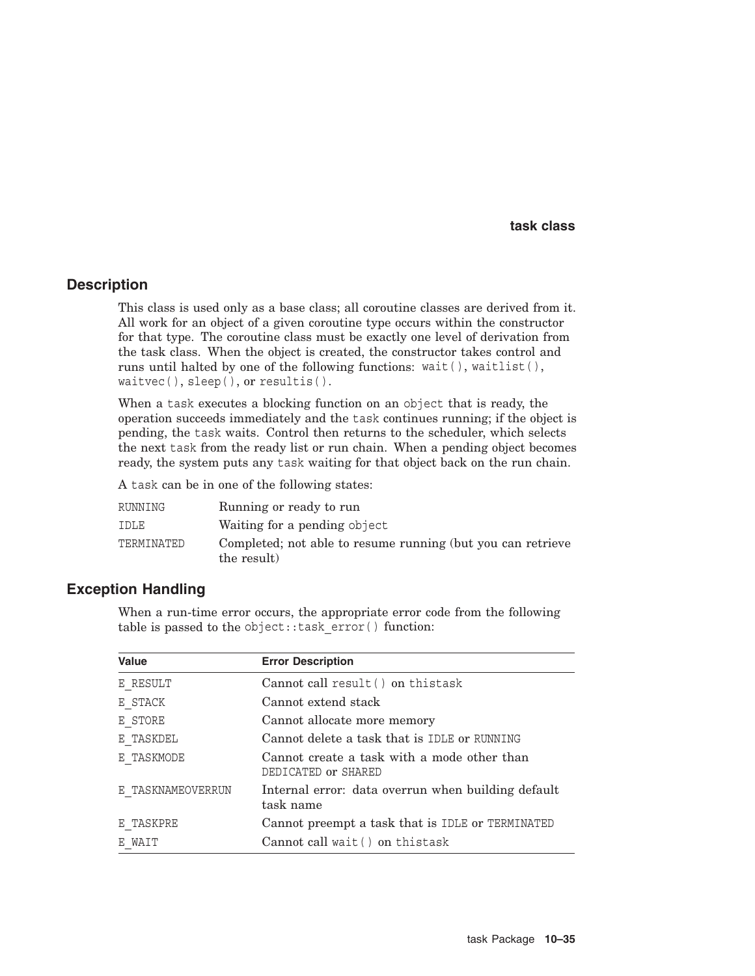### **Description**

This class is used only as a base class; all coroutine classes are derived from it. All work for an object of a given coroutine type occurs within the constructor for that type. The coroutine class must be exactly one level of derivation from the task class. When the object is created, the constructor takes control and runs until halted by one of the following functions: wait( ), waitlist( ), waitvec( ), sleep( ), or resultis( ).

When a task executes a blocking function on an object that is ready, the operation succeeds immediately and the task continues running; if the object is pending, the task waits. Control then returns to the scheduler, which selects the next task from the ready list or run chain. When a pending object becomes ready, the system puts any task waiting for that object back on the run chain.

A task can be in one of the following states:

| RUNNING    | Running or ready to run                                                    |
|------------|----------------------------------------------------------------------------|
| IDLE       | Waiting for a pending object                                               |
| TERMINATED | Completed; not able to resume running (but you can retrieve<br>the result) |

# **Exception Handling**

When a run-time error occurs, the appropriate error code from the following table is passed to the object::task\_error( ) function:

| <b>Value</b>      | <b>Error Description</b>                                           |
|-------------------|--------------------------------------------------------------------|
| E RESULT          | Cannot call result () on thistask                                  |
| E STACK           | Cannot extend stack                                                |
| E STORE           | Cannot allocate more memory                                        |
| E TASKDEL         | Cannot delete a task that is IDLE or RUNNING                       |
| E TASKMODE        | Cannot create a task with a mode other than<br>DEDICATED or SHARED |
| E TASKNAMEOVERRUN | Internal error: data overrun when building default<br>task name    |
| E TASKPRE         | Cannot preempt a task that is IDLE or TERMINATED                   |
| E WAIT            | Cannot call wait () on thistask                                    |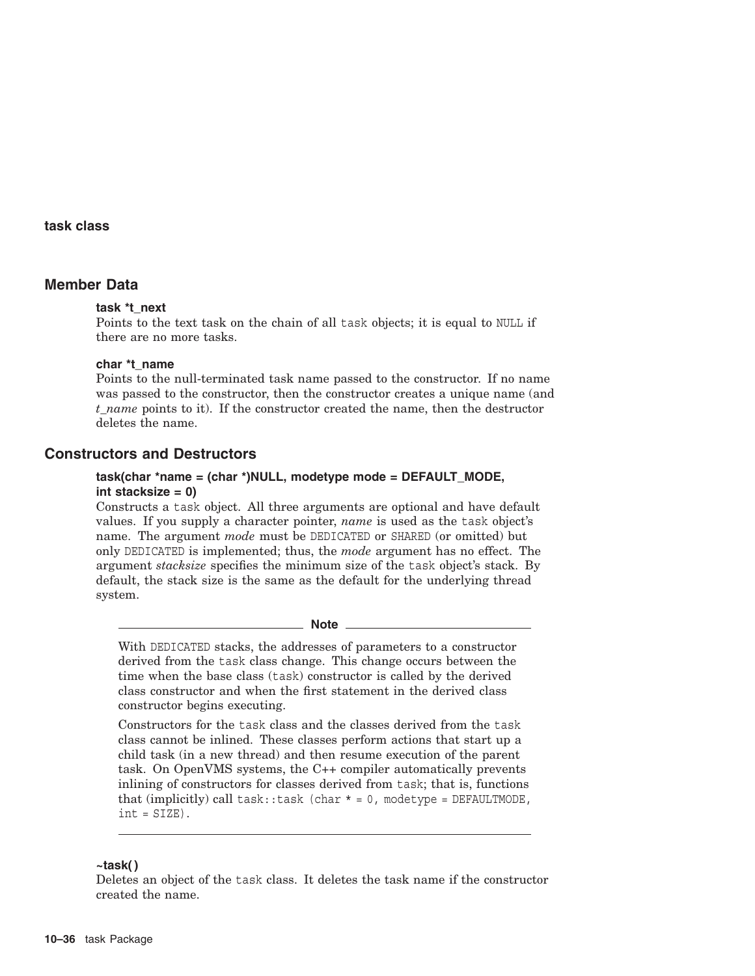# **Member Data**

#### **task \*t\_next**

Points to the text task on the chain of all task objects; it is equal to NULL if there are no more tasks.

#### **char \*t\_name**

Points to the null-terminated task name passed to the constructor. If no name was passed to the constructor, then the constructor creates a unique name (and *t\_name* points to it). If the constructor created the name, then the destructor deletes the name.

# **Constructors and Destructors**

#### **task(char \*name = (char \*)NULL, modetype mode = DEFAULT\_MODE, int stacksize = 0)**

Constructs a task object. All three arguments are optional and have default values. If you supply a character pointer, *name* is used as the task object's name. The argument *mode* must be DEDICATED or SHARED (or omitted) but only DEDICATED is implemented; thus, the *mode* argument has no effect. The argument *stacksize* specifies the minimum size of the task object's stack. By default, the stack size is the same as the default for the underlying thread system.

#### **Note** \_\_

With DEDICATED stacks, the addresses of parameters to a constructor derived from the task class change. This change occurs between the time when the base class (task) constructor is called by the derived class constructor and when the first statement in the derived class constructor begins executing.

Constructors for the task class and the classes derived from the task class cannot be inlined. These classes perform actions that start up a child task (in a new thread) and then resume execution of the parent task. On OpenVMS systems, the C++ compiler automatically prevents inlining of constructors for classes derived from task; that is, functions that (implicitly) call task::task (char  $* = 0$ , modetype = DEFAULTMODE,  $int = SIZE$ .

#### **~task( )**

Deletes an object of the task class. It deletes the task name if the constructor created the name.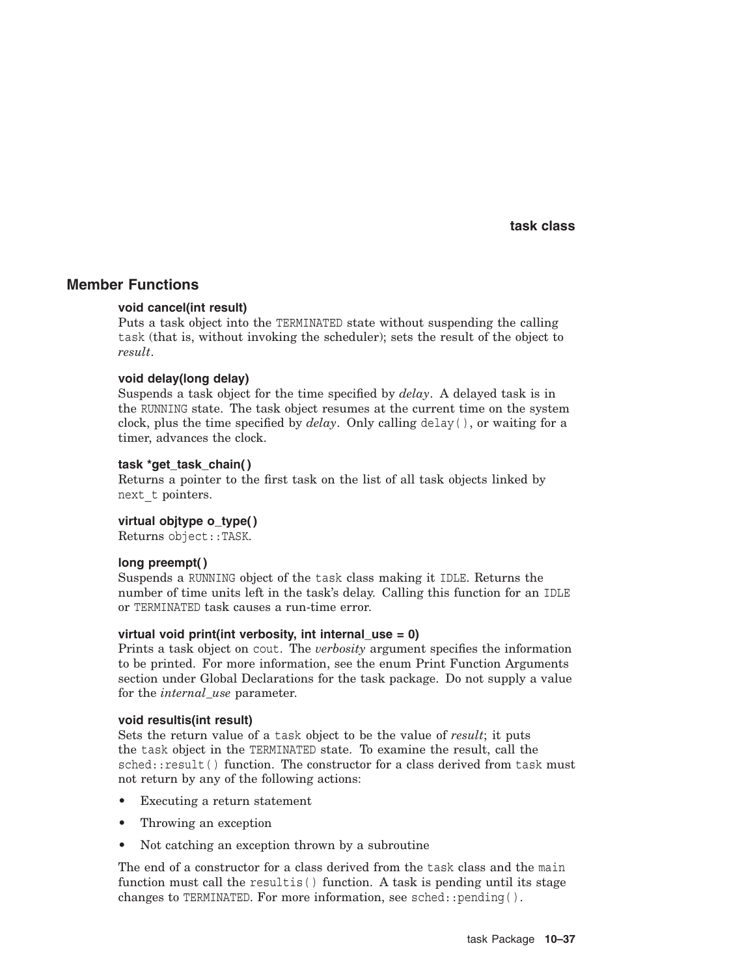### **Member Functions**

#### **void cancel(int result)**

Puts a task object into the TERMINATED state without suspending the calling task (that is, without invoking the scheduler); sets the result of the object to *result*.

#### **void delay(long delay)**

Suspends a task object for the time specified by *delay*. A delayed task is in the RUNNING state. The task object resumes at the current time on the system clock, plus the time specified by  $delay$ . Only calling delay(), or waiting for a timer, advances the clock.

#### **task \*get\_task\_chain( )**

Returns a pointer to the first task on the list of all task objects linked by next\_t pointers.

#### **virtual objtype o\_type( )**

Returns object::TASK.

#### **long preempt( )**

Suspends a RUNNING object of the task class making it IDLE. Returns the number of time units left in the task's delay. Calling this function for an IDLE or TERMINATED task causes a run-time error.

#### **virtual void print(int verbosity, int internal\_use = 0)**

Prints a task object on cout. The *verbosity* argument specifies the information to be printed. For more information, see the enum Print Function Arguments section under Global Declarations for the task package. Do not supply a value for the *internal\_use* parameter.

#### **void resultis(int result)**

Sets the return value of a task object to be the value of *result*; it puts the task object in the TERMINATED state. To examine the result, call the sched::result() function. The constructor for a class derived from task must not return by any of the following actions:

- Executing a return statement
- Throwing an exception
- Not catching an exception thrown by a subroutine

The end of a constructor for a class derived from the task class and the main function must call the result is  $( )$  function. A task is pending until its stage changes to TERMINATED. For more information, see sched::pending( ).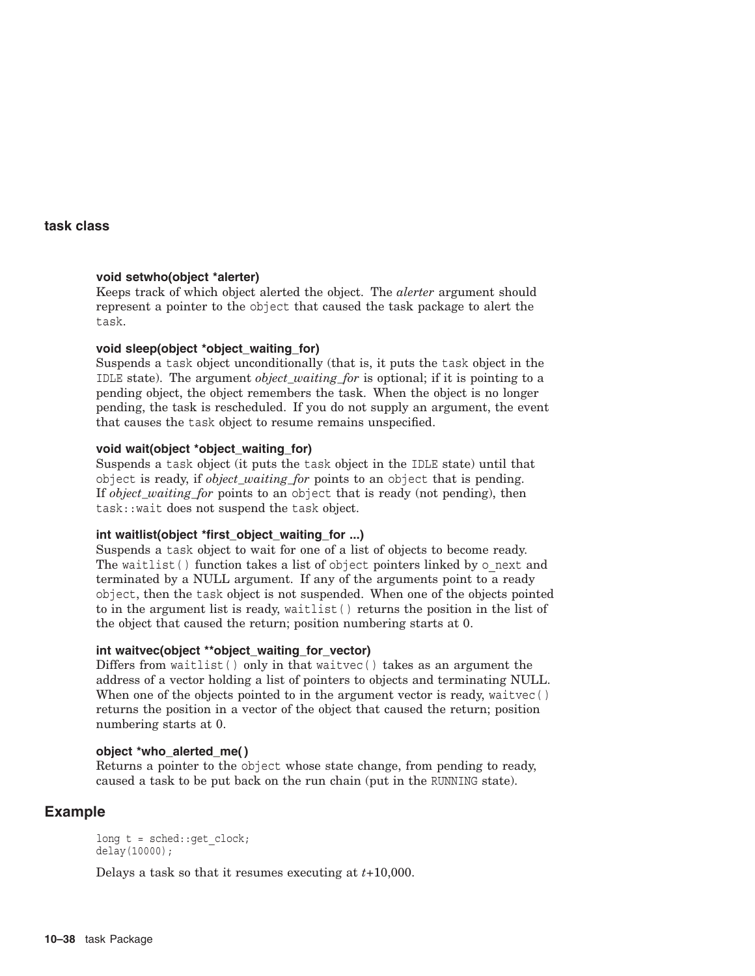#### **void setwho(object \*alerter)**

Keeps track of which object alerted the object. The *alerter* argument should represent a pointer to the object that caused the task package to alert the task.

#### **void sleep(object \*object\_waiting\_for)**

Suspends a task object unconditionally (that is, it puts the task object in the IDLE state). The argument *object\_waiting\_for* is optional; if it is pointing to a pending object, the object remembers the task. When the object is no longer pending, the task is rescheduled. If you do not supply an argument, the event that causes the task object to resume remains unspecified.

#### **void wait(object \*object\_waiting\_for)**

Suspends a task object (it puts the task object in the IDLE state) until that object is ready, if *object\_waiting\_for* points to an object that is pending. If *object\_waiting\_for* points to an object that is ready (not pending), then task::wait does not suspend the task object.

### **int waitlist(object \*first\_object\_waiting\_for ...)**

Suspends a task object to wait for one of a list of objects to become ready. The waitlist() function takes a list of object pointers linked by  $\circ$  next and terminated by a NULL argument. If any of the arguments point to a ready object, then the task object is not suspended. When one of the objects pointed to in the argument list is ready, waitlist( ) returns the position in the list of the object that caused the return; position numbering starts at 0.

#### **int waitvec(object \*\*object\_waiting\_for\_vector)**

Differs from waitlist( ) only in that waitvec( ) takes as an argument the address of a vector holding a list of pointers to objects and terminating NULL. When one of the objects pointed to in the argument vector is ready, waitvec () returns the position in a vector of the object that caused the return; position numbering starts at 0.

#### **object \*who\_alerted\_me( )**

Returns a pointer to the object whose state change, from pending to ready, caused a task to be put back on the run chain (put in the RUNNING state).

# **Example**

long  $t = \text{sched}$ : get clock; delay(10000);

Delays a task so that it resumes executing at *t*+10,000.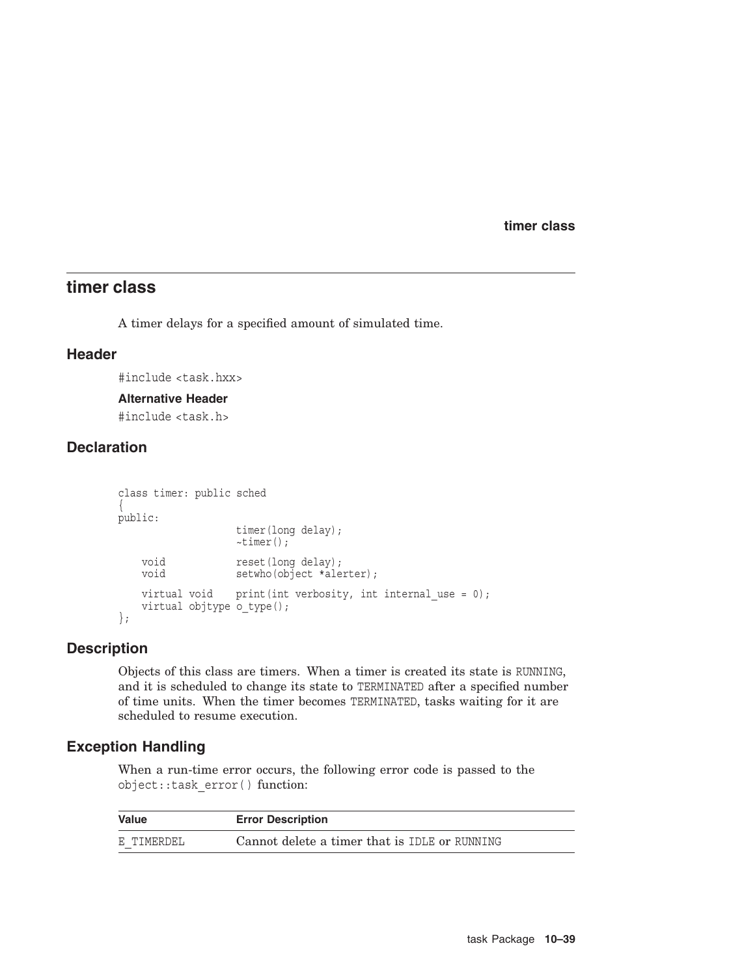**timer class**

# **timer class**

A timer delays for a specified amount of simulated time.

# **Header**

#include <task.hxx>

#### **Alternative Header**

#include <task.h>

# **Declaration**

```
class timer: public sched
{
public:
                  timer(long delay);
                 ~timer();
   void reset(long delay);
   void setwho(object *alerter);
   virtual void print(int verbosity, int internal use = 0);
   virtual objtype o_type();
};
```
### **Description**

Objects of this class are timers. When a timer is created its state is RUNNING, and it is scheduled to change its state to TERMINATED after a specified number of time units. When the timer becomes TERMINATED, tasks waiting for it are scheduled to resume execution.

# **Exception Handling**

When a run-time error occurs, the following error code is passed to the object::task\_error( ) function:

| Value      | <b>Error Description</b>                      |
|------------|-----------------------------------------------|
| E TIMERDEL | Cannot delete a timer that is IDLE or RUNNING |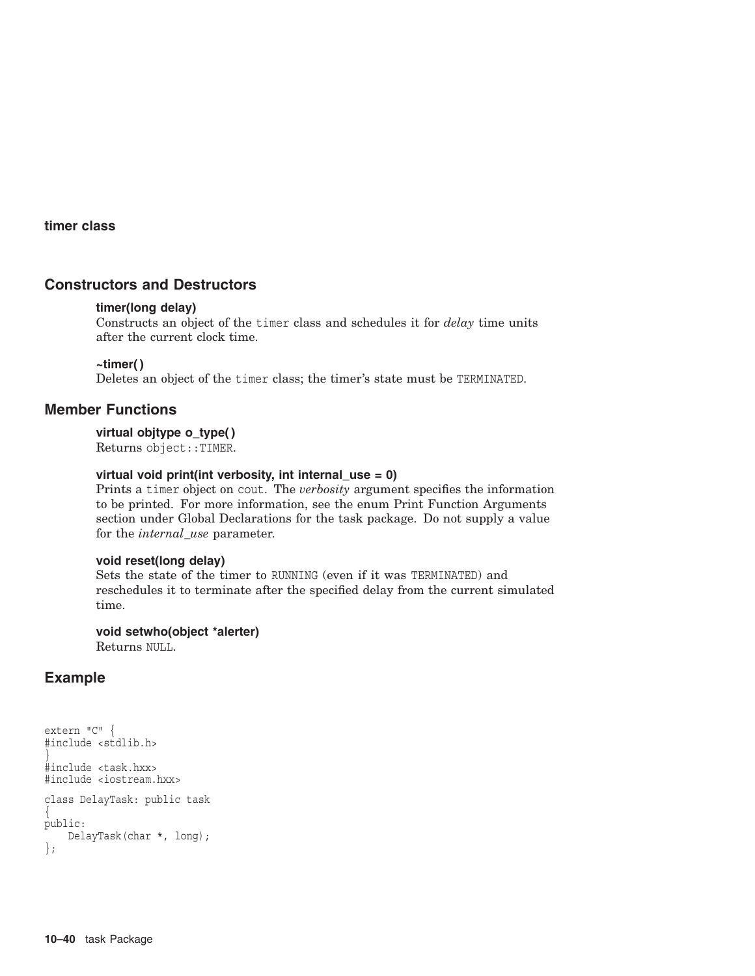#### **timer class**

# **Constructors and Destructors**

#### **timer(long delay)**

Constructs an object of the timer class and schedules it for *delay* time units after the current clock time.

#### **~timer( )**

Deletes an object of the timer class; the timer's state must be TERMINATED.

#### **Member Functions**

#### **virtual objtype o\_type( )**

Returns object::TIMER.

#### **virtual void print(int verbosity, int internal\_use = 0)**

Prints a timer object on cout. The *verbosity* argument specifies the information to be printed. For more information, see the enum Print Function Arguments section under Global Declarations for the task package. Do not supply a value for the *internal\_use* parameter.

#### **void reset(long delay)**

Sets the state of the timer to RUNNING (even if it was TERMINATED) and reschedules it to terminate after the specified delay from the current simulated time.

#### **void setwho(object \*alerter)**

Returns NULL.

# **Example**

```
extern "C" {
#include <stdlib.h>
}
#include <task.hxx>
#include <iostream.hxx>
class DelayTask: public task
\{public:
    DelayTask(char *, long);
};
```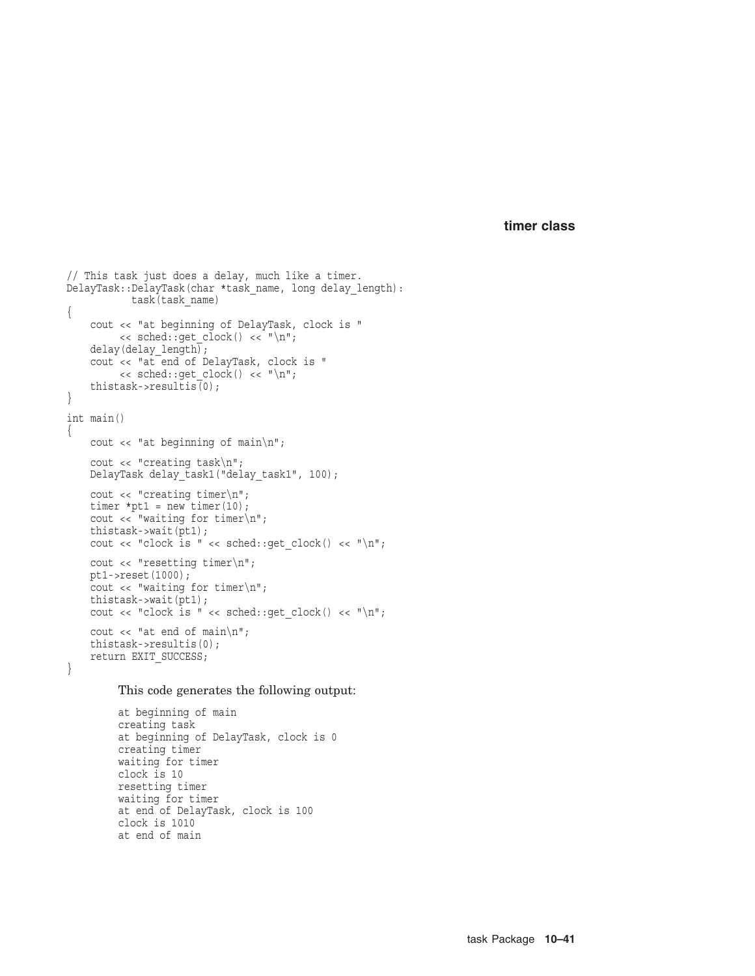**timer class**

```
// This task just does a delay, much like a timer.
DelayTask::DelayTask(char *task_name, long delay_length):
           task(task_name) {
    cout << "at beginning of DelayTask, clock is "
         << sched::get clock() << "\n";
    delay(delay_length);
    cout << "at end of DelayTask, clock is "
        \langle sched::get clock() \langle "\n";
    thistask->resultis(0);
}
int main()
{
   cout << "at beginning of main\n";
    cout << "creating task\n";
   DelayTask delay task1("delay task1", 100);
   cout << "creating timer\n";
    timer *pt1 = new timer(10);
    cout << "waiting for timer\n";
   thistask->wait(pt1);
   cout << "clock is " << sched::get clock() << "\n";
   cout << "resetting timer\n";
   pt1->reset(1000);
   cout << "waiting for timer\n";
   thistask->wait(pt1);
   cout << "clock is " << sched::get clock() << "\n";
   cout \langle \cdot \rangle "at end of main\n";
   thistask->resultis(0);
   return EXIT_SUCCESS; }
```
#### This code generates the following output:

```
at beginning of main
creating task
at beginning of DelayTask, clock is 0
creating timer
waiting for timer
clock is 10
resetting timer
waiting for timer
at end of DelayTask, clock is 100
clock is 1010
at end of main
```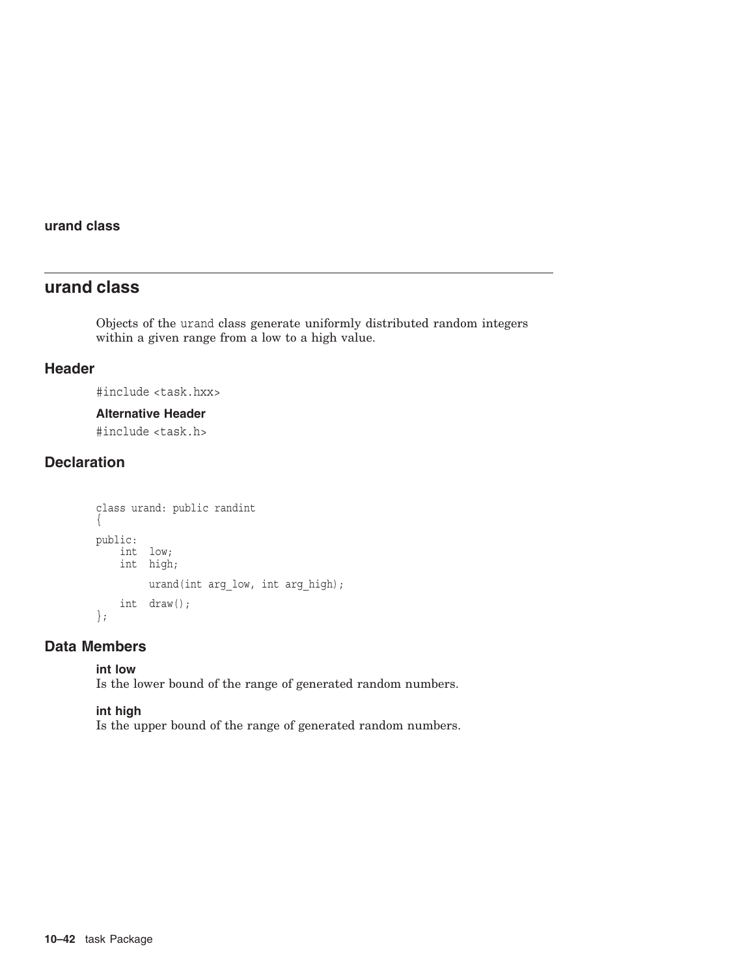### **urand class**

# **urand class**

Objects of the urand class generate uniformly distributed random integers within a given range from a low to a high value.

### **Header**

#include <task.hxx>

### **Alternative Header**

#include <task.h>

# **Declaration**

```
class urand: public randint
\left\{ \right.public:
    int low;
    int high;
          urand(int arg_low, int arg_high);
    int draw();
};
```
# **Data Members**

#### **int low**

Is the lower bound of the range of generated random numbers.

### **int high**

Is the upper bound of the range of generated random numbers.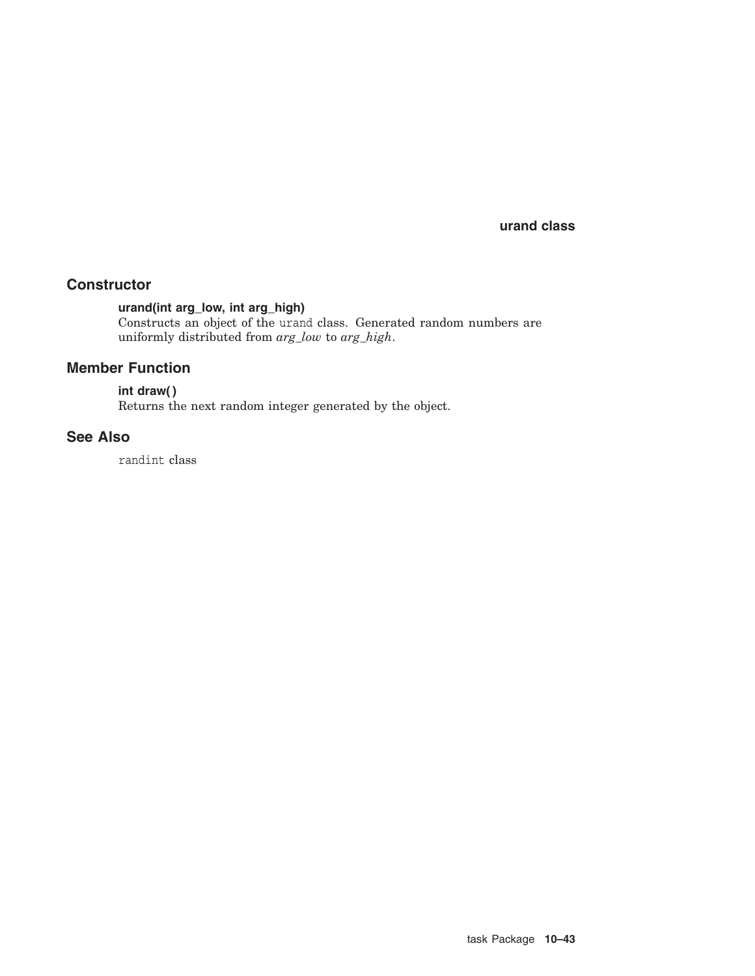**urand class**

# **Constructor**

# **urand(int arg\_low, int arg\_high)**

Constructs an object of the urand class. Generated random numbers are uniformly distributed from *arg\_low* to *arg\_high*.

# **Member Function**

# **int draw( )**

Returns the next random integer generated by the object.

# **See Also**

randint class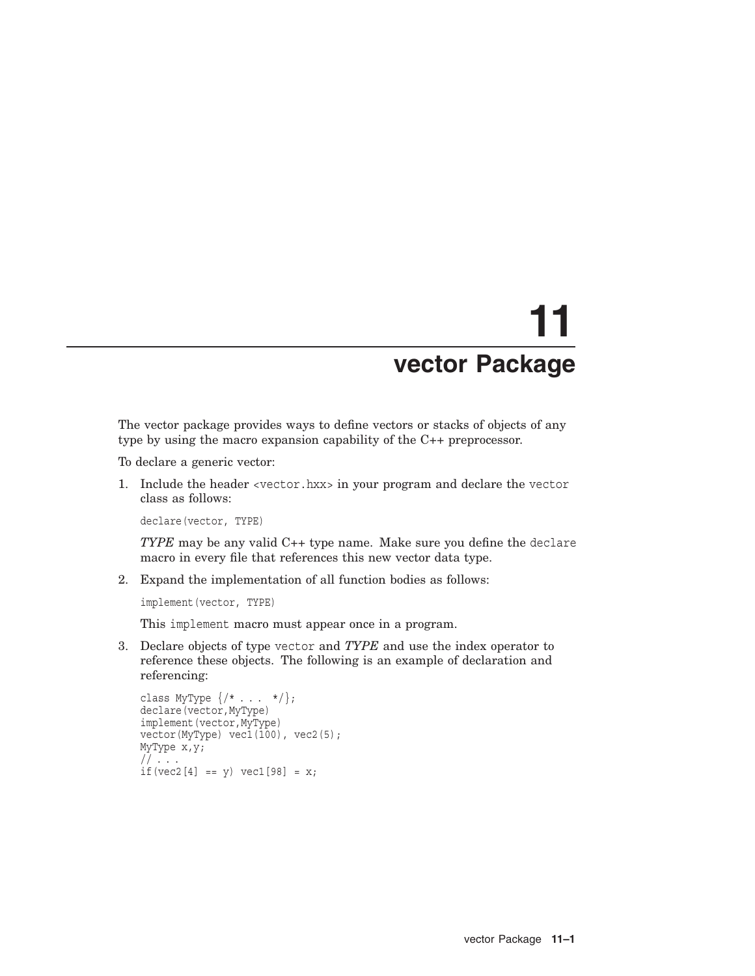# **11 vector Package**

The vector package provides ways to define vectors or stacks of objects of any type by using the macro expansion capability of the C++ preprocessor.

To declare a generic vector:

1. Include the header <vector.hxx> in your program and declare the vector class as follows:

declare(vector, TYPE)

*TYPE* may be any valid C++ type name. Make sure you define the declare macro in every file that references this new vector data type.

2. Expand the implementation of all function bodies as follows:

implement(vector, TYPE)

This implement macro must appear once in a program.

3. Declare objects of type vector and *TYPE* and use the index operator to reference these objects. The following is an example of declaration and referencing:

```
class MyType \{/* . . . . */\};declare(vector,MyType)
implement(vector,MyType)
vector(MyType) vec1(100), vec2(5);
MyType x,y;
// \ldotsif(vec2[4] == y) vec1[98] = x;
```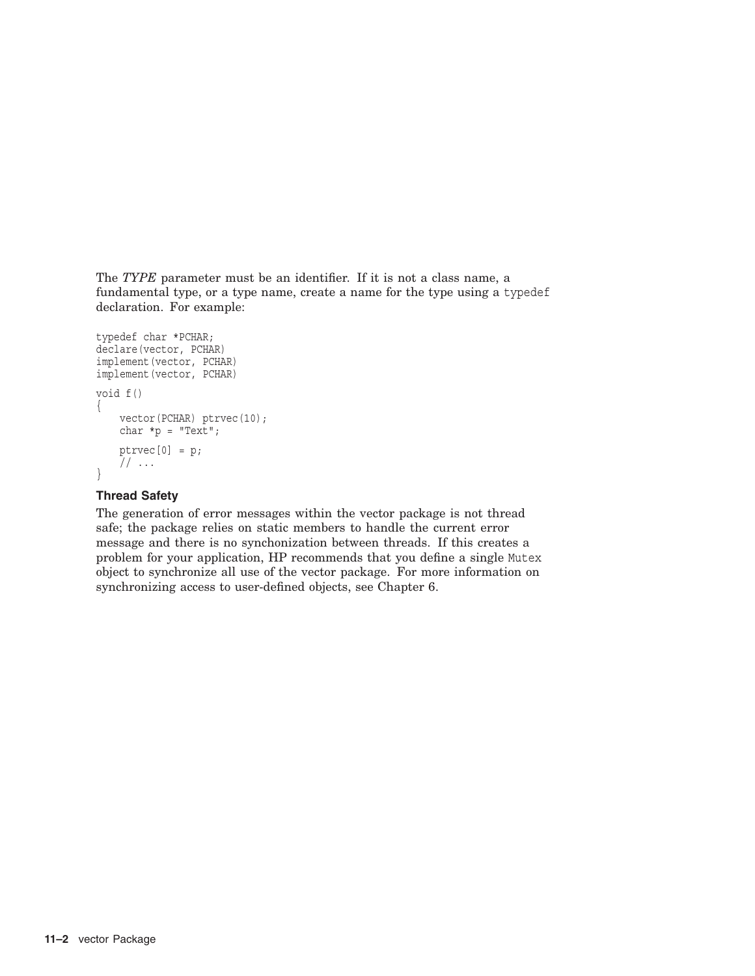The *TYPE* parameter must be an identifier. If it is not a class name, a fundamental type, or a type name, create a name for the type using a typedef declaration. For example:

```
typedef char *PCHAR;
declare(vector, PCHAR)
implement(vector, PCHAR)
implement(vector, PCHAR)
void f()
\{vector(PCHAR) ptrvec(10);
    char *p = "Text";ptrvec[0] = p;
    // \ldots}
```
### **Thread Safety**

The generation of error messages within the vector package is not thread safe; the package relies on static members to handle the current error message and there is no synchonization between threads. If this creates a problem for your application, HP recommends that you define a single Mutex object to synchronize all use of the vector package. For more information on synchronizing access to user-defined objects, see Chapter 6.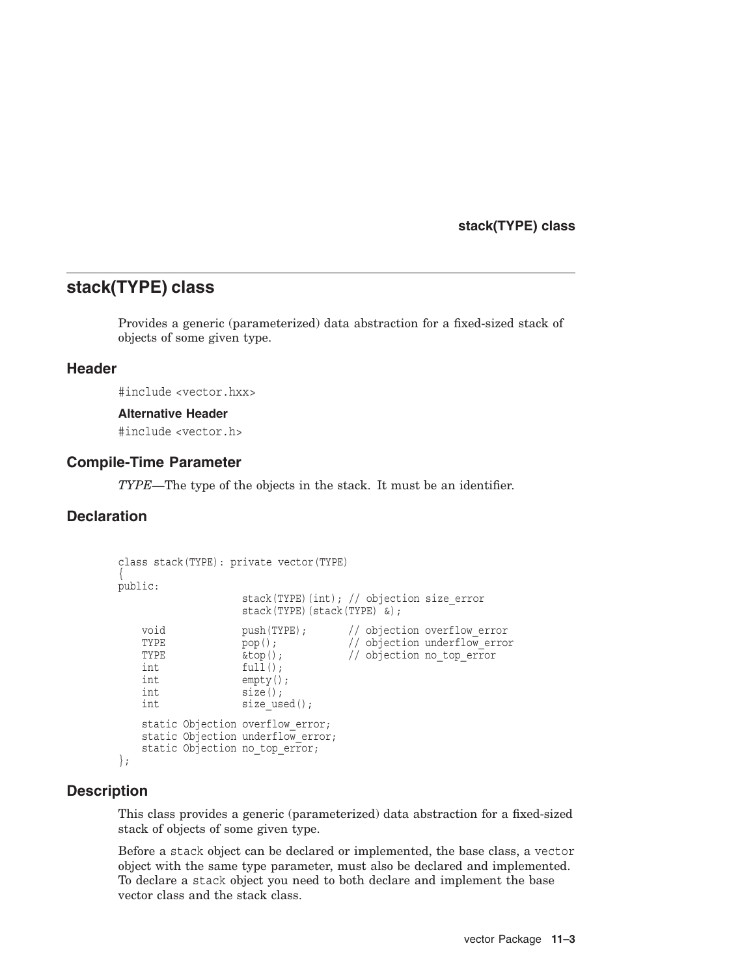**stack(TYPE) class**

# **stack(TYPE) class**

Provides a generic (parameterized) data abstraction for a fixed-sized stack of objects of some given type.

### **Header**

#include <vector.hxx>

#### **Alternative Header**

#include <vector.h>

### **Compile-Time Parameter**

*TYPE*—The type of the objects in the stack. It must be an identifier.

# **Declaration**

```
class stack(TYPE): private vector(TYPE)
{
public:
                      stack(TYPE)(int); // objection size_error
                      stack(TYPE)(stack(TYPE) &);
    void push(TYPE); // objection overflow_error<br>
TYPE pop(): // objection underflow error
    TYPE \begin{array}{ccc} \text{pop}(); & // objection underflow_error \\ \text{step}(); & // objection no top error \end{array}\&top(); // objection no top error
    int full();
    int empty();
    int size();
    int size_used();
    static Objection overflow error;
    static Objection underflow error;
    static Objection no top error;
};
```
### **Description**

This class provides a generic (parameterized) data abstraction for a fixed-sized stack of objects of some given type.

Before a stack object can be declared or implemented, the base class, a vector object with the same type parameter, must also be declared and implemented. To declare a stack object you need to both declare and implement the base vector class and the stack class.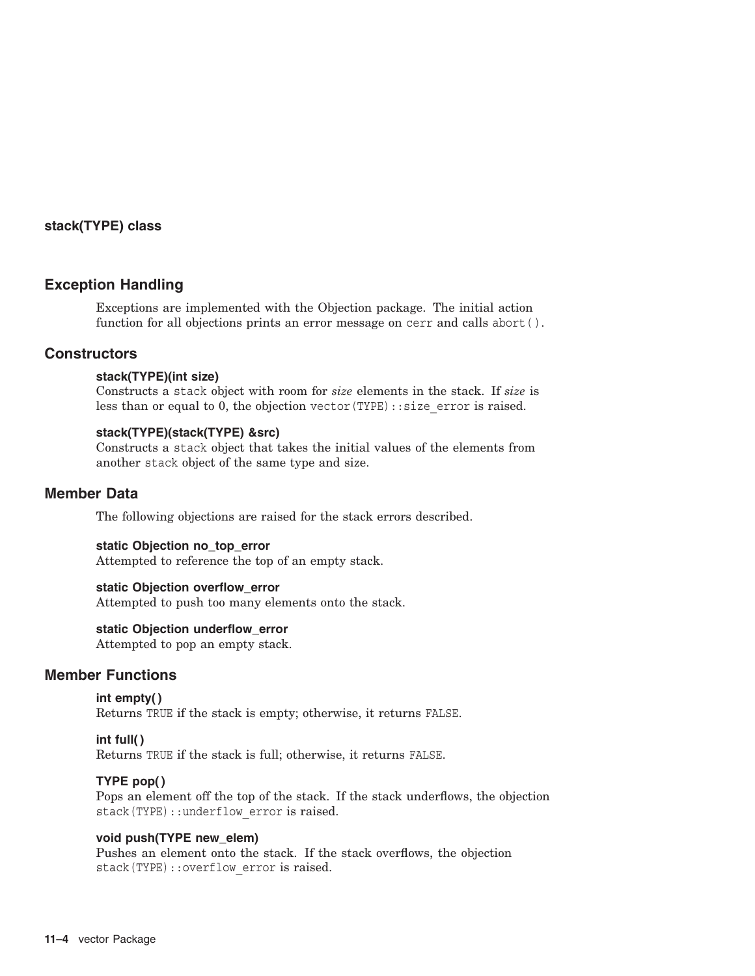### **stack(TYPE) class**

### **Exception Handling**

Exceptions are implemented with the Objection package. The initial action function for all objections prints an error message on cerr and calls abort ().

# **Constructors**

#### **stack(TYPE)(int size)**

Constructs a stack object with room for *size* elements in the stack. If *size* is less than or equal to 0, the objection vector(TYPE): : size error is raised.

#### **stack(TYPE)(stack(TYPE) &src)**

Constructs a stack object that takes the initial values of the elements from another stack object of the same type and size.

### **Member Data**

The following objections are raised for the stack errors described.

#### **static Objection no\_top\_error**

Attempted to reference the top of an empty stack.

#### **static Objection overflow\_error**

Attempted to push too many elements onto the stack.

#### **static Objection underflow\_error**

Attempted to pop an empty stack.

#### **Member Functions**

#### **int empty( )** Returns TRUE if the stack is empty; otherwise, it returns FALSE.

#### **int full( )**

Returns TRUE if the stack is full; otherwise, it returns FALSE.

#### **TYPE pop( )**

Pops an element off the top of the stack. If the stack underflows, the objection stack(TYPE): : underflow error is raised.

#### **void push(TYPE new\_elem)**

Pushes an element onto the stack. If the stack overflows, the objection stack(TYPE):: overflow error is raised.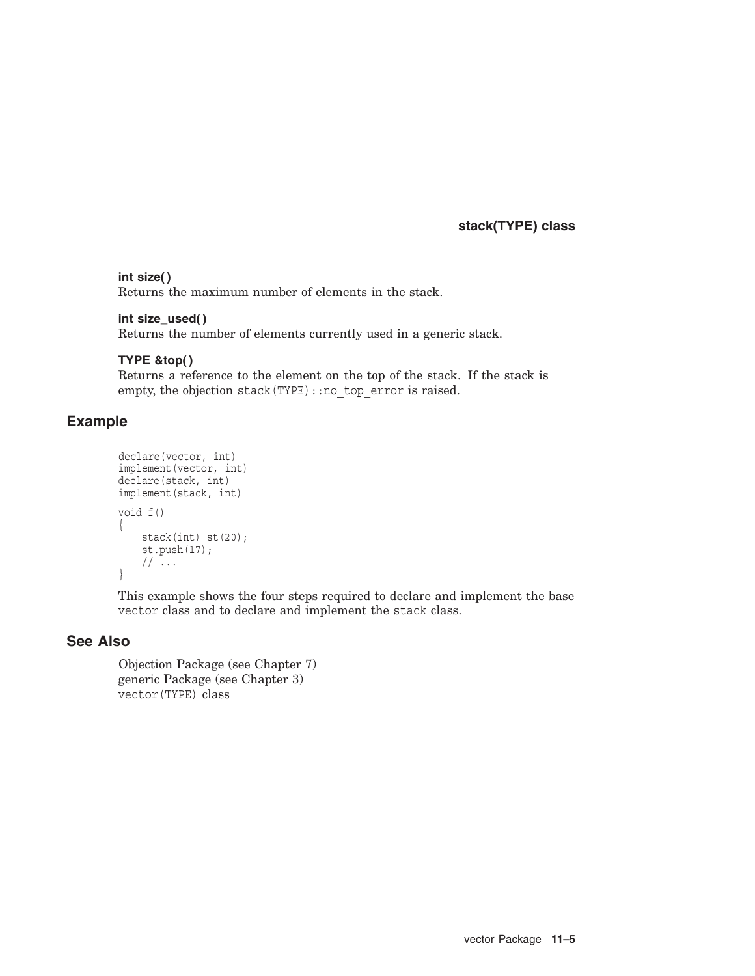**stack(TYPE) class**

#### **int size( )**

Returns the maximum number of elements in the stack.

### **int size\_used( )**

Returns the number of elements currently used in a generic stack.

### **TYPE &top( )**

Returns a reference to the element on the top of the stack. If the stack is empty, the objection stack (TYPE): : no\_top\_error is raised.

# **Example**

```
declare(vector, int)
implement(vector, int)
declare(stack, int)
implement(stack, int)
void f()
{
    stack(int) st(20);
    st.push(17);
    // ...
}
```
This example shows the four steps required to declare and implement the base vector class and to declare and implement the stack class.

### **See Also**

Objection Package (see Chapter 7) generic Package (see Chapter 3) vector(TYPE) class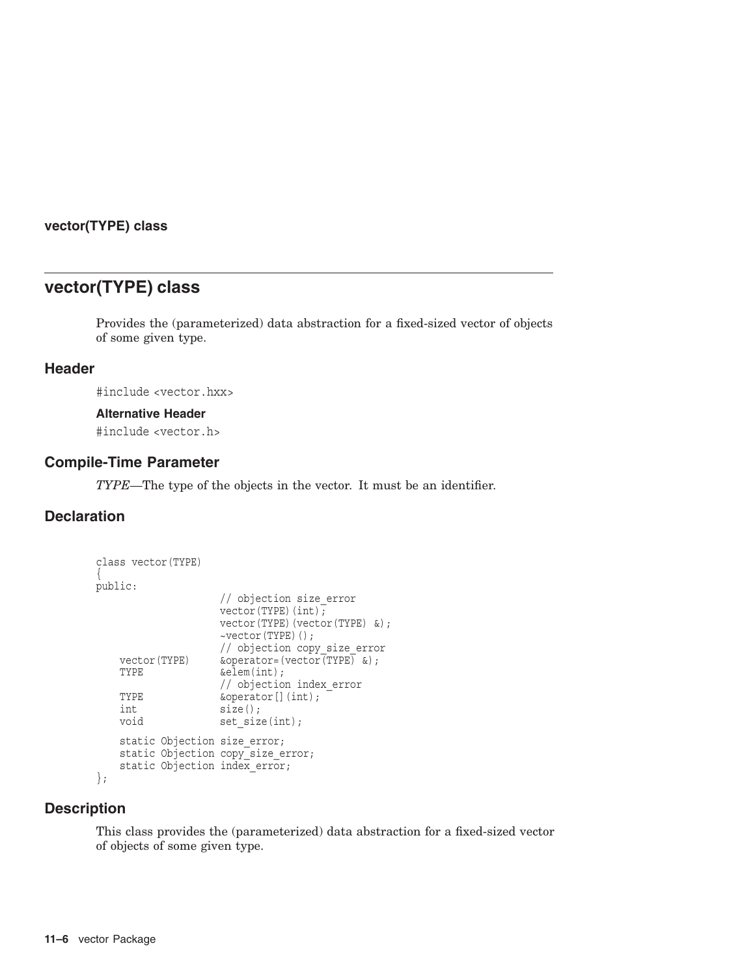### **vector(TYPE) class**

# **vector(TYPE) class**

Provides the (parameterized) data abstraction for a fixed-sized vector of objects of some given type.

# **Header**

#include <vector.hxx>

#### **Alternative Header**

#include <vector.h>

### **Compile-Time Parameter**

*TYPE*—The type of the objects in the vector. It must be an identifier.

# **Declaration**

```
class vector(TYPE)
{
public:
                      // objection size_error
                      vector(TYPE)(int);
                      vector(TYPE)(vector(TYPE) &);
                      ~vector(TYPE)();
                      // objection copy_size_error
    vector(TYPE) \&\text{operator='vector}(\text{vector}[TYPE] \&);<br>TYPE \&\text{element}(int);\&elem(int);
                      // objection index_error
    TYPE \&\text{operator}[](\text{int});int size();
    void set size(int);
    static Objection size error;
    static Objection copy size error;
    static Objection index error;
};
```
# **Description**

This class provides the (parameterized) data abstraction for a fixed-sized vector of objects of some given type.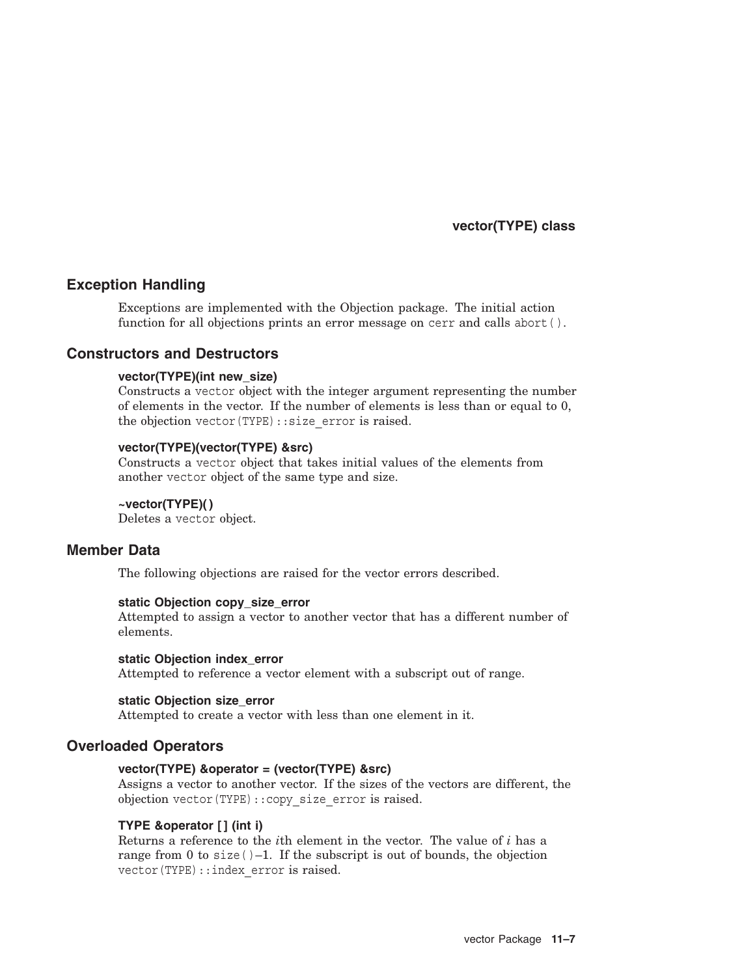**vector(TYPE) class**

### **Exception Handling**

Exceptions are implemented with the Objection package. The initial action function for all objections prints an error message on cerr and calls abort ().

# **Constructors and Destructors**

#### **vector(TYPE)(int new\_size)**

Constructs a vector object with the integer argument representing the number of elements in the vector. If the number of elements is less than or equal to 0, the objection vector(TYPE)::size\_error is raised.

#### **vector(TYPE)(vector(TYPE) &src)**

Constructs a vector object that takes initial values of the elements from another vector object of the same type and size.

#### **~vector(TYPE)( )**

Deletes a vector object.

### **Member Data**

The following objections are raised for the vector errors described.

#### **static Objection copy\_size\_error**

Attempted to assign a vector to another vector that has a different number of elements.

#### **static Objection index\_error**

Attempted to reference a vector element with a subscript out of range.

#### **static Objection size\_error**

Attempted to create a vector with less than one element in it.

### **Overloaded Operators**

#### **vector(TYPE) &operator = (vector(TYPE) &src)**

Assigns a vector to another vector. If the sizes of the vectors are different, the objection vector(TYPE)::copy\_size\_error is raised.

#### **TYPE &operator [ ] (int i)**

Returns a reference to the *i*th element in the vector. The value of *i* has a range from 0 to size( $)$ –1. If the subscript is out of bounds, the objection vector(TYPE):: index error is raised.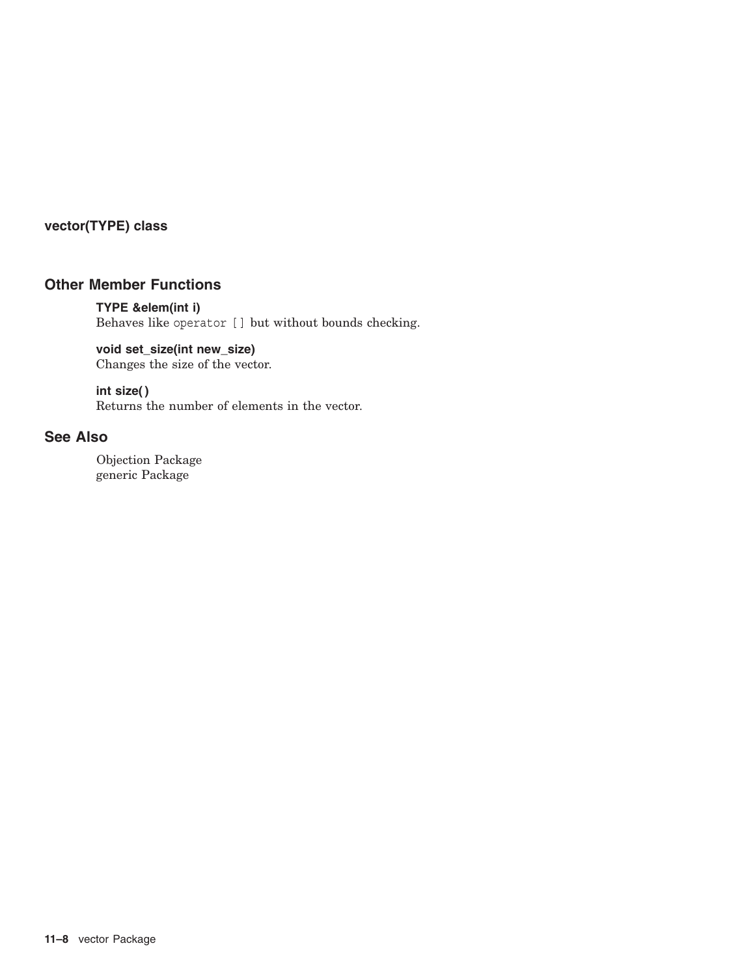# **vector(TYPE) class**

# **Other Member Functions**

### **TYPE &elem(int i)**

Behaves like operator [ ] but without bounds checking.

# **void set\_size(int new\_size)**

Changes the size of the vector.

### **int size( )**

Returns the number of elements in the vector.

# **See Also**

Objection Package generic Package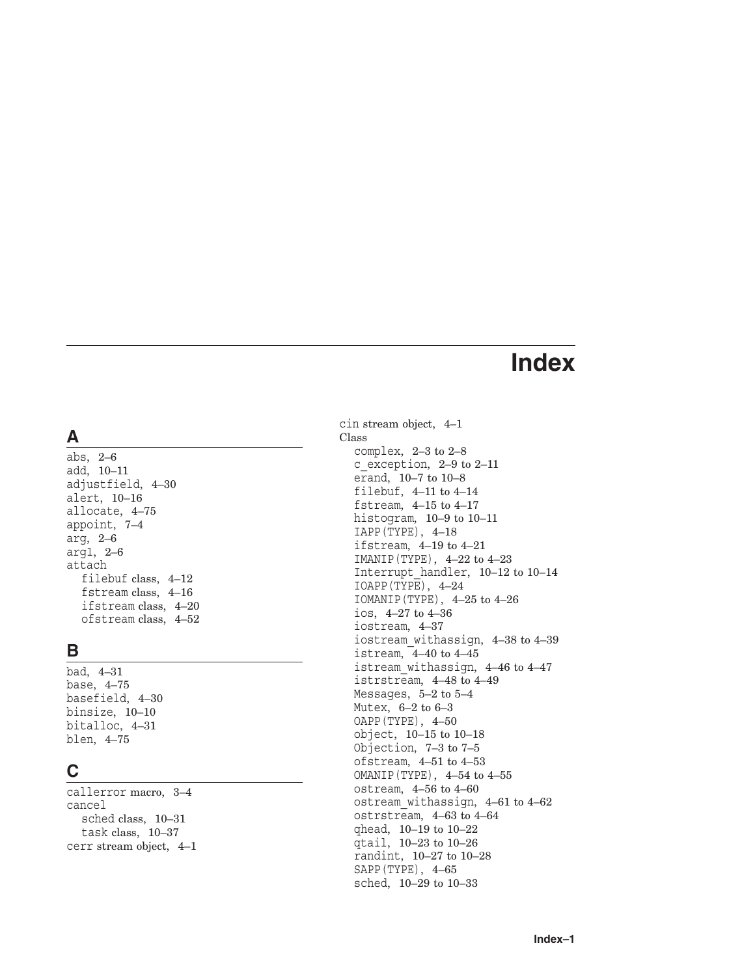# **Index**

# **A**

abs, 2–6 add, 10–11 adjustfield, 4–30 alert, 10–16 allocate, 4–75 appoint, 7–4 arg, 2–6 arg1, 2–6 attach filebuf class, 4–12 fstream class, 4–16 ifstream class, 4–20 ofstream class, 4–52

# **B**

bad, 4–31 base, 4–75 basefield, 4–30 binsize, 10–10 bitalloc, 4–31 blen, 4–75

# **C**

callerror macro, 3–4 cancel sched class, 10–31 task class, 10–37 cerr stream object, 4–1 cin stream object, 4–1 Class complex, 2–3 to 2–8 c exception,  $2-9$  to  $2-11$ erand, 10–7 to 10–8 filebuf, 4–11 to 4–14 fstream, 4–15 to 4–17 histogram, 10–9 to 10–11 IAPP(TYPE), 4–18 ifstream, 4–19 to 4–21 IMANIP(TYPE), 4–22 to 4–23 Interrupt\_handler, 10–12 to 10–14 IOAPP(TYPE), 4–24 IOMANIP(TYPE), 4–25 to 4–26 ios, 4–27 to 4–36 iostream, 4–37 iostream\_withassign, 4–38 to 4–39 istream, 4–40 to 4–45 istream\_withassign, 4–46 to 4–47 istrstream, 4–48 to 4–49 Messages, 5–2 to 5–4 Mutex, 6–2 to 6–3 OAPP(TYPE), 4–50 object, 10–15 to 10–18 Objection, 7–3 to 7–5 ofstream, 4–51 to 4–53 OMANIP(TYPE), 4–54 to 4–55 ostream, 4–56 to 4–60 ostream\_withassign, 4–61 to 4–62 ostrstream, 4–63 to 4–64 qhead, 10–19 to 10–22 qtail, 10–23 to 10–26 randint, 10–27 to 10–28 SAPP(TYPE), 4–65 sched, 10–29 to 10–33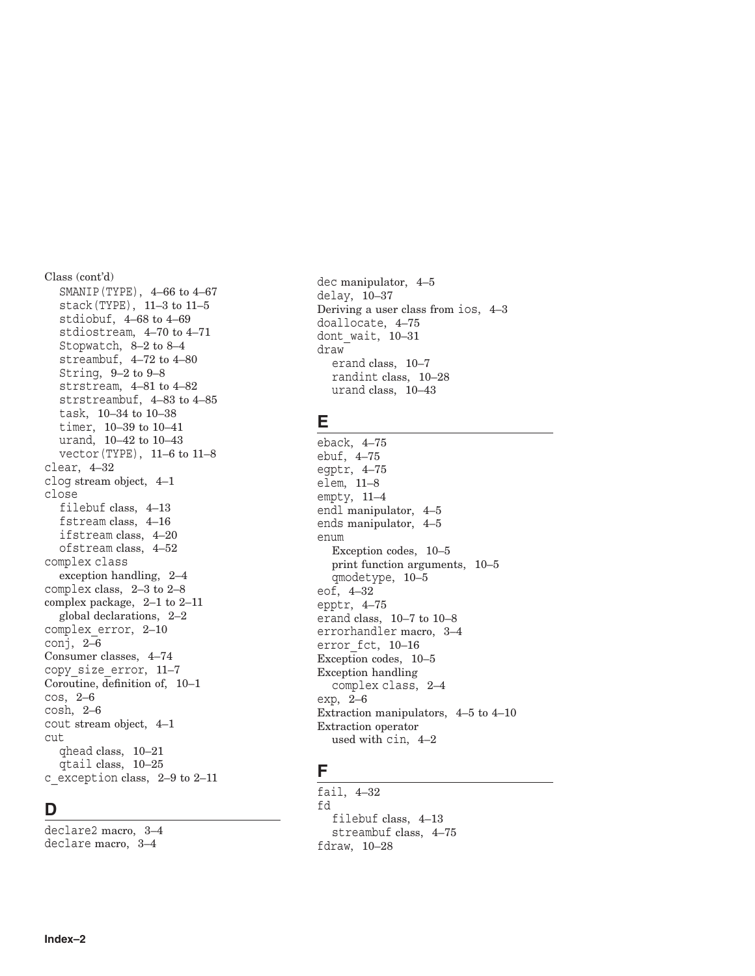Class (cont'd) SMANIP(TYPE), 4–66 to 4–67 stack(TYPE), 11–3 to 11–5 stdiobuf, 4–68 to 4–69 stdiostream, 4–70 to 4–71 Stopwatch, 8–2 to 8–4 streambuf, 4–72 to 4–80 String, 9–2 to 9–8 strstream, 4–81 to 4–82 strstreambuf, 4–83 to 4–85 task, 10–34 to 10–38 timer, 10–39 to 10–41 urand, 10–42 to 10–43 vector(TYPE), 11–6 to 11–8 clear, 4–32 clog stream object, 4–1 close filebuf class, 4–13 fstream class, 4–16 ifstream class, 4–20 ofstream class, 4–52 complex class exception handling, 2–4 complex class, 2–3 to 2–8 complex package, 2–1 to 2–11 global declarations, 2–2 complex\_error, 2–10 conj, 2–6 Consumer classes, 4–74 copy\_size\_error, 11–7 Coroutine, definition of, 10–1 cos, 2–6 cosh, 2–6 cout stream object, 4–1 cut qhead class, 10–21 qtail class, 10–25 c\_exception class, 2–9 to 2–11

# **D**

declare2 macro, 3–4 declare macro, 3–4

dec manipulator, 4–5 delay, 10–37 Deriving a user class from ios, 4–3 doallocate, 4–75 dont\_wait, 10–31 draw erand class, 10–7 randint class, 10–28 urand class, 10–43

# **E**

eback, 4–75 ebuf, 4–75 egptr, 4–75 elem, 11–8 empty, 11–4 endl manipulator, 4–5 ends manipulator, 4–5 enum Exception codes, 10–5 print function arguments, 10–5 qmodetype, 10–5 eof, 4–32 epptr, 4–75 erand class, 10–7 to 10–8 errorhandler macro, 3–4 error fct, 10–16 Exception codes, 10–5 Exception handling complex class, 2–4 exp, 2–6 Extraction manipulators, 4–5 to 4–10 Extraction operator used with cin, 4–2

# **F**

fail, 4–32 fd filebuf class, 4–13 streambuf class, 4–75 fdraw, 10–28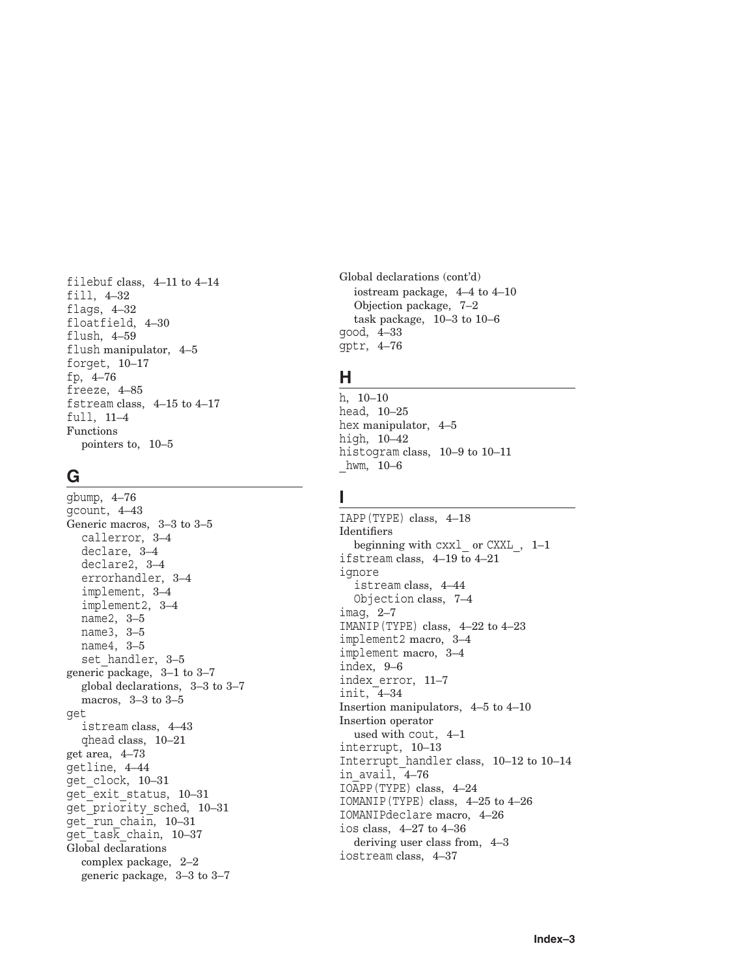filebuf class, 4–11 to 4–14 fill, 4–32 flags, 4–32 floatfield, 4–30 flush, 4–59 flush manipulator, 4–5 forget, 10–17 fp, 4–76 freeze, 4–85 fstream class, 4–15 to 4–17 full, 11–4 Functions pointers to, 10–5

# **G**

gbump, 4–76 gcount, 4–43 Generic macros, 3–3 to 3–5 callerror, 3–4 declare, 3–4 declare2, 3–4 errorhandler, 3–4 implement, 3–4 implement2, 3–4 name2, 3–5 name3, 3–5 name4, 3–5 set handler, 3–5 generic package, 3–1 to 3–7 global declarations, 3–3 to 3–7 macros, 3–3 to 3–5 get istream class, 4–43 qhead class, 10–21 get area, 4–73 getline, 4–44 get\_clock, 10–31 get\_exit\_status, 10–31 get\_priority\_sched, 10–31 get\_run\_chain, 10–31  $get$ <sup>-</sup>task<sup>chain, 10-37</sup> Global declarations complex package, 2–2 generic package, 3–3 to 3–7

Global declarations (cont'd) iostream package, 4–4 to 4–10 Objection package, 7–2 task package, 10–3 to 10–6 good, 4–33 gptr, 4–76

# **H**

h, 10–10 head, 10–25 hex manipulator, 4–5 high, 10–42 histogram class, 10–9 to 10–11 \_hwm, 10–6

# **I**

IAPP(TYPE) class, 4–18 Identifiers beginning with cxxl\_ or CXXL\_, 1–1 ifstream class, 4–19 to 4–21 ignore istream class, 4–44 Objection class, 7–4 imag, 2–7 IMANIP(TYPE) class, 4–22 to 4–23 implement2 macro, 3–4 implement macro, 3–4 index, 9–6 index\_error, 11–7 init, 4–34 Insertion manipulators, 4–5 to 4–10 Insertion operator used with cout, 4–1 interrupt, 10–13 Interrupt\_handler class, 10–12 to 10–14 in\_avail, 4–76 IOAPP(TYPE) class, 4–24 IOMANIP(TYPE) class, 4–25 to 4–26 IOMANIPdeclare macro, 4–26 ios class, 4–27 to 4–36 deriving user class from, 4–3 iostream class, 4–37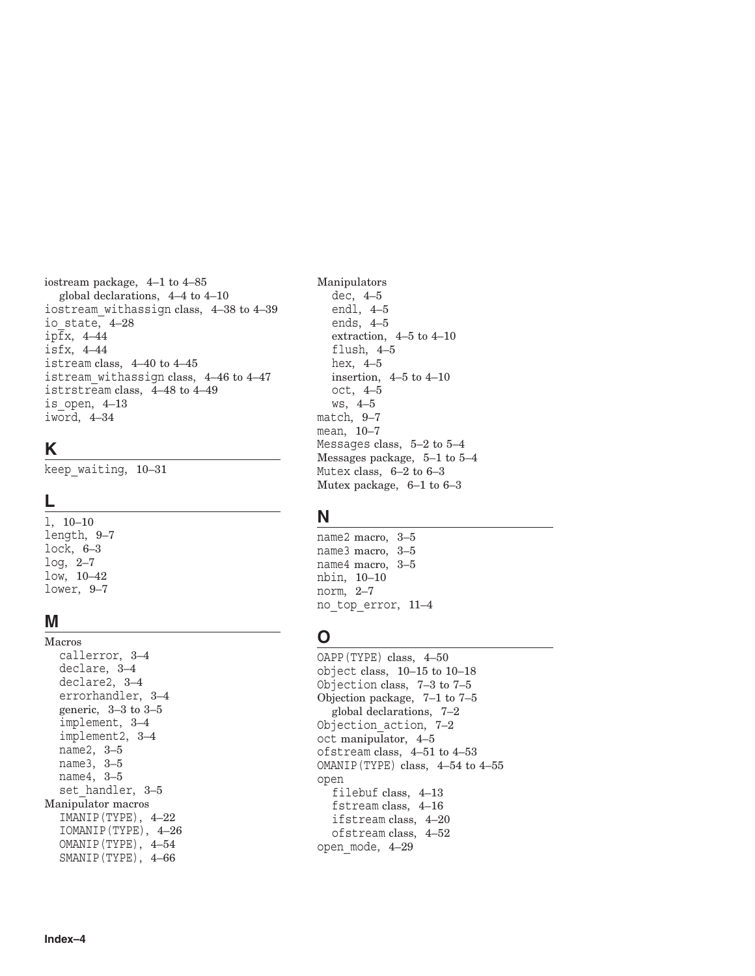iostream package, 4–1 to 4–85 global declarations, 4–4 to 4–10 iostream\_withassign class, 4–38 to 4–39 io\_state, 4–28 ipfx, 4–44 isfx, 4–44 istream class, 4–40 to 4–45 istream\_withassign class, 4–46 to 4–47 istrstream class, 4–48 to 4–49 is\_open, 4–13 iword, 4–34

# **K**

keep\_waiting, 10–31

# **L**

l, 10–10 length, 9–7 lock, 6–3 log, 2–7 low, 10–42 lower, 9–7

# **M**

Macros callerror, 3–4 declare, 3–4 declare2, 3–4 errorhandler, 3–4 generic, 3–3 to 3–5 implement, 3–4 implement2, 3–4 name2, 3–5 name3, 3–5 name4, 3–5 set handler, 3-5 Manipulator macros IMANIP(TYPE), 4–22 IOMANIP(TYPE), 4–26 OMANIP(TYPE), 4–54 SMANIP(TYPE), 4–66

Manipulators dec, 4–5 endl, 4–5 ends, 4–5 extraction, 4–5 to 4–10 flush, 4–5 hex, 4–5 insertion, 4–5 to 4–10 oct, 4–5 ws, 4–5 match, 9–7 mean, 10–7 Messages class, 5–2 to 5–4 Messages package, 5–1 to 5–4 Mutex class, 6–2 to 6–3 Mutex package, 6–1 to 6–3

# **N**

name2 macro, 3–5 name3 macro, 3–5 name4 macro, 3–5 nbin, 10–10 norm, 2–7 no\_top\_error, 11–4

# **O**

OAPP(TYPE) class, 4–50 object class, 10–15 to 10–18 Objection class, 7–3 to 7–5 Objection package, 7–1 to 7–5 global declarations, 7–2 Objection\_action, 7–2 oct manipulator, 4–5 ofstream class, 4–51 to 4–53 OMANIP(TYPE) class, 4–54 to 4–55 open filebuf class, 4–13 fstream class, 4–16 ifstream class, 4–20 ofstream class, 4–52 open\_mode, 4–29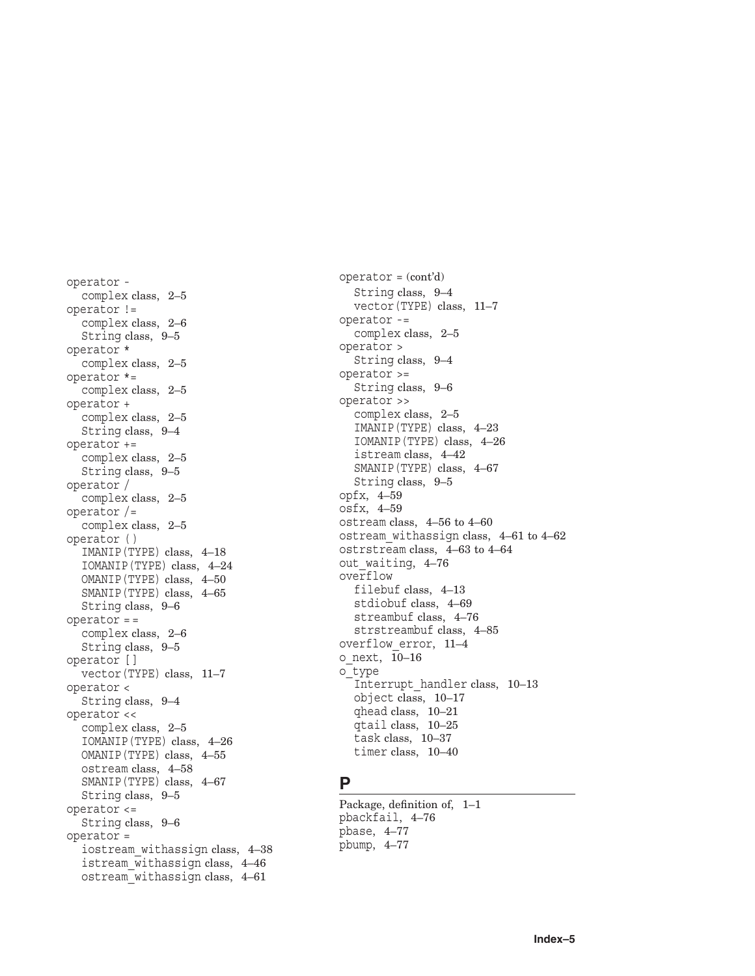operator complex class, 2–5 operator != complex class, 2–6 String class, 9–5 operator \* complex class, 2–5 operator \*= complex class, 2–5 operator + complex class, 2–5 String class, 9–4 operator += complex class, 2–5 String class, 9–5 operator / complex class, 2–5 operator /= complex class, 2–5 operator ( ) IMANIP(TYPE) class, 4–18 IOMANIP(TYPE) class, 4–24 OMANIP(TYPE) class, 4–50 SMANIP(TYPE) class, 4–65 String class, 9–6 operator = = complex class, 2–6 String class, 9–5 operator [ ] vector(TYPE) class, 11–7 operator < String class, 9–4 operator << complex class, 2–5 IOMANIP(TYPE) class, 4–26 OMANIP(TYPE) class, 4–55 ostream class, 4–58 SMANIP(TYPE) class, 4–67 String class, 9–5 operator <= String class, 9–6 operator = iostream\_withassign class, 4–38 istream\_withassign class, 4–46 ostream\_withassign class, 4–61

operator = (cont'd) String class, 9–4 vector(TYPE) class, 11–7 operator -= complex class, 2–5 operator > String class, 9–4 operator >= String class, 9–6 operator >> complex class, 2–5 IMANIP(TYPE) class, 4–23 IOMANIP(TYPE) class, 4–26 istream class, 4–42 SMANIP(TYPE) class, 4–67 String class, 9–5 opfx, 4–59 osfx, 4–59 ostream class, 4–56 to 4–60 ostream\_withassign class, 4–61 to 4–62 ostrstream class, 4–63 to 4–64 out waiting, 4–76 overflow filebuf class, 4–13 stdiobuf class, 4–69 streambuf class, 4–76 strstreambuf class, 4–85 overflow\_error, 11–4 o next,  $10-16$ o\_type Interrupt\_handler class, 10–13 object class, 10–17 qhead class, 10–21 qtail class, 10–25 task class, 10–37 timer class, 10–40

# **P**

Package, definition of, 1–1 pbackfail, 4–76 pbase, 4–77 pbump, 4–77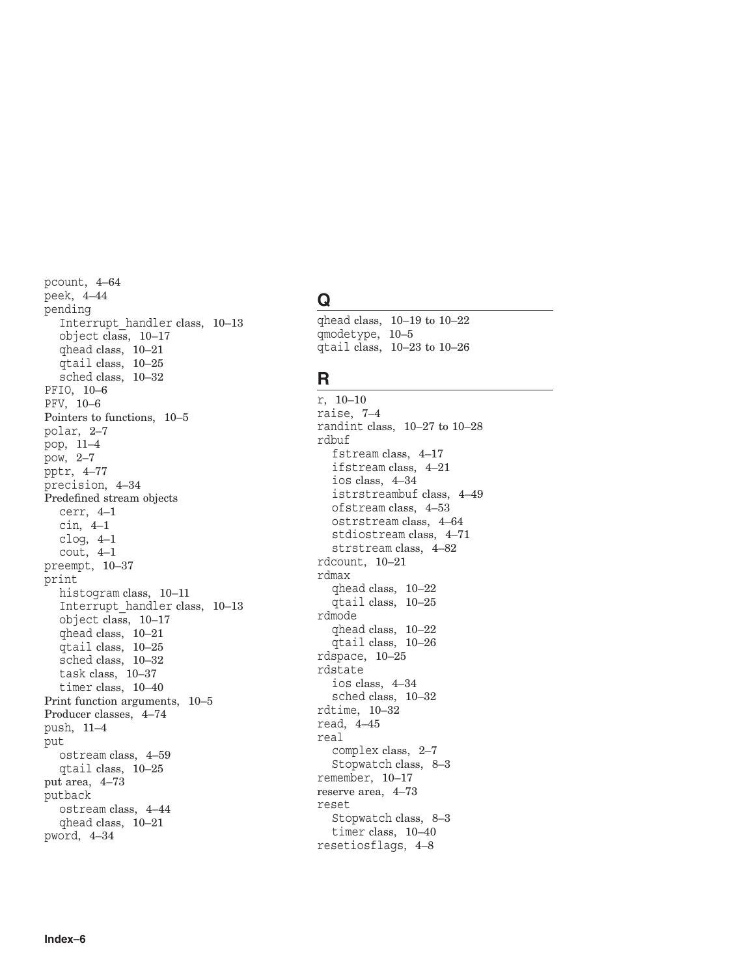pcount, 4–64 peek, 4–44 pending Interrupt\_handler class, 10–13 object class, 10–17 qhead class, 10–21 qtail class, 10–25 sched class, 10–32 PFIO, 10–6 PFV, 10–6 Pointers to functions, 10–5 polar, 2–7 pop, 11–4 pow, 2–7 pptr, 4–77 precision, 4–34 Predefined stream objects cerr, 4–1 cin, 4–1 clog, 4–1 cout, 4–1 preempt, 10–37 print histogram class, 10–11 Interrupt\_handler class, 10–13 object class, 10–17 qhead class, 10–21 qtail class, 10–25 sched class, 10–32 task class, 10–37 timer class, 10–40 Print function arguments, 10–5 Producer classes, 4–74 push, 11–4 put ostream class, 4–59 qtail class, 10–25 put area, 4–73 putback ostream class, 4–44 qhead class, 10–21 pword, 4–34

# **Q**

qhead class, 10–19 to 10–22 qmodetype, 10–5 qtail class, 10–23 to 10–26

# **R**

r, 10–10 raise, 7–4 randint class, 10–27 to 10–28 rdbuf fstream class, 4–17 ifstream class, 4–21 ios class, 4–34 istrstreambuf class, 4–49 ofstream class, 4–53 ostrstream class, 4–64 stdiostream class, 4–71 strstream class, 4–82 rdcount, 10–21 rdmax qhead class, 10–22 qtail class, 10–25 rdmode qhead class, 10–22 qtail class, 10–26 rdspace, 10–25 rdstate ios class, 4–34 sched class, 10–32 rdtime, 10–32 read, 4–45 real complex class, 2–7 Stopwatch class, 8–3 remember, 10–17 reserve area, 4–73 reset Stopwatch class, 8–3 timer class, 10–40 resetiosflags, 4–8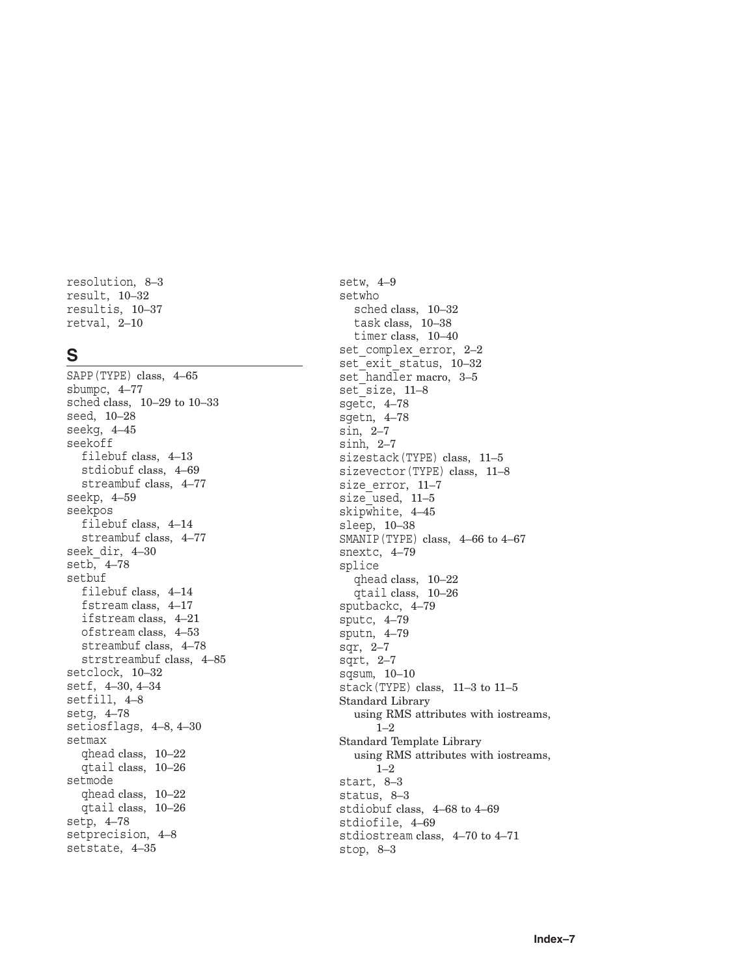resolution, 8–3 result, 10–32 resultis, 10–37 retval, 2–10

# **S**

SAPP(TYPE) class, 4–65 sbumpc, 4–77 sched class, 10–29 to 10–33 seed, 10–28 seekg, 4–45 seekoff filebuf class, 4–13 stdiobuf class, 4–69 streambuf class, 4–77 seekp, 4–59 seekpos filebuf class, 4–14 streambuf class, 4–77 seek\_dir, 4–30 setb, 4–78 setbuf filebuf class, 4–14 fstream class, 4–17 ifstream class, 4–21 ofstream class, 4–53 streambuf class, 4–78 strstreambuf class, 4–85 setclock, 10–32 setf, 4–30, 4–34 setfill, 4–8 setg, 4–78 setiosflags, 4–8, 4–30 setmax qhead class, 10–22 qtail class, 10–26 setmode qhead class, 10–22 qtail class, 10–26 setp, 4–78 setprecision, 4–8 setstate, 4–35

setw, 4–9 setwho sched class, 10–32 task class, 10–38 timer class, 10–40 set complex error, 2-2 set<sup>-</sup>exit status, 10–32 set handler macro, 3–5 set size, 11-8 sgetc, 4–78 sgetn, 4–78 sin, 2–7 sinh, 2–7 sizestack(TYPE) class, 11–5 sizevector(TYPE) class, 11–8 size error, 11–7 size<sup>-used</sup>, 11-5 skipwhite, 4–45 sleep, 10–38 SMANIP(TYPE) class, 4–66 to 4–67 snextc, 4–79 splice qhead class, 10–22 qtail class, 10–26 sputbackc, 4–79 sputc, 4–79 sputn, 4–79 sqr, 2–7 sqrt, 2–7 sqsum, 10–10 stack(TYPE) class, 11–3 to 11–5 Standard Library using RMS attributes with iostreams, 1–2 Standard Template Library using RMS attributes with iostreams, 1–2 start, 8–3 status, 8–3 stdiobuf class, 4–68 to 4–69 stdiofile, 4–69 stdiostream class, 4–70 to 4–71 stop, 8–3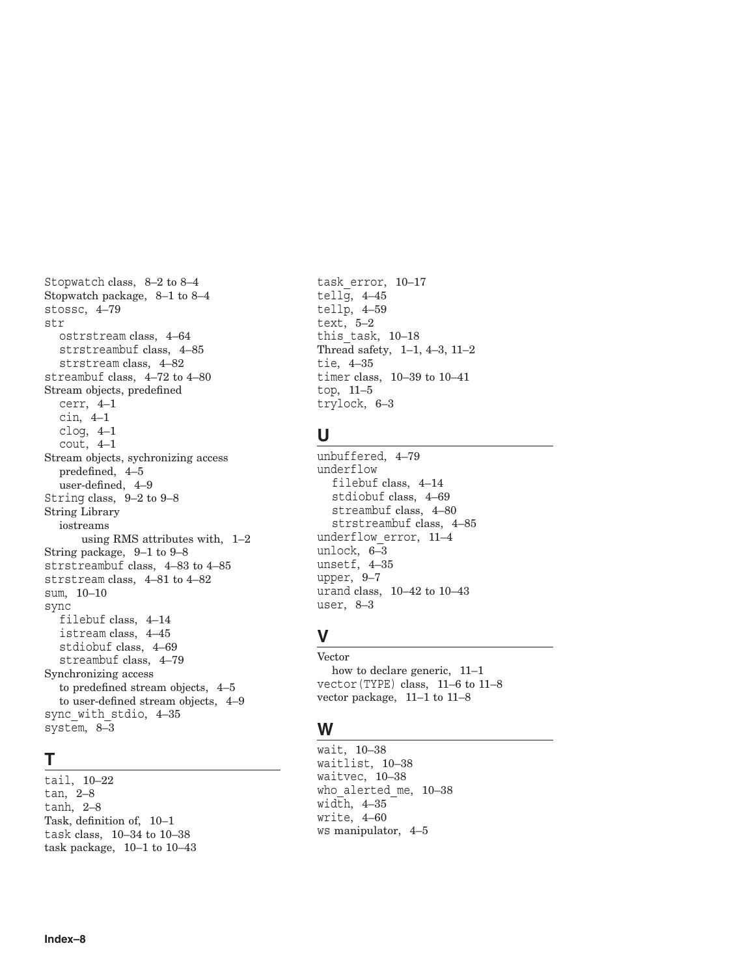Stopwatch class, 8–2 to 8–4 Stopwatch package, 8–1 to 8–4 stossc, 4–79 str ostrstream class, 4–64 strstreambuf class, 4–85 strstream class, 4–82 streambuf class, 4–72 to 4–80 Stream objects, predefined cerr, 4–1 cin, 4–1 clog, 4–1 cout, 4–1 Stream objects, sychronizing access predefined, 4–5 user-defined, 4–9 String class, 9–2 to 9–8 String Library iostreams using RMS attributes with, 1–2 String package, 9–1 to 9–8 strstreambuf class, 4–83 to 4–85 strstream class, 4–81 to 4–82 sum, 10–10 sync filebuf class, 4–14 istream class, 4–45 stdiobuf class, 4–69 streambuf class, 4–79 Synchronizing access to predefined stream objects, 4–5 to user-defined stream objects, 4–9 sync with stdio, 4–35 system, 8–3

# **T**

tail, 10–22 tan, 2–8 tanh, 2–8 Task, definition of, 10–1 task class, 10–34 to 10–38 task package, 10–1 to 10–43

task\_error, 10–17 tellg, 4–45 tellp, 4–59 text, 5–2 this\_task, 10–18 Thread safety, 1–1, 4–3, 11–2 tie, 4–35 timer class, 10–39 to 10–41 top, 11–5 trylock, 6–3

# **U**

unbuffered, 4–79 underflow filebuf class, 4–14 stdiobuf class, 4–69 streambuf class, 4–80 strstreambuf class, 4–85 underflow\_error, 11–4 unlock, 6–3 unsetf, 4–35 upper, 9–7 urand class, 10–42 to 10–43 user, 8–3

# **V**

Vector how to declare generic, 11–1 vector(TYPE) class, 11–6 to 11–8 vector package, 11–1 to 11–8

# **W**

wait, 10–38 waitlist, 10–38 waitvec, 10–38 who alerted me, 10–38 width,  $4-35$ write, 4–60 ws manipulator, 4–5